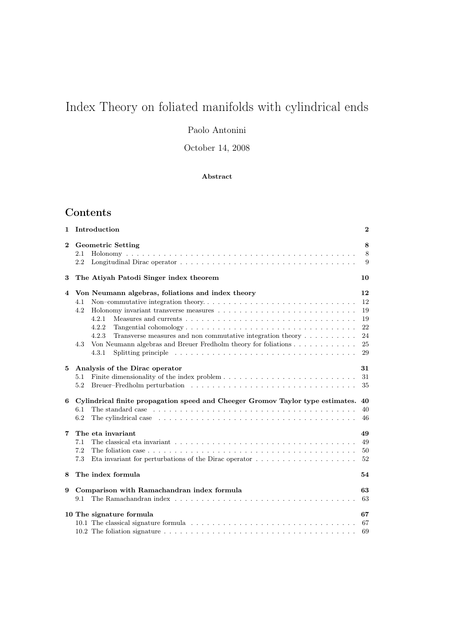# Index Theory on foliated manifolds with cylindrical ends

## Paolo Antonini

October 14, 2008

## Abstract

## Contents

| 1.           | Introduction                                                                                                                                                                                                                                                                                                                                                         | $\bf{2}$                                     |
|--------------|----------------------------------------------------------------------------------------------------------------------------------------------------------------------------------------------------------------------------------------------------------------------------------------------------------------------------------------------------------------------|----------------------------------------------|
| $\mathbf{2}$ | <b>Geometric Setting</b><br>2.1<br>2.2                                                                                                                                                                                                                                                                                                                               | 8<br>8<br>9                                  |
| 3            | The Atiyah Patodi Singer index theorem                                                                                                                                                                                                                                                                                                                               | 10                                           |
| 4            | Von Neumann algebras, foliations and index theory<br>4.1<br>4.2<br>4.2.1<br>4.2.2<br>4.2.3<br>Transverse measures and non commutative integration theory $\dots \dots \dots$<br>Von Neumann algebras and Breuer Fredholm theory for foliations<br>4.3<br>Splitting principle $\ldots \ldots \ldots \ldots \ldots \ldots \ldots \ldots \ldots \ldots \ldots$<br>4.3.1 | 12<br>12<br>19<br>19<br>22<br>24<br>25<br>29 |
| 5            | Analysis of the Dirac operator<br>5.1<br>5.2                                                                                                                                                                                                                                                                                                                         | 31<br>31<br>35                               |
| 6            | Cylindrical finite propagation speed and Cheeger Gromov Taylor type estimates.<br>6.1<br>6.2<br>The cylindrical case $\ldots \ldots \ldots \ldots \ldots \ldots \ldots \ldots \ldots \ldots \ldots \ldots \ldots$                                                                                                                                                    | 40<br>40<br>46                               |
| 7            | The eta invariant<br>The classical eta invariant $\ldots \ldots \ldots \ldots \ldots \ldots \ldots \ldots \ldots \ldots \ldots \ldots$<br>7.1<br>7.2<br>7.3<br>Eta invariant for perturbations of the Dirac operator $\dots \dots \dots \dots \dots \dots \dots$                                                                                                     | 49<br>49<br>50<br>52                         |
| 8            | The index formula                                                                                                                                                                                                                                                                                                                                                    | 54                                           |
| 9            | Comparison with Ramachandran index formula<br>The Ramachandran index $\ldots$ , $\ldots$ , $\ldots$ , $\ldots$ , $\ldots$ , $\ldots$ , $\ldots$ , $\ldots$ , $\ldots$ , $\ldots$ , $\ldots$<br>9.1                                                                                                                                                                   | 63<br>63                                     |
|              | 10 The signature formula                                                                                                                                                                                                                                                                                                                                             | 67<br>69                                     |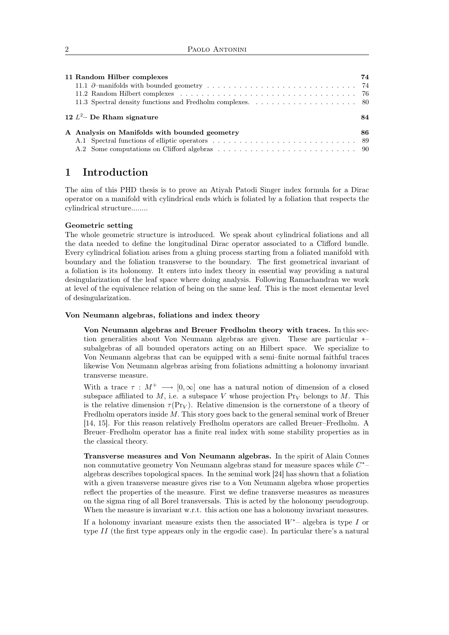| 11 Random Hilber complexes                    | 74 |
|-----------------------------------------------|----|
| 12 $L^2$ – De Rham signature                  | 84 |
| A Analysis on Manifolds with bounded geometry | 86 |

## 1 Introduction

The aim of this PHD thesis is to prove an Atiyah Patodi Singer index formula for a Dirac operator on a manifold with cylindrical ends which is foliated by a foliation that respects the cylindrical structure........

### Geometric setting

The whole geometric structure is introduced. We speak about cylindrical foliations and all the data needed to define the longitudinal Dirac operator associated to a Clifford bundle. Every cylindrical foliation arises from a gluing process starting from a foliated manifold with boundary and the foliation transverse to the boundary. The first geometrical invariant of a foliation is its holonomy. It enters into index theory in essential way providing a natural desingularization of the leaf space where doing analysis. Following Ramachandran we work at level of the equivalence relation of being on the same leaf. This is the most elementar level of desingularization.

## Von Neumann algebras, foliations and index theory

Von Neumann algebras and Breuer Fredholm theory with traces. In this section generalities about Von Neumann algebras are given. These are particular ∗– subalgebras of all bounded operators acting on an Hilbert space. We specialize to Von Neumann algebras that can be equipped with a semi–finite normal faithful traces likewise Von Neumann algebras arising from foliations admitting a holonomy invariant transverse measure.

With a trace  $\tau : M^+ \longrightarrow [0,\infty]$  one has a natural notion of dimension of a closed subspace affiliated to M, i.e. a subspace V whose projection  $Pr_V$  belongs to M. This is the relative dimension  $\tau(\Pr_V)$ . Relative dimension is the cornerstone of a theory of Fredholm operators inside M. This story goes back to the general seminal work of Breuer [14, 15]. For this reason relatively Fredholm operators are called Breuer–Fredholm. A Breuer–Fredholm operator has a finite real index with some stability properties as in the classical theory.

Transverse measures and Von Neumann algebras. In the spirit of Alain Connes non commutative geometry Von Neumann algebras stand for measure spaces while  $C^*$ algebras describes topological spaces. In the seminal work [24] has shown that a foliation with a given transverse measure gives rise to a Von Neumann algebra whose properties reflect the properties of the measure. First we define transverse measures as measures on the sigma ring of all Borel transversals. This is acted by the holonomy pseudogroup. When the measure is invariant w.r.t. this action one has a holonomy invariant measures.

If a holonomy invariant measure exists then the associated  $W^*$ – algebra is type I or type II (the first type appears only in the ergodic case). In particular there's a natural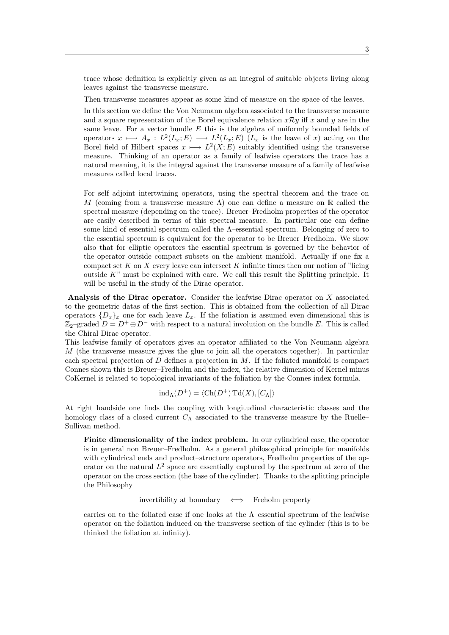trace whose definition is explicitly given as an integral of suitable objects living along leaves against the transverse measure.

Then transverse measures appear as some kind of measure on the space of the leaves.

In this section we define the Von Neumann algebra associated to the transverse measure and a square representation of the Borel equivalence relation  $x\mathcal{R}y$  iff x and y are in the same leave. For a vector bundle  $E$  this is the algebra of uniformly bounded fields of operators  $x \mapsto A_x : L^2(L_x; E) \longrightarrow L^2(L_x; E)$  ( $L_x$  is the leave of x) acting on the Borel field of Hilbert spaces  $x \mapsto L^2(X; E)$  suitably identified using the transverse measure. Thinking of an operator as a family of leafwise operators the trace has a natural meaning, it is the integral against the transverse measure of a family of leafwise measures called local traces.

For self adjoint intertwining operators, using the spectral theorem and the trace on M (coming from a transverse measure  $\Lambda$ ) one can define a measure on R called the spectral measure (depending on the trace). Breuer–Fredholm properties of the operator are easily described in terms of this spectral measure. In particular one can define some kind of essential spectrum called the Λ–essential spectrum. Belonging of zero to the essential spectrum is equivalent for the operator to be Breuer–Fredholm. We show also that for elliptic operators the essential spectrum is governed by the behavior of the operator outside compact subsets on the ambient manifold. Actually if one fix a compact set  $K$  on  $X$  every leave can intersect  $K$  infinite times then our notion of "lieing" outside  $K^{\prime\prime}$  must be explained with care. We call this result the Splitting principle. It will be useful in the study of the Dirac operator.

Analysis of the Dirac operator. Consider the leafwise Dirac operator on X associated to the geometric datas of the first section. This is obtained from the collection of all Dirac operators  $\{D_x\}_x$  one for each leave  $L_x$ . If the foliation is assumed even dimensional this is  $\mathbb{Z}_2$ –graded  $D = D^+ \oplus D^-$  with respect to a natural involution on the bundle E. This is called the Chiral Dirac operator.

This leafwise family of operators gives an operator affiliated to the Von Neumann algebra M (the transverse measure gives the glue to join all the operators together). In particular each spectral projection of  $D$  defines a projection in  $M$ . If the foliated manifold is compact Connes shown this is Breuer–Fredholm and the index, the relative dimension of Kernel minus CoKernel is related to topological invariants of the foliation by the Connes index formula.

$$
ind_{\Lambda}(D^{+}) = \langle Ch(D^{+}) \operatorname{Td}(X), [C_{\Lambda}] \rangle
$$

At right handside one finds the coupling with longitudinal characteristic classes and the homology class of a closed current  $C_{\Lambda}$  associated to the transverse measure by the Ruelle– Sullivan method.

Finite dimensionality of the index problem. In our cylindrical case, the operator is in general non Breuer–Fredholm. As a general philosophical principle for manifolds with cylindrical ends and product–structure operators, Fredholm properties of the operator on the natural  $L^2$  space are essentially captured by the spectrum at zero of the operator on the cross section (the base of the cylinder). Thanks to the splitting principle the Philosophy

invertibility at boundary ⇐⇒ Freholm property

carries on to the foliated case if one looks at the Λ–essential spectrum of the leafwise operator on the foliation induced on the transverse section of the cylinder (this is to be thinked the foliation at infinity).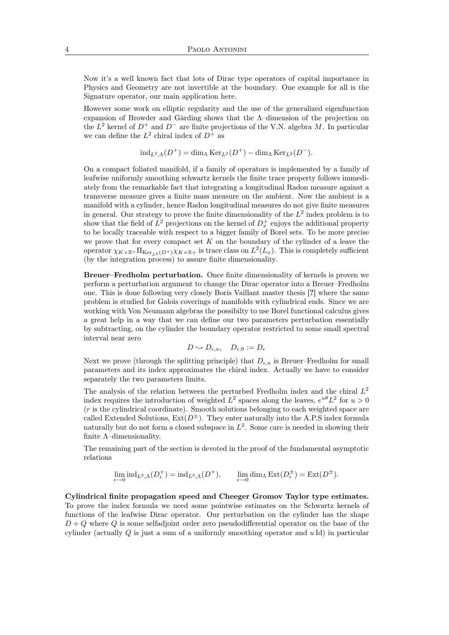Now it's a well known fact that lots of Dirac type operators of capital importance in Physics and Geometry are not invertible at the boundary. One example for all is the Signature operator, our main application here.

However some work on elliptic regularity and the use of the generalized eigenfunction expansion of Browder and Gårding shows that the Λ–dimension of the projection on the  $L^2$  kernel of  $D^+$  and  $D^-$  are finite projections of the V.N. algebra M. In particular we can define the  $L^2$  chiral index of  $D^+$  as

$$
ind_{L^2,\Lambda}(D^+) = dim_{\Lambda} Ker_{L^2}(D^+) - dim_{\Lambda} Ker_{L^2}(D^-).
$$

On a compact foliated manifold, if a family of operators is implemented by a family of leafwise uniformly smoothing schwartz kernels the finite trace property follows immediately from the remarkable fact that integrating a longitudinal Radon measure against a transverse measure gives a finite mass measure on the ambient. Now the ambient is a manifold with a cylinder, hence Radon longitudinal measures do not give finite measures in general. Our strategy to prove the finite dimensionality of the  $L^2$  index problem is to show that the field of  $L^2$  projections on the kernel of  $D_x^+$  enjoys the additional property to be locally traceable with respect to a bigger family of Borel sets. To be more precise we prove that for every compact set  $K$  on the boundary of the cylinder of a leave the operator  $\chi_{K\times\mathbb{R}}$ +  $\Pi_{\mathrm{Ker}_{L^2}(D^+)}\chi_{K\times\mathbb{R}^+}$  is trace class on  $L^2(L_x)$ . This is completely sufficient (by the integration process) to assure finite dimensionality.

Breuer–Fredholm perturbation. Once finite dimensionality of kernels is proven we perform a perturbation argument to change the Dirac operator into a Breuer–Fredholm one. This is done following very closely Boris Vaillant master thesis [?] where the same problem is studied for Galois coverings of manifolds with cylindrical ends. Since we are working with Von Neumann algebras the possibilty to use Borel functional calculus gives a great help in a way that we can define our two parameters perturbation essentially by subtracting, on the cylinder the boundary operator restricted to some small spectral interval near zero

$$
D \sim D_{\epsilon, u}, \quad D_{\epsilon, 0} := D_{\epsilon}
$$

Next we prove (through the splitting principle) that  $D_{\epsilon, u}$  is Breuer–Fredholm for small parameters and its index approximates the chiral index. Actually we have to consider separately the two parameters limits.

The analysis of the relation between the perturbed Fredholm index and the chiral  $L^2$ index requires the introduction of weighted  $L^2$  spaces along the leaves,  $e^{u\theta}L^2$  for  $u>0$ (r is the cylindrical coordinate). Smooth solutions belonging to each weighted space are called Extended Solutions,  $Ext(D^{\pm})$ . They enter naturally into the A.P.S index formula naturally but do not form a closed subspace in  $L^2$ . Some care is needed in showing their finite  $\Lambda$ -dimensionality.

The remaining part of the section is devoted in the proof of the fundamental asymptotic relations

$$
\lim_{\epsilon \to 0} \text{ind}_{L^2,\Lambda}(D^+_{\epsilon}) = \text{ind}_{L^2,\Lambda}(D^+), \qquad \lim_{\epsilon \to 0} \text{dim}_{\Lambda} \operatorname{Ext}(D^{\pm}_{\epsilon}) = \operatorname{Ext}(D^{\pm}).
$$

Cylindrical finite propagation speed and Cheeger Gromov Taylor type estimates. To prove the index formula we need some pointwise estimates on the Schwartz kernels of functions of the leafwise Dirac operator. Our perturbation on the cylinder has the shape  $D + Q$  where Q is some selfadjoint order zero pseudodifferential operator on the base of the cylinder (actually  $Q$  is just a sum of a uniformly smoothing operator and  $u$ Id) in particular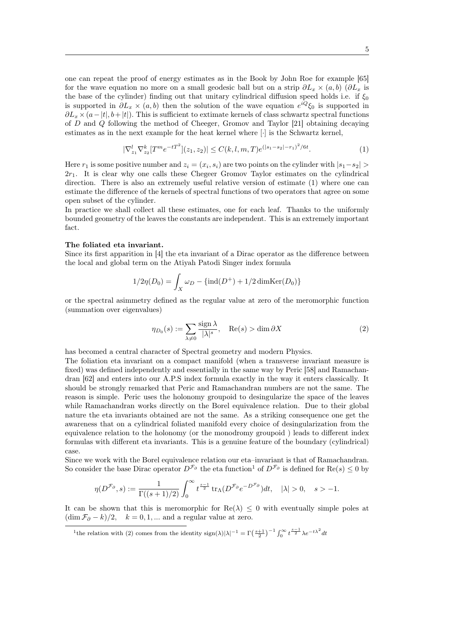one can repeat the proof of energy estimates as in the Book by John Roe for example [65] for the wave equation no more on a small geodesic ball but on a strip  $\partial L_x \times (a, b)$  ( $\partial L_x$  is the base of the cylinder) finding out that unitary cylindrical diffusion speed holds i.e. if  $\xi_0$ is supported in  $\partial L_x \times (a, b)$  then the solution of the wave equation  $e^{iQ}\xi_0$  is supported in  $\partial L_x \times (a-|t|, b+|t|)$ . This is sufficient to extimate kernels of class schwartz spectral functions of D and Q following the method of Cheeger, Gromov and Taylor [21] obtaining decaying estimates as in the next example for the heat kernel where [·] is the Schwartz kernel,

$$
|\nabla_{z_1}^l \nabla_{z_2}^k [T^m e^{-tT^2}](z_1, z_2)| \le C(k, l, m, T) e^{(|s_1 - s_2| - r_1)^2 / 6t}.
$$
 (1)

Here  $r_1$  is some positive number and  $z_i = (x_i, s_i)$  are two points on the cylinder with  $|s_1 - s_2|$  $2r_1$ . It is clear why one calls these Chegeer Gromov Taylor estimates on the cylindrical direction. There is also an extremely useful relative version of estimate (1) where one can estimate the difference of the kernels of spectral functions of two operators that agree on some open subset of the cylinder.

In practice we shall collect all these estimates, one for each leaf. Thanks to the uniformly bounded geometry of the leaves the constants are independent. This is an extremely important fact.

#### The foliated eta invariant.

Since its first apparition in [4] the eta invariant of a Dirac operator as the difference between the local and global term on the Atiyah Patodi Singer index formula

$$
1/2\eta(D_0) = \int_X \omega_D - \{\text{ind}(D^+) + 1/2 \dim \text{Ker}(D_0)\}\
$$

or the spectral asimmetry defined as the regular value at zero of the meromorphic function (summation over eigenvalues)

$$
\eta_{D_0}(s) := \sum_{\lambda \neq 0} \frac{\text{sign}\,\lambda}{|\lambda|^s}, \quad \text{Re}(s) > \dim \partial X \tag{2}
$$

has becomed a central character of Spectral geometry and modern Physics.

The foliation eta invariant on a compact manifold (when a transverse invariant measure is fixed) was defined independently and essentially in the same way by Peric [58] and Ramachandran [62] and enters into our A.P.S index formula exactly in the way it enters classically. It should be strongly remarked that Peric and Ramachandran numbers are not the same. The reason is simple. Peric uses the holonomy groupoid to desingularize the space of the leaves while Ramachandran works directly on the Borel equivalence relation. Due to their global nature the eta invariants obtained are not the same. As a striking consequence one get the awareness that on a cylindrical foliated manifold every choice of desingularization from the equivalence relation to the holonomy (or the monodromy groupoid ) leads to different index formulas with different eta invariants. This is a genuine feature of the boundary (cylindrical) case.

Since we work with the Borel equivalence relation our eta–invariant is that of Ramachandran. So consider the base Dirac operator  $D^{\mathcal{F}_{\partial}}$  the eta function<sup>1</sup> of  $D^{\mathcal{F}_{\partial}}$  is defined for Re(s) < 0 by

$$
\eta(D^{\mathcal{F}_{\partial}},s):=\frac{1}{\Gamma((s+1)/2)}\int_0^\infty t^{\frac{s-1}{2}}\operatorname{tr}_\Lambda(D^{\mathcal{F}_{\partial}}e^{-D^{\mathcal{F}_{\partial}}})dt,\quad |\lambda|>0,\quad s>-1.
$$

It can be shown that this is meromorphic for  $\text{Re}(\lambda) \leq 0$  with eventually simple poles at  $(\dim \mathcal{F}_\partial - k)/2$ ,  $k = 0, 1, ...$  and a regular value at zero.

<sup>&</sup>lt;sup>1</sup>the relation with (2) comes from the identity  $\text{sign}(\lambda)|\lambda|^{-1} = \Gamma(\frac{s+1}{2})^{-1} \int_0^\infty t^{\frac{s-1}{2}} \lambda e^{-t\lambda^2} dt$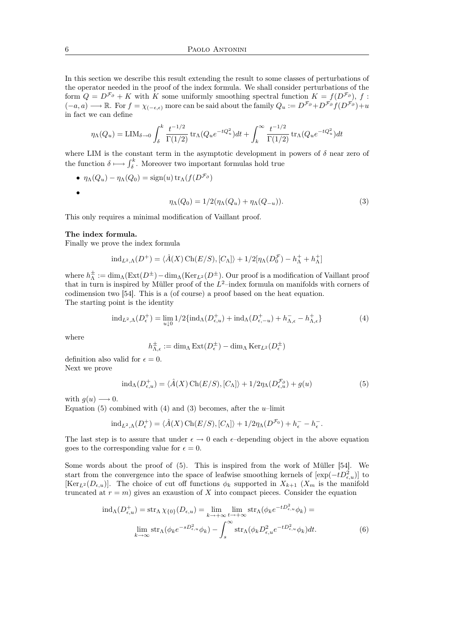In this section we describe this result extending the result to some classes of perturbations of the operator needed in the proof of the index formula. We shall consider perturbations of the form  $Q = D^{\mathcal{F}_{\partial}} + K$  with K some uniformly smoothing spectral function  $K = f(D^{\mathcal{F}_{\partial}})$ , f:  $(-a, a) \longrightarrow \mathbb{R}$ . For  $f = \chi_{(-\epsilon, \epsilon)}$  more can be said about the family  $Q_u := D^{\mathcal{F}_{\partial}} + D^{\mathcal{F}_{\partial}} f(D^{\mathcal{F}_{\partial}}) + u$ in fact we can define

$$
\eta_{\Lambda}(Q_u) = \text{LIM}_{\delta \to 0} \int_{\delta}^{k} \frac{t^{-1/2}}{\Gamma(1/2)} \, \text{tr}_{\Lambda}(Q_u e^{-tQ_u^2}) dt + \int_{k}^{\infty} \frac{t^{-1/2}}{\Gamma(1/2)} \, \text{tr}_{\Lambda}(Q_u e^{-tQ_u^2}) dt
$$

where LIM is the constant term in the asymptotic development in powers of  $\delta$  near zero of the function  $\delta \longmapsto \int_{\delta}^{k}$ . Moreover two important formulas hold true

• 
$$
\eta_{\Lambda}(Q_u) - \eta_{\Lambda}(Q_0) = \text{sign}(u) \operatorname{tr}_{\Lambda}(f(D^{\mathcal{F}_{\partial}}))
$$
  
•

$$
\eta_{\Lambda}(Q_0) = 1/2(\eta_{\Lambda}(Q_u) + \eta_{\Lambda}(Q_{-u})). \tag{3}
$$

This only requires a minimal modification of Vaillant proof.

#### The index formula.

Finally we prove the index formula

$$
\mathrm{ind}_{L^2,\Lambda}(D^+)=\langle\hat{A}(X)\,\mathrm{Ch}(E/S),[C_\Lambda]\rangle+1/2[\eta_\Lambda(D_0^{\mathcal{F}})-h_\Lambda^++h_\Lambda^+]
$$

where  $h_{\Lambda}^{\pm}:=\dim_{\Lambda}(\text{Ext}(D^{\pm})-\dim_{\Lambda}(\text{Ker}_{L^{2}}(D^{\pm}).$  Our proof is a modification of Vaillant proof that in turn is inspired by Müller proof of the  $L^2$ -index formula on manifolds with corners of codimension two [54]. This is a (of course) a proof based on the heat equation. The starting point is the identity

$$
\mathrm{ind}_{L^2,\Lambda}(D_{\epsilon}^+) = \lim_{u \downarrow 0} 1/2 \{\mathrm{ind}_{\Lambda}(D_{\epsilon,u}^+) + \mathrm{ind}_{\Lambda}(D_{\epsilon,-u}^+) + h_{\Lambda,\epsilon}^- - h_{\Lambda,\epsilon}^+\}\tag{4}
$$

where

$$
h_{\Lambda,\epsilon}^{\pm} := \dim_{\Lambda} \operatorname{Ext}(D_{\epsilon}^{\pm}) - \dim_{\Lambda} \operatorname{Ker}_{L^{2}}(D_{\epsilon}^{\pm})
$$

definition also valid for  $\epsilon = 0$ . Next we prove

$$
ind_{\Lambda}(D_{\epsilon,u}^{+}) = \langle \hat{A}(X) \operatorname{Ch}(E/S), [C_{\Lambda}] \rangle + 1/2 \eta_{\Lambda}(D_{\epsilon,u}^{\mathcal{F}_{\partial}}) + g(u)
$$
(5)

with  $q(u) \longrightarrow 0$ .

Equation (5) combined with (4) and (3) becomes, after the  $u$ -limit

$$
\mathrm{ind}_{L^2,\Lambda}(D_{\epsilon}^+) = \langle \hat{A}(X) \mathrm{Ch}(E/S), [C_{\Lambda}] \rangle + 1/2 \eta_{\Lambda}(D^{\mathcal{F}_0}) + h_{\epsilon}^- - h_{\epsilon}^-.
$$

The last step is to assure that under  $\epsilon \to 0$  each  $\epsilon$ -depending object in the above equation goes to the corresponding value for  $\epsilon = 0$ .

Some words about the proof of (5). This is inspired from the work of Müller [54]. We start from the convergence into the space of leafwise smoothing kernels of  $[\exp(-tD_{\epsilon,u}^2)]$  to  $[\text{Ker}_{L^2}(D_{\epsilon,\mu})]$ . The choice of cut off functions  $\phi_k$  supported in  $X_{k+1}$   $(X_m$  is the manifold truncated at  $r = m$ ) gives an exaustion of X into compact pieces. Consider the equation

$$
\operatorname{ind}_{\Lambda}(D_{\epsilon,u}^{+}) = \operatorname{str}_{\Lambda} \chi_{\{0\}}(D_{\epsilon,u}) = \lim_{k \to +\infty} \lim_{t \to +\infty} \operatorname{str}_{\Lambda}(\phi_{k}e^{-tD_{\epsilon,u}^{2}}\phi_{k}) =
$$

$$
\lim_{k \to \infty} \operatorname{str}_{\Lambda}(\phi_{k}e^{-sD_{\epsilon,u}^{2}}\phi_{k}) - \int_{s}^{\infty} \operatorname{str}_{\Lambda}(\phi_{k}D_{\epsilon,u}^{2}e^{-tD_{\epsilon,u}^{2}}\phi_{k})dt.
$$
(6)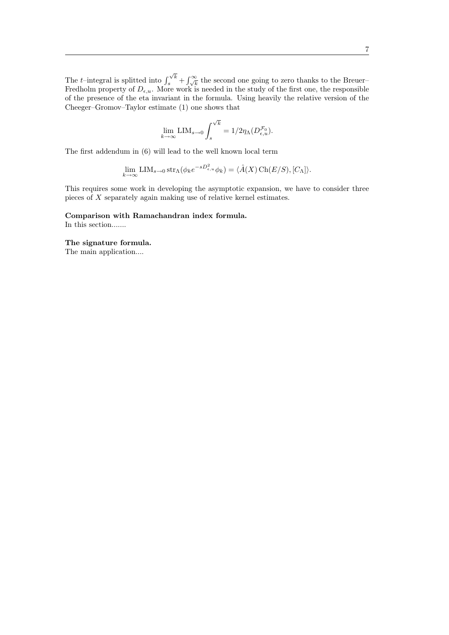The  $t$ -integral is splitted into  $\int$  $\int_{s}^{\sqrt{k}} + \int_{\sqrt{k}}^{\infty}$  the second one going to zero thanks to the Breuer– Fredholm property of  $D_{\epsilon,u}$ . More work is needed in the study of the first one, the responsible of the presence of the eta invariant in the formula. Using heavily the relative version of the Cheeger–Gromov–Taylor estimate (1) one shows that

$$
\lim_{k\to\infty}\mathrm{LIM}_{s\to 0}\int_s^{\sqrt{k}}=1/2\eta_{\Lambda}(D^{\mathcal{F}_0}_{\epsilon,u}).
$$

The first addendum in (6) will lead to the well known local term

$$
\lim_{k \to \infty} \text{LIM}_{s \to 0} \operatorname{str}_{\Lambda}(\phi_k e^{-sD_{\epsilon,u}^2} \phi_k) = \langle \hat{A}(X) \operatorname{Ch}(E/S), [C_{\Lambda}] \rangle.
$$

This requires some work in developing the asymptotic expansion, we have to consider three pieces of X separately again making use of relative kernel estimates.

Comparison with Ramachandran index formula. In this section.......

The signature formula. The main application....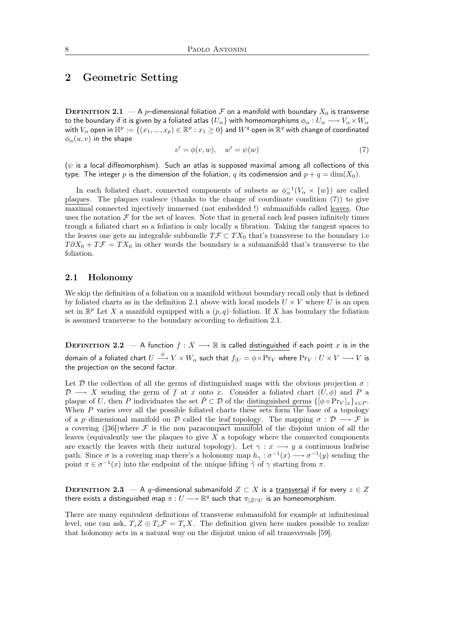## 2 Geometric Setting

**DEFINITION 2.1** — A p-dimensional foliation F on a manifold with boundary  $X_0$  is transverse to the boundary if it is given by a foliated atlas  $\{U_\alpha\}$  with homeomorphisms  $\phi_\alpha:U_\alpha\longrightarrow V_\alpha\times W_\alpha$ with  $V_\alpha$  open in  $\mathbb{H}^p:=\{(x_1,...,x_p)\in\mathbb{R}^p:x_1\geq 0\}$  and  $W^q$  open in  $\mathbb{R}^q$  with change of coordinated  $\phi_{\alpha}(u, v)$  in the shape

$$
v' = \phi(v, w), \quad w' = \psi(w) \tag{7}
$$

( $\psi$  is a local diffeomorphism). Such an atlas is supposed maximal among all collections of this type. The integer p is the dimension of the foliation, q its codimension and  $p + q = \dim(X_0)$ .

In each foliated chart, connected components of subsets as  $\phi_{\alpha}^{-1}(V_{\alpha} \times \{w\})$  are called plaques. The plaques coalesce (thanks to the change of coordinate condition (7)) to give maximal connected injectively immersed (not embedded !) submanifolds called leaves. One uses the notation  $\mathcal F$  for the set of leaves. Note that in general each leaf passes infinitely times trough a foliated chart so a foliation is only locally a fibration. Taking the tangent spaces to the leaves one gets an integrable subbundle  $T\mathcal{F} \subset TX_0$  that's transverse to the boundary i.e  $T\partial X_0 + T\mathcal{F} = TX_0$  in other words the boundary is a submanifold that's transverse to the foliation.

## 2.1 Holonomy

We skip the definition of a foliation on a manifold without boundary recall only that is defined by foliated charts as in the definition 2.1 above with local models  $U \times V$  where U is an open set in  $\mathbb{R}^p$  Let X a manifold equipped with a  $(p, q)$ -foliation. If X has boundary the foliation is assumed transverse to the boundary according to definition 2.1.

**DEFINITION 2.2** — A function  $f: X \longrightarrow \mathbb{R}$  is called distinguished if each point x is in the domain of a foliated chart  $U\stackrel{\phi}{\longrightarrow}V\times W_\alpha$  such that  $f_{|U}=\phi\circ\Pr_{V}$  where  $\Pr_{V}:U\times V\longrightarrow V$  is the projection on the second factor.

Let  $\mathcal D$  the collection of all the germs of distinguished maps with the obvious projection  $\sigma$ :  $\mathcal{D} \longrightarrow X$  sending the germ of f at x onto x. Consider a foliated chart  $(U, \phi)$  and P a plaque of U, then P individuates the set  $\tilde{P} \subset \mathcal{D}$  of the distinguished germs  $\{[\phi \circ \text{Pr}_V]_x\}_{x \in P}$ . When  $P$  varies over all the possible foliated charts these sets form the base of a topology of a p–dimensional manifold on D called the leaf topology. The mapping  $\sigma : \mathcal{D} \longrightarrow \mathcal{F}$  is a covering  $([36])$  where F is the non paracompact manifold of the disjoint union of all the leaves (equivalently use the plaques to give  $X$  a topology where the connected components are exactly the leaves with their natural topology). Let  $\gamma : x \longrightarrow y$  a continuous leafwise path. Since  $\sigma$  is a covering map there's a holonomy map  $h_{\gamma}: \sigma^{-1}(x) \longrightarrow \sigma^{-1}(y)$  sending the point  $\pi \in \sigma^{-1}(x)$  into the endpoint of the unique lifting  $\tilde{\gamma}$  of  $\gamma$  starting from  $\pi$ .

**DEFINITION 2.3** — A q–dimensional submanifold  $Z \subset X$  is a transversal if for every  $z \in Z$ there exists a distinguished map  $\pi:U\longrightarrow \mathbb{R}^q$  such that  $\pi_{|Z\cap U}$  is an homeomorphism.

There are many equivalent definitions of transverse submanifold for example at infinitesimal level, one can ask,  $T_z Z \oplus T_z \mathcal{F} = T_z X$ . The definition given here makes possible to realize that holonomy acts in a natural way on the disjoint union of all transversals [59].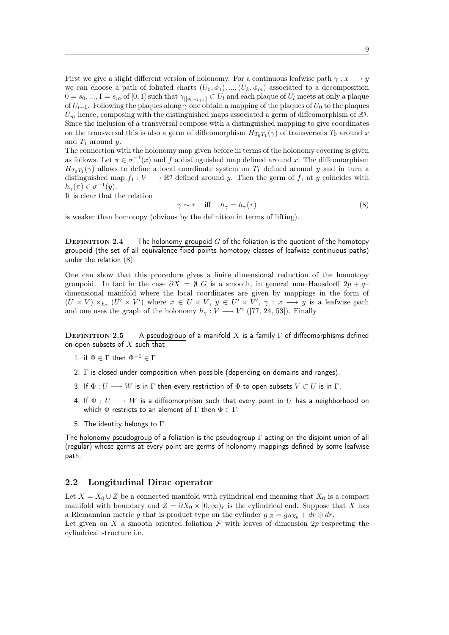First we give a slight different version of holonomy. For a continuous leafwise path  $\gamma : x \longrightarrow y$ we can choose a path of foliated charts  $(U_0, \phi_1), ..., (U_k, \phi_m)$  associated to a decomposition  $0 = s_0, ..., 1 = s_m$  of  $[0, 1]$  such that  $\gamma_{|[s_l, s_{l+1}]} \subset U_l$  and each plaque of  $U_l$  meets at only a plaque of  $U_{l+1}$ . Following the plaques along  $\gamma$  one obtain a mapping of the plaques of  $U_0$  to the plaques  $U_m$  hence, composing with the distinguished maps associated a germ of diffeomorphism of  $\mathbb{R}^q$ . Since the inclusion of a transversal compose with a distinguished mapping to give coordinates on the transversal this is also a germ of diffeomorphism  $H_{T_0T_1}(\gamma)$  of transversals  $T_0$  around x and  $T_1$  around y.

The connection with the holonomy map given before in terms of the holonomy covering is given as follows. Let  $\pi \in \sigma^{-1}(x)$  and f a distinguished map defined around x. The diffeomorphism  $H_{T_0T_1}(\gamma)$  allows to define a local coordinate system on  $T_1$  defined around y and in turn a distinguished map  $f_1: V \longrightarrow \mathbb{R}^q$  defined around y. Then the germ of  $f_1$  at y coincides with  $h_{\gamma}(\pi) \in \sigma^{-1}(y).$ 

It is clear that the relation

$$
\gamma \sim \tau \quad \text{iff} \quad h_{\gamma} = h_{\gamma}(\tau) \tag{8}
$$

is weaker than homotopy (obvious by the definition in terms of lifting).

**DEFINITION 2.4** — The holonomy groupoid  $G$  of the foliation is the quotient of the homotopy groupoid (the set of all equivalence fixed points homotopy classes of leafwise continuous paths) under the relation (8).

One can show that this procedure gives a finite dimensional reduction of the homotopy groupoid. In fact in the case  $\partial X = \emptyset$  G is a smooth, in general non–Hausdorff  $2p + q$ – dimensional manifold where the local coordinates are given by mappings in the form of  $(U \times V) \times_{h_{\gamma}} (U' \times V')$  where  $x \in U \times V$ ,  $y \in U' \times V'$ ,  $\gamma : x \longrightarrow y$  is a leafwise path and one uses the graph of the holonomy  $h_{\gamma}: V \longrightarrow V'$  ([77, 24, 53]). Finally

DEFINITION 2.5  $-$  A pseudogroup of a manifold X is a family  $\Gamma$  of diffeomorphisms defined on open subsets of  $X$  such that

- 1. if  $\Phi \in \Gamma$  then  $\Phi^{-1} \in \Gamma$
- 2. Γ is closed under composition when possible (depending on domains and ranges).
- 3. If  $\Phi: U \longrightarrow W$  is in  $\Gamma$  then every restriction of  $\Phi$  to open subsets  $V \subset U$  is in  $\Gamma$ .
- 4. If  $\Phi: U \longrightarrow W$  is a diffeomorphism such that every point in U has a neighborhood on which  $\Phi$  restricts to an alement of  $\Gamma$  then  $\Phi \in \Gamma$ .
- 5. The identity belongs to Γ.

The holonomy pseudogroup of a foliation is the pseudogroup Γ acting on the disjoint union of all (regular) whose germs at every point are germs of holonomy mappings defined by some leafwise path.

## 2.2 Longitudinal Dirac operator

Let  $X = X_0 \cup Z$  be a connected manifold with cylindrical end meaning that  $X_0$  is a compact manifold with boundary and  $Z = \partial X_0 \times [0, \infty)_r$  is the cylindrical end. Suppose that X has a Riemannian metric g that is product type on the cylinder  $g_{|Z} = g_{\partial X_0} + dr \otimes dr$ . Let given on X a smooth oriented foliation  $\mathcal F$  with leaves of dimension 2p respecting the cylindrical structure i.e.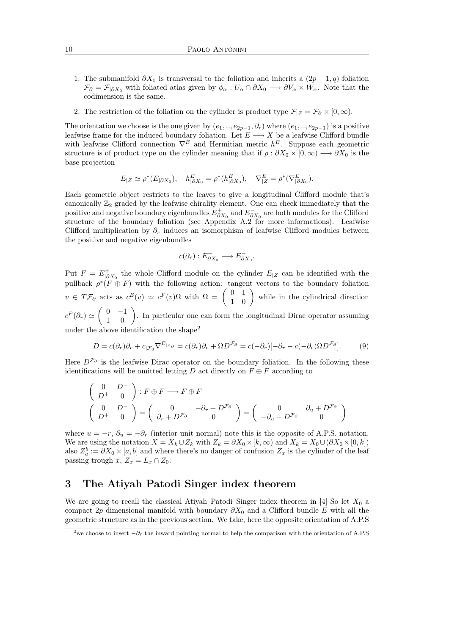- 1. The submanifold  $\partial X_0$  is transversal to the foliation and inherits a  $(2p-1, q)$  foliation  $\mathcal{F}_{\partial} = \mathcal{F}_{|\partial X_0}$  with foliated atlas given by  $\phi_{\alpha}: U_{\alpha} \cap \partial X_0 \longrightarrow \partial V_{\alpha} \times W_{\alpha}$ . Note that the codimension is the same.
- 2. The restriction of the foliation on the cylinder is product type  $\mathcal{F}_{|Z} = \mathcal{F}_{\partial} \times [0, \infty)$ .

The orientation we choose is the one given by  $(e_1, ..., e_{2p-1}, \partial_r)$  where  $(e_1, ..., e_{2p-1})$  is a positive leafwise frame for the induced boundary foliation. Let  $E \longrightarrow X$  be a leafwise Clifford bundle with leafwise Clifford connection  $\nabla^E$  and Hermitian metric  $h^E$ . Suppose each geometric structure is of product type on the cylinder meaning that if  $\rho : \partial X_0 \times [0, \infty) \longrightarrow \partial X_0$  is the base projection

$$
E_{|Z} \simeq \rho^*(E_{|\partial X_0}), \quad h^E_{|\partial X_0} = \rho^*(h^E_{|\partial X_0}), \quad \nabla^E_{|Z} = \rho^*(\nabla^E_{|\partial X_0}).
$$

Each geometric object restricts to the leaves to give a longitudinal Clifford module that's canonically  $\mathbb{Z}_2$  graded by the leafwise chirality element. One can check immediately that the positive and negative boundary eigenbundles  $E_{\partial X_0}^+$  and  $E_{\partial X_0}^-$  are both modules for the Clifford structure of the boundary foliation (see Appendix A.2 for more informations). Leafwise Clifford multiplication by  $\partial_r$  induces an isomorphism of leafwise Clifford modules between the positive and negative eigenbundles

$$
c(\partial_r) : E^+_{\partial X_0} \longrightarrow E^-_{\partial X_0}.
$$

Put  $F = E_{|\partial X_0}^+$  the whole Clifford module on the cylinder  $E_{|Z}$  can be identified with the pullback  $\rho^*(F \oplus F)$  with the following action: tangent vectors to the boundary foliation  $v \in T\mathcal{F}_{\partial}$  acts as  $c^{E}(v) \simeq c^{F}(v)\Omega$  with  $\Omega = \begin{pmatrix} 0 & 1 \\ 1 & 0 \end{pmatrix}$  while in the cylindrical direction  $c^F(\partial_r) \simeq \begin{pmatrix} 0 & -1 \\ 1 & 0 \end{pmatrix}$ . In particular one can form the longitudinal Dirac operator assuming under the above identification the shape<sup>2</sup>

$$
D = c(\partial_r)\partial_r + c_{|\mathcal{F}_0} \nabla^{E_{|\mathcal{F}_\partial}} = c(\partial_r)\partial_r + \Omega D^{\mathcal{F}_\partial} = c(-\partial_r)[-\partial_r - c(-\partial_r)\Omega D^{\mathcal{F}_\partial}].\tag{9}
$$

Here  $D^{\mathcal{F}_{\partial}}$  is the leafwise Dirac operator on the boundary foliation. In the following these identifications will be omitted letting D act directly on  $F \oplus F$  according to

$$
\begin{pmatrix}\n0 & D^{-} \\
D^{+} & 0\n\end{pmatrix} : F \oplus F \longrightarrow F \oplus F
$$
\n
$$
\begin{pmatrix}\n0 & D^{-} \\
D^{+} & 0\n\end{pmatrix} = \begin{pmatrix}\n0 & -\partial_{r} + D^{\mathcal{F}_{\partial}} \\
\partial_{r} + D^{\mathcal{F}_{\partial}} & 0\n\end{pmatrix} = \begin{pmatrix}\n0 & \partial_{u} + D^{\mathcal{F}_{\partial}} \\
-\partial_{u} + D^{\mathcal{F}_{\partial}} & 0\n\end{pmatrix}
$$

where  $u = -r$ ,  $\partial_u = -\partial_r$  (interior unit normal) note this is the opposite of A.P.S. notation. We are using the notation  $X = X_k \cup Z_k$  with  $Z_k = \partial X_0 \times [k, \infty)$  and  $X_k = X_0 \cup (\partial X_0 \times [0, k])$ also  $Z_a^b := \partial X_0 \times [a, b]$  and where there's no danger of confusion  $Z_x$  is the cylinder of the leaf passing trough x,  $Z_x = L_x \cap Z_0$ .

## 3 The Atiyah Patodi Singer index theorem

We are going to recall the classical Atiyah–Patodi–Singer index theorem in [4] So let  $X_0$  a compact 2p dimensional manifold with boundary  $\partial X_0$  and a Clifford bundle E with all the geometric structure as in the previous section. We take, here the opposite orientation of A.P.S

<sup>&</sup>lt;sup>2</sup>we choose to insert  $-\partial_r$  the inward pointing normal to help the comparison with the orientation of A.P.S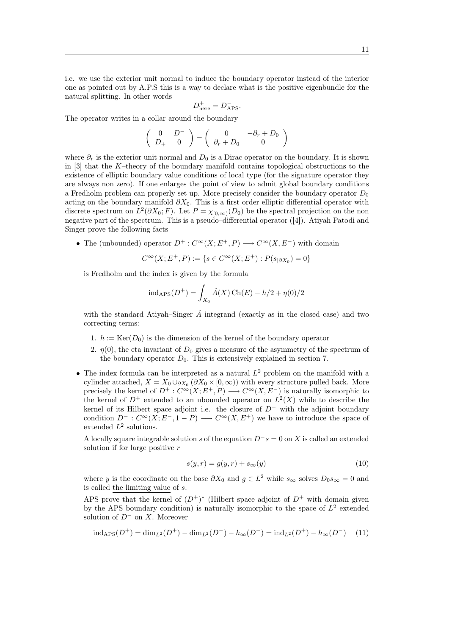i.e. we use the exterior unit normal to induce the boundary operator instead of the interior one as pointed out by A.P.S this is a way to declare what is the positive eigenbundle for the natural splitting. In other words

$$
D_{\text{here}}^+ = D_{\text{APS}}^-.
$$

The operator writes in a collar around the boundary

$$
\left(\begin{array}{cc} 0 & D^- \\ D_+ & 0 \end{array}\right) = \left(\begin{array}{cc} 0 & -\partial_r + D_0 \\ \partial_r + D_0 & 0 \end{array}\right)
$$

where  $\partial_r$  is the exterior unit normal and  $D_0$  is a Dirac operator on the boundary. It is shown in  $[3]$  that the K–theory of the boundary manifold contains topological obstructions to the existence of elliptic boundary value conditions of local type (for the signature operator they are always non zero). If one enlarges the point of view to admit global boundary conditions a Fredholm problem can properly set up. More precisely consider the boundary operator  $D_0$ acting on the boundary manifold  $\partial X_0$ . This is a first order elliptic differential operator with discrete spectrum on  $L^2(\partial X_0; F)$ . Let  $P = \chi_{[0,\infty)}(D_0)$  be the spectral projection on the non negative part of the spectrum. This is a pseudo–differential operator ([4]). Atiyah Patodi and Singer prove the following facts

• The (unbounded) operator  $D^+ : C^{\infty}(X; E^+, P) \longrightarrow C^{\infty}(X, E^-)$  with domain

$$
C^{\infty}(X; E^+, P) := \{ s \in C^{\infty}(X; E^+) : P(s_{|\partial X_0}) = 0 \}
$$

is Fredholm and the index is given by the formula

$$
ind_{\rm APS}(D^+) = \int_{X_0} \hat{A}(X) \operatorname{Ch}(E) - h/2 + \eta(0)/2
$$

with the standard Atiyah–Singer  $\hat{A}$  integrand (exactly as in the closed case) and two correcting terms:

- 1.  $h := \text{Ker}(D_0)$  is the dimension of the kernel of the boundary operator
- 2.  $\eta(0)$ , the eta invariant of  $D_0$  gives a measure of the asymmetry of the spectrum of the boundary operator  $D_0$ . This is extensively explained in section 7.
- The index formula can be interpreted as a natural  $L^2$  problem on the manifold with a cylinder attached,  $X = X_0 \cup_{\partial X_0} (\partial X_0 \times [0, \infty))$  with every structure pulled back. More precisely the kernel of  $D^+$ :  $C^{\infty}(X; E^+, P) \longrightarrow C^{\infty}(X, E^-)$  is naturally isomorphic to the kernel of  $D^+$  extended to an ubounded operator on  $L^2(X)$  while to describe the kernel of its Hilbert space adjoint i.e. the closure of  $D^-$  with the adjoint boundary condition  $D^-$ :  $C^{\infty}(X; E^-, 1 - P) \longrightarrow C^{\infty}(X; E^+)$  we have to introduce the space of extended  $L^2$  solutions.

A locally square integrable solution s of the equation  $D^{\dagger} s = 0$  on X is called an extended solution if for large positive  $r$ 

$$
s(y,r) = g(y,r) + s_{\infty}(y)
$$
\n<sup>(10)</sup>

where y is the coordinate on the base  $\partial X_0$  and  $g \in L^2$  while  $s_{\infty}$  solves  $D_0 s_{\infty} = 0$  and is called the limiting value of s.

APS prove that the kernel of  $(D^+)^*$  (Hilbert space adjoint of  $D^+$  with domain given by the APS boundary condition) is naturally isomorphic to the space of  $L^2$  extended solution of  $D^-$  on X. Moreover

$$
ind_{\rm APS}(D^+) = dim_{L^2}(D^+) - dim_{L^2}(D^-) - h_{\infty}(D^-) = ind_{L^2}(D^+) - h_{\infty}(D^-) \tag{11}
$$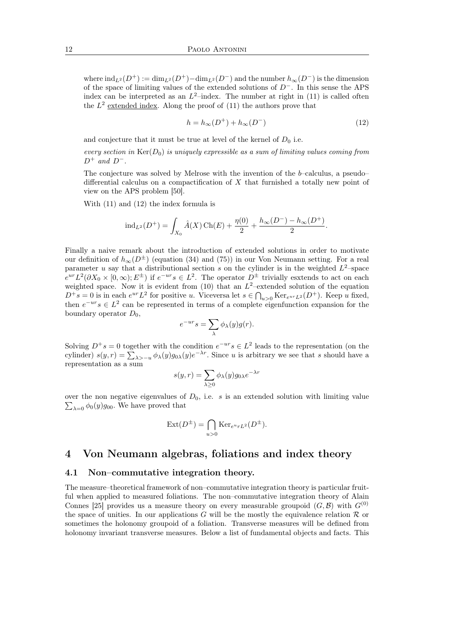where  $\text{ind}_{L^2}(D^+) := \dim_{L^2}(D^+) - \dim_{L^2}(D^-)$  and the number  $h_{\infty}(D^-)$  is the dimension of the space of limiting values of the extended solutions of D−. In this sense the APS index can be interpreted as an  $L^2$ -index. The number at right in (11) is called often the  $L^2$  extended index. Along the proof of  $(11)$  the authors prove that

$$
h = h_{\infty}(D^{+}) + h_{\infty}(D^{-})
$$
\n<sup>(12)</sup>

and conjecture that it must be true at level of the kernel of  $D_0$  i.e.

every section in  $\text{Ker}(D_0)$  is uniquely expressible as a sum of limiting values coming from  $D^+$  and  $D^-$ .

The conjecture was solved by Melrose with the invention of the b–calculus, a pseudo– differential calculus on a compactification of  $X$  that furnished a totally new point of view on the APS problem [50].

With (11) and (12) the index formula is

$$
ind_{L^{2}}(D^{+}) = \int_{X_{0}} \hat{A}(X) \operatorname{Ch}(E) + \frac{\eta(0)}{2} + \frac{h_{\infty}(D^{-}) - h_{\infty}(D^{+})}{2}.
$$

Finally a naive remark about the introduction of extended solutions in order to motivate our definition of  $h_{\infty}(D^{\pm})$  (equation (34) and (75)) in our Von Neumann setting. For a real parameter u say that a distributional section s on the cylinder is in the weighted  $L^2$ -space  $e^{ur}L^2(\partial X_0\times[0,\infty);E^{\pm})$  if  $e^{-ur}s\in L^2$ . The operator  $D^{\pm}$  trivially esxtends to act on each weighted space. Now it is evident from  $(10)$  that an  $L^2$ -extended solution of the equation  $D^+s=0$  is in each  $e^{ur}L^2$  for positive u. Viceversa let  $s \in \bigcap_{u>0} \text{Ker}_{e^{ur}L^2}(D^+)$ . Keep u fixed, then  $e^{-ur} s \in L^2$  can be represented in terms of a complete eigenfunction expansion for the boundary operator  $D_0$ ,

$$
e^{-ur}s = \sum_{\lambda} \phi_{\lambda}(y)g(r).
$$

Solving  $D^+s = 0$  together with the condition  $e^{-ur}s \in L^2$  leads to the representation (on the cylinder)  $s(y,r) = \sum_{\lambda > -u} \phi_{\lambda}(y) g_{0\lambda}(y) e^{-\lambda r}$ . Since u is arbitrary we see that s should have a representation as a sum

$$
s(y,r) = \sum_{\lambda \ge 0} \phi_{\lambda}(y) g_{0\lambda} e^{-\lambda r}
$$

over the non negative eigenvalues of  $D_0$ , i.e. s is an extended solution with limiting value  $\sum_{\lambda=0} \phi_0(y) g_{00}$ . We have proved that

$$
Ext(D^{\pm}) = \bigcap_{u>0} Ker_{e^u rL^2}(D^{\pm}).
$$

## 4 Von Neumann algebras, foliations and index theory

## 4.1 Non–commutative integration theory.

The measure–theoretical framework of non–commutative integration theory is particular fruitful when applied to measured foliations. The non–commutative integration theory of Alain Connes [25] provides us a measure theory on every measurable groupoid  $(G, \mathcal{B})$  with  $G^{(0)}$ the space of unities. In our applications G will be the mostly the equivalence relation  $\mathcal R$  or sometimes the holonomy groupoid of a foliation. Transverse measures will be defined from holonomy invariant transverse measures. Below a list of fundamental objects and facts. This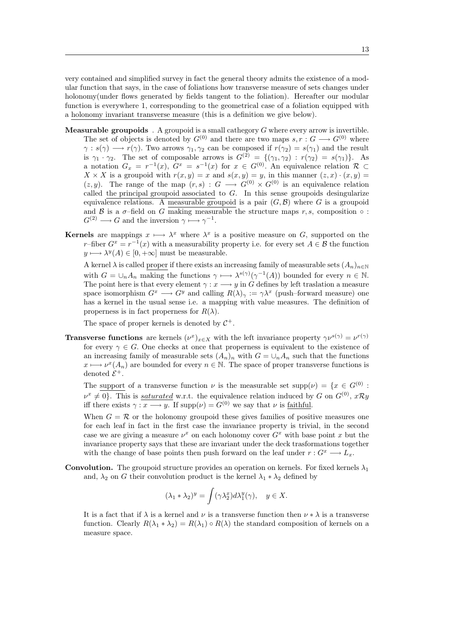very contained and simplified survey in fact the general theory admits the existence of a modular function that says, in the case of foliations how transverse measure of sets changes under holonomy(under flows generated by fields tangent to the foliation). Hereafter our modular function is everywhere 1, corresponding to the geometrical case of a foliation equipped with a holonomy invariant transverse measure (this is a definition we give below).

- **Measurable groupoids** . A groupoid is a small cathegory  $G$  where every arrow is invertible. The set of objects is denoted by  $G^{(0)}$  and there are two maps  $s, r : G \longrightarrow G^{(0)}$  where  $\gamma : s(\gamma) \longrightarrow r(\gamma)$ . Two arrows  $\gamma_1, \gamma_2$  can be composed if  $r(\gamma_2) = s(\gamma_1)$  and the result is  $\gamma_1 \cdot \gamma_2$ . The set of composable arrows is  $G^{(2)} = \{(\gamma_1, \gamma_2) : r(\gamma_2) = s(\gamma_1)\}\$ . As a notation  $G_x = r^{-1}(x)$ ,  $G^x = s^{-1}(x)$  for  $x \in G^{(0)}$ . An equivalence relation  $\mathcal{R} \subset$  $X \times X$  is a groupoid with  $r(x, y) = x$  and  $s(x, y) = y$ , in this manner  $(z, x) \cdot (x, y) =$  $(z, y)$ . The range of the map  $(r, s) : G \longrightarrow G^{(0)} \times G^{(0)}$  is an equivalence relation called the principal groupoid associated to  $G$ . In this sense groupoids desingularize equivalence relations. A measurable groupoid is a pair  $(G, \mathcal{B})$  where G is a groupoid and B is a  $\sigma$ -field on G making measurable the structure maps r, s, composition  $\circ$ :  $G^{(2)} \longrightarrow G$  and the inversion  $\gamma \longmapsto \gamma^{-1}$ .
- **Kernels** are mappings  $x \mapsto \lambda^x$  where  $\lambda^x$  is a positive measure on G, supported on the r–fiber  $G^x = r^{-1}(x)$  with a measurability property i.e. for every set  $A \in \mathcal{B}$  the function  $y \longmapsto \lambda^y(A) \in [0, +\infty]$  must be measurable.

A kernel  $\lambda$  is called proper if there exists an increasing family of measurable sets  $(A_n)_{n\in\mathbb{N}}$ with  $G = \bigcup_n A_n$  making the functions  $\gamma \mapsto \lambda^{s(\gamma)}(\gamma^{-1}(A))$  bounded for every  $n \in \mathbb{N}$ . The point here is that every element  $\gamma : x \longrightarrow y$  in G defines by left traslation a measure space isomorphism  $G^x \longrightarrow G^y$  and calling  $R(\lambda)_\gamma := \gamma \lambda^x$  (push–forward measure) one has a kernel in the usual sense i.e. a mapping with value measures. The definition of properness is in fact properness for  $R(\lambda)$ .

The space of proper kernels is denoted by  $\mathcal{C}^+$ .

**Transverse functions** are kernels  $(\nu^x)_{x \in X}$  with the left invariance property  $\gamma \nu^{s(\gamma)} = \nu^{r(\gamma)}$ for every  $\gamma \in G$ . One checks at once that properness is equivalent to the existence of an increasing family of measurable sets  $(A_n)_n$  with  $G = \bigcup_n A_n$  such that the functions  $x \mapsto \nu^x(A_n)$  are bounded for every  $n \in \mathbb{N}$ . The space of proper transverse functions is denoted  $\mathcal{E}^+$ .

The support of a transverse function  $\nu$  is the measurable set  $\text{supp}(\nu) = \{x \in G^{(0)} :$  $\nu^x \neq 0$ . This is *saturated* w.r.t. the equivalence relation induced by G on  $G^{(0)}$ ,  $x\mathcal{R}y$ iff there exists  $\gamma: x \longrightarrow y$ . If  $\text{supp}(\nu) = G^{(0)}$  we say that  $\nu$  is faithful.

When  $G = \mathcal{R}$  or the holonomy groupoid these gives families of positive measures one for each leaf in fact in the first case the invariance property is trivial, in the second case we are giving a measure  $\nu^x$  on each holonomy cover  $G^x$  with base point x but the invariance property says that these are invariant under the deck trasformations together with the change of base points then push forward on the leaf under  $r : G^x \longrightarrow L_x$ .

**Convolution.** The groupoid structure provides an operation on kernels. For fixed kernels  $\lambda_1$ and,  $\lambda_2$  on G their convolution product is the kernel  $\lambda_1 * \lambda_2$  defined by

$$
(\lambda_1 * \lambda_2)^y = \int (\gamma \lambda_2^x) d\lambda_1^y(\gamma), \quad y \in X.
$$

It is a fact that if  $\lambda$  is a kernel and  $\nu$  is a transverse function then  $\nu * \lambda$  is a transverse function. Clearly  $R(\lambda_1 * \lambda_2) = R(\lambda_1) \circ R(\lambda)$  the standard composition of kernels on a measure space.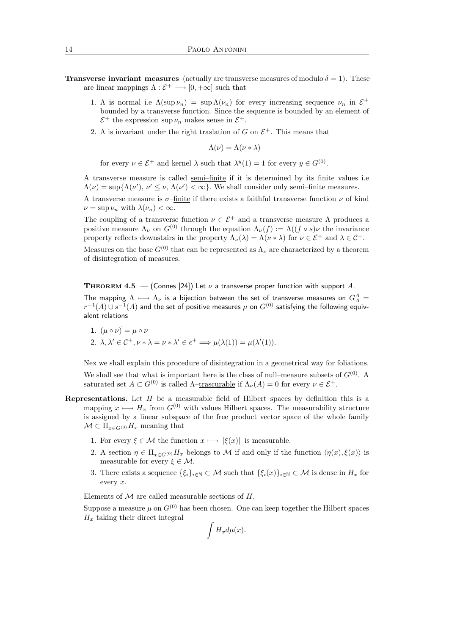- **Transverse invariant measures** (actually are transverse measures of modulo  $\delta = 1$ ). These are linear mappings  $\Lambda : \mathcal{E}^+ \longrightarrow [0, +\infty]$  such that
	- 1. A is normal i.e  $\Lambda(\sup \nu_n) = \sup \Lambda(\nu_n)$  for every increasing sequence  $\nu_n$  in  $\mathcal{E}^+$ bounded by a transverse function. Since the sequence is bounded by an element of  $\mathcal{E}^+$  the expression sup  $\nu_n$  makes sense in  $\mathcal{E}^+$ .
	- 2. A is invariant under the right traslation of G on  $\mathcal{E}^+$ . This means that

 $\Lambda(\nu) = \Lambda(\nu * \lambda)$ 

for every  $\nu \in \mathcal{E}^+$  and kernel  $\lambda$  such that  $\lambda^y(1) = 1$  for every  $y \in G^{(0)}$ .

A transverse measure is called semi–finite if it is determined by its finite values i.e  $\Lambda(\nu) = \sup \{ \Lambda(\nu'), \nu' \leq \nu, \Lambda(\nu') < \infty \}.$  We shall consider only semi-finite measures.

A transverse measure is  $\sigma$ -finite if there exists a faithful transverse function  $\nu$  of kind  $\nu = \sup \nu_n$  with  $\lambda(\nu_n) < \infty$ .

The coupling of a transverse function  $\nu \in \mathcal{E}^+$  and a transverse measure  $\Lambda$  produces a positive measure  $\Lambda_{\nu}$  on  $G^{(0)}$  through the equation  $\Lambda_{\nu}(f) := \Lambda((f \circ s)\nu)$  the invariance property reflects downstairs in the property  $\Lambda_{\nu}(\lambda) = \Lambda(\nu * \lambda)$  for  $\nu \in \mathcal{E}^+$  and  $\lambda \in \mathcal{C}^+$ .

Measures on the base  $G^{(0)}$  that can be represented as  $\Lambda_{\nu}$  are characterized by a theorem of disintegration of measures.

**THEOREM 4.5** – (Connes [24]) Let  $\nu$  a transverse proper function with support A. The mapping  $\Lambda\longmapsto\Lambda_\nu$  is a bijection between the set of transverse measures on  $G_A^A=$  $r^{-1}(A)\cup s^{-1}(A)$  and the set of positive measures  $\mu$  on  $G^{(0)}$  satisfying the following equivalent relations

1. 
$$
(\mu \circ \nu) = \mu \circ \nu
$$
  
\n2.  $\lambda, \lambda' \in C^+, \nu * \lambda = \nu * \lambda' \in \epsilon^+ \Longrightarrow \mu(\lambda(1)) = \mu(\lambda'(1)).$ 

Nex we shall explain this procedure of disintegration in a geometrical way for foliations. We shall see that what is important here is the class of null–measure subsets of  $G^{(0)}$ . A saturated set  $A \subset G^{(0)}$  is called  $\Lambda$ -trascurable if  $\Lambda_{\nu}(A) = 0$  for every  $\nu \in \mathcal{E}^+$ .

- **Representations.** Let  $H$  be a measurable field of Hilbert spaces by definition this is a mapping  $x \mapsto H_x$  from  $G^{(0)}$  with values Hilbert spaces. The measurability structure is assigned by a linear subspace of the free product vector space of the whole family  $\mathcal{M} \subset \Pi_{x \in G^{(0)}} H_x$  meaning that
	- 1. For every  $\xi \in \mathcal{M}$  the function  $x \longmapsto \|\xi(x)\|$  is measurable.
	- 2. A section  $\eta \in \Pi_{x \in G^{(0)}} H_x$  belongs to M if and only if the function  $\langle \eta(x), \xi(x) \rangle$  is measurable for every  $\xi \in \mathcal{M}$ .
	- 3. There exists a sequence  $\{\xi_i\}_{i\in\mathbb{N}}\subset\mathcal{M}$  such that  $\{\xi_i(x)\}_{i\in\mathbb{N}}\subset\mathcal{M}$  is dense in  $H_x$  for every x.

Elements of  $M$  are called measurable sections of  $H$ .

Suppose a measure  $\mu$  on  $G^{(0)}$  has been chosen. One can keep together the Hilbert spaces  $H_x$  taking their direct integral

$$
\int H_x d\mu(x).
$$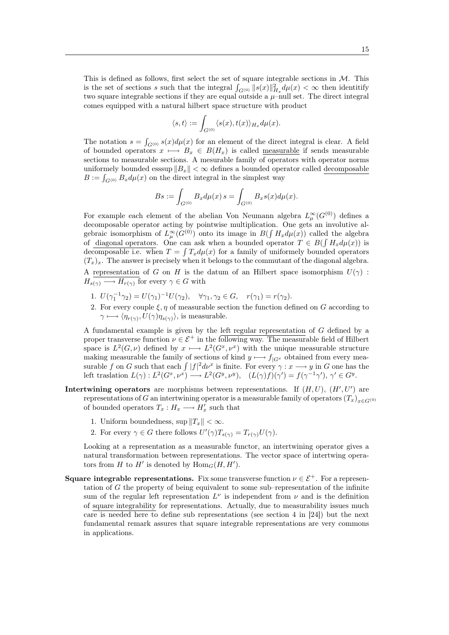This is defined as follows, first select the set of square integrable sections in  $M$ . This is the set of sections s such that the integral  $\int_{G^{(0)}} ||s(x)||_{H_x}^2 d\mu(x) < \infty$  then identitify two square integrable sections if they are equal outside a  $\mu$ –null set. The direct integral comes equipped with a natural hilbert space structure with product

$$
\langle s,t\rangle:=\int_{G^{(0)}}\langle s(x),t(x)\rangle_{H_x}d\mu(x).
$$

The notation  $s = \int_{G^{(0)}} s(x) d\mu(x)$  for an element of the direct integral is clear. A field of bounded operators  $x \mapsto B_x \in B(H_x)$  is called <u>measurable</u> if sends measurable sections to measurable sections. A mesurable family of operators with operator norms uniformely bounded essaup  $||B_x|| < \infty$  defines a bounded operator called decomposable  $B := \int_{G^{(0)}} B_x d\mu(x)$  on the direct integral in the simplest way

$$
Bs := \int_{G^{(0)}} B_x d\mu(x) \, s = \int_{G^{(0)}} B_x s(x) d\mu(x).
$$

For example each element of the abelian Von Neumann algebra  $L^{\infty}_{\mu}(G^{(0)})$  defines a decomposable operator acting by pointwise multiplication. One gets an involutive algebraic isomorphism of  $L^{\infty}_{\mu}(G^{(0)})$  onto its image in  $B(\int H_x d\mu(x))$  called the algebra of diagonal operators. One can ask when a bounded operator  $T \in B(\int H_x d\mu(x))$  is decomposable i.e. when  $T = \int T_x d\mu(x)$  for a family of uniformely bounded operators  $(T<sub>x</sub>)<sub>x</sub>$ . The answer is precisely when it belongs to the commutant of the diagonal algebra.

A representation of G on H is the datum of an Hilbert space isomorphism  $U(\gamma)$ :  $H_{s(\gamma)} \longrightarrow H_{r(\gamma)}$  for every  $\gamma \in G$  with

- 1.  $U(\gamma_1^{-1}\gamma_2) = U(\gamma_1)^{-1}U(\gamma_2), \quad \forall \gamma_1, \gamma_2 \in G, \quad r(\gamma_1) = r(\gamma_2).$
- 2. For every couple  $\xi, \eta$  of measurable section the function defined on G according to  $\gamma \longmapsto \langle \eta_{r(\gamma)}, U(\gamma)\eta_{s(\gamma)}\rangle$ , is measurable.

A fundamental example is given by the left regular representation of G defined by a proper transverse function  $\nu \in \mathcal{E}^+$  in the following way. The measurable field of Hilbert space is  $L^2(G,\nu)$  defined by  $x \mapsto L^2(G^x,\nu^x)$  with the unique measurable structure making measurable the family of sections of kind  $y \mapsto f|_{G^x}$  obtained from every measurable f on G such that each  $\int |f|^2 d\nu^x$  is finite. For every  $\gamma : x \longrightarrow y$  in G one has the left traslation  $L(\gamma): L^2(G^x, \nu^x) \longrightarrow L^2(G^y, \nu^y), \quad (L(\gamma)f)(\gamma') = f(\gamma^{-1}\gamma'), \gamma' \in G^y.$ 

- Intertwining operators are morphisms between representations. If  $(H, U)$ ,  $(H', U')$  are representations of G an intertwining operator is a measurable family of operators  $(T_x)_{x\in G^{(0)}}$ of bounded operators  $T_x: H_x \longrightarrow H'_x$  such that
	- 1. Uniform boundedness, sup  $||T_x|| < \infty$ .
	- 2. For every  $\gamma \in G$  there follows  $U'(\gamma)T_{s(\gamma)} = T_{r(\gamma)}U(\gamma)$ .

Looking at a representation as a measurable functor, an intertwining operator gives a natural transformation between representations. The vector space of intertwing operators from H to H' is denoted by  $\text{Hom}_G(H, H')$ .

**Square integrable representations.** Fix some transverse function  $\nu \in \mathcal{E}^+$ . For a representation of G the property of being equivalent to some sub–representation of the infinite sum of the regular left representation  $L^{\nu}$  is independent from  $\nu$  and is the definition of square integrability for representations. Actually, due to measurability issues much care is needed here to define sub representations (see section 4 in [24]) but the next fundamental remark assures that square integrable representations are very commons in applications.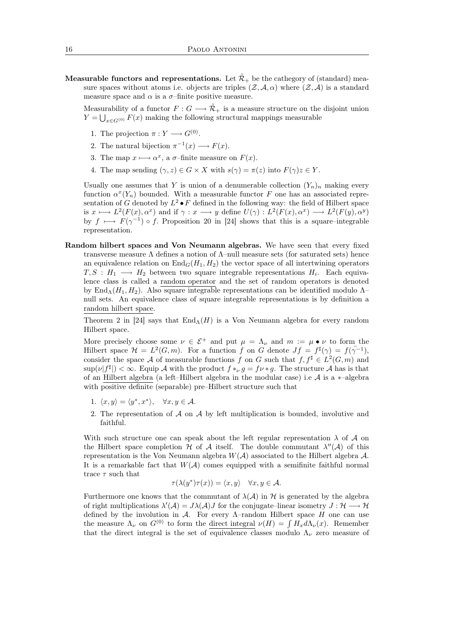**Measurable functors and representations.** Let  $\tilde{\mathcal{R}}_+$  be the cathegory of (standard) measure spaces without atoms i.e. objects are triples  $(\mathcal{Z}, \mathcal{A}, \alpha)$  where  $(\mathcal{Z}, \mathcal{A})$  is a standard measure space and  $\alpha$  is a  $\sigma$ -finite positive measure.

Measurability of a functor  $F: G \longrightarrow \mathcal{R}_+$  is a measure structure on the disjoint union  $Y = \bigcup_{x \in G^{(0)}} F(x)$  making the following structural mappings measurable

- 1. The projection  $\pi: Y \longrightarrow G^{(0)}$ .
- 2. The natural bijection  $\pi^{-1}(x) \longrightarrow F(x)$ .
- 3. The map  $x \mapsto \alpha^x$ , a  $\sigma$ -finite measure on  $F(x)$ .
- 4. The map sending  $(\gamma, z) \in G \times X$  with  $s(\gamma) = \pi(z)$  into  $F(\gamma)z \in Y$ .

Usually one assumes that Y is union of a denumerable collection  $(Y_n)_n$  making every function  $\alpha^x(Y_n)$  bounded. With a measurable functor F one has an associated representation of G denoted by  $L^2 \bullet F$  defined in the following way: the field of Hilbert space is  $x \longmapsto L^2(F(x), \alpha^x)$  and if  $\gamma : x \longrightarrow y$  define  $U(\gamma) : L^2(F(x), \alpha^x) \longrightarrow L^2(F(y), \alpha^y)$ by  $f \mapsto F(\gamma^{-1}) \circ f$ . Proposition 20 in [24] shows that this is a square–integrable representation.

Random hilbert spaces and Von Neumann algebras. We have seen that every fixed transverse measure Λ defines a notion of Λ–null measure sets (for saturated sets) hence an equivalence relation on  $\text{End}_G(H_1, H_2)$  the vector space of all intertwining operators  $T, S : H_1 \longrightarrow H_2$  between two square integrable representations  $H_i$ . Each equivalence class is called a random operator and the set of random operators is denoted by End<sub>Λ</sub>(H<sub>1</sub>, H<sub>2</sub>). Also square integrable representations can be identified modulo  $\Lambda$ – null sets. An equivalence class of square integrable representations is by definition a random hilbert space.

Theorem 2 in [24] says that  $\text{End}_{\Lambda}(H)$  is a Von Neumann algebra for every random Hilbert space.

More precisely choose some  $\nu \in \mathcal{E}^+$  and put  $\mu = \Lambda_{\nu}$  and  $m := \mu \bullet \nu$  to form the Hilbert space  $\mathcal{H} = L^2(G,m)$ . For a function f on G denote  $Jf = f^{\sharp}(\gamma) = f(\gamma^{-1}),$ consider the space A of measurable functions f on G such that  $f, f^{\sharp} \in L^2(G, m)$  and  $\sup(\nu | f^{\sharp}|) < \infty$ . Equip A with the product  $f *_{\nu} g = f \nu * g$ . The structure A has is that of an Hilbert algebra (a left–Hilbert algebra in the modular case) i.e  $A$  is a  $*$ –algebra with positive definite (separable) pre–Hilbert structure such that

- 1.  $\langle x, y \rangle = \langle y^*, x^* \rangle, \quad \forall x, y \in \mathcal{A}.$
- 2. The representation of  $A$  on  $A$  by left multiplication is bounded, involutive and faithful.

With such structure one can speak about the left regular representation  $\lambda$  of  $\mathcal A$  on the Hilbert space completion  $H$  of  $A$  itself. The double commutant  $\lambda''(A)$  of this representation is the Von Neumann algebra  $W(\mathcal{A})$  associated to the Hilbert algebra  $\mathcal{A}$ . It is a remarkable fact that  $W(A)$  comes equipped with a semifinite faithful normal trace  $\tau$  such that

$$
\tau(\lambda(y^*)\tau(x)) = \langle x, y \rangle \quad \forall x, y \in \mathcal{A}.
$$

Furthermore one knows that the commutant of  $\lambda(A)$  in H is generated by the algebra of right multiplications  $\lambda'(\mathcal{A}) = J\lambda(\mathcal{A})J$  for the conjugate–linear isometry  $J: \mathcal{H} \longrightarrow \mathcal{H}$ defined by the involution in A. For every  $\Lambda$ -random Hilbert space H one can use the measure  $\Lambda_{\nu}$  on  $G^{(0)}$  to form the direct integral  $\nu(H) = \int H_x d\Lambda_{\nu}(x)$ . Remember that the direct integral is the set of equivalence classes modulo  $\Lambda_{\nu}$  zero measure of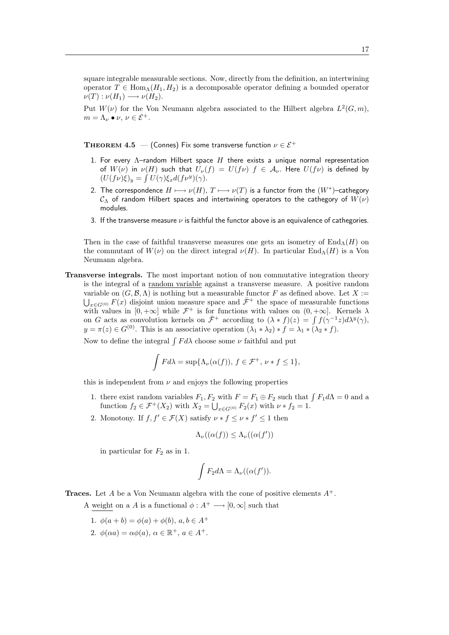square integrable measurable sections. Now, directly from the definition, an intertwining operator  $T \in \text{Hom}_{\Lambda}(H_1, H_2)$  is a decomposable operator defining a bounded operator  $\nu(T): \nu(H_1) \longrightarrow \nu(H_2).$ 

Put  $W(\nu)$  for the Von Neumann algebra associated to the Hilbert algebra  $L^2(G, m)$ ,  $m = \Lambda_{\nu} \bullet \nu, \nu \in \mathcal{E}^+.$ 

**THEOREM 4.5** — (Connes) Fix some transverse function  $\nu \in \mathcal{E}^+$ 

- 1. For every  $\Lambda$ -random Hilbert space  $H$  there exists a unique normal representation of  $W(\nu)$  in  $\nu(H)$  such that  $U_{\nu}(f) = U(f\nu)$   $f \in A_{\nu}$ . Here  $U(f\nu)$  is defined by  $(U(f\nu)\xi)_y = \int U(\gamma)\xi_x d(f\nu^y)(\gamma).$
- 2. The correspondence  $H \longmapsto \nu(H)$ ,  $T \longmapsto \nu(T)$  is a functor from the  $(W^*)$ -cathegory  $\mathcal{C}_{\Lambda}$  of random Hilbert spaces and intertwining operators to the cathegory of  $W(\nu)$ modules.
- 3. If the transverse measure  $\nu$  is faithful the functor above is an equivalence of cathegories.

Then in the case of faithful transverse measures one gets an isometry of  $\text{End}_{\Lambda}(H)$  on the commutant of  $W(\nu)$  on the direct integral  $\nu(H)$ . In particular End<sub>Λ</sub>(H) is a Von Neumann algebra.

Transverse integrals. The most important notion of non commutative integration theory is the integral of a random variable against a transverse measure. A positive random variable on  $(G, \mathcal{B}, \Lambda)$  is nothing but a measurable functor F as defined above. Let X :=  $\bigcup_{x \in G^{(0)}} F(x)$  disjoint union measure space and  $\bar{\mathcal{F}}^+$  the space of measurable functions with values in  $[0, +\infty]$  while  $\mathcal{F}^+$  is for functions with values on  $(0, +\infty]$ . Kernels  $\lambda$ on G acts as convolution kernels on  $\bar{\mathcal{F}}^+$  according to  $(\lambda * f)(z) = \int f(\gamma^{-1}z) d\lambda^y(\gamma)$ ,  $y = \pi(z) \in G^{(0)}$ . This is an associative operation  $(\lambda_1 * \lambda_2) * f = \lambda_1 * (\lambda_2 * f)$ .

Now to define the integral  $\int F d\lambda$  choose some  $\nu$  faithful and put

$$
\int F d\lambda = \sup \{ \Lambda_{\nu}(\alpha(f)), \ f \in \mathcal{F}^+, \ \nu * f \le 1 \},\
$$

this is independent from  $\nu$  and enjoys the following properties

- 1. there exist random variables  $F_1, F_2$  with  $F = F_1 \oplus F_2$  such that  $\int F_1 d\Lambda = 0$  and a function  $f_2 \in \mathcal{F}^+(X_2)$  with  $X_2 = \bigcup_{x \in G^{(0)}} F_2(x)$  with  $\nu * f_2 = 1$ .
- 2. Monotony. If  $f, f' \in \mathcal{F}(X)$  satisfy  $\nu * f \leq \nu * f' \leq 1$  then

$$
\Lambda_{\nu}((\alpha(f)) \leq \Lambda_{\nu}((\alpha(f'))
$$

in particular for  $F_2$  as in 1.

$$
\int F_2 d\Lambda = \Lambda_{\nu}((\alpha(f')).
$$

**Traces.** Let A be a Von Neumann algebra with the cone of positive elements  $A^+$ .

A weight on a A is a functional  $\phi: A^+ \longrightarrow [0, \infty]$  such that

- 1.  $\phi(a+b) = \phi(a) + \phi(b), a, b \in A^+$
- 2.  $\phi(\alpha a) = \alpha \phi(a), \, \alpha \in \mathbb{R}^+, \, a \in A^+.$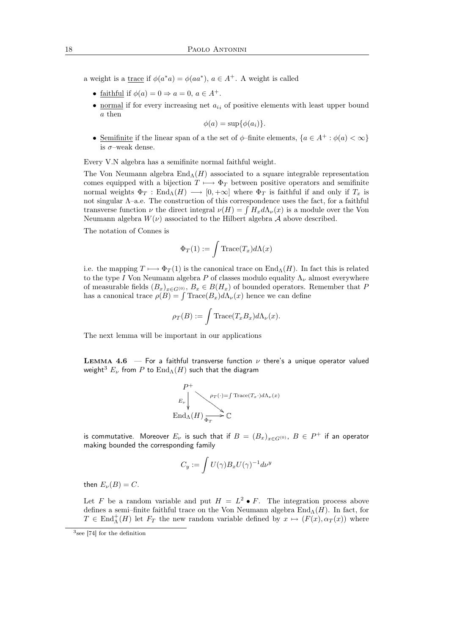a weight is a <u>trace</u> if  $\phi(a^*a) = \phi(aa^*), a \in A^+$ . A weight is called

- faithful if  $\phi(a) = 0 \Rightarrow a = 0, a \in A^+$ .
- normal if for every increasing net  $a_{ii}$  of positive elements with least upper bound a then

 $\phi(a) = \sup \{ \phi(a_i) \}.$ 

• Semifinite if the linear span of a the set of  $\phi$ -finite elements,  $\{a \in A^+ : \phi(a) < \infty\}$ is  $\sigma$ -weak dense.

Every V.N algebra has a semifinite normal faithful weight.

The Von Neumann algebra  $\text{End}_{\Lambda}(H)$  associated to a square integrable representation comes equipped with a bijection  $T \mapsto \Phi_T$  between positive operators and semifinite normal weights  $\Phi_T$ : End<sub> $\Lambda(H)$ </sub>  $\longrightarrow$  [0, + $\infty$ ] where  $\Phi_T$  is faithful if and only if  $T_x$  is not singular Λ–a.e. The construction of this correspondence uses the fact, for a faithful transverse function  $\nu$  the direct integral  $\nu(H) = \int H_x d\Lambda_\nu(x)$  is a module over the Von Neumann algebra  $W(\nu)$  associated to the Hilbert algebra A above described.

The notation of Connes is

$$
\Phi_T(1) := \int \text{Trace}(T_x) d\Lambda(x)
$$

i.e. the mapping  $T \mapsto \Phi_T(1)$  is the canonical trace on End<sub>Λ</sub>(H). In fact this is related to the type I Von Neumann algebra P of classes modulo equality  $\Lambda_{\nu}$  almost everywhere of measurable fields  $(B_x)_{x \in G(0)}$ ,  $B_x \in B(H_x)$  of bounded operators. Remember that P has a canonical trace  $\rho(B) = \int \text{Trace}(B_x) d\Lambda_{\nu}(x)$  hence we can define

$$
\rho_T(B) := \int \text{Trace}(T_x B_x) d\Lambda_{\nu}(x).
$$

The next lemma will be important in our applications

LEMMA 4.6 – For a faithful transverse function  $\nu$  there's a unique operator valued weight<sup>3</sup>  $E_{\nu}$  from P to  $\text{End}_{\Lambda}(H)$  such that the diagram

$$
P^+\longrightarrow P^+\longrightarrow \rho_T(\cdot) = f \operatorname{Trace}(T_x \cdot) d\Lambda_\nu(x)
$$
  
End<sub>\Lambda</sub>(H)

is commutative. Moreover  $E_{\nu}$  is such that if  $B=(B_x)_{x\in G^{(0)}},\ B\in P^+$  if an operator making bounded the corresponding family

$$
C_y:=\int U(\gamma)B_xU(\gamma)^{-1}d\nu^y
$$

then  $E_{\nu}(B) = C$ .

Let F be a random variable and put  $H = L^2 \bullet F$ . The integration process above defines a semi–finite faithful trace on the Von Neumann algebra  $\text{End}_{\Lambda}(H)$ . In fact, for  $T \in \text{End}_{\Lambda}^{+}(H)$  let  $F_T$  the new random variable defined by  $x \mapsto (F(x), \alpha_T(x))$  where

<sup>3</sup> see [74] for the definition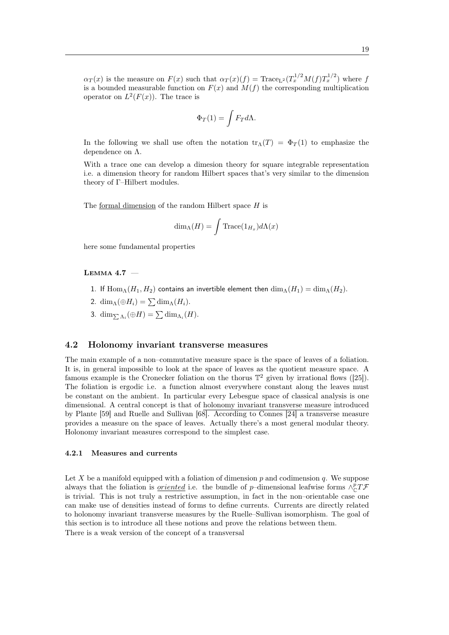$\alpha_T(x)$  is the measure on  $F(x)$  such that  $\alpha_T(x)(f) = \text{Trace}_{L^2}(T_x^{1/2}M(f)T_x^{1/2})$  where f is a bounded measurable function on  $F(x)$  and  $M(f)$  the corresponding multiplication operator on  $L^2(F(x))$ . The trace is

$$
\Phi_T(1)=\int F_T d\Lambda.
$$

In the following we shall use often the notation  $tr_A(T) = \Phi_T(1)$  to emphasize the dependence on Λ.

With a trace one can develop a dimesion theory for square integrable representation i.e. a dimension theory for random Hilbert spaces that's very similar to the dimension theory of Γ–Hilbert modules.

The formal dimension of the random Hilbert space  $H$  is

$$
\dim_{\Lambda}(H) = \int \text{Trace}(1_{H_x}) d\Lambda(x)
$$

here some fundamental properties

#### Lemma 4.7 —

- 1. If  $\text{Hom}_{\Lambda}(H_1, H_2)$  contains an invertible element then  $\dim_{\Lambda}(H_1) = \dim_{\Lambda}(H_2)$ .
- 2. dim<sub>Λ</sub>( $\oplus H_i$ ) =  $\sum$  dim<sub>Λ</sub>( $H_i$ ).
- 3.  $\dim_{\sum \Lambda_i}(\oplus H) = \sum \dim_{\Lambda_i}(H)$ .

## 4.2 Holonomy invariant transverse measures

The main example of a non–commutative measure space is the space of leaves of a foliation. It is, in general impossible to look at the space of leaves as the quotient measure space. A famous example is the Cronecker foliation on the thorus  $\mathbb{T}^2$  given by irrational flows ([25]). The foliation is ergodic i.e. a function almost everywhere constant along the leaves must be constant on the ambient. In particular every Lebesgue space of classical analysis is one dimensional. A central concept is that of holonomy invariant transverse measure introduced by Plante [59] and Ruelle and Sullivan [68]. According to Connes [24] a transverse measure provides a measure on the space of leaves. Actually there's a most general modular theory. Holonomy invariant measures correspond to the simplest case.

#### 4.2.1 Measures and currents

Let X be a manifold equipped with a foliation of dimension  $p$  and codimension  $q$ . We suppose always that the foliation is <u>oriented</u> i.e. the bundle of p–dimensional leafwise forms  $\wedge^p_{\mathbb{C}}T\mathcal{F}$ is trivial. This is not truly a restrictive assumption, in fact in the non–orientable case one can make use of densities instead of forms to define currents. Currents are directly related to holonomy invariant transverse measures by the Ruelle–Sullivan isomorphism. The goal of this section is to introduce all these notions and prove the relations between them. There is a weak version of the concept of a transversal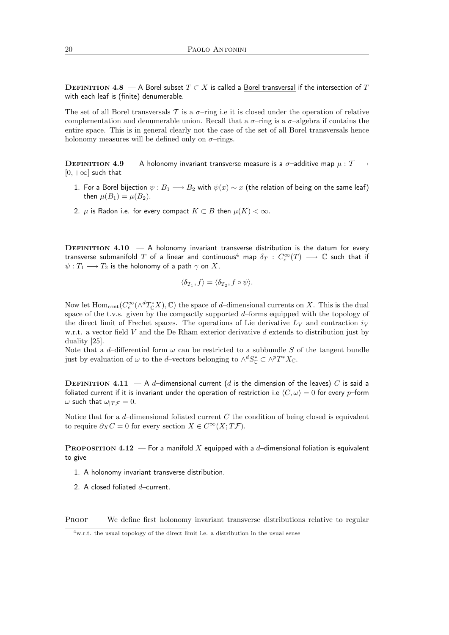DEFINITION 4.8 — A Borel subset  $T \subset X$  is called a Borel transversal if the intersection of T with each leaf is (finite) denumerable.

The set of all Borel transversals T is a  $\sigma$ -ring i.e it is closed under the operation of relative complementation and denumerable union. Recall that a  $\sigma$ -ring is a  $\sigma$ -algebra if contains the entire space. This is in general clearly not the case of the set of all Borel transversals hence holonomy measures will be defined only on  $\sigma$ -rings.

**DEFINITION 4.9** — A holonomy invariant transverse measure is a  $\sigma$ -additive map  $\mu : \mathcal{T} \longrightarrow$  $[0, +\infty]$  such that

- 1. For a Borel bijection  $\psi : B_1 \longrightarrow B_2$  with  $\psi(x) \sim x$  (the relation of being on the same leaf) then  $\mu(B_1) = \mu(B_2)$ .
- 2.  $\mu$  is Radon i.e. for every compact  $K \subset B$  then  $\mu(K) < \infty$ .

**DEFINITION 4.10**  $- A$  holonomy invariant transverse distribution is the datum for every transverse submanifold  $T$  of a linear and continuous $^4$  map  $\delta_T\,:\,C_c^\infty(T)\,\longrightarrow\,\mathbb{C}$  such that if  $\psi: T_1 \longrightarrow T_2$  is the holonomy of a path  $\gamma$  on X,

$$
\langle \delta_{T_1}, f \rangle = \langle \delta_{T_2}, f \circ \psi \rangle.
$$

Now let  $\text{Hom}_{\text{cont}}(C_c^{\infty}(\wedge^d T_{\mathbb{C}}^*X), \mathbb{C})$  the space of d-dimensional currents on X. This is the dual space of the t.v.s. given by the compactly supported d–forms equipped with the topology of the direct limit of Frechet spaces. The operations of Lie derivative  $L_V$  and contraction  $i_V$ w.r.t. a vector field V and the De Rham exterior derivative d extends to distribution just by duality [25].

Note that a d-differential form  $\omega$  can be restricted to a subbundle S of the tangent bundle just by evaluation of  $\omega$  to the d–vectors belonging to  $\wedge^d S^*_{\mathbb{C}} \subset \wedge^p T^* X_{\mathbb{C}}$ .

**DEFINITION 4.11** — A d-dimensional current (d is the dimension of the leaves) C is said a foliated current if it is invariant under the operation of restriction i.e  $\langle C, \omega \rangle = 0$  for every p–form  $\omega$  such that  $\omega_{T\mathcal{F}} = 0$ .

Notice that for a  $d$ -dimensional foliated current  $C$  the condition of being closed is equivalent to require  $\partial_X C = 0$  for every section  $X \in C^\infty(X;T\mathcal{F})$ .

**PROPOSITION 4.12** — For a manifold X equipped with a d-dimensional foliation is equivalent to give

- 1. A holonomy invariant transverse distribution.
- 2. A closed foliated  $d$ –current.

PROOF — We define first holonomy invariant transverse distributions relative to regular

 $4$ w.r.t. the usual topology of the direct limit i.e. a distribution in the usual sense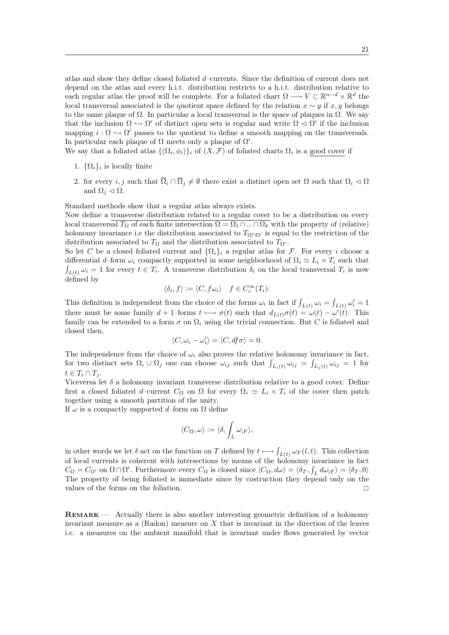atlas and show they define closed foliated d–currents. Since the definition of current does not depend on the atlas and every h.i.t. distribution restricts to a h.i.t. distribution relative to each regular atlas the proof will be complete. For a foliated chart  $\Omega \longrightarrow V \subset \mathbb{R}^{n-d} \times \mathbb{R}^d$  the local transversal associated is the quotient space defined by the relation  $x \sim y$  if  $x, y$  belongs to the same plaque of  $\Omega$ . In particular a local transversal is the space of plaques in  $\Omega$ . We say that the inclusion  $\Omega \hookrightarrow \Omega'$  of distinct open sets is regular and write  $\Omega \triangleleft \Omega'$  if the inclusion mapping  $i : \Omega \hookrightarrow \Omega'$  passes to the quotient to define a smooth mapping on the transversals. In particular each plaque of  $\Omega$  meets only a plaque of  $\Omega'$ .

We say that a foliated atlas  $\{(\Omega_i, \phi_i)\}_i$  of  $(X, \mathcal{F})$  of foliated charts  $\Omega_i$  is a good cover if

- 1.  $\{\Omega_i\}_i$  is locally finite
- 2. for every  $i, j$  such that  $\overline{\Omega}_i \cap \overline{\Omega}_j \neq \emptyset$  there exist a distinct open set  $\Omega$  such that  $\Omega_i \lhd \Omega$ and  $\Omega_i \triangleleft \Omega$ .

Standard methods show that a regular atlas always exists.

Now define a transverse distribution related to a regular cover to be a distribution on every local transversal  $T_{\Omega}$  of each finite intersection  $\Omega = \Omega_1 \cap ... \cap \Omega_k$  with the property of (relative) holonomy invariance i.e the distribution associated to  $T_{\Omega \cap \Omega'}$  is equal to the restriction of the distribution associated to  $T_{\Omega}$  and the distribution associated to  $T_{\Omega'}$ .

So let C be a closed foliated current and  $\{\Omega_i\}_i$  a regular atlas for F. For every i choose a differential d–form  $\omega_i$  compactly supported in some neighborhood of  $\Omega_i \simeq L_i \times T_i$  such that  $\int_{L(t)} \omega_i = 1$  for every  $t \in T_i$ . A transverse distribution  $\delta_i$  on the local transversal  $T_i$  is now defined by

$$
\langle \delta_i, f \rangle := \langle C, f\omega_i \rangle \quad f \in C_c^{\infty}(T_i).
$$

This definition is independent from the choice of the forms  $\omega_i$  in fact if  $\int_{L(t)} \omega_i = \int_{L(t)} \omega'_i = 1$ there must be some family  $d + 1$ -forms  $t \mapsto \sigma(t)$  such that  $d_{L(t)}\sigma(t) = \omega(t) - \omega'(t)$ . This family can be extended to a form  $\sigma$  on  $\Omega_i$  using the trivial connection. But C is foliated and closed then,

$$
\langle C,\omega_i-\omega_i'\rangle=\langle C,df\sigma\rangle=0.
$$

The independence from the choice of  $\omega_i$  also proves the relative holonomy invariance in fact, for two distinct sets  $\Omega_i \cup \Omega_j$  one can choose  $\omega_{ij}$  such that  $\int_{L_i(t)} \omega_{ij} = \int_{L_j(t)} \omega_{ij} = 1$  for  $t \in T_i \cap T_j$ .

Viceversa let  $\delta$  a holonomy invariant transverse distribution relative to a good cover. Define first a closed foliated d–current  $C_{\Omega}$  on  $\Omega$  for every  $\Omega_i \simeq L_i \times T_i$  of the cover then patch together using a smooth partition of the unity.

If  $\omega$  is a compactly supported d–form on  $\Omega$  define

$$
\langle C_\Omega,\omega\rangle:=\langle\delta,\int_L\omega_{|F}\rangle,
$$

in other words we let  $\delta$  act on the function on T defined by  $t \longmapsto \int_{L(t)} \omega_F(l,t)$ . This collection of local currents is coherent with intersections by means of the holonomy invariance in fact  $C_{\Omega} = C_{\Omega'}$  on  $\Omega \cap \Omega'$ . Furthermore every  $C_{\Omega}$  is closed since  $\langle C_{\Omega}, d\omega \rangle = \langle \delta_T, \int_L d\omega_{|F} \rangle = \langle \delta_T, 0 \rangle$ The property of being foliated is immediate since by costruction they depend only on the values of the forms on the foliation.  $\Box$ 

Remark — Actually there is also another interesting geometric definition of a holonomy invariant measure as a  $(Radon)$  measure on  $X$  that is invariant in the direction of the leaves i.e. a measures on the ambient manifold that is invariant under flows generated by vector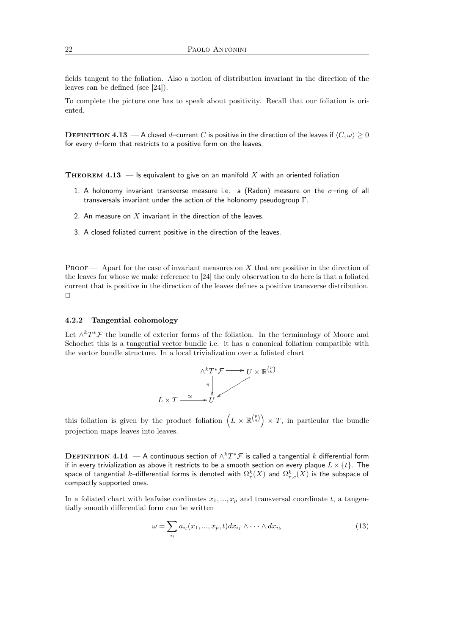fields tangent to the foliation. Also a notion of distribution invariant in the direction of the leaves can be defined (see [24]).

To complete the picture one has to speak about positivity. Recall that our foliation is oriented.

**DEFINITION 4.13** — A closed d–current C is positive in the direction of the leaves if  $\langle C, \omega \rangle \ge 0$ for every  $d$ -form that restricts to a positive form on the leaves.

**THEOREM 4.13** — Is equivalent to give on an manifold X with an oriented foliation

- 1. A holonomy invariant transverse measure i.e. a (Radon) measure on the  $\sigma$ -ring of all transversals invariant under the action of the holonomy pseudogroup Γ.
- 2. An measure on  $X$  invariant in the direction of the leaves.
- 3. A closed foliated current positive in the direction of the leaves.

PROOF — Apart for the case of invariant measures on  $X$  that are positive in the direction of the leaves for whose we make reference to [24] the only observation to do here is that a foliated current that is positive in the direction of the leaves defines a positive transverse distribution.  $\Box$ 

## 4.2.2 Tangential cohomology

Let  $\wedge^k T^* \mathcal{F}$  the bundle of exterior forms of the foliation. In the terminology of Moore and Schochet this is a tangential vector bundle i.e. it has a canonical foliation compatible with the vector bundle structure. In a local trivialization over a foliated chart



this foliation is given by the product foliation  $(L \times \mathbb{R}^{p \choose q}) \times T$ , in particular the bundle projection maps leaves into leaves.

 ${\bf D}$ EFINITION  ${\bf 4.14}\,\longrightarrow {\bf A}$  continuous section of  $\wedge^kT^*{\mathcal F}$  is called a tangential  $k$  differential form if in every trivialization as above it restricts to be a smooth section on every plaque  $L \times \{t\}$ . The space of tangential  $k$ –differential forms is denoted with  $\Omega_\tau^k(X)$  and  $\Omega_{\tau,c}^k(X)$  is the subspace of compactly supported ones.

In a foliated chart with leafwise cordinates  $x_1, ..., x_p$  and transversal coordinate t, a tangentially smooth differential form can be written

$$
\omega = \sum_{i_l} a_{i_l}(x_1, \dots, x_p, t) dx_{i_1} \wedge \dots \wedge dx_{i_k}
$$
\n(13)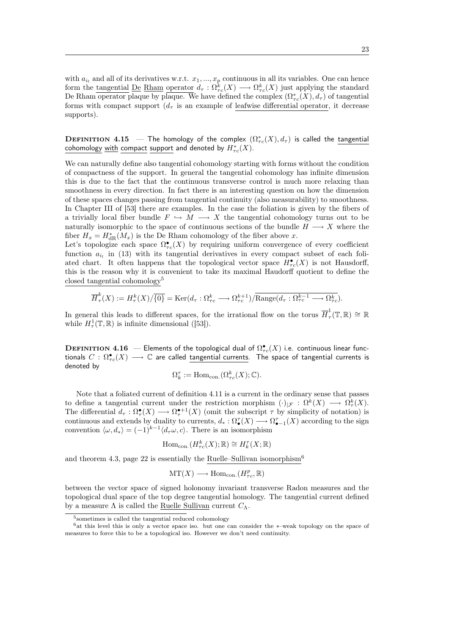with  $a_{i_l}$  and all of its derivatives w.r.t.  $x_1, ..., x_p$  continuous in all its variables. One can hence form the <u>tangential</u> De Rham operator  $d_{\tau}: \Omega_{\tau_c}^k(X) \longrightarrow \Omega_{\tau_c}^k(X)$  just applying the standard De Rham operator plaque by plaque. We have defined the complex  $(\Omega_{\tau_c}^*(X), d_\tau)$  of tangential forms with compact support  $(d<sub>\tau</sub>)$  is an example of leafwise differential operator, it decrease supports).

**DEFINITION** 4.15 – The homology of the complex  $(\Omega_{\tau c}^*(X), d_{\tau})$  is called the tangential cohomology with compact support and denoted by  $H^*_{\tau c}(X)$ .

We can naturally define also tangential cohomology starting with forms without the condition of compactness of the support. In general the tangential cohomology has infinite dimension this is due to the fact that the continuous transverse control is much more relaxing than smoothness in every direction. In fact there is an interesting question on how the dimension of these spaces changes passing from tangential continuity (also measurability) to smoothness. In Chapter III of [53] there are examples. In the case the foliation is given by the fibers of a trivially local fiber bundle  $F \hookrightarrow M \longrightarrow X$  the tangential cohomology turns out to be naturally isomorphic to the space of continuous sections of the bundle  $H \longrightarrow X$  where the fiber  $H_x = H_{\text{dR}}^*(M_x)$  is the De Rham cohomology of the fiber above x.

Let's topologize each space  $\Omega_{\tau c}^{\bullet}(X)$  by requiring uniform convergence of every coefficient function  $a_{i_l}$  in (13) with its tangential derivatives in every compact subset of each foliated chart. It often happens that the topological vector space  $H_{\tau_c}^{\bullet}(X)$  is not Hausdorff, this is the reason why it is convenient to take its maximal Haudorff quotient to define the closed tangential cohomology<sup>5</sup>

$$
\overline{H}^k_\tau(X) := H^k_\tau(X)/\overline{\{0\}} = \text{Ker}(d_\tau : \Omega^k_{\tau c} \longrightarrow \Omega^{k+1}_{\tau c})/\overline{\text{Range}(d_\tau : \Omega^{k-1}_{\tau c} \longrightarrow \Omega^k_{\tau c})}.
$$

In general this leads to different spaces, for the irrational flow on the torus  $\overline{H}_7^1$  $\frac{1}{\tau}(\mathbb{T},\mathbb{R})\cong\mathbb{R}$ while  $H^1_\tau(\mathbb{T}, \mathbb{R})$  is infinite dimensional ([53]).

Definition 4.16 — Elements of the topological dual of Ω • τ c(X) i.e. continuous linear functionals  $C:\Omega^{\bullet}_{\tau c}(X)\longrightarrow \mathbb{C}$  are called tangential currents. The space of tangential currents is denoted by

$$
\Omega^\tau_k:={\rm Hom}_{\mathrm{con.}}(\Omega^k_{\tau c}(X);\mathbb C).
$$

Note that a foliated current of definition 4.11 is a current in the ordinary sense that passes to define a tangential current under the restriction morphism  $(\cdot)_{|\mathcal{F}}: \Omega^k(X) \longrightarrow \Omega^k_{\tau}(X)$ . The differential  $d_{\tau} : \Omega^{\bullet}_{\tau}(X) \longrightarrow \Omega^{\bullet+1}(X)$  (omit the subscript  $\tau$  by simplicity of notation) is continuous and extends by duality to currents,  $d_*: \Omega^{\tau}_{\bullet}(X) \longrightarrow \Omega^{\tau}_{\bullet-1}(X)$  according to the sign convention  $\langle \omega, d_* \rangle = (-1)^{k-1} \langle d_\tau \omega, c \rangle$ . There is an isomorphism

$$
\mathrm{Hom}_{\mathrm{con.}}(H_{\tau c}^k(X); \mathbb{R}) \cong H_k^{\tau}(X; \mathbb{R})
$$

and theorem 4.3, page 22 is essentially the Ruelle–Sullivan isomorphism<sup>6</sup>

$$
\mathrm{MT}(X)\longrightarrow \mathrm{Hom}_{\mathrm{con.}}(H^{p}_{\tau c},\mathbb{R})
$$

between the vector space of signed holonomy invariant transverse Radon measures and the topological dual space of the top degree tangential homology. The tangential current defined by a measure  $\Lambda$  is called the Ruelle Sullivan current  $C_{\Lambda}$ .

<sup>5</sup> sometimes is called the tangential reduced cohomology

<sup>6</sup>at this level this is only a vector space iso. but one can consider the ∗–weak topology on the space of measures to force this to be a topological iso. However we don't need continuity.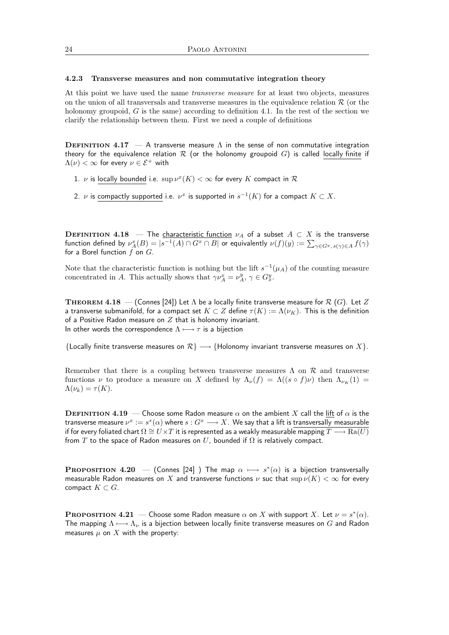#### 4.2.3 Transverse measures and non commutative integration theory

At this point we have used the name transverse measure for at least two objects, measures on the union of all transversals and transverse measures in the equivalence relation  $\mathcal R$  (or the holonomy groupoid,  $G$  is the same) according to definition 4.1. In the rest of the section we clarify the relationship between them. First we need a couple of definitions

**DEFINITION 4.17** — A transverse measure  $\Lambda$  in the sense of non commutative integration theory for the equivalence relation  $\mathcal R$  (or the holonomy groupoid G) is called locally finite if  $\Lambda(\nu) < \infty$  for every  $\nu \in \mathcal{E}^+$  with

- 1.  $\nu$  is locally bounded i.e.  $\sup \nu^x(K) < \infty$  for every  $K$  compact in  ${\mathcal R}$
- 2.  $\nu$  is compactly supported i.e.  $\nu^x$  is supported in  $s^{-1}(K)$  for a compact  $K\subset X.$

**DEFINITION 4.18** — The characteristic function  $\nu_A$  of a subset  $A \subset X$  is the transverse function defined by  $\nu^x_A(B)=|s^{-1}(A)\cap G^x\cap B|$  or equivalently  $\nu(f)(y):=\sum_{\gamma\in G^y,\ s(\gamma)\in A}f(\gamma)$ for a Borel function  $f$  on  $G$ .

Note that the characteristic function is nothing but the lift  $s^{-1}(\mu_A)$  of the counting measure concentrated in A. This actually shows that  $\gamma \nu_A^x = \nu_A^y$ ,  $\gamma \in G_x^y$ .

THEOREM 4.18 – (Connes [24]) Let  $\Lambda$  be a locally finite transverse measure for  $\mathcal{R}$  (G). Let  $Z$ a transverse submanifold, for a compact set  $K \subset Z$  define  $\tau(K) := \Lambda(\nu_K)$ . This is the definition of a Positive Radon measure on  $Z$  that is holonomy invariant. In other words the correspondence  $\Lambda \longmapsto \tau$  is a bijection

{Locally finite transverse measures on  $\mathcal{R}$ }  $\longrightarrow$  {Holonomy invariant transverse measures on  $X$ }.

Remember that there is a coupling between transverse measures  $\Lambda$  on  $\mathcal R$  and transverse functions  $\nu$  to produce a measure on X defined by  $\Lambda_{\nu}(f) = \Lambda((s \circ f)\nu)$  then  $\Lambda_{\nu_K}(1) =$  $\Lambda(\nu_k) = \tau(K).$ 

**DEFINITION 4.19** — Choose some Radon measure  $\alpha$  on the ambient X call the lift of  $\alpha$  is the transverse measure  $\nu^x:=s^*(\alpha)$  where  $s:G^x\longrightarrow X.$  We say that a lift is transversally measurable if for every foliated chart  $\Omega \cong U \times T$  it is represented as a weakly measurable mapping  $T \longrightarrow \text{Ra}(U)$ from T to the space of Radon measures on U, bounded if  $\Omega$  is relatively compact.

**PROPOSITION** 4.20 – (Connes [24] ) The map  $\alpha \mapsto s^*(\alpha)$  is a bijection transversally measurable Radon measures on X and transverse functions  $\nu$  suc that  $\sup \nu(K) < \infty$  for every compact  $K \subset G$ .

**PROPOSITION 4.21** – Choose some Radon measure  $\alpha$  on X with support X. Let  $\nu = s^*(\alpha)$ . The mapping  $\Lambda \longmapsto \Lambda_{\nu}$  is a bijection between locally finite transverse measures on G and Radon measures  $\mu$  on  $X$  with the property: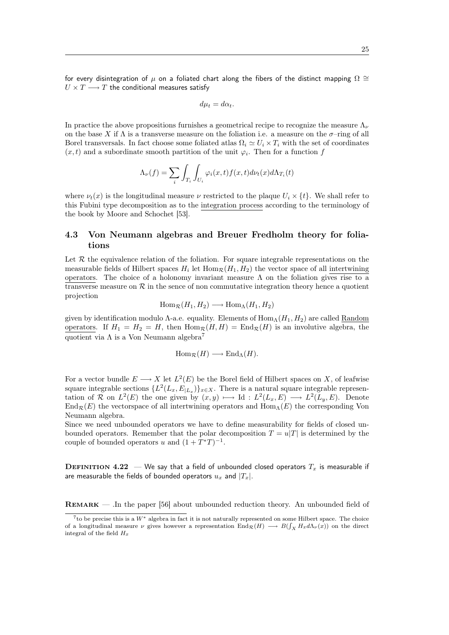for every disintegration of  $\mu$  on a foliated chart along the fibers of the distinct mapping  $\Omega \cong$  $U \times T \longrightarrow T$  the conditional measures satisfy

$$
d\mu_t = d\alpha_t.
$$

In practice the above propositions furnishes a geometrical recipe to recognize the measure  $\Lambda_{\nu}$ on the base X if  $\Lambda$  is a transverse measure on the foliation i.e. a measure on the  $\sigma$ -ring of all Borel transversals. In fact choose some foliated atlas  $\Omega_i \simeq U_i \times T_i$  with the set of coordinates  $(x, t)$  and a subordinate smooth partition of the unit  $\varphi_i$ . Then for a function f

$$
\Lambda_{\nu}(f) = \sum_{i} \int_{T_i} \int_{U_i} \varphi_i(x,t) f(x,t) d\nu_t(x) d\Lambda_{T_i}(t)
$$

where  $\nu_t(x)$  is the longitudinal measure  $\nu$  restricted to the plaque  $U_i \times \{t\}$ . We shall refer to this Fubini type decomposition as to the integration process according to the terminology of the book by Moore and Schochet [53].

## 4.3 Von Neumann algebras and Breuer Fredholm theory for foliations

Let  $R$  the equivalence relation of the foliation. For square integrable representations on the measurable fields of Hilbert spaces  $H_i$  let  $\text{Hom}_{\mathcal{R}}(H_1, H_2)$  the vector space of all intertwining operators. The choice of a holonomy invariant measure  $\Lambda$  on the foliation gives rise to a transverse measure on  $R$  in the sence of non commutative integration theory hence a quotient projection

$$
\operatorname{Hom}_{\mathcal{R}}(H_1, H_2) \longrightarrow \operatorname{Hom}_{\Lambda}(H_1, H_2)
$$

given by identification modulo  $\Lambda$ -a.e. equality. Elements of  $\text{Hom}_{\Lambda}(H_1, H_2)$  are called Random operators. If  $H_1 = H_2 = H$ , then  $\text{Hom}_{\mathcal{R}}(H, H) = \text{End}_{\mathcal{R}}(H)$  is an involutive algebra, the quotient via  $\Lambda$  is a Von Neumann algebra<sup>7</sup>

$$
Hom_{\mathcal{R}}(H) \longrightarrow End_{\Lambda}(H).
$$

For a vector bundle  $E \longrightarrow X$  let  $L^2(E)$  be the Borel field of Hilbert spaces on X, of leafwise square integrable sections  $\{L^2(L_x, E_{|L_x})\}_{x \in X}$ . There is a natural square integrable representation of R on  $L^2(E)$  the one given by  $(x, y) \longmapsto \text{Id} : L^2(L_x, E) \longrightarrow L^2(L_y, E)$ . Denote  $\text{End}_{\mathcal{R}}(E)$  the vectorspace of all intertwining operators and  $\text{Hom}_{\Lambda}(E)$  the corresponding Von Neumann algebra.

Since we need unbounded operators we have to define measurability for fields of closed unbounded operators. Remember that the polar decomposition  $T = u|T|$  is determined by the couple of bounded operators u and  $(1+T^*T)^{-1}$ .

**DEFINITION 4.22** — We say that a field of unbounded closed operators  $T_x$  is measurable if are measurable the fields of bounded operators  $u_x$  and  $|T_x|$ .

Remark — .In the paper [56] about unbounded reduction theory. An unbounded field of

<sup>7</sup> to be precise this is a W<sup>∗</sup> algebra in fact it is not naturally represented on some Hilbert space. The choice of a longitudinal measure  $\nu$  gives however a representation  $\text{End}_{\mathcal{R}}(H) \longrightarrow B(\int_X H_x d\Lambda_\nu(x))$  on the direct integral of the field  $H_x$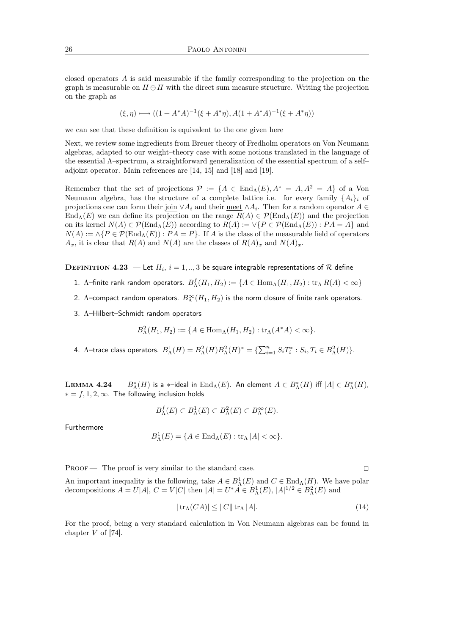closed operators A is said measurable if the family corresponding to the projection on the graph is measurable on  $H \oplus H$  with the direct sum measure structure. Writing the projection on the graph as

$$
(\xi, \eta) \longmapsto ((1 + A^*A)^{-1}(\xi + A^*\eta), A(1 + A^*A)^{-1}(\xi + A^*\eta))
$$

we can see that these definition is equivalent to the one given here

Next, we review some ingredients from Breuer theory of Fredholm operators on Von Neumann algebras, adapted to our weight–theory case with some notions translated in the language of the essential Λ–spectrum, a straightforward generalization of the essential spectrum of a self– adjoint operator. Main references are [14, 15] and [18] and [19].

Remember that the set of projections  $\mathcal{P} := \{A \in \text{End}_{\Lambda}(E), A^* = A, A^2 = A\}$  of a Von Neumann algebra, has the structure of a complete lattice i.e. for every family  $\{A_i\}_i$  of projections one can form their join  $\vee A_i$  and their <u>meet</u>  $\wedge A_i$ . Then for a random operator  $A \in$ End<sub>Λ</sub>(E) we can define its projection on the range  $R(A) \in \mathcal{P}(\text{End}_{\Lambda}(E))$  and the projection on its kernel  $N(A) \in \mathcal{P}(\text{End}_{\Lambda}(E))$  according to  $R(A) := \vee \{P \in \mathcal{P}(\text{End}_{\Lambda}(E)) : PA = A\}$  and  $N(A) := \wedge \{P \in \mathcal{P}(\text{End}_{\Lambda}(E)) : PA = P\}$ . If A is the class of the measurable field of operators  $A_x$ , it is clear that  $R(A)$  and  $N(A)$  are the classes of  $R(A)_x$  and  $N(A)_x$ .

 $\mathbf{D}\mathbf{E}\mathbf{F}$ INITION  $4.23$   $-$  Let  $H_i$ ,  $i=1,..,3$  be square integrable representations of  $\mathcal R$  define

- 1. A–finite rank random operators.  $B_{\Lambda}^f(H_1,H_2):=\{A\in \operatorname{Hom}_{\Lambda}(H_1,H_2): \operatorname{tr}_{\Lambda} R(A)<\infty\}$
- 2.  $\Lambda$ –compact random operators.  $B_{\Lambda}^{\infty}(H_1,H_2)$  is the norm closure of finite rank operators.
- 3. Λ–Hilbert–Schmidt random operators

$$
B_{\Lambda}^{2}(H_{1}, H_{2}) := \{ A \in \text{Hom}_{\Lambda}(H_{1}, H_{2}) : \text{tr}_{\Lambda}(A^{*}A) < \infty \}.
$$

4. Λ-trace class operators.  $B^1_\Lambda(H) = B^2_\Lambda(H) B^2_\Lambda(H)^* = \{ \sum_{i=1}^n S_i T_i^* : S_i, T_i \in B^2_\Lambda(H) \}.$ 

**LEMMA 4.24**  $-B^*_{\Lambda}(H)$  is a  $*$ –ideal in  $\text{End}_{\Lambda}(E)$ . An element  $A \in B^*_{\Lambda}(H)$  iff  $|A| \in B^*_{\Lambda}(H)$ ,  $* = f, 1, 2, \infty$ . The following inclusion holds

$$
B_{\Lambda}^{f}(E) \subset B_{\Lambda}^{1}(E) \subset B_{\Lambda}^{2}(E) \subset B_{\Lambda}^{\infty}(E).
$$

Furthermore

$$
B_{\Lambda}^{1}(E) = \{ A \in \text{End}_{\Lambda}(E) : \text{tr}_{\Lambda} |A| < \infty \}.
$$

PROOF — The proof is very similar to the standard case.

An important inequality is the following, take  $A \in B^1_\Lambda(E)$  and  $C \in \text{End}_\Lambda(H)$ . We have polar decompositions  $A = U|A|$ ,  $C = V|C|$  then  $|A| = U^*A \in B_\Lambda^1(E)$ ,  $|A|^{1/2} \in B_\Lambda^2(E)$  and

$$
|\operatorname{tr}_{\Lambda}(CA)| \le ||C|| \operatorname{tr}_{\Lambda}|A|.
$$
 (14)

For the proof, being a very standard calculation in Von Neumann algebras can be found in chapter V of [74].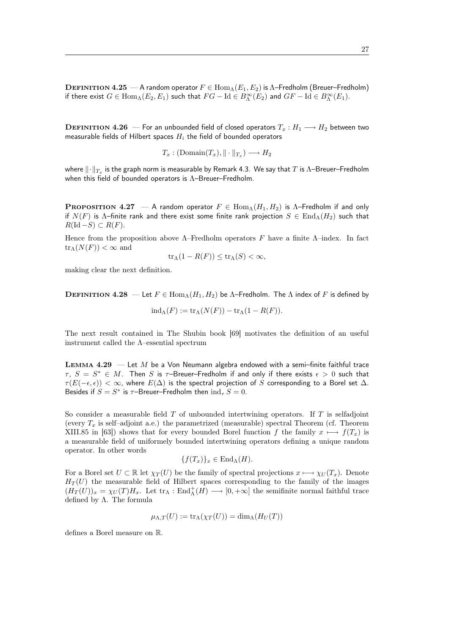**DEFINITION 4.25** — A random operator  $F \in \text{Hom}_{\Lambda}(E_1, E_2)$  is  $\Lambda$ -Fredholm (Breuer-Fredholm) if there exist  $G \in \text{Hom}_{\Lambda}(E_2, E_1)$  such that  $FG - \text{Id} \in B^{\infty}_{\Lambda}(E_2)$  and  $GF - \text{Id} \in B^{\infty}_{\Lambda}(E_1)$ .

DEFINITION 4.26 — For an unbounded field of closed operators  $T_x : H_1 \longrightarrow H_2$  between two measurable fields of Hilbert spaces  $H_i$  the field of bounded operators

$$
T_x: (\text{Domain}(T_x), \|\cdot\|_{T_x}) \longrightarrow H_2
$$

where  $\lVert \cdot \rVert_{T_x}$  is the graph norm is measurable by Remark 4.3. We say that  $T$  is Λ–Breuer–Fredholm when this field of bounded operators is Λ–Breuer–Fredholm.

**PROPOSITION 4.27** — A random operator  $F \in \text{Hom}_{\Lambda}(H_1, H_2)$  is  $\Lambda$ -Fredholm if and only if  $N(F)$  is  $\Lambda$ –finite rank and there exist some finite rank projection  $S \in \text{End}_{\Lambda}(H_2)$  such that  $R(\text{Id} - S) \subset R(F)$ .

Hence from the proposition above  $\Lambda$ –Fredholm operators F have a finite  $\Lambda$ –index. In fact  $\text{tr}_{\Lambda}(N(F)) < \infty$  and

$$
\operatorname{tr}_{\Lambda}(1 - R(F)) \le \operatorname{tr}_{\Lambda}(S) < \infty,
$$

making clear the next definition.

**DEFINITION 4.28** — Let  $F \in \text{Hom}_{\Lambda}(H_1, H_2)$  be  $\Lambda$ -Fredholm. The  $\Lambda$  index of F is defined by

$$
ind_{\Lambda}(F) := \text{tr}_{\Lambda}(N(F)) - \text{tr}_{\Lambda}(1 - R(F)).
$$

The next result contained in The Shubin book [69] motivates the definition of an useful instrument called the Λ–essential spectrum

**LEMMA 4.29** — Let  $M$  be a Von Neumann algebra endowed with a semi-finite faithful trace  $\tau$ ,  $S = S^* \in M$ . Then S is  $\tau$ -Breuer-Fredholm if and only if there exists  $\epsilon > 0$  such that  $\tau(E(-\epsilon, \epsilon)) < \infty$ , where  $E(\Delta)$  is the spectral projection of S corresponding to a Borel set  $\Delta$ . Besides if  $S = S^*$  is  $\tau$ -Breuer-Fredholm then  $\text{ind}_{\tau} S = 0$ .

So consider a measurable field  $T$  of unbounded intertwining operators. If  $T$  is selfadjoint (every  $T_x$  is self–adjoint a.e.) the parametrized (measurable) spectral Theorem (cf. Theorem XIII.85 in [63]) shows that for every bounded Borel function f the family  $x \mapsto f(T_x)$  is a measurable field of uniformely bounded intertwining operators defining a unique random operator. In other words

$$
\{f(T_x)\}_x \in \text{End}_{\Lambda}(H).
$$

For a Borel set  $U \subset \mathbb{R}$  let  $\chi_T(U)$  be the family of spectral projections  $x \mapsto \chi_U(T_x)$ . Denote  $H_T(U)$  the measurable field of Hilbert spaces corresponding to the family of the images  $(H_T(U))_x = \chi_U(T)H_x$ . Let  $\text{tr}_\Lambda : \text{End}^+_\Lambda(H) \longrightarrow [0, +\infty]$  the semifinite normal faithful trace defined by  $\Lambda$ . The formula

$$
\mu_{\Lambda,T}(U) := \text{tr}_{\Lambda}(\chi_T(U)) = \dim_{\Lambda}(H_U(T))
$$

defines a Borel measure on R.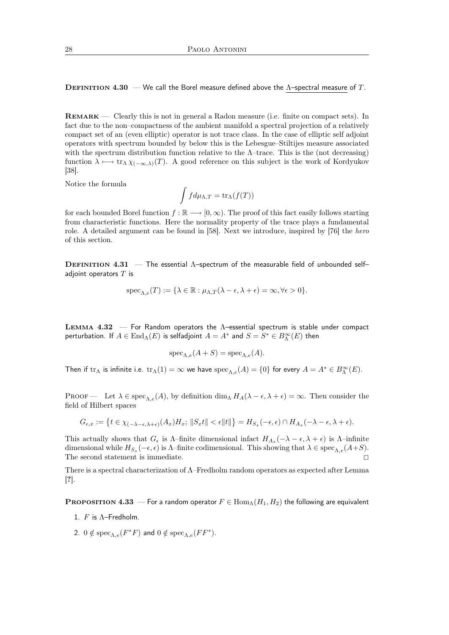DEFINITION 4.30 — We call the Borel measure defined above the  $\Lambda$ –spectral measure of T.

Remark — Clearly this is not in general a Radon measure (i.e. finite on compact sets). In fact due to the non–compactness of the ambient manifold a spectral projection of a relatively compact set of an (even elliptic) operator is not trace class. In the case of elliptic self adjoint operators with spectrum bounded by below this is the Lebesgue–Stiltijes measure associated with the spectrum distribution function relative to the  $\Lambda$ –trace. This is the (not decreasing) function  $\lambda \mapsto \text{tr}_{\Lambda} \chi_{(-\infty,\lambda)}(T)$ . A good reference on this subject is the work of Kordyukov [38].

Notice the formula

$$
\int f d\mu_{\Lambda,T} = \text{tr}_\Lambda(f(T))
$$

for each bounded Borel function  $f : \mathbb{R} \longrightarrow [0, \infty)$ . The proof of this fact easily follows starting from characteristic functions. Here the normality property of the trace plays a fundamental role. A detailed argument can be found in [58]. Next we introduce, inspired by [76] the hero of this section.

**DEFINITION 4.31** — The essential  $\Lambda$ -spectrum of the measurable field of unbounded selfadjoint operators  $T$  is

$$
\operatorname{spec}_{\Lambda,e}(T) := \{ \lambda \in \mathbb{R} : \mu_{\Lambda,T}(\lambda - \epsilon, \lambda + \epsilon) = \infty, \forall \epsilon > 0 \}.
$$

LEMMA  $4.32$  – For Random operators the  $\Lambda$ -essential spectrum is stable under compact perturbation. If  $A\in\operatorname{End}_\Lambda(E)$  is selfadjoint  $A=A^*$  and  $S=S^*\in B_\Lambda^\infty(E)$  then

$$
\operatorname{spec}_{\Lambda,e}(A+S) = \operatorname{spec}_{\Lambda,e}(A).
$$

Then if  $\text{tr}_\Lambda$  is infinite i.e.  $\text{tr}_\Lambda(1) = \infty$  we have  $\text{spec}_{\Lambda,e}(A) = \{0\}$  for every  $A = A^* \in B_\Lambda^\infty(E)$ .

PROOF — Let  $\lambda \in \text{spec}_{\Lambda e}(A)$ , by definition  $\dim_{\Lambda} H_A(\lambda - \epsilon, \lambda + \epsilon) = \infty$ . Then consider the field of Hilbert spaces

$$
G_{\epsilon,x} := \left\{ t \in \chi_{(-\lambda-\epsilon,\lambda+\epsilon)}(A_x)H_x; \, \|S_x t\| < \epsilon \|t\| \right\} = H_{S_x}(-\epsilon,\epsilon) \cap H_{A_x}(-\lambda-\epsilon,\lambda+\epsilon).
$$

This actually shows that  $G_{\epsilon}$  is  $\Lambda$ -finite dimensional infact  $H_{A_x}(-\lambda - \epsilon, \lambda + \epsilon)$  is  $\Lambda$ -infinite dimensional while  $H_{S_x}(-\epsilon, \epsilon)$  is  $\Lambda$ -finite codimensional. This showing that  $\lambda \in \text{spec}_{\Lambda, e}(A+S)$ . The second statement is immediate.  $\Box$ 

There is a spectral characterization of Λ–Fredholm random operators as expected after Lemma [?].

**PROPOSITION 4.33** — For a random operator  $F \in \text{Hom}_{\Lambda}(H_1, H_2)$  the following are equivalent

- 1.  $F$  is  $\Lambda$ -Fredholm.
- 2.  $0 \notin \text{spec}_{\Lambda,e}(F^*F)$  and  $0 \notin \text{spec}_{\Lambda,e}(FF^*).$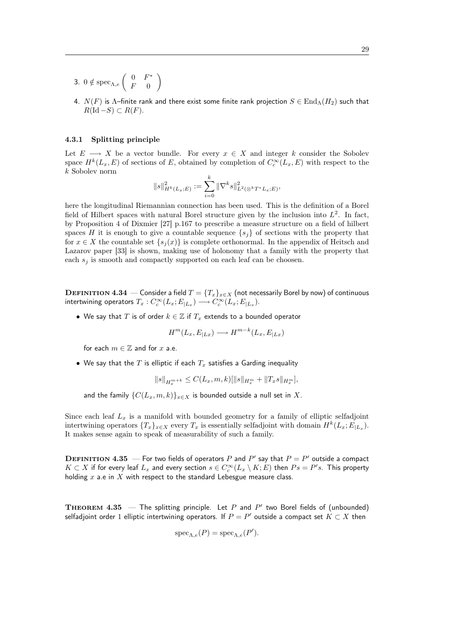- 3.  $0 \notin \text{spec}_{\Lambda,e} \left( \begin{array}{cc} 0 & F^* \\ F & 0 \end{array} \right)$  $F = 0$  $\setminus$
- 4.  $N(F)$  is  $\Lambda$ –finite rank and there exist some finite rank projection  $S \in \text{End}_{\Lambda}(H_2)$  such that  $R(\text{Id} - S) \subset R(F)$ .

## 4.3.1 Splitting principle

Let  $E \longrightarrow X$  be a vector bundle. For every  $x \in X$  and integer k consider the Sobolev space  $H^k(L_x, E)$  of sections of E, obtained by completion of  $C_c^{\infty}(L_x, E)$  with respect to the k Sobolev norm

$$
||s||_{H^k(L_x;E)}^2 := \sum_{i=0}^k ||\nabla^k s||_{L^2(\otimes^k T^* L_x;E)}^2,
$$

here the longitudinal Riemannian connection has been used. This is the definition of a Borel field of Hilbert spaces with natural Borel structure given by the inclusion into  $L^2$ . In fact, by Proposition 4 of Dixmier [27] p.167 to prescribe a measure structure on a field of hilbert spaces H it is enough to give a countable sequence  $\{s_i\}$  of sections with the property that for  $x \in X$  the countable set  $\{s_i(x)\}\$ is complete orthonormal. In the appendix of Heitsch and Lazarov paper [33] is shown, making use of holonomy that a family with the property that each  $s_i$  is smooth and compactly supported on each leaf can be choosen.

DEFINITION 4.34 — Consider a field  $T = \{T_x\}_{x \in X}$  (not necessarily Borel by now) of continuous intertwining operators  $T_x: C_c^\infty(L_x; E_{|L_x}) \longrightarrow C_c^\infty(L_x; E_{|L_x}).$ 

• We say that T is of order  $k \in \mathbb{Z}$  if  $T_x$  extends to a bounded operator

$$
H^m(L_x, E_{|Lx}) \longrightarrow H^{m-k}(L_x, E_{|Lx})
$$

for each  $m \in \mathbb{Z}$  and for x a.e.

• We say that the  $T$  is elliptic if each  $T_x$  satisfies a Garding inequality

$$
||s||_{H_x^{m+k}} \leq C(L_x, m, k) [||s||_{H_x^m} + ||T_x s||_{H_x^m}],
$$

and the family  $\{C(L_x, m, k)\}_{x \in X}$  is bounded outside a null set in X.

Since each leaf  $L_x$  is a manifold with bounded geometry for a family of elliptic selfadjoint intertwining operators  $\{T_x\}_{x \in X}$  every  $T_x$  is essentially selfadjoint with domain  $H^k(L_x; E_{|L_x})$ . It makes sense again to speak of measurability of such a family.

DEFINITION 4.35  $-$  For two fields of operators  $P$  and  $P'$  say that  $P = P'$  outside a compact  $K\subset X$  if for every leaf  $L_x$  and every section  $s\in C^\infty_c(L_x\setminus K;E)$  then  $Ps=P's.$  This property holding  $x$  a.e in  $X$  with respect to the standard Lebesgue measure class.

**THEOREM 4.35** – The splitting principle. Let P and P' two Borel fields of (unbounded) selfadjoint order 1 elliptic intertwining operators. If  $P = P'$  outside a compact set  $K \subset X$  then

$$
\operatorname{spec}_{\Lambda,e}(P)=\operatorname{spec}_{\Lambda,e}(P').
$$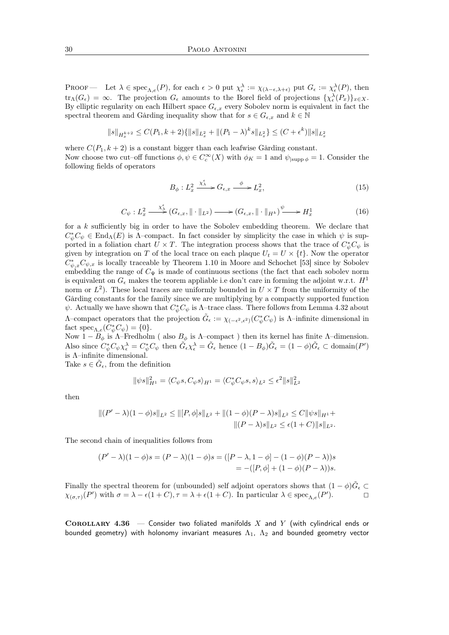PROOF — Let  $\lambda \in \text{spec}_{\Lambda,e}(P)$ , for each  $\epsilon > 0$  put  $\chi_{\epsilon}^{\lambda} := \chi_{(\lambda - \epsilon, \lambda + \epsilon)}$  put  $G_{\epsilon} := \chi_{\epsilon}^{\lambda}(P)$ , then  $\text{tr}_{\Lambda}(G_{\epsilon}) = \infty$ . The projection  $G_{\epsilon}$  amounts to the Borel field of projections  $\{\chi_{\epsilon}^{\lambda}(P_x)\}_{x \in X}$ . By elliptic regularity on each Hilbert space  $G_{\epsilon,x}$  every Sobolev norm is equivalent in fact the spectral theorem and Gårding inequality show that for  $s \in G_{\epsilon,x}$  and  $k \in \mathbb{N}$ 

$$
\|s\|_{H^{k+2}_x} \leq C(P_1,k+2)\{\|s\|_{L^2_x} + \|(P_1-\lambda)^k s\|_{L^2_x}\} \leq (C+\epsilon^k)\|s\|_{L^2_x}
$$

where  $C(P_1, k+2)$  is a constant bigger than each leafwise Gårding constant. Now choose two cut–off functions  $\phi, \psi \in C_c^{\infty}(X)$  with  $\phi_K = 1$  and  $\psi_{|{\rm supp}\phi} = 1$ . Consider the following fields of operators

$$
B_{\phi}: L_x^2 \xrightarrow{\chi_{\lambda}^{\epsilon}} G_{\epsilon,x} \xrightarrow{\phi} L_x^2,
$$
\n(15)

$$
C_{\psi}: L_x^2 \xrightarrow{\chi_{\mathcal{A}}^{\epsilon}} (G_{\epsilon,x}, \|\cdot\|_{L^2}) \longrightarrow (G_{\epsilon,x}, \|\cdot\|_{H^k})^{\psi} \longrightarrow H_x^1 \tag{16}
$$

for a k sufficiently big in order to have the Sobolev embedding theorem. We declare that  $C^*_{\psi}C_{\psi}\in \text{End}_{\Lambda}(E)$  is  $\Lambda$ -compact. In fact consider by simplicity the case in which  $\psi$  is supported in a foliation chart  $U \times T$ . The integration process shows that the trace of  $C^*_{\psi} C_{\psi}$  is given by integration on T of the local trace on each plaque  $U_t = U \times \{t\}$ . Now the operator  $C^*_{\psi,x}C_{\psi,x}$  is locally traceable by Theorem 1.10 in Moore and Schochet [53] since by Sobolev embedding the range of  $C_{\Psi}$  is made of continuous sections (the fact that each sobolev norm is equivalent on  $G_{\epsilon}$  makes the teorem appliable i.e don't care in forming the adjoint w.r.t.  $H^1$ norm or  $L^2$ ). These local traces are uniformly bounded in  $U \times T$  from the uniformity of the Gårding constants for the family since we are multiplying by a compactly supported function  $\psi$ . Actually we have shown that  $C^*_{\psi}C_{\psi}$  is  $\Lambda$ -trace class. There follows from Lemma 4.32 about Λ–compact operators that the projection  $\tilde{G}_{\epsilon} := \chi_{(-\epsilon^2, \epsilon^2)}(C^*_{\psi}C_{\psi})$  is Λ–infinite dimensional in fact spec<sub> $\Lambda, e^{}(C^*_{\psi}C_{\psi}) = \{0\}.$ </sub>

Now  $1 - B_{\phi}$  is  $\Lambda$ -Fredholm (also  $B_{\phi}$  is  $\Lambda$ -compact) then its kernel has finite  $\Lambda$ -dimension. Also since  $C^*_{\psi} C_{\psi} \chi_{\epsilon}^{\lambda} = C^*_{\psi} C_{\psi}$  then  $\tilde{G}_{\epsilon} \chi_{\epsilon}^{\lambda} = \tilde{G}_{\epsilon}$  hence  $(1 - B_{\phi}) \tilde{G}_{\epsilon} = (1 - \phi) \tilde{G}_{\epsilon} \subset \text{domain}(P')$ is Λ–infinite dimensional.

Take  $s \in \tilde{G}_{\epsilon}$ , from the definition

$$
\|\psi s\|_{H^1}^2 = \langle C_{\psi} s, C_{\psi} s \rangle_{H^1} = \langle C_{\psi}^* C_{\psi} s, s \rangle_{L^2} \le \epsilon^2 \|s\|_{L^2}^2
$$

then

$$
||(P' - \lambda)(1 - \phi)s||_{L^2} \le ||[P, \phi]s||_{L^2} + ||(1 - \phi)(P - \lambda)s||_{L^2} \le C||\psi s||_{H^1} +
$$
  

$$
||(P - \lambda)s||_{L^2} \le \epsilon(1 + C)||s||_{L^2}.
$$

The second chain of inequalities follows from

$$
(P' - \lambda)(1 - \phi)s = (P - \lambda)(1 - \phi)s = ([P - \lambda, 1 - \phi] - (1 - \phi)(P - \lambda))s
$$
  
= -([P, \phi] + (1 - \phi)(P - \lambda))s.

Finally the spectral theorem for (unbounded) self adjoint operators shows that  $(1 - \phi)\tilde{G}_{\epsilon} \subset$  $\chi_{(\sigma,\tau)}(P')$  with  $\sigma = \lambda - \epsilon(1+C)$ ,  $\tau = \lambda + \epsilon(1+C)$ . In particular  $\lambda \in \text{spec}_{\Lambda,e}(P')$ .

COROLLARY 4.36 – Consider two foliated manifolds  $X$  and  $Y$  (with cylindrical ends or bounded geometry) with holonomy invariant measures  $\Lambda_1$ ,  $\Lambda_2$  and bounded geometry vector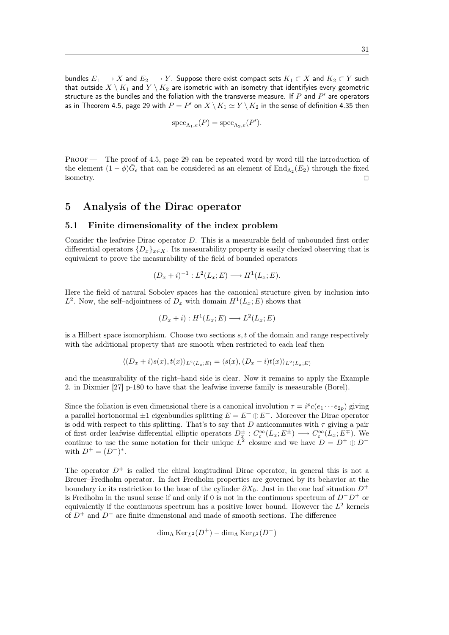bundles  $E_1 \longrightarrow X$  and  $E_2 \longrightarrow Y$ . Suppose there exist compact sets  $K_1 \subset X$  and  $K_2 \subset Y$  such that outside  $X \setminus K_1$  and  $Y \setminus K_2$  are isometric with an isometry that identifyies every geometric structure as the bundles and the foliation with the transverse measure. If  $P$  and  $P^\prime$  are operators as in Theorem 4.5, page 29 with  $P=P'$  on  $X\,\backslash\, K_1\simeq Y\,\backslash\, K_2$  in the sense of definition 4.35 then

$$
\mathrm{spec}_{\Lambda_1,e}(P)=\mathrm{spec}_{\Lambda_2,e}(P').
$$

Proof — The proof of 4.5, page 29 can be repeated word by word till the introduction of the element  $(1 - \phi)\tilde{G}_{\epsilon}$  that can be considered as an element of  $\text{End}_{\Lambda_2}(E_2)$  through the fixed isometry.  $\Box$ 

## 5 Analysis of the Dirac operator

#### 5.1 Finite dimensionality of the index problem

Consider the leafwise Dirac operator D. This is a measurable field of unbounded first order differential operators  $\{D_x\}_{x\in X}$ . Its measurability property is easily checked observing that is equivalent to prove the measurability of the field of bounded operators

$$
(D_x + i)^{-1} : L^2(L_x; E) \longrightarrow H^1(L_x; E).
$$

Here the field of natural Sobolev spaces has the canonical structure given by inclusion into  $L^2$ . Now, the self-adjointness of  $D_x$  with domain  $H^1(L_x; E)$  shows that

$$
(D_x + i) : H^1(L_x; E) \longrightarrow L^2(L_x; E)
$$

is a Hilbert space isomorphism. Choose two sections  $s, t$  of the domain and range respectively with the additional property that are smooth when restricted to each leaf then

$$
\langle (D_x+i)s(x),t(x)\rangle_{L^2(L_x;E)} = \langle s(x),(D_x-i)t(x)\rangle_{L^2(L_x;E)}
$$

and the measurability of the right–hand side is clear. Now it remains to apply the Example 2. in Dixmier [27] p-180 to have that the leafwise inverse family is measurable (Borel).

Since the foliation is even dimensional there is a canonical involution  $\tau = i^p c(e_1 \cdots e_{2p})$  giving a parallel hortonormal  $\pm 1$  eigenbundles splitting  $E = E^+ \oplus E^-$ . Moreover the Dirac operator is odd with respect to this splitting. That's to say that D anticommutes with  $\tau$  giving a pair of first order leafwise differential elliptic operators  $D_x^{\pm}: C_c^{\infty}(L_x; E^{\pm}) \longrightarrow C_c^{\infty}(L_x; E^{\mp})$ . We continue to use the same notation for their unique  $L^2$ -closure and we have  $D = D^+ \oplus D^$ with  $D^{+} = (D^{-})^{*}$ .

The operator  $D^+$  is called the chiral longitudinal Dirac operator, in general this is not a Breuer–Fredholm operator. In fact Fredholm properties are governed by its behavior at the boundary i.e its restriction to the base of the cylinder  $\partial X_0$ . Just in the one leaf situation  $D^+$ is Fredholm in the usual sense if and only if 0 is not in the continuous spectrum of  $D^+D^+$  or equivalently if the continuous spectrum has a positive lower bound. However the  $L^2$  kernels of  $D^+$  and  $D^-$  are finite dimensional and made of smooth sections. The difference

$$
\dim_{\Lambda}\operatorname{Ker}_{L^{2}}(D^{+})-\dim_{\Lambda}\operatorname{Ker}_{L^{2}}(D^{-})
$$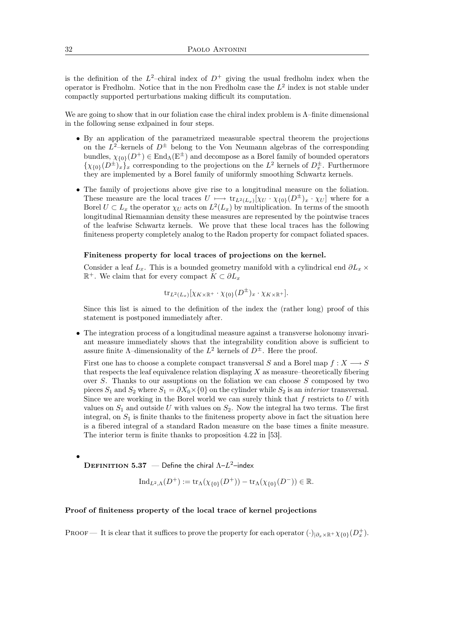is the definition of the  $L^2$ -chiral index of  $D^+$  giving the usual fredholm index when the operator is Fredholm. Notice that in the non-Fredholm case the  $L^2$  index is not stable under compactly supported perturbations making difficult its computation.

We are going to show that in our foliation case the chiral index problem is Λ–finite dimensional in the following sense exlpained in four steps.

- By an application of the parametrized measurable spectral theorem the projections on the  $L^2$ -kernels of  $D^{\pm}$  belong to the Von Neumann algebras of the corresponding bundles,  $\chi_{0}(\overline{D}^+) \in \text{End}_{\Lambda}(\mathbb{E}^{\pm})$  and decompose as a Borel family of bounded operators  $\{\chi_{\{0\}}(D^{\pm})_x\}_x$  corresponding to the projections on the  $L^2$  kernels of  $D_x^{\pm}$ . Furthermore they are implemented by a Borel family of uniformly smoothing Schwartz kernels.
- The family of projections above give rise to a longitudinal measure on the foliation. These measure are the local traces  $U \longmapsto \text{tr}_{L^2(L_x)}[\chi_U \cdot \chi_{\{0\}}(D^{\pm})_x \cdot \chi_U]$  where for a Borel  $U \subset L_x$  the operator  $\chi_U$  acts on  $L^2(L_x)$  by multiplication. In terms of the smooth longitudinal Riemannian density these measures are represented by the pointwise traces of the leafwise Schwartz kernels. We prove that these local traces has the following finiteness property completely analog to the Radon property for compact foliated spaces.

#### Finiteness property for local traces of projections on the kernel.

Consider a leaf  $L_x$ . This is a bounded geometry manifold with a cylindrical end  $\partial L_x \times$  $\mathbb{R}^+$ . We claim that for every compact  $K \subset \partial L_x$ 

$$
\mathrm{tr}_{L^2(L_x)}[\chi_{K\times\mathbb{R}^+}\cdot\chi_{\{0\}}(D^\pm)_x\cdot\chi_{K\times\mathbb{R}^+}].
$$

Since this list is aimed to the definition of the index the (rather long) proof of this statement is postponed immediately after.

• The integration process of a longitudinal measure against a transverse holonomy invariant measure immediately shows that the integrability condition above is sufficient to assure finite  $\Lambda$ -dimensionality of the  $L^2$  kernels of  $D^{\pm}$ . Here the proof.

First one has to choose a complete compact transversal S and a Borel map  $f: X \longrightarrow S$ that respects the leaf equivalence relation displaying  $X$  as measure–theoretically fibering over  $S$ . Thanks to our assuptions on the foliation we can choose  $S$  composed by two pieces  $S_1$  and  $S_2$  where  $S_1 = \partial X_0 \times \{0\}$  on the cylinder while  $S_2$  is an *interior* transversal. Since we are working in the Borel world we can surely think that  $f$  restricts to  $U$  with values on  $S_1$  and outside U with values on  $S_2$ . Now the integral ha two terms. The first integral, on  $S_1$  is finite thanks to the finiteness property above in fact the situation here is a fibered integral of a standard Radon measure on the base times a finite measure. The interior term is finite thanks to proposition 4.22 in [53].

**DEFINITION 5.37** – Define the chiral  $\Lambda - L^2$ –index

•

$$
Ind_{L^2,\Lambda}(D^+) := \text{tr}_{\Lambda}(\chi_{\{0\}}(D^+)) - \text{tr}_{\Lambda}(\chi_{\{0\}}(D^-)) \in \mathbb{R}.
$$

#### Proof of finiteness property of the local trace of kernel projections

PROOF — It is clear that it suffices to prove the property for each operator  $(\cdot)_{|\partial_x \times \mathbb{R}^+} \chi_{\{0\}}(D_x^+)$ .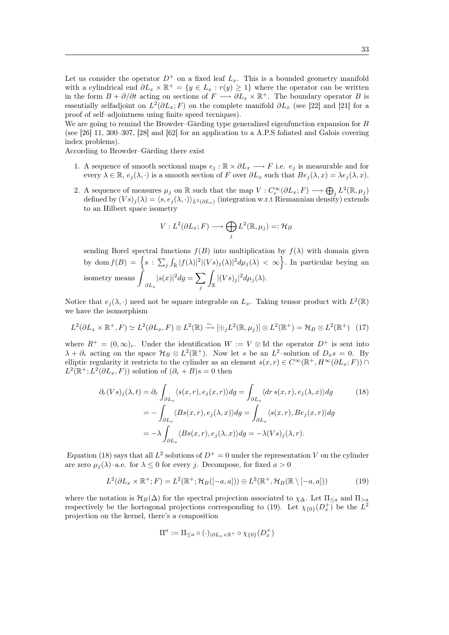Let us consider the operator  $D^+$  on a fixed leaf  $L_x$ . This is a bounded geometry manifold with a cylindrical end  $\partial L_x \times \mathbb{R}^+ = \{y \in L_x : r(y) \geq 1\}$  where the operator can be written in the form  $B + \partial/\partial t$  acting on sections of  $F \longrightarrow \partial L_x \times \mathbb{R}^+$ . The boundary operator B is essentially selfadjoint on  $L^2(\partial L_x; F)$  on the complete manifold  $\partial L_x$  (see [22] and [21] for a proof of self–adjointness using finite speed tecniques).

We are going to remind the Browder–Gårding type generalized eigenfunction expansion for B (see [26] 11, 300–307, [28] and [62] for an application to a A.P.S foliated and Galois covering index problems).

According to Browder–Gårding there exist

- 1. A sequence of smooth sectional maps  $e_i : \mathbb{R} \times \partial L_x \longrightarrow F$  i.e.  $e_i$  is measurable and for every  $\lambda \in \mathbb{R}$ ,  $e_i(\lambda, \cdot)$  is a smooth section of F over  $\partial L_x$  such that  $Be_i(\lambda, x) = \lambda e_i(\lambda, x)$ .
- 2. A sequence of measures  $\mu_j$  on  $\mathbb R$  such that the map  $V: C_c^{\infty}(\partial L_x; F) \longrightarrow \bigoplus_j L^2(\mathbb R, \mu_j)$ defined by  $(Vs)_i(\lambda) = \langle s, e_i(\lambda, \cdot) \rangle_{L^2(\partial L_x)}$  (integration w.r.t Riemannian density) extends to an Hilbert space isometry

$$
V: L^2(\partial L_x; F) \longrightarrow \bigoplus_j L^2(\mathbb{R}, \mu_j) =: \mathcal{H}_B
$$

sending Borel spectral functions  $f(B)$  into multiplication by  $f(\lambda)$  with domain given by dom  $f(B) = \left\{ s : \sum_j \int_{\mathbb{R}} |f(\lambda)|^2 |(Vs)_j(\lambda)|^2 d\mu_j(\lambda) < \infty \right\}$ . In particular beying an isometry means  $\partial L_x$  $|s(x)|^2 dg = \sum$ j Z  $\int_{\mathbb{R}} |(Vs)_j|^2 d\mu_j(\lambda).$ 

Notice that  $e_j(\lambda, \cdot)$  need not be square integrable on  $L_x$ . Taking tensor product with  $L^2(\mathbb{R})$ we have the isomorphism

$$
L^2(\partial L_x \times \mathbb{R}^+, F) \simeq L^2(\partial L_x, F) \otimes L^2(\mathbb{R}) \xrightarrow{\sim} [\oplus_j L^2(\mathbb{R}, \mu_j)] \otimes L^2(\mathbb{R}^+) = \mathcal{H}_B \otimes L^2(\mathbb{R}^+) \tag{17}
$$

where  $R^+ = (0, \infty)_r$ . Under the identification  $W := V \otimes \text{Id}$  the operator  $D^+$  is sent into  $\lambda + \partial_r$  acting on the space  $\mathcal{H}_B \otimes L^2(\mathbb{R}^+)$ . Now let s be an  $L^2$ -solution of  $D_x s = 0$ . By elliptic regularity it restricts to the cylinder as an element  $s(x,r) \in C^{\infty}(\mathbb{R}^+, H^{\infty}(\partial L_x; F))$  $L^2(\mathbb{R}^+; L^2(\partial L_x, F))$  solution of  $(\partial_r + B)s = 0$  then

$$
\partial_r(Vs)_j(\lambda, t) = \partial_r \int_{\partial L_x} \langle s(x, r), e_j(x, r) \rangle dg = \int_{\partial L_x} \langle dr \, s(x, r), e_j(\lambda, x) \rangle dg \tag{18}
$$
\n
$$
= - \int_{\partial L_x} \langle Bs(x, r), e_j(\lambda, x) \rangle dg = \int_{\partial L_x} \langle s(x, r), Be_j(x, r) \rangle dg
$$
\n
$$
= -\lambda \int_{\partial L_x} \langle Bs(x, r), e_j(\lambda, x) \rangle dg = -\lambda (Vs)_j(\lambda, r).
$$

Equation (18) says that all  $L^2$  solutions of  $D^+ = 0$  under the representation V on the cylinder are zero  $\mu_i(\lambda)$ –a.e. for  $\lambda \leq 0$  for every j. Decompose, for fixed  $a > 0$ 

$$
L^{2}(\partial L_{x}\times\mathbb{R}^{+};F)=L^{2}(\mathbb{R}^{+};\mathcal{H}_{B}([-a,a]))\oplus L^{2}(\mathbb{R}^{+},\mathcal{H}_{B}(\mathbb{R}\setminus[-a,a]))
$$
(19)

where the notation is  $\mathcal{H}_B(\Delta)$  for the spectral projection associated to  $\chi_{\Delta}$ . Let  $\Pi_{\leq a}$  and  $\Pi_{>a}$ respectively be the hortogonal projections corresponding to (19). Let  $\chi_{0}(D_x^+)$  be the  $L^2$ projection on the kernel, there's a composition

$$
\Pi^a:=\Pi_{\leq a}\circ (\cdot)_{|\partial L_x\times\mathbb{R}^+}\circ \chi_{\{0\}}(D^+_x)
$$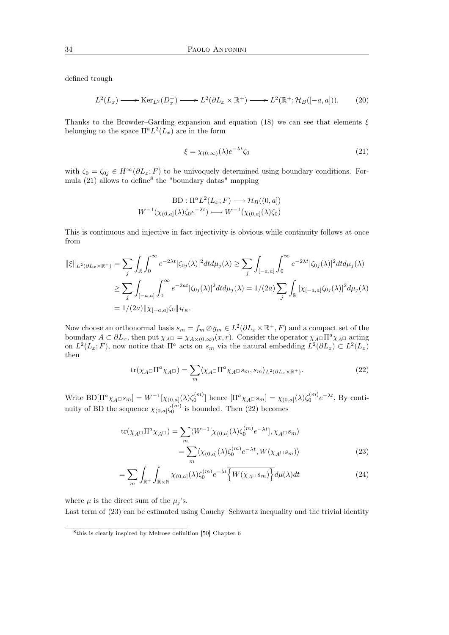defined trough

$$
L^{2}(L_{x}) \longrightarrow \text{Ker}_{L^{2}}(D_{x}^{+}) \longrightarrow L^{2}(\partial L_{x} \times \mathbb{R}^{+}) \longrightarrow L^{2}(\mathbb{R}^{+}; \mathcal{H}_{B}([-a,a])). \tag{20}
$$

Thanks to the Browder–Garding expansion and equation (18) we can see that elements  $\xi$ belonging to the space  $\Pi^a L^2(L_x)$  are in the form

$$
\xi = \chi_{(0,\infty)}(\lambda)e^{-\lambda t}\zeta_0\tag{21}
$$

with  $\zeta_0 = \zeta_{0j} \in H^\infty(\partial L_x; F)$  to be univoquely determined using boundary conditions. Formula (21) allows to define<sup>8</sup> the "boundary datas" mapping

$$
BD: \Pi^a L^2(L_x; F) \longrightarrow \mathcal{H}_B((0, a])
$$
  

$$
W^{-1}(\chi_{(0, a]}(\lambda)\zeta_0 e^{-\lambda t}) \longmapsto W^{-1}(\chi_{(0, a]}(\lambda)\zeta_0)
$$

This is continuous and injective in fact injectivity is obvious while continuity follows at once from

$$
\begin{split} \|\xi\|_{L^2(\partial L_x \times \mathbb{R}^+)} &= \sum_{j} \int_{\mathbb{R}} \int_0^\infty e^{-2\lambda t} |\zeta_{0j}(\lambda)|^2 dt d\mu_j(\lambda) \ge \sum_{j} \int_{[-a,a]} \int_0^\infty e^{-2\lambda t} |\zeta_{0j}(\lambda)|^2 dt d\mu_j(\lambda) \\ &\ge \sum_{j} \int_{[-a,a]} \int_0^\infty e^{-2at} |\zeta_{0j}(\lambda)|^2 dt d\mu_j(\lambda) = 1/(2a) \sum_{j} \int_{\mathbb{R}} |\chi_{[-a,a]} \zeta_{0j}(\lambda)|^2 d\mu_j(\lambda) \\ &= 1/(2a) \|\chi_{[-a,a]} \zeta_0\|_{\mathcal{H}_B}. \end{split}
$$

Now choose an orthonormal basis  $s_m = f_m \otimes g_m \in L^2(\partial L_x \times \mathbb{R}^+, F)$  and a compact set of the boundary  $A \subset \partial L_x$ , then put  $\chi_{A} = \chi_{A \times (0,\infty)}(x,r)$ . Consider the operator  $\chi_{A} = \Pi^a \chi_{A}$  acting on  $L^2(L_x; F)$ , now notice that  $\Pi^a$  acts on  $s_m$  via the natural embedding  $L^2(\partial L_x) \subset L^2(L_x)$ then

$$
\text{tr}(\chi_A \Box \Pi^a \chi_A \Box) = \sum_m \langle \chi_A \Box \Pi^a \chi_A \Box s_m, s_m \rangle_{L^2(\partial L_x \times \mathbb{R}^+)}.
$$
\n(22)

Write  $BD[\Pi^a \chi_{A} \Box s_m] = W^{-1}[\chi_{(0,a]}(\lambda)\zeta_0^{(m)}]$  hence  $[\Pi^a \chi_{A} \Box s_m] = \chi_{(0,a]}(\lambda)\zeta_0^{(m)}e^{-\lambda t}$ . By continuity of BD the sequence  $\chi_{(0,a]} \zeta_0^{(m)}$  is bounded. Then (22) becomes

$$
\text{tr}(\chi_A \Box \Pi^a \chi_A \Box) = \sum_m \langle W^{-1} [\chi_{(0,a]}(\lambda) \zeta_0^{(m)} e^{-\lambda t}], \chi_A \Box s_m \rangle
$$
  

$$
= \sum_m \langle \chi_{(0,a]}(\lambda) \zeta_0^{(m)} e^{-\lambda t}, W(\chi_A \Box s_m) \rangle
$$
(23)

$$
= \sum_{m} \int_{\mathbb{R}^+} \int_{\mathbb{R} \times \mathbb{N}} \chi_{(0,a]}(\lambda) \zeta_0^{(m)} e^{-\lambda t} \overline{\left\{ W(\chi_A \Box s_m) \right\}} d\mu(\lambda) dt \tag{24}
$$

where  $\mu$  is the direct sum of the  $\mu_i$ 's.

Last term of (23) can be estimated using Cauchy–Schwartz inequality and the trivial identity

<sup>8</sup> this is clearly inspired by Melrose definition [50] Chapter 6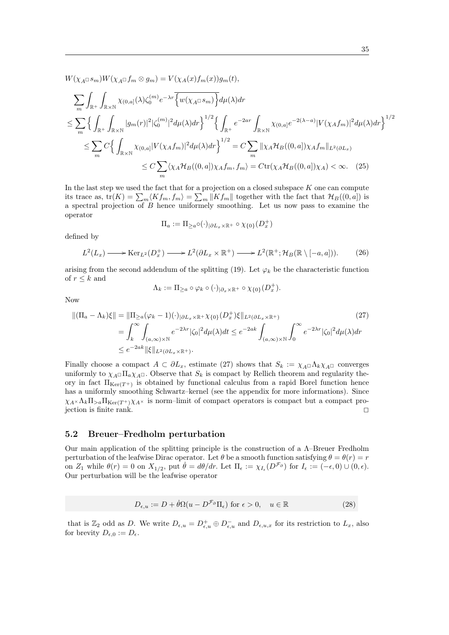$W(\chi_{A} \Box s_m)W(\chi_{A} \Box f_m \otimes g_m) = V(\chi_{A}(x)f_m(x))g_m(t),$ 

$$
\sum_{m} \int_{\mathbb{R}^{+}} \int_{\mathbb{R} \times \mathbb{N}} \chi_{(0,a]}(\lambda) \zeta_{0}^{(m)} e^{-\lambda r} \overline{\{w(\chi_{A} \Box s_{m})\}} d\mu(\lambda) dr
$$
\n
$$
\leq \sum_{m} \left\{ \int_{\mathbb{R}^{+}} \int_{\mathbb{R} \times \mathbb{N}} |g_{m}(r)|^{2} |\zeta_{0}^{(m)}|^{2} d\mu(\lambda) dr \right\}^{1/2} \left\{ \int_{\mathbb{R}^{+}} e^{-2ar} \int_{\mathbb{R} \times \mathbb{N}} \chi_{(0,a]} e^{-2(\lambda-a)} |V(\chi_{A} f_{m})|^{2} d\mu(\lambda) dr \right\}^{1/2}
$$
\n
$$
\leq \sum_{m} C \left\{ \int_{\mathbb{R} \times \mathbb{N}} \chi_{(0,a]} |V(\chi_{A} f_{m})|^{2} d\mu(\lambda) dr \right\}^{1/2} = C \sum_{m} ||\chi_{A} \mathcal{H}_{B}((0,a]) \chi_{A} f_{m}||_{L^{2}(\partial L_{x})}
$$
\n
$$
\leq C \sum_{m} \langle \chi_{A} \mathcal{H}_{B}((0,a]) \chi_{A} f_{m}, f_{m} \rangle = C \text{tr}(\chi_{A} \mathcal{H}_{B}((0,a]) \chi_{A}) < \infty. \quad (25)
$$

In the last step we used the fact that for a projection on a closed subspace  $K$  one can compute its trace as,  $tr(K) = \sum_{m} \langle Kf_m, f_m \rangle = \sum_{m} ||Kf_m||$  together with the fact that  $\mathcal{H}_B((0, a])$  is a spectral projection of  $B$  hence uniformely smoothing. Let us now pass to examine the operator

$$
\Pi_a:=\Pi_{\geq a}\circ(\cdot)_{|\partial L_x\times\mathbb{R}^+}\circ\chi_{\{0\}}(D^+_x)
$$

defined by

$$
L^2(L_x) \longrightarrow \text{Ker}_{L^2}(D_x^+) \longrightarrow L^2(\partial L_x \times \mathbb{R}^+) \longrightarrow L^2(\mathbb{R}^+; \mathcal{H}_B(\mathbb{R} \setminus [-a, a])). \tag{26}
$$

arising from the second addendum of the splitting (19). Let  $\varphi_k$  be the characteristic function of  $r \leq k$  and

$$
\Lambda_k:=\Pi_{\geq a}\circ\varphi_k\circ(\cdot)_{|\partial_x\times\mathbb{R}^+}\circ\chi_{\{0\}}(D_x^+).
$$

Now

$$
\begin{split} \left\| (\Pi_a - \Lambda_k) \xi \right\| &= \|\Pi_{\geq a}(\varphi_k - 1)(\cdot)_{|\partial L_x \times \mathbb{R}^+} \chi_{\{0\}}(D_x^+) \xi\|_{L^2(\partial L_x \times \mathbb{R}^+)} \\ &= \int_k^\infty \int_{(a,\infty)\times \mathbb{N}} e^{-2\lambda r} |\zeta_0|^2 d\mu(\lambda) dt \leq e^{-2ak} \int_{(a,\infty)\times \mathbb{N}} \int_0^\infty e^{-2\lambda r} |\zeta_0|^2 d\mu(\lambda) dr \\ &\leq e^{-2ak} \|\xi\|_{L^2(\partial L_x \times \mathbb{R}^+)} . \end{split} \tag{27}
$$

Finally choose a compact  $A \subset \partial L_x$ , estimate (27) shows that  $S_k := \chi_{A} \square \Lambda_k \chi_{A} \square$  converges uniformly to  $\chi_{A} \Box \Pi_a \chi_{A} \Box$ . Observe that  $S_k$  is compact by Rellich theorem and regularity theory in fact  $\Pi_{\text{Ker}(T^+)}$  is obtained by functional calculus from a rapid Borel function hence has a uniformly smoothing Schwartz–kernel (see the appendix for more informations). Since  $\chi_{A} \times \Lambda_k \Pi_{\geq a} \Pi_{\text{Ker}(T^+)} \chi_{A}$  is norm-limit of compact operators is compact but a compact projection is finite rank. <sup>2</sup>

## 5.2 Breuer–Fredholm perturbation

Our main application of the splitting principle is the construction of a Λ–Breuer Fredholm perturbation of the leafwise Dirac operator. Let  $\theta$  be a smooth function satisfying  $\theta = \theta(r) = r$ on  $Z_1$  while  $\theta(r) = 0$  on  $X_{1/2}$ , put  $\dot{\theta} = d\theta/dr$ . Let  $\Pi_{\epsilon} := \chi_{I_{\epsilon}}(D^{\mathcal{F}_{\partial}})$  for  $I_{\epsilon} := (-\epsilon, 0) \cup (0, \epsilon)$ . Our perturbation will be the leafwise operator

$$
D_{\epsilon, u} := D + \dot{\theta} \Omega (u - D^{\mathcal{F}_{\partial}} \Pi_{\epsilon}) \text{ for } \epsilon > 0, \quad u \in \mathbb{R}
$$
 (28)

that is  $\mathbb{Z}_2$  odd as D. We write  $D_{\epsilon,u} = D_{\epsilon,u}^+ \oplus D_{\epsilon,u}^-$  and  $D_{\epsilon,u,x}$  for its restriction to  $L_x$ , also for brevity  $D_{\epsilon,0} := D_{\epsilon}.$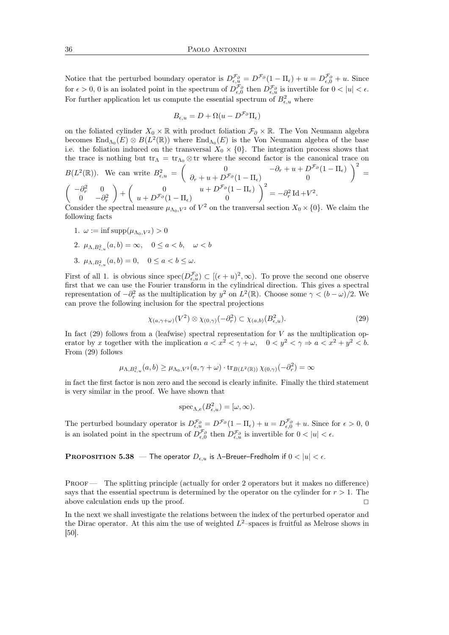Notice that the perturbed boundary operator is  $D_{\epsilon,u}^{\mathcal{F}_{\partial}} = D^{\mathcal{F}_{\partial}}(1 - \Pi_{\epsilon}) + u = D_{\epsilon,0}^{\mathcal{F}_{\partial}} + u$ . Since for  $\epsilon > 0$ , 0 is an isolated point in the spectrum of  $D_{\epsilon,0}^{\mathcal{F}_{\partial}}$  then  $D_{\epsilon,u}^{\mathcal{F}_{\partial}}$  is invertible for  $0 < |u| < \epsilon$ . For further application let us compute the essential spectrum of  $B_{\epsilon,u}^2$  where

$$
B_{\epsilon,u} = D + \Omega(u - D^{\mathcal{F}_{\partial}} \Pi_{\epsilon})
$$

on the foliated cylinder  $X_0 \times \mathbb{R}$  with product foliation  $\mathcal{F}_{\partial} \times \mathbb{R}$ . The Von Neumann algebra becomes  $\text{End}_{\Lambda_0}(E) \otimes B(L^2(\mathbb{R}))$  where  $\text{End}_{\Lambda_0}(E)$  is the Von Neumann algebra of the base i.e. the foliation induced on the transversal  $X_0 \times \{0\}$ . The integration process shows that the trace is nothing but  $tr_{\Lambda} = tr_{\Lambda_0} \otimes tr$  where the second factor is the canonical trace on

$$
B(L^{2}(\mathbb{R})). \text{ We can write } B_{\epsilon,u}^{2} = \begin{pmatrix} 0 & -\partial_{r} + u + D^{\mathcal{F}_{\partial}}(1 - \Pi_{\epsilon}) \\ \partial_{r} + u + D^{\mathcal{F}_{\partial}}(1 - \Pi_{\epsilon}) & 0 \end{pmatrix}^{2} =
$$

$$
\begin{pmatrix} -\partial_{r}^{2} & 0 \\ 0 & -\partial_{r}^{2} \end{pmatrix} + \begin{pmatrix} 0 & u + D^{\mathcal{F}_{\partial}}(1 - \Pi_{\epsilon}) \\ u + D^{\mathcal{F}_{\partial}}(1 - \Pi_{\epsilon}) & 0 \end{pmatrix}^{2} = -\partial_{r}^{2} \operatorname{Id} + V^{2}.
$$

Consider the spectral measure  $\mu_{\Lambda_0,V^2}$  of  $V^2$  on the tranversal section  $X_0 \times \{0\}$ . We claim the following facts

- 1.  $\omega := \inf \text{supp}(\mu_{\Lambda_0, V^2}) > 0$
- 2.  $\mu_{\Lambda,B^2_{\epsilon,u}}(a,b) = \infty$ ,  $0 \le a < b$ ,  $\omega < b$
- 3.  $\mu_{\Lambda, B^2_{\epsilon, u}}(a, b) = 0, \quad 0 \le a < b \le \omega.$

First of all 1. is obvious since  $spec(D_{\epsilon,u}^{\mathcal{F}_{\partial}}) \subset [(\epsilon+u)^2,\infty)$ . To prove the second one observe first that we can use the Fourier transform in the cylindrical direction. This gives a spectral representation of  $-\partial_r^2$  as the multiplication by  $y^2$  on  $L^2(\mathbb{R})$ . Choose some  $\gamma < (b - \omega)/2$ . We can prove the following inclusion for the spectral projections

$$
\chi_{(a,\gamma+\omega)}(V^2) \otimes \chi_{(0,\gamma)}(-\partial_r^2) \subset \chi_{(a,b)}(B_{\epsilon,u}^2). \tag{29}
$$

In fact  $(29)$  follows from a (leafwise) spectral representation for V as the multiplication operator by x together with the implication  $a < x^2 < \gamma + \omega$ ,  $0 < y^2 < \gamma \Rightarrow a < x^2 + y^2 < b$ . From (29) follows

$$
\mu_{\Lambda,B^2_{\epsilon,u}}(a,b) \geq \mu_{\Lambda_0,V^2}(a,\gamma+\omega) \cdot \operatorname{tr}_{B(L^2(\mathbb{R}))} \chi_{(0,\gamma)}(-\partial_r^2) = \infty
$$

in fact the first factor is non zero and the second is clearly infinite. Finally the third statement is very similar in the proof. We have shown that

$$
\mathrm{spec}_{\Lambda,e}(B^2_{\epsilon,u})=[\omega,\infty).
$$

The perturbed boundary operator is  $D_{\epsilon,u}^{\mathcal{F}_{\partial}} = D^{\mathcal{F}_{\partial}}(1 - \Pi_{\epsilon}) + u = D_{\epsilon,0}^{\mathcal{F}_{\partial}} + u$ . Since for  $\epsilon > 0$ , 0 is an isolated point in the spectrum of  $D_{\epsilon,0}^{\mathcal{F}_{\partial}}$  then  $D_{\epsilon,u}^{\mathcal{F}_{\partial}}$  is invertible for  $0 < |u| < \epsilon$ .

**PROPOSITION 5.38** — The operator  $D_{\epsilon,u}$  is  $\Lambda$ -Breuer–Fredholm if  $0 < |u| < \epsilon$ .

PROOF — The splitting principle (actually for order 2 operators but it makes no difference) says that the essential spectrum is determined by the operator on the cylinder for  $r > 1$ . The above calculation ends up the proof.  $\Box$ 

In the next we shall investigate the relations between the index of the perturbed operator and the Dirac operator. At this aim the use of weighted  $L^2$ -spaces is fruitful as Melrose shows in [50].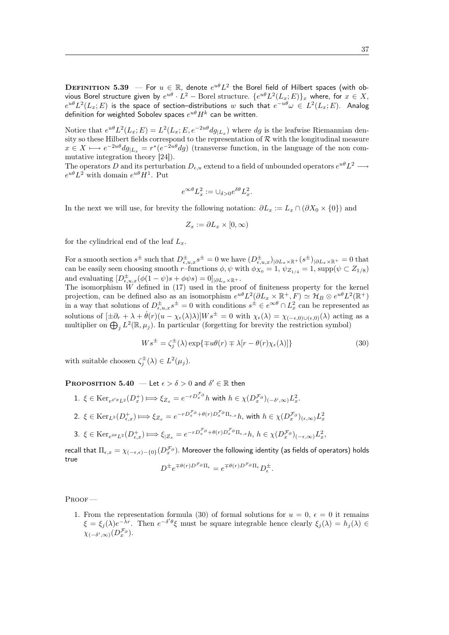DEFINITION 5.39 – For  $u \in \mathbb{R}$ , denote  $e^{u\theta}L^2$  the Borel field of Hilbert spaces (with obvious Borel structure given by  $e^{u\theta}\cdot L^2-$  Borel structure.  $\{e^{u\theta}L^2(L_x;E)\}_x$  where, for  $x\in X,$  $e^{u\theta}L^2(L_x; E)$  is the space of section–distributions  $w$  such that  $e^{-u\theta}\omega \in L^2(L_x; E)$ . Analog definition for weighted Sobolev spaces  $e^{u\theta}H^k$  can be written.

Notice that  $e^{u\theta}L^2(L_x; E) = L^2(L_x; E, e^{-2u\theta}dg_{|L_x})$  where dg is the leafwise Riemannian density so these Hilbert fields correspond to the representation of  $\mathcal R$  with the longitudinal measure  $x \in X \longmapsto e^{-2u\theta} dg_{|L_x} = r^*(e^{-2u\theta} dg)$  (transverse function, in the language of the non commutative integration theory [24]).

The operators D and its perturbation  $D_{\epsilon,u}$  extend to a field of unbounded operators  $e^{u\theta}L^2 \longrightarrow$  $e^{u\theta}L^2$  with domain  $e^{u\theta}H^1$ . Put

$$
e^{\infty \theta} L_x^2 := \cup_{\delta > 0} e^{\delta \theta} L_x^2.
$$

In the next we will use, for brevity the following notation:  $\partial L_x := L_x \cap (\partial X_0 \times \{0\})$  and

$$
Z_x:=\partial L_x\times [0,\infty)
$$

for the cylindrical end of the leaf  $L<sub>x</sub>$ .

For a smooth section  $s^{\pm}$  such that  $D^{\pm}_{\epsilon,u,x} s^{\pm} = 0$  we have  $(D^{\pm}_{\epsilon,u,x})_{|\partial L_x \times \mathbb{R}^+}(s^{\pm})_{|\partial L_x \times \mathbb{R}^+} = 0$  that can be easily seen choosing smooth r–functions  $\phi$ ,  $\psi$  with  $\phi_{X_0} = 1$ ,  $\psi_{Z_{1/4}} = 1$ , supp $(\psi \subset Z_{1/8})$ and evaluating  $[D_{\epsilon,u,x}^{\pm}(\phi(1-\psi)s+\phi\psi s)=0]_{|\partial L_x \times \mathbb{R}^+}.$ 

The isomorphism  $\hat{W}$  defined in (17) used in the proof of finiteness property for the kernel projection, can be defined also as an isomorphism  $e^{u\theta}L^2(\partial L_x \times \mathbb{R}^+, F) \simeq \mathcal{H}_B \otimes e^{u\theta}L^2(\mathbb{R}^+)$ in a way that solutions of  $D_{\epsilon,u,x}^{\pm} s^{\pm} = 0$  with conditions  $s^{\pm} \in e^{\infty \theta} \cap L_x^2$  can be represented as solutions of  $[\pm \partial_r + \lambda + \dot{\theta}(r)(u - \chi_\epsilon(\lambda)\lambda)]Ws^{\pm} = 0$  with  $\chi_\epsilon(\lambda) = \chi_{(-\epsilon,0)\cup(\epsilon,0)}(\lambda)$  acting as a multiplier on  $\bigoplus_j L^2(\mathbb{R}, \mu_j)$ . In particular (forgetting for brevity the restriction symbol)

$$
W s^{\pm} = \zeta_j^{\pm}(\lambda) \exp\{\mp u\theta(r) \mp \lambda[r - \theta(r)\chi_{\epsilon}(\lambda)]\}
$$
\n(30)

with suitable choosen  $\zeta_j^{\pm}(\lambda) \in L^2(\mu_j)$ .

**PROPOSITION 5.40** — Let  $\epsilon > \delta > 0$  and  $\delta' \in \mathbb{R}$  then

- 1.  $\xi \in \text{Ker}_{e^{\delta'\theta}L^2}(D_x^+) \Longrightarrow \xi_{Z_x} = e^{-rD_x^{\mathcal{F}_{\partial}}h}$  with  $h \in \chi(D_x^{\mathcal{F}_{\partial}})(-\delta',\infty)L_x^2$ .
- 2.  $\xi \in \text{Ker}_{L^2}(D^+_{\epsilon,x}) \Longrightarrow \xi_{Z_x} = e^{-rD_x^{\mathcal{F}_{\partial}}} + \theta(r)D_x^{\mathcal{F}_{\partial}}\Pi_{\epsilon,x}h$ , with  $h \in \chi(D_x^{\mathcal{F}_{\partial}})_{(\epsilon,\infty)}L_x^2$

3. 
$$
\xi \in \text{Ker}_{e^{\delta\theta}L^2}(D^+_{\epsilon,x}) \Longrightarrow \xi_{|Z_x} = e^{-rD_x^{\mathcal{F}_{\partial}} + \theta(r)D_x^{\mathcal{F}_{\partial}}}\Pi_{\epsilon,x}h, h \in \chi(D_x^{\mathcal{F}_{\partial}})(-\epsilon,\infty)L_x^2
$$

recall that  $\Pi_{\epsilon,x}=\chi_{(-\epsilon,\epsilon)-\{0\}}(D_x^{\mathcal{F}_\partial}).$  Moreover the following identity (as fields of operators) holds true  $D^{\pm}e^{\mp\theta(r)D^{\mathcal{F}_{\partial}}\Pi_{\epsilon}}=e^{\mp\theta(r)D^{\mathcal{F}_{\partial}}\Pi_{\epsilon}}D^{\pm}_{\epsilon}.$ 

Proof —

1. From the representation formula (30) of formal solutions for  $u = 0, \epsilon = 0$  it remains  $\xi = \xi_j(\lambda)e^{-\lambda r}$ . Then  $e^{-\delta' \theta} \xi$  must be square integrable hence clearly  $\xi_j(\lambda) = h_j(\lambda) \in$  $\chi_{(-\delta',\infty)}(D_x^{\mathcal{F}_\partial}).$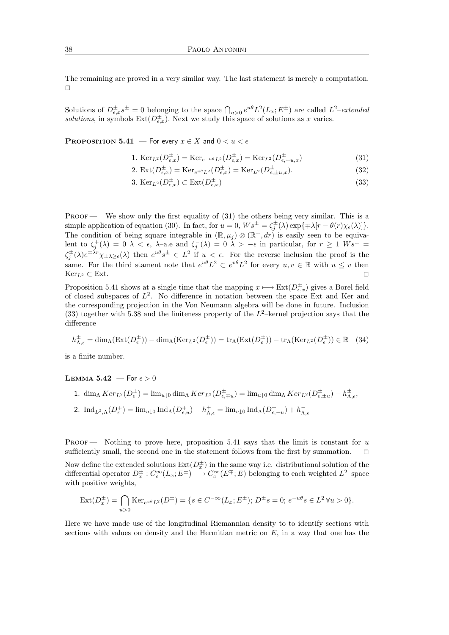The remaining are proved in a very similar way. The last statement is merely a computation.  $\Box$ 

Solutions of  $D_{\epsilon,x}^{\pm}s^{\pm}=0$  belonging to the space  $\bigcap_{u>0}e^{u\theta}L^2(L_x;E^{\pm})$  are called  $L^2-extended$ solutions, in symbols  $Ext(D_{\epsilon,x}^{\pm})$ . Next we study this space of solutions as x varies.

**PROPOSITION 5.41** — For every  $x \in X$  and  $0 < u < \epsilon$ 

1. 
$$
\operatorname{Ker}_{L^{2}}(D^{\pm}_{\epsilon,x}) = \operatorname{Ker}_{e^{-u\theta}L^{2}}(D^{\pm}_{\epsilon,x}) = \operatorname{Ker}_{L^{2}}(D^{\pm}_{\epsilon,\mp u,x})
$$
(31)

2. 
$$
\operatorname{Ext}(D_{\epsilon,x}^{\pm}) = \operatorname{Ker}_{e^{u\theta}L^2}(D_{\epsilon,x}^{\pm}) = \operatorname{Ker}_{L^2}(D_{\epsilon,\pm u,x}^{\pm}).
$$
 (32)

$$
3. \operatorname{Ker}_{L^{2}}(D_{\epsilon,x}^{\pm}) \subset \operatorname{Ext}(D_{\epsilon,x}^{\pm})
$$
\n
$$
(33)
$$

PROOF — We show only the first equality of  $(31)$  the others being very similar. This is a simple application of equation (30). In fact, for  $u = 0$ ,  $Ws^{\pm} = \zeta_j^{\pm}(\lambda) \exp{\{\pm \lambda [r - \theta(r)\chi_{\epsilon}(\lambda)]\}}$ . The condition of being square integrable in  $(\mathbb{R}, \mu_j) \otimes (\mathbb{R}^+, dr)$  is easily seen to be equivalent to  $\zeta_j^+(\lambda) = 0$   $\lambda < \epsilon$ ,  $\lambda$ -a.e and  $\zeta_j^-(\lambda) = 0$   $\lambda > -\epsilon$  in particular, for  $r \ge 1$   $W_s^{\pm} =$  $\zeta_j^{\pm}(\lambda) e^{\mp\lambda r}\chi_{\pm\lambda\geq\epsilon}(\lambda)$  then  $e^{u\theta}s^{\pm} \in L^2$  if  $u < \epsilon$ . For the reverse inclusion the proof is the same. For the third stament note that  $e^{u\theta}L^2 \subset e^{v\theta}L^2$  for every  $u, v \in \mathbb{R}$  with  $u \leq v$  then  $\text{Ker}_{L^2} \subset \text{Ext.}$ 

Proposition 5.41 shows at a single time that the mapping  $x \mapsto \text{Ext}(D_{\epsilon,x}^{\pm})$  gives a Borel field of closed subspaces of  $L^2$ . No difference in notation between the space Ext and Ker and the corresponding projection in the Von Neumann algebra will be done in future. Inclusion (33) together with 5.38 and the finiteness property of the  $L^2$ -kernel projection says that the difference

$$
h_{\Lambda,\epsilon}^{\pm} = \dim_{\Lambda}(\operatorname{Ext}(D_{\epsilon}^{\pm})) - \dim_{\Lambda}(\operatorname{Ker}_{L^{2}}(D_{\epsilon}^{\pm})) = \operatorname{tr}_{\Lambda}(\operatorname{Ext}(D_{\epsilon}^{\pm})) - \operatorname{tr}_{\Lambda}(\operatorname{Ker}_{L^{2}}(D_{\epsilon}^{\pm})) \in \mathbb{R} \quad (34)
$$

is a finite number.

#### LEMMA 5.42 – For  $\epsilon > 0$

1.  $\dim_{\Lambda} Ker_{L^2}(D_{\epsilon}^{\pm}) = \lim_{u \downarrow 0} \dim_{\Lambda} Ker_{L^2}(D_{\epsilon, \mp u}^{\pm}) = \lim_{u \downarrow 0} \dim_{\Lambda} Ker_{L^2}(D_{\epsilon, \pm u}^{\pm}) - h_{\Lambda, \epsilon}^{\pm}$ 2.  $\text{Ind}_{L^2,\Lambda}(D_{\epsilon}^+) = \lim_{u \downarrow 0} \text{Ind}_{\Lambda}(D_{\epsilon,u}^+) - h_{\Lambda,\epsilon}^+ = \lim_{u \downarrow 0} \text{Ind}_{\Lambda}(D_{\epsilon,-u}^+) + h_{\Lambda,\epsilon}^-$ 

PROOF — Nothing to prove here, proposition 5.41 says that the limit is constant for  $u$ sufficiently small, the second one in the statement follows from the first by summation.  $\Box$ 

Now define the extended solutions  $\text{Ext}(D_x^{\pm})$  in the same way i.e. distributional solution of the differential operator  $D_x^{\pm}: C_c^{\infty}(L_x; E^{\pm}) \longrightarrow C_c^{\infty}(E^{\mp}; E)$  belonging to each weighted  $L^2$ -space with positive weights,

$$
Ext(D_x^{\pm}) = \bigcap_{u>0} Ker_{e^{u\theta}L^2}(D^{\pm}) = \{ s \in C^{-\infty}(L_x; E^{\pm}); D^{\pm} s = 0; e^{-u\theta} s \in L^2 \,\forall u > 0 \}.
$$

Here we have made use of the longitudinal Riemannian density to to identify sections with sections with values on density and the Hermitian metric on  $E$ , in a way that one has the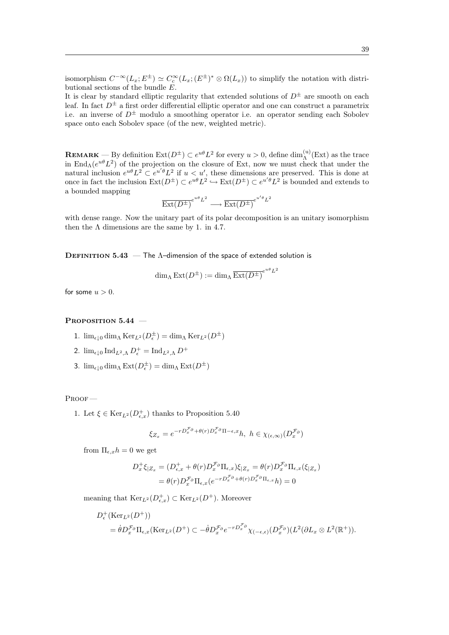isomorphism  $C^{-\infty}(L_x; E^{\pm}) \simeq C_c^{\infty}(L_x; E^{\pm})^* \otimes \Omega(L_x))$  to simplify the notation with distributional sections of the bundle  $E$ .

It is clear by standard elliptic regularity that extended solutions of  $D^{\pm}$  are smooth on each leaf. In fact  $D^{\pm}$  a first order differential elliptic operator and one can construct a parametrix i.e. an inverse of  $D^{\pm}$  modulo a smoothing operator i.e. an operator sending each Sobolev space onto each Sobolev space (of the new, weighted metric).

**REMARK** — By definition  $\text{Ext}(D^{\pm}) \subset e^{u\theta}L^2$  for every  $u > 0$ , define  $\dim_{\Lambda}^{(u)}(\text{Ext})$  as the trace in End<sub>Λ</sub>( $e^{u\theta}L^2$ ) of the projection on the closure of Ext, now we must check that under the natural inclusion  $e^{u\theta}L^2 \subset e^{u'\theta}L^2$  if  $u < u'$ , these dimensions are preserved. This is done at once in fact the inclusion  $\text{Ext}(D^{\pm}) \subset e^{u\theta}L^2 \hookrightarrow \text{Ext}(D^{\pm}) \subset e^{u'\theta}L^2$  is bounded and extends to a bounded mapping

$$
\operatorname{Ext}(D^{\pm})^{e^{u\theta}L^2} \longrightarrow \operatorname{Ext}(D^{\pm})^{e^{u'\theta}L^2}
$$

with dense range. Now the unitary part of its polar decomposition is an unitary isomorphism then the  $\Lambda$  dimensions are the same by 1. in 4.7.

**DEFINITION 5.43** — The  $\Lambda$ -dimension of the space of extended solution is

$$
\dim_{\Lambda} \operatorname{Ext}(D^{\pm}) := \dim_{\Lambda} \overline{\operatorname{Ext}(D^{\pm})}^{e^{u\theta}L^2}
$$

for some  $u > 0$ .

#### PROPOSITION 5.44 –

- 1.  $\lim_{\epsilon \downarrow 0} \dim_{\Lambda} \text{Ker}_{L^2}(D_{\epsilon}^{\pm}) = \dim_{\Lambda} \text{Ker}_{L^2}(D^{\pm})$
- 2.  $\lim_{\epsilon \downarrow 0} \operatorname{Ind}_{L^2,\Lambda} D_{\epsilon}^+ = \operatorname{Ind}_{L^2,\Lambda} D^+$
- 3.  $\lim_{\epsilon \downarrow 0} \dim_{\Lambda} \operatorname{Ext}(D_{\epsilon}^{\pm}) = \dim_{\Lambda} \operatorname{Ext}(D^{\pm})$

#### Proof —

1. Let  $\xi \in \text{Ker}_{L^2}(D_{\epsilon,x}^+)$  thanks to Proposition 5.40

$$
\xi_{Z_x} = e^{-rD_x^{\mathcal{F}_\partial} + \theta(r)D_x^{\mathcal{F}_\partial}\Pi - \epsilon, x}h, \ h \in \chi_{(\epsilon,\infty)}(D_x^{\mathcal{F}_\partial})
$$

from  $\Pi_{\epsilon, x}h = 0$  we get

$$
D_x^+ \xi_{|Z_x} = (D_{\epsilon,x}^+ + \theta(r)D_x^{\mathcal{F}_{\partial}} \Pi_{\epsilon,x})\xi_{|Z_x} = \theta(r)D_x^{\mathcal{F}_{\partial}} \Pi_{\epsilon,x}(\xi_{|Z_x})
$$
  
=  $\theta(r)D_x^{\mathcal{F}_{\partial}} \Pi_{\epsilon,x}(e^{-rD_x^{\mathcal{F}_{\partial}} + \theta(r)D_x^{\mathcal{F}_{\partial}} \Pi_{\epsilon,x}}h) = 0$ 

meaning that  $\text{Ker}_{L}(\mathcal{D}^+_{\epsilon,x}) \subset \text{Ker}_{L}(\mathcal{D}^+)$ . Moreover

$$
D_{\epsilon}^{+}(\text{Ker}_{L^{2}}(D^{+}))
$$
  
=  $\dot{\theta}D_{x}^{\mathcal{F}_{\partial}}\Pi_{\epsilon,x}(\text{Ker}_{L^{2}}(D^{+}) \subset -\dot{\theta}D_{x}^{\mathcal{F}_{\partial}}e^{-rD_{x}^{\mathcal{F}_{\partial}}}\chi_{(-\epsilon,\epsilon)}(D_{x}^{\mathcal{F}_{\partial}})(L^{2}(\partial L_{x}\otimes L^{2}(\mathbb{R}^{+})).$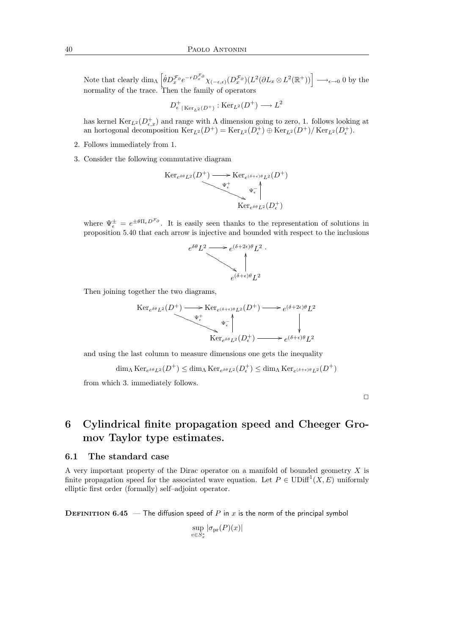Note that clearly  $\dim_{\Lambda} \left[ \dot{\theta} D_x^{\mathcal{F}_{\partial}} e^{-r D_x^{\mathcal{F}_{\partial}}}\chi_{(-\epsilon,\epsilon)}(D_x^{\mathcal{F}_{\partial}})(L^2(\partial L_x \otimes L^2(\mathbb{R}^+)) \right] \longrightarrow_{\epsilon \to 0} 0$  by the normality of the trace. Then the family of operators

$$
D^+_{\epsilon| \text{Ker}_{L^2}(D^+)} : \text{Ker}_{L^2}(D^+) \longrightarrow L^2
$$

has kernel  $\text{Ker}_{L}(\mathcal{D}_{\epsilon,x}^+)$  and range with  $\Lambda$  dimension going to zero, 1. follows looking at an hortogonal decomposition  $\text{Ker}_{L^2}(D^+) = \text{Ker}_{L^2}(D^+) \oplus \text{Ker}_{L^2}(D^+)/\text{Ker}_{L^2}(D^+_{\epsilon}).$ 

- 2. Follows immediately from 1.
- 3. Consider the following commutative diagram

$$
\begin{array}{c}\n\operatorname{Ker}_{e^{\delta\theta}L^2}(D^+) \longrightarrow \operatorname{Ker}_{e^{(\delta+\epsilon)\theta}L^2}(D^+) \\
\downarrow^+ \\
\downarrow^+ \\
\operatorname{Ker}_{e^{\delta\theta}L^2}(D_{\epsilon}^+) \n\end{array}
$$

where  $\Psi_{\epsilon}^{\pm} = e^{\pm \theta \Pi_{\epsilon} D^{\mathcal{F}_{\theta}}}$ . It is easily seen thanks to the representation of solutions in proposition 5.40 that each arrow is injective and bounded with respect to the inclusions



Then joining together the two diagrams,

$$
\begin{array}{c}\n\operatorname{Ker}_{e^{\delta\theta}L^{2}}(D^{+}) \longrightarrow \operatorname{Ker}_{e^{(\delta+\epsilon)\theta}L^{2}}(D^{+}) \longrightarrow e^{(\delta+2\epsilon)\theta}L^{2} \\
\downarrow^{\Psi_{\epsilon}^{+}} \qquad \qquad \downarrow^{\Psi_{\epsilon}^{-}} \qquad \qquad \downarrow^{\Psi_{\epsilon}^{-}} \\
\operatorname{Ker}_{e^{\delta\theta}L^{2}}(D_{\epsilon}^{+}) \longrightarrow e^{(\delta+\epsilon)\theta}L^{2}\n\end{array}
$$

and using the last column to measure dimensions one gets the inequality

$$
\dim_\Lambda\operatorname{Ker}_{e^{\delta\theta}L^2}(D^+) \leq \dim_\Lambda\operatorname{Ker}_{e^{\delta\theta}L^2}(D_{\epsilon}^+) \leq \dim_\Lambda\operatorname{Ker}_{e^{(\delta+\epsilon)\theta}L^2}(D^+)
$$

from which 3. immediately follows.

 $\Box$ 

# 6 Cylindrical finite propagation speed and Cheeger Gromov Taylor type estimates.

#### 6.1 The standard case

A very important property of the Dirac operator on a manifold of bounded geometry  $X$  is finite propagation speed for the associated wave equation. Let  $P \in \text{UDiff}^1(X, E)$  uniformly elliptic first order (formally) self–adjoint operator.

**DEFINITION 6.45** — The diffusion speed of P in x is the norm of the principal symbol

$$
\sup_{v \in S_x^*} |\sigma_{\text{pr}}(P)(x)|
$$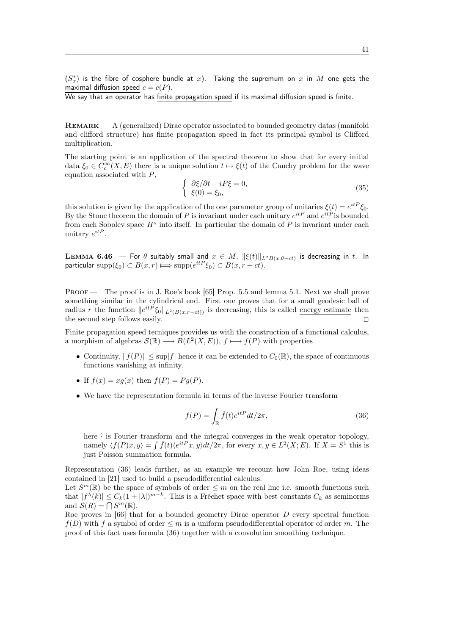$(S_x^*)$  is the fibre of cosphere bundle at  $x$ ). Taking the supremum on  $x$  in  $M$  one gets the maximal diffusion speed  $c = c(P)$ .

We say that an operator has finite propagation speed if its maximal diffusion speed is finite.

Remark — A (generalized) Dirac operator associated to bounded geometry datas (manifold and clifford structure) has finite propagation speed in fact its principal symbol is Clifford multiplication.

The starting point is an application of the spectral theorem to show that for every initial data  $\xi_0 \in C_c^{\infty}(X, E)$  there is a unique solution  $t \mapsto \xi(t)$  of the Cauchy problem for the wave equation associated with P,

$$
\begin{cases}\n\frac{\partial \xi}{\partial t} - iP\xi = 0, \\
\xi(0) = \xi_0,\n\end{cases} \tag{35}
$$

this solution is given by the application of the one parameter group of unitaries  $\xi(t) = e^{itP} \xi_0$ . By the Stone theorem the domain of P is invariant under each unitary  $e^{itP}$  and  $e^{itP}$  is bounded from each Sobolev space  $H^s$  into itself. In particular the domain of  $P$  is invariant under each unitary  $e^{itP}$ .

**LEMMA 6.46** — For  $\theta$  suitably small and  $x \in M$ ,  $\|\xi(t)\|_{L^2B(x,\theta-ct)}$  is decreasing in t. In particular  $\text{supp}(\xi_0) \subset B(x,r) \Longrightarrow \text{supp}(e^{itP} \xi_0) \subset B(x, r + ct).$ 

Proof — The proof is in J. Roe's book [65] Prop. 5.5 and lemma 5.1. Next we shall prove something similar in the cylindrical end. First one proves that for a small geodesic ball of radius r the function  $||e^{itP}\xi_0||_{L^2(B(x,r-ct))}$  is decreasing, this is called energy estimate then the second step follows easily.  $\Box$ 

Finite propagation speed tecniques provides us with the construction of a functional calculus, a morphism of algebras  $\mathcal{S}(\mathbb{R}) \longrightarrow B(L^2(X,E)),$   $f \longmapsto f(P)$  with properties

- Continuity,  $||f(P)|| \leq \sup |f|$  hence it can be extended to  $C_0(\mathbb{R})$ , the space of continuous functions vanishing at infinity.
- If  $f(x) = xq(x)$  then  $f(P) = Pq(P)$ .
- We have the representation formula in terms of the inverse Fourier transform

$$
f(P) = \int_{\mathbb{R}} \hat{f}(t)e^{itP}dt/2\pi,
$$
\n(36)

here  $\hat{\cdot}$  is Fourier transform and the integral converges in the weak operator topology, namely  $\langle f(P)x, y \rangle = \int \hat{f}(t) \langle e^{itP}x, y \rangle dt/2\pi$ , for every  $x, y \in L^2(X; E)$ . If  $X = S^1$  this is just Poisson summation formula.

Representation (36) leads further, as an example we recount how John Roe, using ideas contained in [21] used to build a pseudodifferential calculus.

Let  $S^m(\mathbb{R})$  be the space of symbols of order  $\leq m$  on the real line i.e. smooth functions such that  $|f^{\lambda}(k)| \leq C_k(1+|\lambda|)^{m-k}$ . This is a Fréchet space with best constants  $C_k$  as seminorms and  $\mathcal{S}(R) = \bigcap S^m(\mathbb{R})$ .

Roe proves in  $[66]$  that for a bounded geometry Dirac operator D every spectral function  $f(D)$  with f a symbol of order  $\leq m$  is a uniform pseudodifferential operator of order m. The proof of this fact uses formula (36) together with a convolution smoothing technique.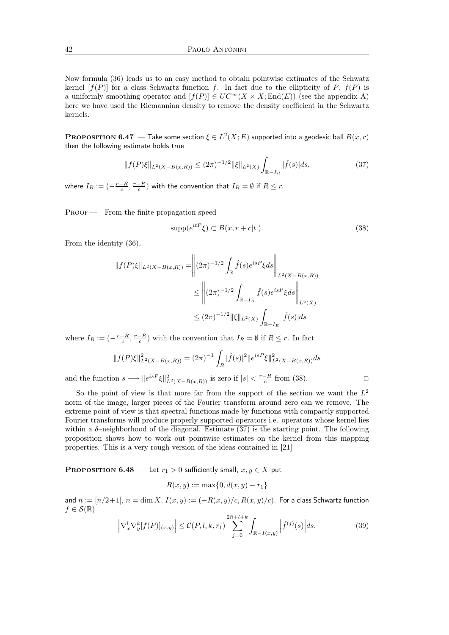Now formula (36) leads us to an easy method to obtain pointwise extimates of the Schwatz kernel  $[f(P)]$  for a class Schwartz function f. In fact due to the ellipticity of P,  $f(P)$  is a uniformly smoothing operator and  $[f(P)] \in UC^{\infty}(X \times X; \text{End}(E))$  (see the appendix A) here we have used the Riemannian density to remove the density coefficient in the Schwartz kernels.

**PROPOSITION 6.47** — Take some section  $\xi \in L^2(X; E)$  supported into a geodesic ball  $B(x,r)$ then the following estimate holds true

$$
||f(P)\xi||_{L^{2}(X-B(x,R))} \le (2\pi)^{-1/2} ||\xi||_{L^{2}(X)} \int_{\mathbb{R}^{-}I_{R}} |\hat{f}(s)|ds,
$$
\n(37)

where  $I_R:= (-\frac{r-R}{c},\frac{r-R}{c})$  with the convention that  $I_R=\emptyset$  if  $R\leq r.$ 

PROOF — From the finite propagation speed

$$
supp(e^{itP}\xi) \subset B(x, r+c|t|). \tag{38}
$$

From the identity (36),

$$
||f(P)\xi||_{L^{2}(X-B(x,R))} = ||(2\pi)^{-1/2} \int_{\mathbb{R}} \hat{f}(s)e^{isP}\xi ds||_{L^{2}(X-B(x,R))}
$$
  

$$
\leq ||(2\pi)^{-1/2} \int_{\mathbb{R}-I_{R}} \hat{f}(s)e^{isP}\xi ds||_{L^{2}(X)}
$$
  

$$
\leq (2\pi)^{-1/2}||\xi||_{L^{2}(X)} \int_{\mathbb{R}-I_{R}} |\hat{f}(s)|ds
$$

where  $I_R := \left(-\frac{r-R}{c}, \frac{r-R}{c}\right)$  with the convention that  $I_R = \emptyset$  if  $R \leq r$ . In fact

$$
||f(P)\xi||_{L^{2}(X-B(x,R))}^{2} = (2\pi)^{-1} \int_{R} |\hat{f}(s)|^{2} ||e^{isP}\xi||_{L^{2}(X-B(x,R))}^{2} ds
$$

and the function  $s \longmapsto \|e^{isP}\xi\|_{L^2(X-B(x,R))}^2$  is zero if  $|s| < \frac{r-R}{c}$  from (38).

So the point of view is that more far from the support of the section we want the  $L^2$ norm of the image, larger pieces of the Fourier transform around zero can we remove. The extreme point of view is that spectral functions made by functions with compactly supported Fourier transforms will produce properly supported operators i.e. operators whose kernel lies within a  $\delta$ -neighborhood of the diagonal. Estimate (37) is the starting point. The following proposition shows how to work out pointwise estimates on the kernel from this mapping properties. This is a very rough version of the ideas contained in [21]

**PROPOSITION 6.48** — Let  $r_1 > 0$  sufficiently small,  $x, y \in X$  put

$$
R(x, y) := \max\{0, d(x, y) - r_1\}
$$

and  $\bar{n} := [n/2+1], n = \dim X, I(x, y) := (-R(x, y)/c, R(x, y)/c)$ . For a class Schwartz function  $f \in \mathcal{S}(\mathbb{R})$ 

$$
\left|\nabla_x^l \nabla_y^k [f(P)]_{(x,y)}\right| \le C(P,l,k,r_1) \sum_{j=0}^{2\bar{n}+l+k} \int_{\mathbb{R}-I(x,y)} \left|\hat{f}^{(j)}(s)\right| ds. \tag{39}
$$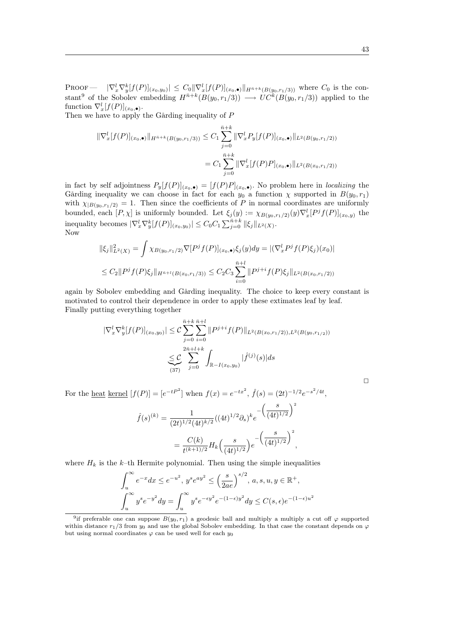PROOF  $|\nabla_x^l \nabla_y^k[f(P)]_{(x_0,y_0)}| \leq C_0 |\nabla_x^l [f(P)]_{(x_0,\bullet)}|_{H^{\bar{n}+k}(B(y_0,r_1/3))}$  where  $C_0$  is the constant<sup>9</sup> of the Sobolev embedding  $H^{\bar{n}+k}(B(y_0, r_1/3)) \longrightarrow UC^k(B(y_0, r_1/3))$  applied to the function  $\nabla_x^l [f(P)]_{(x_0,\bullet)}.$ 

Then we have to apply the Gårding inequality of P

$$
\|\nabla_x^l[f(P)]_{(x_0,\bullet)}\|_{H^{\bar{n}+k}(B(y_0,r_1/3))} \leq C_1 \sum_{j=0}^{\bar{n}+k} \|\nabla_x^l P_y[f(P)]_{(x_0,\bullet)}\|_{L^2(B(y_0,r_1/2))}
$$

$$
= C_1 \sum_{j=0}^{\bar{n}+k} \|\nabla_x^l[f(P)P]_{(x_0,\bullet)}\|_{L^2(B(x_0,r_1/2))}
$$

in fact by self adjointness  $P_y[f(P)]_{(x_0,\bullet)} = [f(P)P]_{(x_0,\bullet)}$ . No problem here in *localizing* the Gårding inequality we can choose in fact for each  $y_0$  a function  $\chi$  supported in  $B(y_0, r_1)$ with  $\chi_{|B(y_0,r_1/2)} = 1$ . Then since the coefficients of P in normal coordinates are uniformly bounded, each  $[P, \chi]$  is uniformly bounded. Let  $\xi_j(y) := \chi_{B(y_0, r_1/2)}(y) \nabla_x^l [P^j f(P)]_{(x_0, y)}$  the inequality becomes  $|\nabla_x^l \nabla_y^k [f(P)]_{(x_0,y_0)}| \leq C_0 C_1 \sum_{j=0}^{\bar{n}+k} ||\xi_j||_{L^2(X)}$ . Now

$$
\|\xi_j\|_{L^2(X)}^2 = \int \chi_{B(y_0, r_1/2)} \nabla [P^j f(P)]_{(x_0, \bullet)} \xi_j(y) dy = |(\nabla_x^l P^j f(P) \xi_j)(x_0)|
$$
  

$$
\leq C_2 \|P^j f(P) \xi_j\|_{H^{\bar{n}+l}(B(x_0, r_1/3))} \leq C_2 C_3 \sum_{i=0}^{\bar{n}+l} \|P^{j+i} f(P) \xi_j\|_{L^2(B(x_0, r_1/2))}
$$

again by Sobolev embedding and Gårding inequality. The choice to keep every constant is motivated to control their dependence in order to apply these extimates leaf by leaf. Finally putting everything together

$$
|\nabla_x^l \nabla_y^k [f(P)]_{(x_0, y_0)}| \leq C \sum_{j=0}^{\bar{n}+k} \sum_{i=0}^{\bar{n}+l} \|P^{j+i} f(P)\|_{L^2(B(x_0, r_1/2)), L^2(B(y_0, r_{1/2}))}
$$

$$
\leq C \sum_{j=0}^{2\bar{n}+l+k} \int_{\mathbb{R}-I(x_0, y_0)} |\hat{f}^{(j)}(s)| ds
$$

For the <u>heat kernel</u>  $[f(P)] = [e^{-tP^2}]$  when  $f(x) = e^{-tx^2}$ ,  $\hat{f}(s) = (2t)^{-1/2}e^{-s^2/4t}$ ,

$$
\hat{f}(s)^{(k)} = \frac{1}{(2t)^{1/2}(4t)^{k/2}}((4t)^{1/2}\partial_s)^k e^{-\left(\frac{s}{(4t)^{1/2}}\right)^2}
$$

$$
= \frac{C(k)}{t^{(k+1)/2}} H_k\left(\frac{s}{(4t)^{1/2}}\right) e^{-\left(\frac{s}{(4t)^{1/2}}\right)^2},
$$

where  $H_k$  is the k–th Hermite polynomial. Then using the simple inequalities

$$
\int_{u}^{\infty} e^{-x} dx \le e^{-u^2}, \ y^s e^{ay^2} \le \left(\frac{s}{2ae}\right)^{s/2}, \ a, s, u, y \in \mathbb{R}^+,
$$

$$
\int_{u}^{\infty} y^s e^{-y^2} dy = \int_{u}^{\infty} y^s e^{-\epsilon y^2} e^{-(1-\epsilon)y^2} dy \le C(s, \epsilon) e^{-(1-\epsilon)u^2}
$$

 $\Box$ 

<sup>&</sup>lt;sup>9</sup>if preferable one can suppose  $B(y_0, r_1)$  a geodesic ball and multiply a multiply a cut off  $\varphi$  supported within distance  $r_1/3$  from  $y_0$  and use the global Sobolev embedding. In that case the constant depends on  $\varphi$ but using normal coordinates  $\varphi$  can be used well for each  $y_0$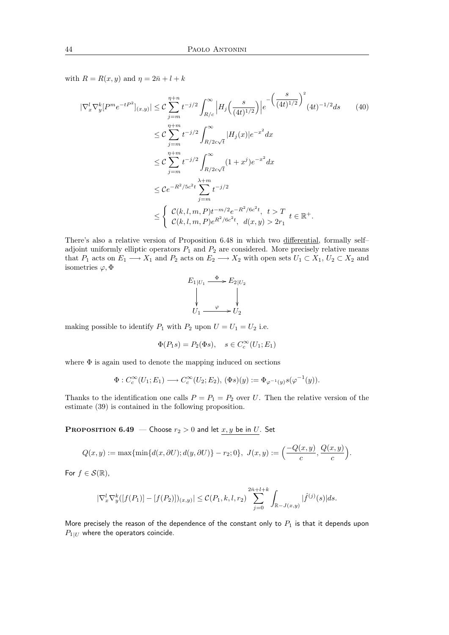with  $R = R(x, y)$  and  $\eta = 2\overline{n} + l + k$ 

$$
|\nabla_x^l \nabla_y^k [P^m e^{-tP^2}]_{(x,y)}| \leq C \sum_{j=m}^{\eta+n} t^{-j/2} \int_{R/c}^{\infty} \left| H_j \left( \frac{s}{(4t)^{1/2}} \right) \right| e^{-\left( \frac{s}{(4t)^{1/2}} \right)^2} (4t)^{-1/2} ds \qquad (40)
$$
  

$$
\leq C \sum_{j=m}^{\eta+m} t^{-j/2} \int_{R/2c\sqrt{t}}^{\infty} |H_j(x)| e^{-x^2} dx
$$
  

$$
\leq C \sum_{j=m}^{\eta+m} t^{-j/2} \int_{R/2c\sqrt{t}}^{\infty} (1+x^j) e^{-x^2} dx
$$
  

$$
\leq C e^{-R^2/5c^2 t} \sum_{j=m}^{\lambda+m} t^{-j/2}
$$
  

$$
\leq \begin{cases} C(k, l, m, P) t^{-m/2} e^{-R^2/6c^2 t}, & t > T \\ C(k, l, m, P) e^{R^2/6c^2 t}, & d(x, y) > 2r_1 \end{cases} t \in \mathbb{R}^+.
$$

There's also a relative version of Proposition 6.48 in which two differential, formally self– adjoint uniformly elliptic operators  $P_1$  and  $P_2$  are considered. More precisely relative means that  $P_1$  acts on  $E_1 \longrightarrow X_1$  and  $P_2$  acts on  $E_2 \longrightarrow X_2$  with open sets  $U_1 \subset X_1$ ,  $U_2 \subset X_2$  and isometries  $\varphi, \Phi$ 

$$
E_1|_{U_1} \xrightarrow{\Phi} E_2|_{U_2}
$$
  
\n
$$
\downarrow \qquad \qquad \downarrow
$$
  
\n
$$
U_1 \xrightarrow{\varphi} U_2
$$

making possible to identify  $P_1$  with  $P_2$  upon  $U = U_1 = U_2$  i.e.

$$
\Phi(P_1s) = P_2(\Phi s), \quad s \in C_c^{\infty}(U_1; E_1)
$$

where Φ is again used to denote the mapping induced on sections

$$
\Phi: C_c^{\infty}(U_1; E_1) \longrightarrow C_c^{\infty}(U_2; E_2), \, (\Phi s)(y) := \Phi_{\varphi^{-1}(y)}s(\varphi^{-1}(y)).
$$

Thanks to the identification one calls  $P = P_1 = P_2$  over U. Then the relative version of the estimate (39) is contained in the following proposition.

**PROPOSITION 6.49** – Choose  $r_2 > 0$  and let  $x, y$  be in U. Set

$$
Q(x,y) := \max{\min{d(x,\partial U);d(y,\partial U)}} - r_2;0\}, \ J(x,y) := \left(\frac{-Q(x,y)}{c},\frac{Q(x,y)}{c}\right).
$$

For  $f \in \mathcal{S}(\mathbb{R})$ ,

$$
|\nabla_x^l \nabla_y^k([f(P_1)] - [f(P_2)])_{(x,y)}| \leq C(P_1,k,l,r_2) \sum_{j=0}^{2\bar{n}+l+k} \int_{\mathbb{R} - J(x,y)} |\hat{f}^{(j)}(s)| ds.
$$

More precisely the reason of the dependence of the constant only to  $P_1$  is that it depends upon  $P_{1|U}$  where the operators coincide.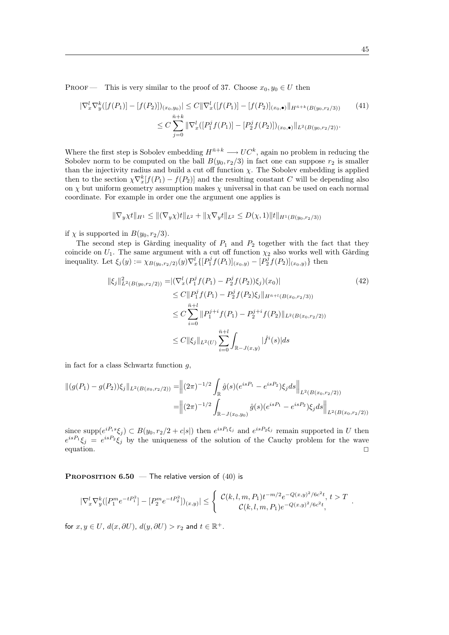PROOF — This is very similar to the proof of 37. Choose  $x_0, y_0 \in U$  then

$$
|\nabla_x^l \nabla_y^k([f(P_1)] - [f(P_2)])_{(x_0, y_0)}| \le C \|\nabla_x^l([f(P_1)] - [f(P_2)]_{(x_0, \bullet)}\|_{H^{\bar{n}+k}(B(y_0, r_2/3))}
$$
(41)  

$$
\le C \sum_{j=0}^{\bar{n}+k} \|\nabla_x^l([P_1^j f(P_1)] - [P_2^j f(P_2)])_{(x_0, \bullet)}\|_{L^2(B(y_0, r_2/2))}.
$$

Where the first step is Sobolev embedding  $H^{\bar{n}+k} \longrightarrow UC^k$ , again no problem in reducing the Sobolev norm to be computed on the ball  $B(y_0, r_2/3)$  in fact one can suppose  $r_2$  is smaller than the injectivity radius and build a cut off function  $\chi$ . The Sobolev embedding is applied then to the section  $\chi \nabla_x^k [f(P_1) - f(P_2)]$  and the resulting constant C will be depending also on  $\chi$  but uniform geometry assumption makes  $\chi$  universal in that can be used on each normal coordinate. For example in order one the argument one applies is

$$
\|\nabla_y \chi t\|_{H^1} \le \|(\nabla_y \chi) t\|_{L^2} + \|\chi \nabla_y t\|_{L^2} \le D(\chi, 1) \|t\|_{H^1(B(y_0, r_2/3))}
$$

if  $\chi$  is supported in  $B(y_0, r_2/3)$ .

The second step is Gårding inequality of  $P_1$  and  $P_2$  together with the fact that they coincide on  $U_1$ . The same argument with a cut off function  $\chi_2$  also works well with Gårding inequality. Let  $\xi_j(y) := \chi_{B(y_0, r_2/2)}(y) \nabla_x^l \{ [P_1^j f(P_1)]_{(x_0, y)} - [P_2^j f(P_2)]_{(x_0, y)} \}$  then

$$
\|\xi_j\|_{L^2(B(y_0, r_2/2))}^2 = |(\nabla_x^l (P_1^j f(P_1) - P_2^j f(P_2))\xi_j)(x_0)|
$$
\n
$$
\leq C \|P_1^j f(P_1) - P_2^j f(P_2)\xi_j\|_{H^{n+l}(B(x_0, r_2/3))}
$$
\n
$$
\leq C \sum_{i=0}^{\bar{n}+l} \|P_1^{j+i} f(P_1) - P_2^{j+i} f(P_2)\|_{L^2(B(x_0, r_2/2))}
$$
\n
$$
\leq C \|\xi_j\|_{L^2(U)} \sum_{i=0}^{\bar{n}+l} \int_{\mathbb{R} - J(x, y)} |\hat{f}^i(s)| ds
$$
\n(42)

in fact for a class Schwartz function g,

$$
\| (g(P_1) - g(P_2))\xi_j \|_{L^2(B(x_0, r_2/2))} = \left\| (2\pi)^{-1/2} \int_{\mathbb{R}} \hat{g}(s) (e^{isP_1} - e^{isP_2}) \xi_j ds \right\|_{L^2(B(x_0, r_2/2))}
$$
  

$$
= \left\| (2\pi)^{-1/2} \int_{\mathbb{R} - J(x_0, y_0)} \hat{g}(s) (e^{isP_1} - e^{isP_2}) \xi_j ds \right\|_{L^2(B(x_0, r_2/2))}
$$

since  $\text{supp}(e^{iP_is}\xi_j) \subset B(y_0, r_2/2 + c|s|)$  then  $e^{isP_1\xi_j}$  and  $e^{isP_2\xi_j}$  remain supported in U then  $e^{isP_1}\xi_j = e^{isP_2}\xi_j$  by the uniqueness of the solution of the Cauchy problem for the wave equation.  $\Box$ 

**PROPOSITION 6.50** — The relative version of  $(40)$  is

$$
|\nabla_x^l \nabla_y^k ( [P_1^m e^{-tP_1^2}] - [P_2^m e^{-tP_2^2}] )_{(x,y)} | \leq \left\{ \begin{array}{c} \mathcal{C}(k,l,m,P_1) t^{-m/2} e^{-Q(x,y)^2/6c^2t}, \ t > T \\ \mathcal{C}(k,l,m,P_1) e^{-Q(x,y)^2/6c^2t}, \end{array} \right. .
$$

for  $x, y \in U$ ,  $d(x, \partial U)$ ,  $d(y, \partial U) > r_2$  and  $t \in \mathbb{R}^+$ .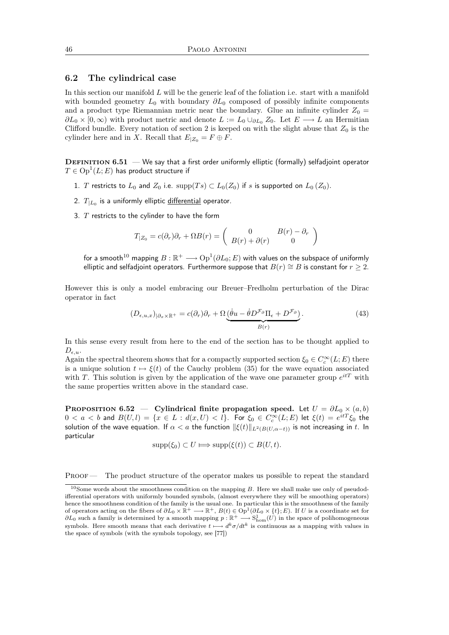#### 6.2 The cylindrical case

In this section our manifold  $L$  will be the generic leaf of the foliation i.e. start with a manifold with bounded geometry  $L_0$  with boundary  $\partial L_0$  composed of possibly infinite components and a product type Riemannian metric near the boundary. Glue an infinite cylinder  $Z_0 =$  $\partial L_0 \times [0,\infty)$  with product metric and denote  $L := L_0 \cup_{\partial L_0} Z_0$ . Let  $E \longrightarrow L$  an Hermitian Clifford bundle. Every notation of section 2 is keeped on with the slight abuse that  $Z_0$  is the cylinder here and in X. Recall that  $E_{|Z_0} = F \oplus F$ .

**DEFINITION 6.51** — We say that a first order uniformly elliptic (formally) selfadjoint operator  $T\in \operatorname{Op}^1(L;E)$  has product structure if

- 1. T restricts to  $L_0$  and  $Z_0$  i.e.  $supp(T_s) \subset L_0(Z_0)$  if s is supported on  $L_0(Z_0)$ .
- 2.  $\, T_{\vert L_{0}}$  is a uniformly elliptic <u>differential</u> operator.
- 3.  $T$  restricts to the cylinder to have the form

$$
T_{|Z_0} = c(\partial_r)\partial_r + \Omega B(r) = \begin{pmatrix} 0 & B(r) - \partial_r \\ B(r) + \partial(r) & 0 \end{pmatrix}
$$

for a smooth $^{10}$  mapping  $B:\mathbb R^+\longrightarrow \text{Op}^1(\partial L_0;E)$  with values on the subspace of uniformly elliptic and selfadjoint operators. Furthermore suppose that  $B(r) \cong B$  is constant for  $r \geq 2$ .

However this is only a model embracing our Breuer–Fredholm perturbation of the Dirac operator in fact

$$
(D_{\epsilon,u,x})_{|\partial_x \times \mathbb{R}^+} = c(\partial_r)\partial_r + \Omega \underbrace{(\dot{\theta}u - \dot{\theta}D^{\mathcal{F}_{\partial}}\Pi_{\epsilon} + D^{\mathcal{F}_{\partial}})}_{B(r)}.
$$
\n(43)

In this sense every result from here to the end of the section has to be thought applied to  $D_{\epsilon,u}.$ 

Again the spectral theorem shows that for a compactly supported section  $\xi_0 \in C_c^{\infty}(L; E)$  there is a unique solution  $t \mapsto \xi(t)$  of the Cauchy problem (35) for the wave equation associated with T. This solution is given by the application of the wave one parameter group  $e^{itT}$  with the same properties written above in the standard case.

PROPOSITION 6.52 — Cylindrical finite propagation speed. Let  $U = \partial L_0 \times (a, b)$  $0 < a < b$  and  $B(U, l) = \{x \in L : d(x, U) < l\}$ . For  $\xi_0 \in C^\infty_c(L; E)$  let  $\xi(t) = e^{itT}\xi_0$  the solution of the wave equation. If  $\alpha < a$  the function  $\|\xi(t)\|_{L^2(B(U,\alpha-t))}$  is not increasing in t. In particular

$$
supp(\xi_0) \subset U \Longrightarrow supp(\xi(t)) \subset B(U,t).
$$

PROOF — The product structure of the operator makes us possible to repeat the standard

 $10$ Some words about the smoothness condition on the mapping B. Here we shall make use only of pseudodifferential operators with uniformly bounded symbols, (almost everywhere they will be smoothing operators) hence the smoothness condition of the family is the usual one. In particular this is the smoothness of the family of operators acting on the fibers of  $\partial L_0 \times \mathbb{R}^+ \longrightarrow \mathbb{R}^+$ ,  $B(t) \in \text{Op}^1(\partial L_0 \times \{t\}; E)$ . If U is a coordinate set for  $\partial L_0$  such a family is determined by a smooth mapping  $p : \mathbb{R}^+ \longrightarrow S^1_{\text{hom}}(U)$  in the space of polihomogeneous symbols. Here smooth means that each derivative  $t \mapsto d^k \sigma/dt^k$  is continuous as a mapping with values in the space of symbols (with the symbols topology, see [77])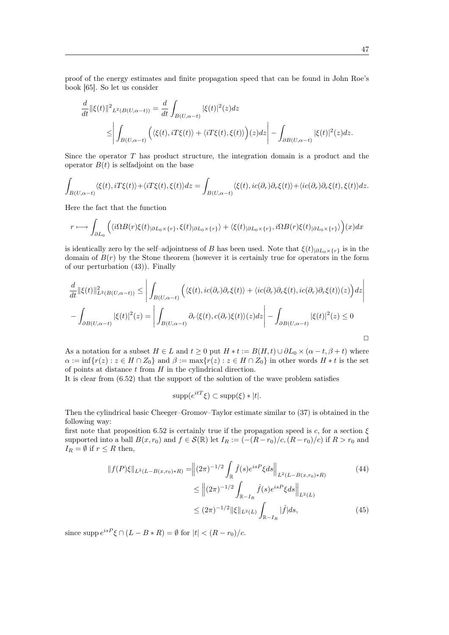proof of the energy estimates and finite propagation speed that can be found in John Roe's book [65]. So let us consider

$$
\frac{d}{dt} ||\xi(t)||^{2} L^{2}(B(U,\alpha-t)) = \frac{d}{dt} \int_{B(U,\alpha-t)} |\xi(t)|^{2}(z) dz
$$
\n
$$
\leq \left| \int_{B(U,\alpha-t)} \left( \langle \xi(t), iT\xi(t) \rangle + \langle iT\xi(t), \xi(t) \rangle \right) (z) dz \right| - \int_{\partial B(U,\alpha-t)} |\xi(t)|^{2}(z) dz.
$$

Since the operator T has product structure, the integration domain is a product and the operator  $B(t)$  is selfadjoint on the base

$$
\int_{B(U,\alpha-t)} \langle \xi(t), iT\xi(t) \rangle + \langle iT\xi(t), \xi(t) \rangle dz = \int_{B(U,\alpha-t)} \langle \xi(t), ic(\partial_r) \partial_r \xi(t) \rangle + \langle ic(\partial_r) \partial_r \xi(t), \xi(t) \rangle dz.
$$

Here the fact that the function

$$
r \longmapsto \int_{\partial L_0} \Big( \langle i\Omega B(r)\xi(t)|_{\partial L_0 \times \{r\}}, \xi(t)|_{\partial L_0 \times \{r\}} \rangle + \langle \xi(t)|_{\partial L_0 \times \{r\}}, i\Omega B(r)\xi(t)|_{\partial L_0 \times \{r\}} \rangle \Big) (x) dx
$$

is identically zero by the self–adjointness of B has been used. Note that  $\xi(t)_{|\partial L_0 \times \{r\}}$  is in the domain of  $B(r)$  by the Stone theorem (however it is certainly true for operators in the form of our perturbation (43)). Finally

$$
\frac{d}{dt} ||\xi(t)||_{L^{2}(B(U,\alpha-t))}^{2} \leq \left| \int_{B(U,\alpha-t)} \left( \langle \xi(t), ic(\partial_{r}) \partial_{r} \xi(t) \rangle + \langle ic(\partial_{r}) \partial_{r} \xi(t), ic(\partial_{r}) \partial_{r} \xi(t) \rangle(z) \right) dz \right|
$$

$$
- \int_{\partial B(U,\alpha-t)} |\xi(t)|^{2}(z) = \left| \int_{B(U,\alpha-t)} \partial_{r} \langle \xi(t), c(\partial_{r}) \xi(t) \rangle(z) dz \right| - \int_{\partial B(U,\alpha-t)} |\xi(t)|^{2}(z) \leq 0
$$

As a notation for a subset  $H \in L$  and  $t \geq 0$  put  $H * t := B(H,t) \cup \partial L_0 \times (\alpha - t, \beta + t)$  where  $\alpha := \inf \{r(z) : z \in H \cap Z_0\}$  and  $\beta := \max \{r(z) : z \in H \cap Z_0\}$  in other words  $H * t$  is the set of points at distance  $t$  from  $H$  in the cylindrical direction.

It is clear from (6.52) that the support of the solution of the wave problem satisfies

$$
supp(e^{itT}\xi) \subset supp(\xi) * |t|.
$$

Then the cylindrical basic Cheeger–Gromov–Taylor estimate similar to (37) is obtained in the following way:

first note that proposition 6.52 is certainly true if the propagation speed is c, for a section  $\xi$ supported into a ball  $B(x, r_0)$  and  $f \in \mathcal{S}(\mathbb{R})$  let  $I_R := \frac{-R - r_0}{c}$ ,  $(R - r_0)/c$  if  $R > r_0$  and  $I_R = \emptyset$  if  $r \leq R$  then,

$$
||f(P)\xi||_{L^{2}(L-B(x,r_{0})*R)} = ||(2\pi)^{-1/2} \int_{\mathbb{R}} \hat{f}(s)e^{isP}\xi ds||_{L^{2}(L-B(x,r_{0})*R)}
$$
(44)  

$$
\leq ||(2\pi)^{-1/2} \int_{\mathbb{R}-I_{R}} \hat{f}(s)e^{isP}\xi ds||_{L^{2}(L)}
$$
  

$$
\leq (2\pi)^{-1/2}||\xi||_{L^{2}(L)} \int_{\mathbb{R}-I_{R}} |\hat{f}|ds,
$$
(45)

since supp  $e^{isP} \xi \cap (L - B * R) = \emptyset$  for  $|t| < (R - r_0)/c$ .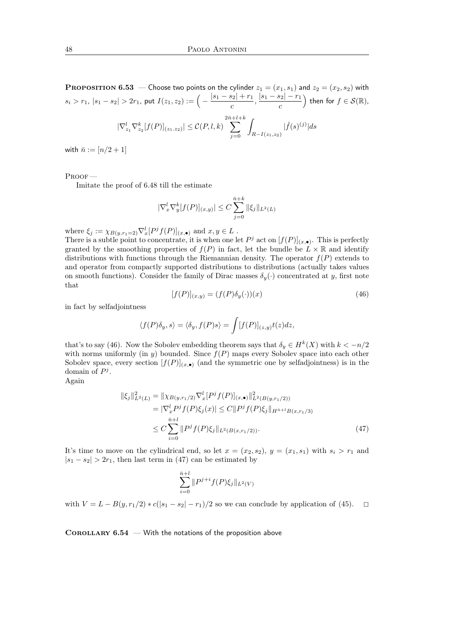**PROPOSITION 6.53** — Choose two points on the cylinder  $z_1 = (x_1, s_1)$  and  $z_2 = (x_2, s_2)$  with  $|s_i > r_1, |s_1 - s_2| > 2r_1$ , put  $I(z_1, z_2) := \Big(-\frac{|s_1 - s_2| + r_1}{r_1}\Big)$  $\frac{|s_2|+r_1}{c}, \frac{|s_1-s_2|-r_1}{c}$ c ) then for  $f \in \mathcal{S}(\mathbb{R})$ ,  $|\nabla_{z_1}^l \nabla_{z_2}^k [f(P)]_{(z_1,z_2)}| \leq C(P,l,k)$  $\sum^{2\bar n+l+k}$  $j=0$  $R-I(z_1,z_2)$  $|\hat{f}(s)^{(j)}|$ ds

with  $\bar{n} := [n/2 + 1]$ 

Proof —

Imitate the proof of 6.48 till the estimate

$$
|\nabla_x^l \nabla_y^k [f(P)]_{(x,y)}| \le C \sum_{j=0}^{\bar{n}+k} \|\xi_j\|_{L^2(L)}
$$

where  $\xi_j := \chi_{B(y,r_1=2)} \nabla_x^l [P^j f(P)]_{(x,\bullet)}$  and  $x, y \in L$ .

There is a subtle point to concentrate, it is when one let  $P^j$  act on  $[f(P)]_{(x,\bullet)}$ . This is perfectly granted by the smoothing properties of  $f(P)$  in fact, let the bundle be  $L \times \mathbb{R}$  and identify distributions with functions through the Riemannian density. The operator  $f(P)$  extends to and operator from compactly supported distributions to distributions (actually takes values on smooth functions). Consider the family of Dirac masses  $\delta_y(\cdot)$  concentrated at y, first note that

$$
[f(P)]_{(x,y)} = (f(P)\delta_y(\cdot))(x)
$$
\n(46)

in fact by selfadjointness

$$
\langle f(P)\delta_y, s \rangle = \langle \delta_y, f(P)s \rangle = \int [f(P)]_{(z,y)} t(z) dz,
$$

that's to say (46). Now the Sobolev embedding theorem says that  $\delta_y \in H^k(X)$  with  $k < -n/2$ with norms uniformly (in  $y$ ) bounded. Since  $f(P)$  maps every Sobolev space into each other Sobolev space, every section  $[f(P)]_{(x,\bullet)}$  (and the symmetric one by selfadjointness) is in the domain of  $P^j$ .

Again

$$
\|\xi_j\|_{L^2(L)}^2 = \|\chi_{B(y,r_1/2)} \nabla_x^l [P^j f(P)]_{(x,\bullet)}\|_{L^2(B(y,r_1/2))}^2
$$
  
\n
$$
= |\nabla_x^l P^j f(P) \xi_j(x)| \le C \|P^j f(P) \xi_j\|_{H^{\bar{n}+l} B(x,r_1/3)}
$$
  
\n
$$
\le C \sum_{i=0}^{\bar{n}+l} \|P^j f(P) \xi_j\|_{L^2(B(x,r_1/2))}.
$$
 (47)

It's time to move on the cylindrical end, so let  $x = (x_2, s_2), y = (x_1, s_1)$  with  $s_i > r_1$  and  $|s_1 - s_2| > 2r_1$ , then last term in (47) can be estimated by

$$
\sum_{i=0}^{\bar{n}+l} \|P^{j+i}f(P)\xi_j\|_{L^2(V)}
$$

with  $V = L - B(y, r_1/2) * c(|s_1 - s_2| - r_1)/2$  so we can conclude by application of (45).  $\Box$ 

COROLLARY  $6.54$  – With the notations of the proposition above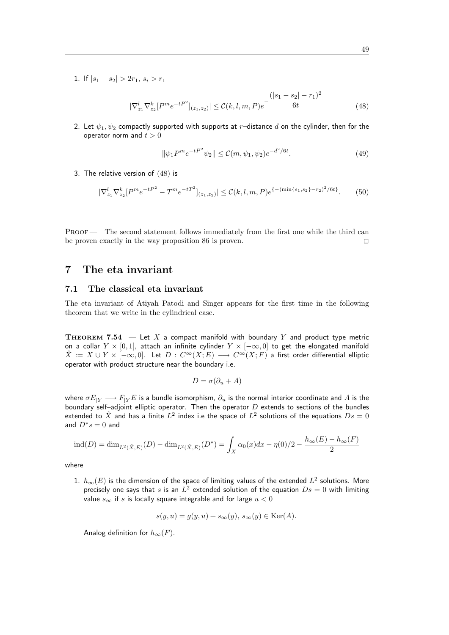1. If  $|s_1 - s_2| > 2r_1$ ,  $s_i > r_1$ 

$$
|\nabla_{z_1}^l \nabla_{z_2}^k [P^m e^{-tP^2}]_{(z_1, z_2)}| \leq \mathcal{C}(k, l, m, P) e^{-\frac{(|s_1 - s_2| - r_1)^2}{6t}}
$$
(48)

2. Let  $\psi_1, \psi_2$  compactly supported with supports at r-distance d on the cylinder, then for the operator norm and  $t > 0$ 

$$
\|\psi_1 P^m e^{-tP^2} \psi_2\| \le \mathcal{C}(m, \psi_1, \psi_2) e^{-d^2/6t}.
$$
\n(49)

3. The relative version of (48) is

$$
|\nabla_{z_1}^l \nabla_{z_2}^k [P^m e^{-tP^2} - T^m e^{-tT^2}]_{(z_1, z_2)}| \leq \mathcal{C}(k, l, m, P) e^{\{-\min\{s_1, s_2\} - r_2\}^2/6t\}}.
$$
 (50)

PROOF — The second statement follows immediately from the first one while the third can be proven exactly in the way proposition 86 is proven.  $\Box$ 

## 7 The eta invariant

#### 7.1 The classical eta invariant

The eta invariant of Atiyah Patodi and Singer appears for the first time in the following theorem that we write in the cylindrical case.

**THEOREM 7.54**  $-$  Let X a compact manifold with boundary Y and product type metric on a collar  $Y \times [0,1]$ , attach an infinite cylinder  $Y \times [-\infty,0]$  to get the elongated manifold  $\hat{X} := X \cup Y \times [-\infty, 0]$ . Let  $D : C^{\infty}(X; E) \longrightarrow C^{\infty}(X; F)$  a first order differential elliptic operator with product structure near the boundary i.e.

$$
D = \sigma(\partial_u + A)
$$

where  $\sigma E_{|Y} \longrightarrow F_{|Y}E$  is a bundle isomorphism,  $\partial_u$  is the normal interior coordinate and A is the boundary self-adjoint elliptic operator. Then the operator  $D$  extends to sections of the bundles extended to  $\hat{X}$  and has a finite  $L^2$  index i.e the space of  $L^2$  solutions of the equations  $Ds=0$ and  $D^*s=0$  and

$$
ind(D) = dim_{L^2(\hat{X},E)}(D) - dim_{L^2(\hat{X},E)}(D^*) = \int_X \alpha_0(x)dx - \eta(0)/2 - \frac{h_{\infty}(E) - h_{\infty}(F)}{2}
$$

where

 $1. \,\,h_\infty(E)$  is the dimension of the space of limiting values of the extended  $L^2$  solutions. More precisely one says that s is an  $L^2$  extended solution of the equation  $Ds = 0$  with limiting value  $s_{\infty}$  if s is locally square integrable and for large  $u < 0$ 

$$
s(y, u) = g(y, u) + s_{\infty}(y), \, s_{\infty}(y) \in \text{Ker}(A).
$$

Analog definition for  $h_{\infty}(F)$ .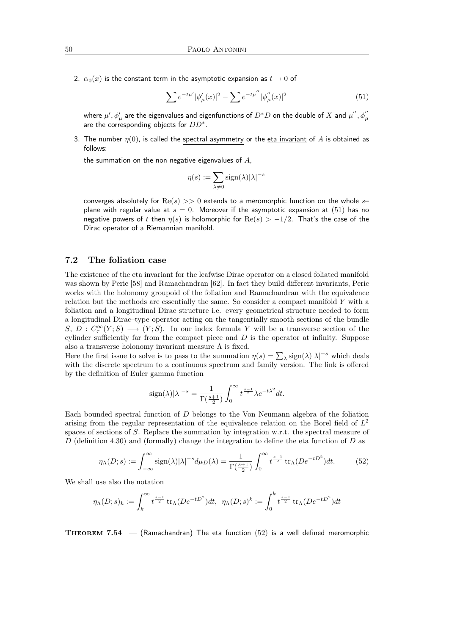2.  $\alpha_0(x)$  is the constant term in the asymptotic expansion as  $t \to 0$  of

$$
\sum e^{-t\mu'} |\phi_{\mu}'(x)|^2 - \sum e^{-t\mu''} |\phi_{\mu}''(x)|^2
$$
\n(51)

where  $\mu',\phi'_{\mu}$  are the eigenvalues and eigenfunctions of  $D^*D$  on the double of  $X$  and  $\mu^{''},\phi''_{\mu}$ are the corresponding objects for  $DD^*$ .

3. The number  $\eta(0)$ , is called the spectral asymmetry or the eta invariant of A is obtained as follows:

the summation on the non negative eigenvalues of  $A$ ,

$$
\eta(s) := \sum_{\lambda \neq 0} \text{sign}(\lambda) |\lambda|^{-s}
$$

converges absolutely for  $\text{Re}(s) >> 0$  extends to a meromorphic function on the whole splane with regular value at  $s = 0$ . Moreover if the asymptotic expansion at (51) has no negative powers of t then  $\eta(s)$  is holomorphic for  $\text{Re}(s) > -1/2$ . That's the case of the Dirac operator of a Riemannian manifold.

### 7.2 The foliation case

The existence of the eta invariant for the leafwise Dirac operator on a closed foliated manifold was shown by Peric [58] and Ramachandran [62]. In fact they build different invariants, Peric works with the holonomy groupoid of the foliation and Ramachandran with the equivalence relation but the methods are essentially the same. So consider a compact manifold Y with a foliation and a longitudinal Dirac structure i.e. every geometrical structure needed to form a longitudinal Dirac–type operator acting on the tangentially smooth sections of the bundle  $S, D: C^{\infty}_{\tau}(Y;S) \longrightarrow (Y;S)$ . In our index formula Y will be a transverse section of the cylinder sufficiently far from the compact piece and  $D$  is the operator at infinity. Suppose also a transverse holonomy invariant measure  $\Lambda$  is fixed.

Here the first issue to solve is to pass to the summation  $\eta(s) = \sum_{\lambda} sign(\lambda) |\lambda|^{-s}$  which deals with the discrete spectrum to a continuous spectrum and family version. The link is offered by the definition of Euler gamma function

$$
\mathrm{sign}(\lambda)|\lambda|^{-s}=\frac{1}{\Gamma(\frac{s+1}{2})}\int_0^\infty t^{\frac{s-1}{2}}\lambda e^{-t\lambda^2}dt.
$$

Each bounded spectral function of D belongs to the Von Neumann algebra of the foliation arising from the regular representation of the equivalence relation on the Borel field of  $L^2$ spaces of sections of S. Replace the summation by integration w.r.t. the spectral measure of D (definition 4.30) and (formally) change the integration to define the eta function of D as

$$
\eta_{\Lambda}(D;s) := \int_{-\infty}^{\infty} \text{sign}(\lambda) |\lambda|^{-s} d\mu_D(\lambda) = \frac{1}{\Gamma(\frac{s+1}{2})} \int_0^{\infty} t^{\frac{s-1}{2}} \text{tr}_{\Lambda}(De^{-tD^2}) dt. \tag{52}
$$

We shall use also the notation

$$
\eta_{\Lambda}(D;s)_{k} := \int_{k}^{\infty} t^{\frac{s-1}{2}} \operatorname{tr}_{\Lambda}(De^{-tD^{2}})dt, \ \ \eta_{\Lambda}(D;s)^{k} := \int_{0}^{k} t^{\frac{s-1}{2}} \operatorname{tr}_{\Lambda}(De^{-tD^{2}})dt
$$

**THEOREM 7.54**  $-$  (Ramachandran) The eta function (52) is a well defined meromorphic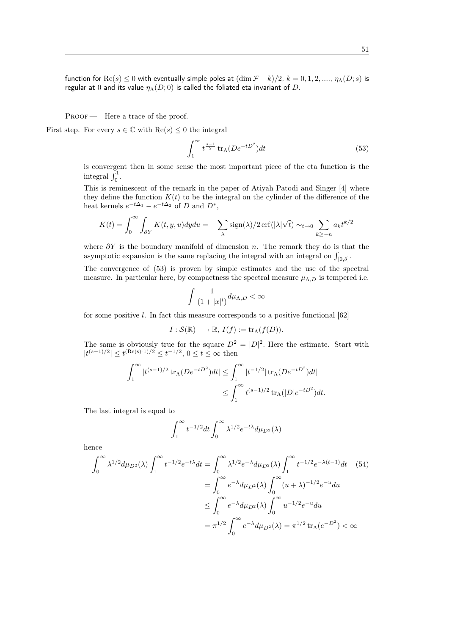function for  $\text{Re}(s) \le 0$  with eventually simple poles at  $(\dim \mathcal{F} - k)/2$ ,  $k = 0, 1, 2, ..., \eta_{\Lambda}(D; s)$  is regular at 0 and its value  $\eta_{\Lambda}(D; 0)$  is called the foliated eta invariant of D.

PROOF — Here a trace of the proof.

First step. For every  $s \in \mathbb{C}$  with  $\text{Re}(s) \leq 0$  the integral

$$
\int_{1}^{\infty} t^{\frac{s-1}{2}} \operatorname{tr}_{\Lambda}(De^{-tD^2}) dt \tag{53}
$$

is convergent then in some sense the most important piece of the eta function is the integral  $\int_0^1$ .

This is reminescent of the remark in the paper of Atiyah Patodi and Singer [4] where they define the function  $K(t)$  to be the integral on the cylinder of the difference of the heat kernels  $e^{-t\Delta_1} - e^{-t\Delta_2}$  of D and  $D^*$ ,

$$
K(t) = \int_0^\infty \int_{\partial Y} K(t, y, u) dy du = -\sum_{\lambda} \text{sign}(\lambda)/2 \,\text{erf}(|\lambda| \sqrt{t}) \sim_{t \to 0} \sum_{k \ge -n} a_k t^{k/2}
$$

where  $\partial Y$  is the boundary manifold of dimension n. The remark they do is that the asymptotic expansion is the same replacing the integral with an integral on  $\int_{[0,\delta]}$ .

The convergence of (53) is proven by simple estimates and the use of the spectral measure. In particular here, by compactness the spectral measure  $\mu_{\Lambda,D}$  is tempered i.e.

$$
\int \frac{1}{(1+|x|^l)} d\mu_{\Lambda,D} < \infty
$$

for some positive l. In fact this measure corresponds to a positive functional  $[62]$ 

$$
I: \mathcal{S}(\mathbb{R}) \longrightarrow \mathbb{R}, \, I(f) := \operatorname{tr}_{\Lambda}(f(D)).
$$

The same is obviously true for the square  $D^2 = |D|^2$ . Here the estimate. Start with  $|t^{(s-1)/2}| \le t^{(\text{Re}(s)-1)/2} \le t^{-1/2}, 0 \le t \le \infty$  then

$$
\int_{1}^{\infty} |t^{(s-1)/2} \operatorname{tr}_{\Lambda}(De^{-tD^2})dt| \leq \int_{1}^{\infty} |t^{-1/2}| \operatorname{tr}_{\Lambda}(De^{-tD^2})dt|
$$
  

$$
\leq \int_{1}^{\infty} t^{(s-1)/2} \operatorname{tr}_{\Lambda}(|D|e^{-tD^2})dt.
$$

The last integral is equal to

$$
\int_1^\infty t^{-1/2} dt \int_0^\infty \lambda^{1/2} e^{-t\lambda} d\mu_{D^2}(\lambda)
$$

hence

$$
\int_0^\infty \lambda^{1/2} d\mu_{D^2}(\lambda) \int_1^\infty t^{-1/2} e^{-t\lambda} dt = \int_0^\infty \lambda^{1/2} e^{-\lambda} d\mu_{D^2}(\lambda) \int_1^\infty t^{-1/2} e^{-\lambda(t-1)} dt \quad (54)
$$

$$
= \int_0^\infty e^{-\lambda} d\mu_{D^2}(\lambda) \int_0^\infty (u+\lambda)^{-1/2} e^{-u} du
$$

$$
\leq \int_0^\infty e^{-\lambda} d\mu_{D^2}(\lambda) \int_0^\infty u^{-1/2} e^{-u} du
$$

$$
= \pi^{1/2} \int_0^\infty e^{-\lambda} d\mu_{D^2}(\lambda) = \pi^{1/2} \operatorname{tr}_\Lambda(e^{-D^2}) < \infty
$$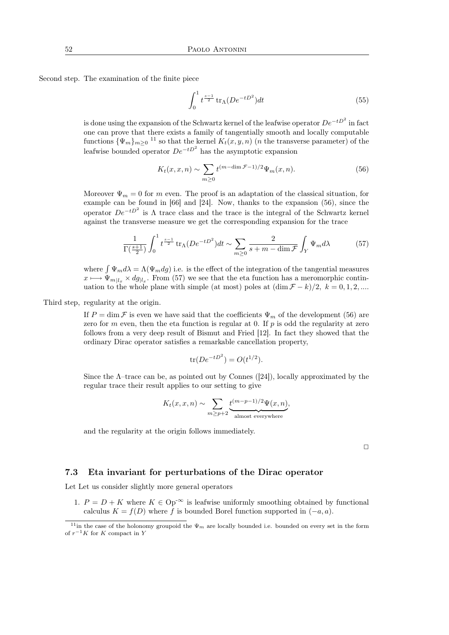Second step. The examination of the finite piece

$$
\int_0^1 t^{\frac{s-1}{2}} \, \text{tr}_\Lambda (De^{-tD^2}) dt \tag{55}
$$

is done using the expansion of the Schwartz kernel of the leafwise operator  $De^{-tD^2}$  in fact one can prove that there exists a family of tangentially smooth and locally computable functions  $\{\Psi_m\}_{m\geq 0}$  <sup>11</sup> so that the kernel  $K_t(x, y, n)$  (*n* the transverse parameter) of the leafwise bounded operator  $De^{-tD^2}$  has the asymptotic expansion

$$
K_t(x, x, n) \sim \sum_{m \ge 0} t^{(m - \dim \mathcal{F} - 1)/2} \Psi_m(x, n).
$$
 (56)

Moreover  $\Psi_m = 0$  for m even. The proof is an adaptation of the classical situation, for example can be found in [66] and [24]. Now, thanks to the expansion (56), since the operator  $De^{-tD^2}$  is  $\Lambda$  trace class and the trace is the integral of the Schwartz kernel against the transverse measure we get the corresponding expansion for the trace

$$
\frac{1}{\Gamma(\frac{s+1}{2})} \int_0^1 t^{\frac{s-1}{2}} \operatorname{tr}_{\Lambda}(De^{-tD^2}) dt \sim \sum_{m \ge 0} \frac{2}{s+m - \dim \mathcal{F}} \int_Y \Psi_m d\lambda \tag{57}
$$

where  $\int \Psi_m d\lambda = \Lambda(\Psi_m dg)$  i.e. is the effect of the integration of the tangential measures  $x \mapsto \Psi_{m|l_x} \times dg_{|l_x}$ . From (57) we see that the eta function has a meromorphic continuation to the whole plane with simple (at most) poles at  $(\dim \mathcal{F} - k)/2$ ,  $k = 0, 1, 2, ...$ 

Third step, regularity at the origin.

If  $P = \dim \mathcal{F}$  is even we have said that the coefficients  $\Psi_m$  of the development (56) are zero for m even, then the eta function is regular at 0. If  $p$  is odd the regularity at zero follows from a very deep result of Bismut and Fried [12]. In fact they showed that the ordinary Dirac operator satisfies a remarkable cancellation property,

$$
\text{tr}(De^{-tD^2}) = O(t^{1/2}).
$$

Since the  $\Lambda$ –trace can be, as pointed out by Connes ([24]), locally approximated by the regular trace their result applies to our setting to give

$$
K_t(x, x, n) \sim \sum_{m \ge p+2} \underbrace{t^{(m-p-1)/2} \Psi(x, n)}_{\text{almost everywhere}},
$$

and the regularity at the origin follows immediately.

 $\Box$ 

#### 7.3 Eta invariant for perturbations of the Dirac operator

Let Let us consider slightly more general operators

1.  $P = D + K$  where  $K \in \text{Op}^{-\infty}$  is leafwise uniformly smoothing obtained by functional calculus  $K = f(D)$  where f is bounded Borel function supported in  $(-a, a)$ .

<sup>&</sup>lt;sup>11</sup>in the case of the holonomy groupoid the  $\Psi_m$  are locally bounded i.e. bounded on every set in the form of  $r^{-1}K$  for K compact in Y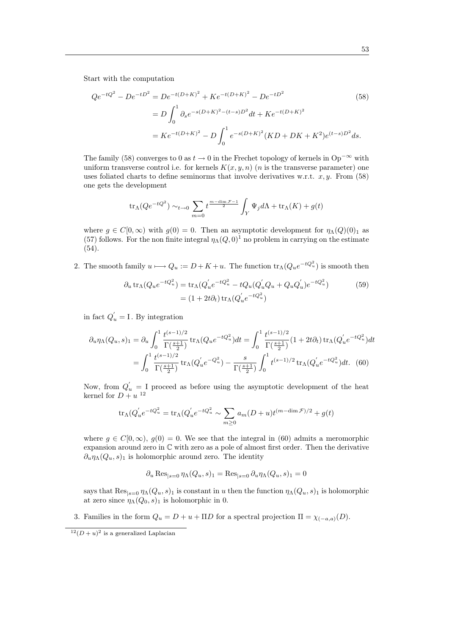Start with the computation

$$
Qe^{-tQ^2} - De^{-tD^2} = De^{-t(D+K)^2} + Ke^{-t(D+K)^2} - De^{-tD^2}
$$
\n
$$
= D \int_0^1 \partial_s e^{-s(D+K)^2 - (t-s)D^2} dt + Ke^{-t(D+K)^2}
$$
\n
$$
= Ke^{-t(D+K)^2} - D \int_0^1 e^{-s(D+K)^2} (KD + DK + K^2)e^{(t-s)D^2} ds.
$$
\n(58)

The family (58) converges to 0 as  $t \to 0$  in the Frechet topology of kernels in  $Op^{-\infty}$  with uniform transverse control i.e. for kernels  $K(x, y, n)$  (*n* is the transverse parameter) one uses foliated charts to define seminorms that involve derivatives w.r.t.  $x, y$ . From (58) one gets the development

$$
\operatorname{tr}_{\Lambda}(Qe^{-tQ^2}) \sim_{t \to 0} \sum_{m=0}^t t^{\frac{m-\dim \mathcal{F}-1}{2}} \int_Y \Psi_j d\Lambda + \operatorname{tr}_{\Lambda}(K) + g(t)
$$

where  $g \in C[0,\infty)$  with  $g(0) = 0$ . Then an asymptotic development for  $\eta_{\Lambda}(Q)(0)_1$  as (57) follows. For the non finite integral  $\eta_{\Lambda}(Q, 0)^{1}$  no problem in carrying on the estimate (54).

2. The smooth family  $u \mapsto Q_u := D + K + u$ . The function  $\text{tr}_{\Lambda}(Q_u e^{-tQ_u^2})$  is smooth then

$$
\partial_u \operatorname{tr}_{\Lambda}(Q_u e^{-tQ_u^2}) = \operatorname{tr}_{\Lambda}(Q_u' e^{-tQ_u^2} - tQ_u(Q_u'Q_u + Q_uQ_u')e^{-tQ_u^2})
$$
\n
$$
= (1 + 2t\partial_t)\operatorname{tr}_{\Lambda}(Q_u' e^{-tQ_u^2})
$$
\n(59)

in fact  $Q_{u}^{'} = I$ . By integration

$$
\partial_u \eta_\Lambda(Q_u, s)_1 = \partial_u \int_0^1 \frac{t^{(s-1)/2}}{\Gamma(\frac{s+1}{2})} \text{tr}_\Lambda(Q_u e^{-tQ_u^2}) dt = \int_0^1 \frac{t^{(s-1)/2}}{\Gamma(\frac{s+1}{2})} (1 + 2t \partial_t) \text{tr}_\Lambda(Q_u' e^{-tQ_u^2}) dt
$$

$$
= \int_0^1 \frac{t^{(s-1)/2}}{\Gamma(\frac{s+1}{2})} \text{tr}_\Lambda(Q_u' e^{-Q_u^2}) - \frac{s}{\Gamma(\frac{s+1}{2})} \int_0^1 t^{(s-1)/2} \text{tr}_\Lambda(Q_u' e^{-tQ_u^2}) dt. \tag{60}
$$

Now, from  $Q'_u = I$  proceed as before using the asymptotic development of the heat kernel for  $D + u^{-12}$ 

$$
\mathrm{tr}_\Lambda(Q^{'}_u e^{-tQ^2_u}=\mathrm{tr}_\Lambda(Q^{'}_u e^{-tQ^2_u}\sim\sum_{m\geq 0}a_m(D+u)t^{(m-\dim\mathcal{F})/2}+g(t)
$$

where  $g \in C[0,\infty)$ ,  $g(0) = 0$ . We see that the integral in (60) admits a meromorphic expansion around zero in C with zero as a pole of almost first order. Then the derivative  $\partial_u \eta_\Lambda(Q_u, s)_1$  is holomorphic around zero. The identity

$$
\partial_u \operatorname{Res}_{|s=0} \eta_\Lambda(Q_u, s)_1 = \operatorname{Res}_{|s=0} \partial_u \eta_\Lambda(Q_u, s)_1 = 0
$$

says that  $\text{Res}_{|s=0} \eta_{\Lambda}(Q_u, s)_1$  is constant in u then the function  $\eta_{\Lambda}(Q_u, s)_1$  is holomorphic at zero since  $\eta_{\Lambda}(Q_0, s)_1$  is holomorphic in 0.

3. Families in the form  $Q_u = D + u + \Pi D$  for a spectral projection  $\Pi = \chi_{(-a,a)}(D)$ .

 $12(D+u)^2$  is a generalized Laplacian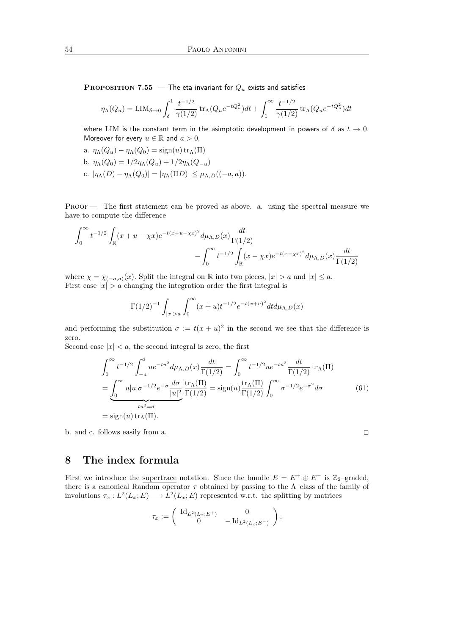**PROPOSITION 7.55** — The eta invariant for  $Q_u$  exists and satisfies

$$
\eta_{\Lambda}(Q_u) = \text{LIM}_{\delta \to 0} \int_{\delta}^1 \frac{t^{-1/2}}{\gamma(1/2)} \text{tr}_{\Lambda}(Q_u e^{-tQ_u^2}) dt + \int_1^{\infty} \frac{t^{-1/2}}{\gamma(1/2)} \text{tr}_{\Lambda}(Q_u e^{-tQ_u^2}) dt
$$

where LIM is the constant term in the asimptotic development in powers of  $\delta$  as  $t \to 0$ . Moreover for every  $u \in \mathbb{R}$  and  $a > 0$ ,

a.  $\eta_{\Lambda}(Q_u) - \eta_{\Lambda}(Q_0) = \text{sign}(u) \operatorname{tr}_{\Lambda}(\Pi)$ b.  $\eta_{\Lambda}(Q_0) = 1/2\eta_{\Lambda}(Q_u) + 1/2\eta_{\Lambda}(Q_{-u})$ c.  $|\eta_{\Lambda}(D) - \eta_{\Lambda}(Q_0)| = |\eta_{\Lambda}(\Pi D)| \leq \mu_{\Lambda,D}((-a,a)).$ 

Proof — The first statement can be proved as above. a. using the spectral measure we have to compute the difference

$$
\int_0^\infty t^{-1/2} \int_{\mathbb{R}} (x + u - \chi x) e^{-t(x + u - \chi x)^2} d\mu_{\Lambda, D}(x) \frac{dt}{\Gamma(1/2)}
$$
  
 
$$
- \int_0^\infty t^{-1/2} \int_{\mathbb{R}} (x - \chi x) e^{-t(x - \chi x)^2} d\mu_{\Lambda, D}(x) \frac{dt}{\Gamma(1/2)}
$$

where  $\chi = \chi_{(-a,a)}(x)$ . Split the integral on R into two pieces,  $|x| > a$  and  $|x| \le a$ . First case  $|x| > a$  changing the integration order the first integral is

$$
\Gamma(1/2)^{-1} \int_{|x|>a} \int_0^\infty (x+u)t^{-1/2} e^{-t(x+u)^2} dt d\mu_{\Lambda,D}(x)
$$

and performing the substitution  $\sigma := t(x + u)^2$  in the second we see that the difference is zero.

Second case  $|x| < a$ , the second integral is zero, the first

$$
\int_0^\infty t^{-1/2} \int_{-a}^a u e^{-tu^2} d\mu_{\Lambda,D}(x) \frac{dt}{\Gamma(1/2)} = \int_0^\infty t^{-1/2} u e^{-tu^2} \frac{dt}{\Gamma(1/2)} \operatorname{tr}_\Lambda(\Pi)
$$
  
= 
$$
\underbrace{\int_0^\infty u |u|\sigma^{-1/2} e^{-\sigma} \frac{d\sigma}{|u|^2} \frac{\operatorname{tr}_\Lambda(\Pi)}{\Gamma(1/2)}}_{tu^2 = \sigma} = \operatorname{sign}(u) \frac{\operatorname{tr}_\Lambda(\Pi)}{\Gamma(1/2)} \int_0^\infty \sigma^{-1/2} e^{-\sigma^2} d\sigma
$$
  
= 
$$
\operatorname{sign}(u) \operatorname{tr}_\Lambda(\Pi).
$$
 (61)

b. and c. follows easily from a.  $\hfill \square$ 

## 8 The index formula

First we introduce the supertrace notation. Since the bundle  $E = E^+ \oplus E^-$  is Z<sub>2</sub>-graded, there is a canonical Random operator  $\tau$  obtained by passing to the  $\Lambda$ -class of the family of involutions  $\tau_x: L^2(L_x; E) \longrightarrow L^2(L_x; E)$  represented w.r.t. the splitting by matrices

$$
\tau_x := \left( \begin{array}{cc} \mathrm{Id}_{L^2(L_x;E^+)} & 0 \\ 0 & -\mathrm{Id}_{L^2(L_x;E^-)} \end{array} \right).
$$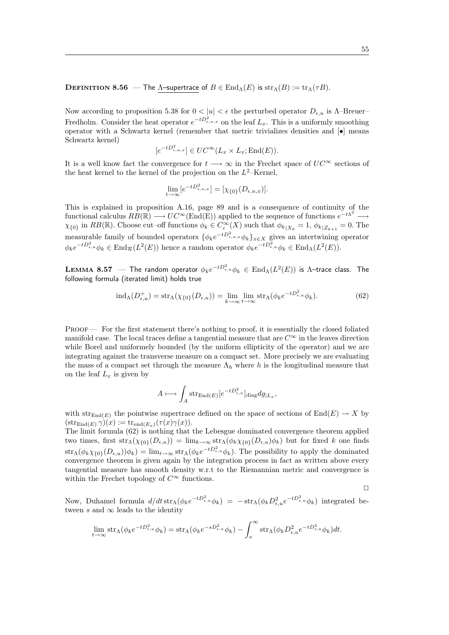#### **DEFINITION 8.56** — The  $\Lambda$ -supertrace of  $B \in \text{End}_{\Lambda}(E)$  is  $\text{str}_{\Lambda}(B) := \text{tr}_{\Lambda}(\tau B)$ .

Now according to proposition 5.38 for  $0 < |u| < \epsilon$  the perturbed operator  $D_{\epsilon, u}$  is  $\Lambda$ -Breuer-Fredholm. Consider the heat operator  $e^{-tD_{\epsilon,u,x}^2}$  on the leaf  $L_x$ . This is a uniformly smoothing operator with a Schwartz kernel (remember that metric trivializes densities and  $\left| \bullet \right|$  means Schwartz kernel)

$$
[e^{-tD_{\epsilon,u,x}^2}] \in UC^{\infty}(L_x \times L_x; \text{End}(E)).
$$

It is a well know fact the convergence for  $t \longrightarrow \infty$  in the Frechet space of  $UC^{\infty}$  sections of the heat kernel to the kernel of the projection on the  $L^2$ -Kernel,

$$
\lim_{t \to \infty} [e^{-tD_{\epsilon,u,x}^2}] = [\chi_{\{0\}}(D_{\epsilon,u,x})].
$$

This is explained in proposition A.16, page 89 and is a consequence of continuity of the functional calculus  $RB(\mathbb{R}) \longrightarrow UC^{\infty}(\text{End}(\mathbb{E}))$  applied to the sequence of functions  $e^{-t\lambda^2} \longrightarrow$  $\chi_{\{0\}}$  in  $RB(\mathbb{R})$ . Choose cut–off functions  $\phi_k \in C_c^{\infty}(X)$  such that  $\phi_{k|X_k} = 1, \phi_{k|Z_{k+1}} = 0$ . The measurable family of bounded operators  $\{\phi_k e^{-tD_{\epsilon,u,x}^2}\phi_k\}_{x\in X}$  gives an intertwining operator  $\phi_k e^{-tD_{\epsilon,u}^2}\phi_k \in \text{End}_{\mathcal{R}}(L^2(E))$  hence a random operator  $\phi_k e^{-tD_{\epsilon,u}^2}\phi_k \in \text{End}_{\Lambda}(L^2(E)).$ 

 ${\bf LEMMA}$   ${\bf 8.57}\;\;$  — The random operator  $\phi_k e^{-tD_{\epsilon,u}^2}\phi_k\in \mathrm{End}_{\Lambda}(L^2(E))$  is  $\Lambda$ –trace class. The following formula (iterated limit) holds true

$$
\text{ind}_{\Lambda}(D^+_{\epsilon,u}) = \text{str}_{\Lambda}(\chi_{\{0\}}(D_{\epsilon,u})) = \lim_{k \to \infty} \lim_{t \to \infty} \text{str}_{\Lambda}(\phi_k e^{-tD^2_{\epsilon,u}} \phi_k). \tag{62}
$$

PROOF — For the first statement there's nothing to proof, it is essentially the closed foliated manifold case. The local traces define a tangential measure that are  $C^{\infty}$  in the leaves direction while Borel and uniformely bounded (by the uniform ellipticity of the operator) and we are integrating against the transverse measure on a compact set. More precisely we are evaluating the mass of a compact set through the measure  $\Lambda_h$  where h is the longitudinal measure that on the leaf  $L_x$  is given by

$$
A \longmapsto \int_A \mathrm{str}_{\mathrm{End}(E)}[e^{-tD_{\epsilon,u}^2}]_{\mathrm{diag}} dg_{|L_x},
$$

with  $str_{End(E)}$  the pointwise supertrace defined on the space of sections of  $End(E) \rightarrow X$  by  $(\operatorname{str}_{\operatorname{End}(E)} \gamma)(x) := \operatorname{tr}_{\operatorname{end}(E_x)}(\tau(x)\gamma(x)).$ 

The limit formula (62) is nothing that the Lebesgue dominated convergence theorem applied two times, first  $str_\Lambda(\chi_{\{0\}}(D_{\epsilon,u})) = \lim_{k\to\infty} str_\Lambda(\phi_k\chi_{\{0\}}(D_{\epsilon,u})\phi_k)$  but for fixed k one finds  $\text{str}_{\Lambda}(\phi_k \chi_{\{0\}}(D_{\epsilon,u}))\phi_k) = \lim_{t\to\infty} \text{str}_{\Lambda}(\phi_k e^{-tD_{\epsilon,u}^2}\phi_k)$ . The possibility to apply the dominated convergence theorem is given again by the integration process in fact as written above every tangential measure has smooth density w.r.t to the Riemannian metric and convergence is within the Frechet topology of  $C^{\infty}$  functions.

Now, Duhamel formula  $d/dt \operatorname{str}_{\Lambda}(\phi_k e^{-tD_{\epsilon,u}^2}\phi_k) = -\operatorname{str}_{\Lambda}(\phi_k D_{\epsilon,u}^2 e^{-tD_{\epsilon,u}^2}\phi_k)$  integrated between s and  $\infty$  leads to the identity

$$
\lim_{t \to \infty} \operatorname{str}_{\Lambda}(\phi_k e^{-tD_{\epsilon,u}^2} \phi_k) = \operatorname{str}_{\Lambda}(\phi_k e^{-sD_{\epsilon,u}^2} \phi_k) - \int_s^{\infty} \operatorname{str}_{\Lambda}(\phi_k D_{\epsilon,u}^2 e^{-tD_{\epsilon,u}^2} \phi_k) dt.
$$

 $\Box$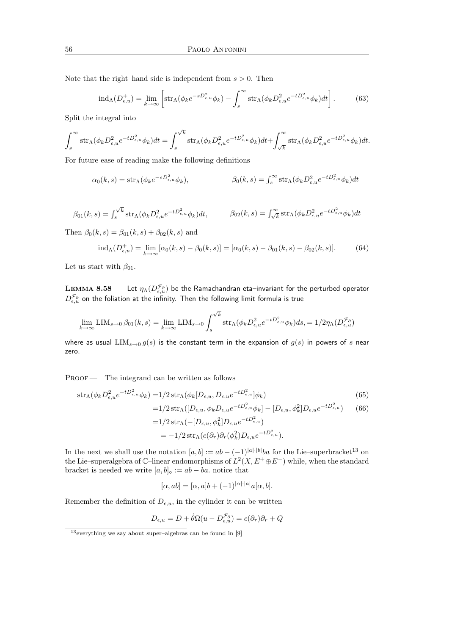Note that the right–hand side is independent from  $s > 0$ . Then

$$
\text{ind}_{\Lambda}(D^+_{\epsilon,u}) = \lim_{k \to \infty} \left[ \text{str}_{\Lambda}(\phi_k e^{-sD^2_{\epsilon,u}} \phi_k) - \int_s^{\infty} \text{str}_{\Lambda}(\phi_k D^2_{\epsilon,u} e^{-tD^2_{\epsilon,u}} \phi_k) dt \right]. \tag{63}
$$

Split the integral into

$$
\int_{s}^{\infty} \operatorname{str}_{\Lambda}(\phi_{k} D_{\epsilon,u}^{2} e^{-tD_{\epsilon,u}^{2}} \phi_{k}) dt = \int_{s}^{\sqrt{k}} \operatorname{str}_{\Lambda}(\phi_{k} D_{\epsilon,u}^{2} e^{-tD_{\epsilon,u}^{2}} \phi_{k}) dt + \int_{\sqrt{k}}^{\infty} \operatorname{str}_{\Lambda}(\phi_{k} D_{\epsilon,u}^{2} e^{-tD_{\epsilon,u}^{2}} \phi_{k}) dt.
$$

For future ease of reading make the following definitions

$$
\alpha_0(k,s) = \text{str}_\Lambda(\phi_k e^{-sD_{\epsilon,u}^2} \phi_k), \qquad \beta_0(k,s) = \int_s^\infty \text{str}_\Lambda(\phi_k D_{\epsilon,u}^2 e^{-tD_{\epsilon,u}^2} \phi_k) dt
$$

$$
\beta_{01}(k,s) = \int_s^{\sqrt{k}} \operatorname{str}_{\Lambda}(\phi_k D_{\epsilon,u}^2 e^{-tD_{\epsilon,u}^2} \phi_k) dt, \qquad \beta_{02}(k,s) = \int_{\sqrt{k}}^{\infty} \operatorname{str}_{\Lambda}(\phi_k D_{\epsilon,u}^2 e^{-tD_{\epsilon,u}^2} \phi_k) dt
$$

Then  $\beta_0(k, s) = \beta_{01}(k, s) + \beta_{02}(k, s)$  and

$$
ind_{\Lambda}(D_{\epsilon,u}^{+}) = \lim_{k \to \infty} [\alpha_{0}(k,s) - \beta_{0}(k,s)] = [\alpha_{0}(k,s) - \beta_{01}(k,s) - \beta_{02}(k,s)].
$$
 (64)

Let us start with  $\beta_{01}$ .

LEMMA 8.58  $\,$  — Let  $\eta_\Lambda(D^{\mathcal F_\partial}_{\epsilon,u})$  be the Ramachandran eta–invariant for the perturbed operator  $D^{\mathcal{F}_{\partial}}_{\epsilon,u}$  on the foliation at the infinity. Then the following limit formula is true

$$
\lim_{k \to \infty} \text{LIM}_{s \to 0} \,\beta_{01}(k,s) = \lim_{k \to \infty} \text{LIM}_{s \to 0} \int_s^{\sqrt{k}} \text{str}_\Lambda(\phi_k D_{\epsilon,u}^2 e^{-tD_{\epsilon,u}^2} \phi_k) ds = 1/2\eta_\Lambda(D_{\epsilon,u}^{\mathcal{F}_\partial})
$$

where as usual  $\text{LIM}_{s\to 0}$  g(s) is the constant term in the expansion of g(s) in powers of s near zero.

PROOF — The integrand can be written as follows

$$
\text{str}_{\Lambda}(\phi_k D_{\epsilon,u}^2 e^{-tD_{\epsilon,u}^2} \phi_k) = 1/2 \text{str}_{\Lambda}(\phi_k [D_{\epsilon,u}, D_{\epsilon,u} e^{-tD_{\epsilon,u}^2}] \phi_k)
$$
(65)

$$
=1/2\operatorname{str}_{\Lambda}([D_{\epsilon,u},\phi_k D_{\epsilon,u}e^{-tD_{\epsilon,u}^2}\phi_k]-[D_{\epsilon,u},\phi_k^2]D_{\epsilon,u}e^{-tD_{\epsilon,u}^2})\qquad(66)
$$
  

$$
=1/2\operatorname{str}_{\Lambda}(-[D_{\epsilon,u},\phi_k^2]D_{\epsilon,u}e^{-tD_{\epsilon,u}^2})
$$

$$
= -1/2 \operatorname{str}_{\Lambda}(c(\partial_r)\partial_r(\phi_k^2)D_{\epsilon,u}e^{-tD_{\epsilon,u}^2}).
$$

In the next we shall use the notation  $[a, b] := ab - (-1)^{|a| \cdot |b|} ba$  for the Lie–superbracket<sup>13</sup> on the Lie–superalgebra of  $\mathbb{C}-$ linear endomorphisms of  $L^2(X, E^+ \oplus E^-)$  while, when the standard bracket is needed we write  $[a, b] \circ := ab - ba$ . notice that

$$
[\alpha, ab] = [\alpha, a]b + (-1)^{|\alpha| \cdot |a|} a[\alpha, b].
$$

Remember the definition of  $D_{\epsilon,u}$ , in the cylinder it can be written

$$
D_{\epsilon,u} = D + \dot{\theta}\Omega(u - D_{\epsilon,u}^{\mathcal{F}_{\partial}}) = c(\partial_r)\partial_r + Q
$$

 $13$ everything we say about super–algebras can be found in [9]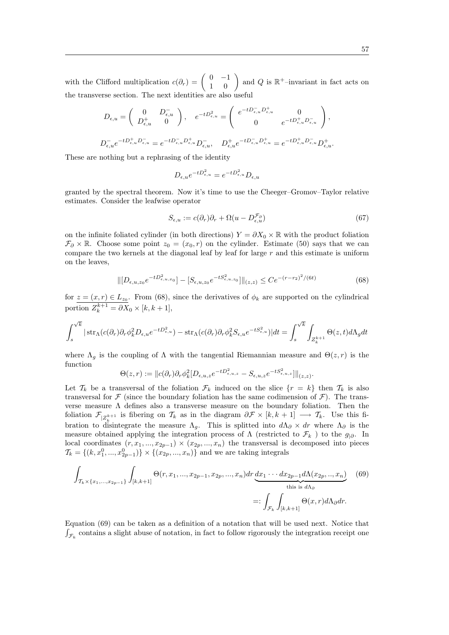with the Clifford multiplication  $c(\partial_r) = \begin{pmatrix} 0 & -1 \\ 1 & 0 \end{pmatrix}$  and Q is  $\mathbb{R}^+$ -invariant in fact acts on the transverse section. The next identities are also useful

$$
\begin{split} D_{\epsilon,u} = \left( \begin{array}{cc} 0 & D_{\epsilon,u}^- \\ D_{\epsilon,u}^+ & 0 \end{array} \right), \quad e^{-tD_{\epsilon,u}^2} = \left( \begin{array}{cc} e^{-tD_{\epsilon,u}^-D_{\epsilon,u}^+} & 0 \\ 0 & e^{-tD_{\epsilon,u}^+D_{\epsilon,u}^-} \end{array} \right), \\ D_{\epsilon,u}^- e^{-tD_{\epsilon,u}^+D_{\epsilon,u}^-} = e^{-tD_{\epsilon,u}^-D_{\epsilon,u}^+D_{\epsilon,u}^-}, \quad D_{\epsilon,u}^+ e^{-tD_{\epsilon,u}^-D_{\epsilon,u}^+D_{\epsilon,u}^-D_{\epsilon,u}^-D_{\epsilon,u}^+}. \end{split}
$$

These are nothing but a rephrasing of the identity

$$
D_{\epsilon,u}e^{-tD_{\epsilon,u}^2} = e^{-tD_{\epsilon,u}^2}D_{\epsilon,u}
$$

granted by the spectral theorem. Now it's time to use the Cheeger–Gromov–Taylor relative estimates. Consider the leafwise operator

$$
S_{\epsilon,u} := c(\partial_r)\partial_r + \Omega(u - D_{\epsilon,u}^{\mathcal{F}_\partial})\tag{67}
$$

.

on the infinite foliated cylinder (in both directions)  $Y = \partial X_0 \times \mathbb{R}$  with the product foliation  $\mathcal{F}_{\partial} \times \mathbb{R}$ . Choose some point  $z_0 = (x_0, r)$  on the cylinder. Estimate (50) says that we can compare the two kernels at the diagonal leaf by leaf for large  $r$  and this estimate is uniform on the leaves,

$$
\| [D_{\epsilon,u,z_0} e^{-tD_{\epsilon,u,x_0}^2}] - [S_{\epsilon,u,z_0} e^{-tS_{\epsilon,u,z_0}^2}] \|_{(z,z)} \leq C e^{-(r-r_2)^2/(6t)} \tag{68}
$$

for  $z = (x, r) \in L_{z_0}$ . From (68), since the derivatives of  $\phi_k$  are supported on the cylindrical portion  $Z_k^{k+1} = \partial X_0 \times [k, k+1],$ 

$$
\int_s^{\sqrt{k}}|\sinh(c(\partial_r)\partial_r\phi_k^2D_{\epsilon,u}e^{-tD_{\epsilon,u}^2})-\sinh(c(\partial_r)\partial_r\phi_k^2S_{\epsilon,u}e^{-tS_{\epsilon,u}^2})|dt=\int_s^{\sqrt{k}}\int_{Z_k^{k+1}}\Theta(z,t)d\Lambda_gdt
$$

where  $\Lambda_g$  is the coupling of  $\Lambda$  with the tangential Riemannian measure and  $\Theta(z, r)$  is the function

$$
\Theta(z,r) := \|c(\partial_r)\partial_r \phi_k^2 [D_{\epsilon,u,z} e^{-tD_{\epsilon,u,z}^2} - S_{\epsilon,u,z} e^{-tS_{\epsilon,u,z}^2}] \|_{(z,z)}
$$

Let  $\mathcal{T}_k$  be a transversal of the foliation  $\mathcal{F}_k$  induced on the slice  $\{r = k\}$  then  $\mathcal{T}_k$  is also transversal for  $\mathcal F$  (since the boundary foliation has the same codimension of  $\mathcal F$ ). The transverse measure  $\Lambda$  defines also a transverse measure on the boundary foliation. Then the foliation  $\mathcal{F}_{|Z_k^{k+1}}$  is fibering on  $\mathcal{T}_k$  as in the diagram  $\partial \mathcal{F} \times [k, k+1] \longrightarrow \mathcal{T}_k$ . Use this fibration to disintegrate the measure  $\Lambda_g$ . This is splitted into  $d\Lambda_\partial \times dr$  where  $\Lambda_\partial$  is the measure obtained applying the integration process of  $\Lambda$  (restricted to  $\mathcal{F}_k$ ) to the  $g_{|\partial}$ . In local coordinates  $(r, x_1, ..., x_{2p-1}) \times (x_{2p}, ..., x_n)$  the transversal is decomposed into pieces  $\mathcal{T}_k = \{(k, x_1^0, ..., x_{2p-1}^0)\} \times \{(x_{2p}, ..., x_n)\}$  and we are taking integrals

$$
\int_{\mathcal{T}_{k} \times \{x_{1},...,x_{2p-1}\}} \int_{[k,k+1]} \Theta(r,x_{1},...,x_{2p-1},x_{2p},...,x_{n}) dr \underbrace{dx_{1} \cdots dx_{2p-1} d\Lambda(x_{2p},...,x_{n})}_{\text{this is } d\Lambda_{\partial}}
$$
\n
$$
=:\int_{\mathcal{F}_{k}} \int_{[k,k+1]} \Theta(x,r) d\Lambda_{\partial} dr.
$$
\n(69)

Equation (69) can be taken as a definition of a notation that will be used next. Notice that  $\int_{\mathcal{F}_k}$  contains a slight abuse of notation, in fact to follow rigorously the integration receipt one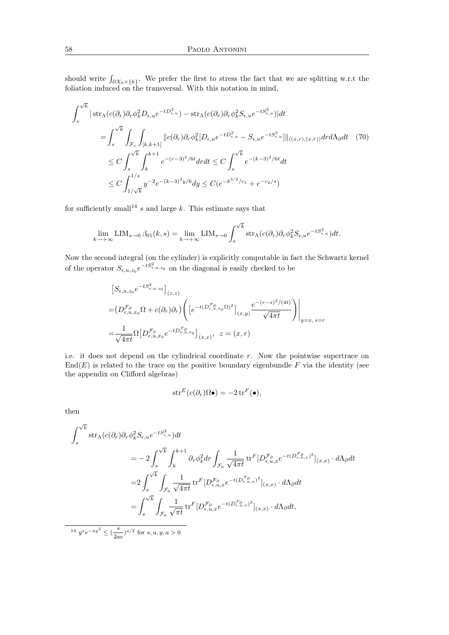should write  $\int_{\partial X_0 \times \{k\}}$ . We prefer the first to stress the fact that we are splitting w.r.t the foliation induced on the transversal. With this notation in mind,

$$
\int_{s}^{\sqrt{k}} |\operatorname{str}_{\Lambda}(c(\partial_{r})\partial_{r}\phi_{k}^{2}D_{\epsilon,u}e^{-tD_{\epsilon,u}^{2}}) - \operatorname{str}_{\Lambda}(c(\partial_{r})\partial_{r}\phi_{k}^{2}S_{\epsilon,u}e^{-tS_{\epsilon,u}^{2}})|dt
$$
\n
$$
= \int_{s}^{\sqrt{k}} \int_{\mathcal{F}_{z}} \int_{[k,k+1]} ||c(\partial_{r})\partial_{r}\phi_{k}^{2}[D_{\epsilon,u}e^{-tD_{\epsilon,u}^{2}} - S_{\epsilon,u}e^{-tS_{\epsilon,u}^{2}}]||_{((x,r),(x,r))} dr d\Lambda_{\partial} dt \quad (70)
$$
\n
$$
\leq C \int_{s}^{\sqrt{k}} \int_{k}^{k+1} e^{-(r-3)^{2}/6t} dr dt \leq C \int_{s}^{\sqrt{k}} e^{-(k-3)^{2}/6t} dt
$$
\n
$$
\leq C \int_{1/\sqrt{k}}^{1/s} y^{-2} e^{-(k-3)^{2}y/6} dy \leq C(e^{-k^{3/2}/c_{1}} + e^{-c_{2}/s})
$$

for sufficiently small<sup>14</sup> s and large k. This estimate says that

$$
\lim_{k \to +\infty} \text{LIM}_{s \to 0} \,\beta_{01}(k,s) = \lim_{k \to +\infty} \text{LIM}_{s \to 0} \int_s^{\sqrt{k}} \text{str}_\Lambda(c(\partial_r) \partial_r \phi_k^2 S_{\epsilon, u} e^{-t S_{\epsilon, u}^2}) dt.
$$

Now the second integral (on the cylinder) is explicitly computable in fact the Schwartz kernel of the operator  $S_{\epsilon,u,z_0}e^{-tS_{\epsilon,u,z_0}^2}$  on the diagonal is easily checked to be

$$
\[S_{\epsilon,u,z_0}e^{-tS_{\epsilon,u,z_0}^2}\]_{(z,z)}
$$
  
=
$$
(D_{\epsilon,u,x_0}^{\mathcal{F}_\partial}\Omega + c(\partial_r)\partial_r)\left(\left[e^{-t(D_{\epsilon,u,x_0}^{\mathcal{F}_\partial}\Omega)^2}\right]_{(x,y)}\frac{e^{-(r-s)^2/(4t)}}{\sqrt{4\pi t}}\right)\Big|_{y=x,\,s=r}
$$
  
=
$$
\frac{1}{\sqrt{4\pi t}}\Omega\big[D_{\epsilon,u,x_0}^{\mathcal{F}_\partial}e^{-tD_{\epsilon,u,x_0}^{\mathcal{F}_\partial}\Omega}\big]_{(x,x)},\ z=(x,r)
$$

i.e. it does not depend on the cylindrical coordinate r. Now the pointwise supertrace on  $End(E)$  is related to the trace on the positive boundary eigenbundle F via the identity (see the appendix on Clifford algebras)

$$
\operatorname{str}^E(c(\partial_r)\Omega\bullet) = -2 \operatorname{tr}^F(\bullet),
$$

then

$$
\int_{s}^{\sqrt{k}} \operatorname{str}_{\Lambda}(c(\partial_{r})\partial_{r}\phi_{k}^{2}S_{\epsilon,u}e^{-tS_{\epsilon,u}^{2}})dt
$$
\n
$$
= -2\int_{s}^{\sqrt{k}}\int_{k}^{k+1}\partial_{r}\phi_{k}^{2}dr\int_{\mathcal{F}_{0}}\frac{1}{\sqrt{4\pi t}}\operatorname{tr}^{F}[D_{\epsilon,u,x}^{\mathcal{F}_{\partial}}e^{-t(D_{\epsilon,u,x}^{\mathcal{F}_{\partial}})^{2}}]_{(x,x)}\cdot d\Lambda_{\partial}dt
$$
\n
$$
= 2\int_{s}^{\sqrt{k}}\int_{\mathcal{F}_{0}}\frac{1}{\sqrt{4\pi t}}\operatorname{tr}^{F}[D_{\epsilon,u,x}^{\mathcal{F}_{\partial}}e^{-t(D_{\epsilon,u,x}^{\mathcal{F}_{\partial}})^{2}}]_{(x,x)}\cdot d\Lambda_{\partial}dt
$$
\n
$$
= \int_{s}^{\sqrt{k}}\int_{\mathcal{F}_{0}}\frac{1}{\sqrt{\pi t}}\operatorname{tr}^{F}[D_{\epsilon,u,x}^{\mathcal{F}_{\partial}}e^{-t(D_{\epsilon,u,x}^{\mathcal{F}_{\partial}})^{2}}]_{(x,x)}\cdot d\Lambda_{\partial}dt,
$$

<sup>14</sup>  $y^s e^{-ay^2}$  ≤ ( $\frac{s}{a}$  $(\frac{s}{2ae})^{s/2}$  for  $s, u, y, a > 0$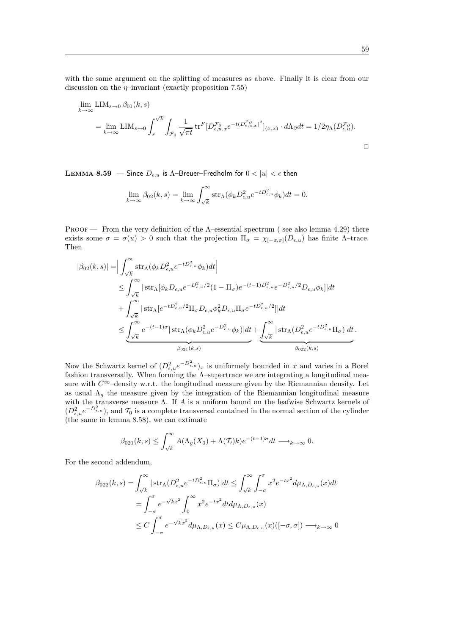with the same argument on the splitting of measures as above. Finally it is clear from our discussion on the  $\eta$ –invariant (exactly proposition 7.55)

$$
\lim_{k \to \infty} \text{LIM}_{s \to 0} \beta_{01}(k, s)
$$
\n
$$
= \lim_{k \to \infty} \text{LIM}_{s \to 0} \int_s^{\sqrt{k}} \int_{\mathcal{F}_0} \frac{1}{\sqrt{\pi t}} \text{tr}^F \big[ D_{\epsilon, u, x}^{\mathcal{F}_\partial} e^{-t(D_{\epsilon, u, x}^{\mathcal{F}_\partial})^2} \big]_{(x, x)} \cdot d\Lambda_{\partial} dt = 1/2\eta_{\Lambda}(D_{\epsilon, u}^{\mathcal{F}_\partial}).
$$

LEMMA 8.59 – Since  $D_{\epsilon,u}$  is  $\Lambda$ -Breuer-Fredholm for  $0 < |u| < \epsilon$  then

$$
\lim_{k \to \infty} \beta_{02}(k, s) = \lim_{k \to \infty} \int_{\sqrt{k}}^{\infty} \text{str}_{\Lambda}(\phi_k D_{\epsilon, u}^2 e^{-t D_{\epsilon, u}^2} \phi_k) dt = 0.
$$

Proof — From the very definition of the Λ–essential spectrum ( see also lemma 4.29) there exists some  $\sigma = \sigma(u) > 0$  such that the projection  $\Pi_{\sigma} = \chi_{[-\sigma,\sigma]}(D_{\epsilon,u})$  has finite  $\Lambda$ -trace. Then

$$
|\beta_{02}(k,s)| = \Big| \int_{\sqrt{k}}^{\infty} \operatorname{str}_{\Lambda}(\phi_k D_{\epsilon,u}^2 e^{-tD_{\epsilon,u}^2} \phi_k) dt \Big|
$$
  
\n
$$
\leq \int_{\sqrt{k}}^{\infty} |\operatorname{str}_{\Lambda}[\phi_k D_{\epsilon,u} e^{-D_{\epsilon,u}^2/2} (1 - \Pi_{\sigma}) e^{-(t-1)D_{\epsilon,u}^2} e^{-D_{\epsilon,u}^2/2} D_{\epsilon,u} \phi_k]| dt
$$
  
\n
$$
+ \int_{\sqrt{k}}^{\infty} |\operatorname{str}_{\Lambda}[e^{-tD_{\epsilon,u}^2/2} \Pi_{\sigma} D_{\epsilon,u} \phi_k^2 D_{\epsilon,u} \Pi_{\sigma} e^{-tD_{\epsilon,u}^2/2}]| dt
$$
  
\n
$$
\leq \underbrace{\int_{\sqrt{k}}^{\infty} e^{-(t-1)\sigma} |\operatorname{str}_{\Lambda}(\phi_k D_{\epsilon,u}^2 e^{-D_{\epsilon,u}^2} \phi_k)| dt}_{\beta_{021}(k,s)} + \underbrace{\int_{\sqrt{k}}^{\infty} |\operatorname{str}_{\Lambda}(D_{\epsilon,u}^2 e^{-tD_{\epsilon,u}^2} \Pi_{\sigma})| dt}_{\beta_{022}(k,s)}.
$$

Now the Schwartz kernel of  $(D_{\epsilon,u}^2 e^{-D_{\epsilon,u}^2})_x$  is uniformely bounded in x and varies in a Borel fashion transversally. When forming the  $\Lambda$ -supertrace we are integrating a longitudinal measure with  $C^{\infty}$ –density w.r.t. the longitudinal measure given by the Riemannian density. Let as usual  $\Lambda_a$  the measure given by the integration of the Riemannian longitudinal measure with the transverse measure Λ. If A is a uniform bound on the leafwise Schwartz kernels of  $(D_{\epsilon,u}^2 e^{-D_{\epsilon,u}^2})$ , and  $\mathcal{T}_0$  is a complete transversal contained in the normal section of the cylinder (the same in lemma 8.58), we can extimate

$$
\beta_{021}(k,s) \le \int_{\sqrt{k}}^{\infty} A(\Lambda_g(X_0) + \Lambda(\mathcal{T}_t)k) e^{-(t-1)\sigma} dt \longrightarrow_{k \to \infty} 0.
$$

For the second addendum,

$$
\beta_{022}(k,s) = \int_{\sqrt{k}}^{\infty} |\operatorname{str}_{\Lambda}(D^2_{\epsilon,u}e^{-tD^2_{\epsilon,u}}\Pi_{\sigma})|dt \le \int_{\sqrt{k}}^{\infty} \int_{-\sigma}^{\sigma} x^2 e^{-tx^2} d\mu_{\Lambda,D_{\epsilon,u}}(x)dt
$$
  
\n
$$
= \int_{-\sigma}^{\sigma} e^{-\sqrt{k}x^2} \int_{0}^{\infty} x^2 e^{-tx^2} dt d\mu_{\Lambda,D_{\epsilon,u}}(x)
$$
  
\n
$$
\le C \int_{-\sigma}^{\sigma} e^{-\sqrt{k}x^2} d\mu_{\Lambda,D_{\epsilon,u}}(x) \le C\mu_{\Lambda,D_{\epsilon,u}}(x)([-\sigma,\sigma]) \longrightarrow_{k \to \infty} 0
$$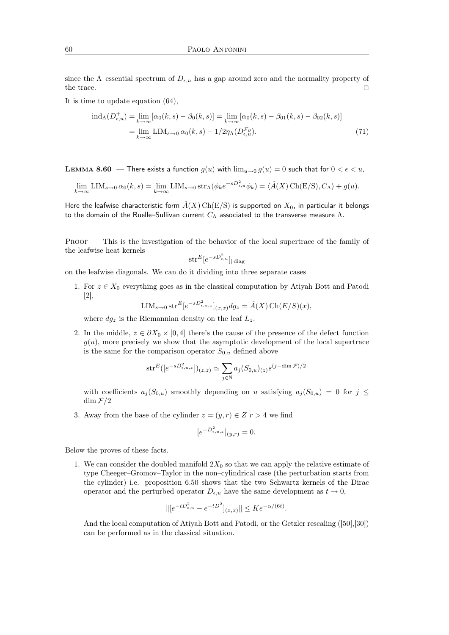since the  $\Lambda$ –essential spectrum of  $D_{e,u}$  has a gap around zero and the normality property of the trace.

It is time to update equation (64),

$$
\text{ind}_{\Lambda}(D_{\epsilon,u}^{+}) = \lim_{k \to \infty} [\alpha_{0}(k,s) - \beta_{0}(k,s)] = \lim_{k \to \infty} [\alpha_{0}(k,s) - \beta_{01}(k,s) - \beta_{02}(k,s)]
$$
  
= 
$$
\lim_{k \to \infty} \text{LIM}_{s \to 0} \alpha_{0}(k,s) - 1/2\eta_{\Lambda}(D_{\epsilon,u}^{\mathcal{F}_{\partial}}).
$$
 (71)

**LEMMA 8.60** — There exists a function  $g(u)$  with  $\lim_{u\to 0} g(u) = 0$  such that for  $0 < \epsilon < u$ ,

$$
\lim_{k \to \infty} \text{LIM}_{s \to 0} \,\alpha_0(k, s) = \lim_{k \to \infty} \text{LIM}_{s \to 0} \operatorname{str}_{\Lambda}(\phi_k e^{-sD_{\epsilon, u}^2} \phi_k) = \langle \hat{A}(X) \operatorname{Ch}(E/S), C_{\Lambda} \rangle + g(u).
$$

Here the leafwise characteristic form  $\hat{A}(X)$  Ch(E/S) is supported on  $X_0$ , in particular it belongs to the domain of the Ruelle–Sullivan current  $C_\Lambda$  associated to the transverse measure  $Λ$ .

Proof — This is the investigation of the behavior of the local supertrace of the family of the leafwise heat kernels

$$
\mathrm{str}^E[e^{-sD_{\epsilon,u}^2}]_{|\operatorname{diag}}
$$

on the leafwise diagonals. We can do it dividing into three separate cases

1. For  $z \in X_0$  everything goes as in the classical computation by Atiyah Bott and Patodi [2],

$$
LIM_{s\to 0} str^{E} [e^{-sD_{\epsilon,u,z}^{2}}]_{(x,x)} dg_{z} = \hat{A}(X) \operatorname{Ch}(E/S)(x),
$$

where  $dg_z$  is the Riemannian density on the leaf  $L_z$ .

2. In the middle,  $z \in \partial X_0 \times [0, 4]$  there's the cause of the presence of the defect function  $g(u)$ , more precisely we show that the asymptotic development of the local supertrace is the same for the comparison operator  $S_{0,u}$  defined above

$$
\operatorname{str}^E([e^{-sD_{\epsilon,u,z}^2}])_{(z,z)} \simeq \sum_{j \in \mathbb{N}} a_j (S_{0,u})_{(z)} s^{(j-\dim \mathcal{F})/2}
$$

with coefficients  $a_j(S_{0,u})$  smoothly depending on u satisfying  $a_j(S_{0,u}) = 0$  for  $j \leq$  $\dim \mathcal{F}/2$ 

3. Away from the base of the cylinder  $z = (y, r) \in Z$   $r > 4$  we find

$$
[e^{-D_{\epsilon,u,z}^2}]_{(y,r)} = 0.
$$

Below the proves of these facts.

1. We can consider the doubled manifold  $2X_0$  so that we can apply the relative estimate of type Cheeger–Gromov–Taylor in the non–cylindrical case (the perturbation starts from the cylinder) i.e. proposition 6.50 shows that the two Schwartz kernels of the Dirac operator and the perturbed operator  $D_{\epsilon,u}$  have the same development as  $t \to 0$ ,

$$
\| [e^{-tD_{\epsilon,u}^2} - e^{-tD^2}]_{(x,x)} \| \leq K e^{-\alpha/(6t)}.
$$

And the local computation of Atiyah Bott and Patodi, or the Getzler rescaling ([50],[30]) can be performed as in the classical situation.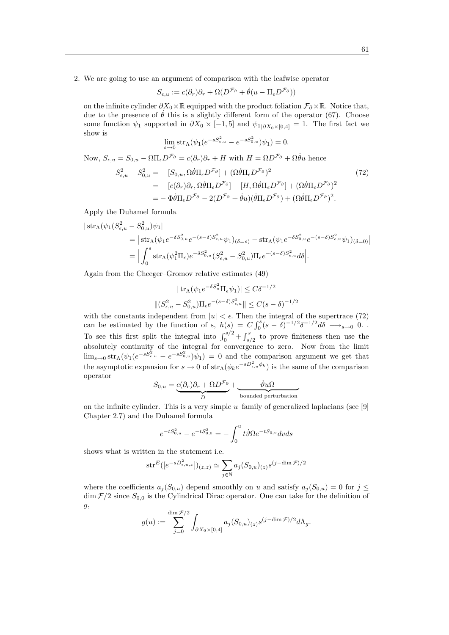2. We are going to use an argument of comparison with the leafwise operator

$$
S_{\epsilon,u} := c(\partial_r)\partial_r + \Omega(D^{\mathcal{F}_{\partial}} + \dot{\theta}(u - \Pi_{\epsilon}D^{\mathcal{F}_{\partial}}))
$$

on the infinite cylinder  $\partial X_0 \times \mathbb{R}$  equipped with the product foliation  $\mathcal{F}_{\partial} \times \mathbb{R}$ . Notice that, due to the presence of  $\theta$  this is a slightly different form of the operator (67). Choose some function  $\psi_1$  supported in  $\partial X_0 \times [-1, 5]$  and  $\psi_{1|\partial X_0 \times [0,4]} = 1$ . The first fact we show is

$$
\lim_{s \to 0} \operatorname{str}_{\Lambda}(\psi_1(e^{-sS_{\epsilon,u}^2} - e^{-sS_{0,u}^2})\psi_1) = 0.
$$

Now,  $S_{\epsilon,u} = S_{0,u} - \Omega \Pi_{\epsilon} D^{\mathcal{F}_{\partial}} = c(\partial_r) \partial_r + H$  with  $H = \Omega D^{\mathcal{F}_{\partial}} + \Omega \dot{\theta} u$  hence

$$
S_{\epsilon,u}^2 - S_{0,u}^2 = -[S_{0,u}, \Omega \dot{\theta} \Pi_{\epsilon} D^{\mathcal{F}_{\partial}}] + (\Omega \dot{\theta} \Pi_{\epsilon} D^{\mathcal{F}_{\partial}})^2
$$
  
\n
$$
= -[c(\partial_r) \partial_r, \Omega \dot{\theta} \Pi_{\epsilon} D^{\mathcal{F}_{\partial}}] - [H, \Omega \dot{\theta} \Pi_{\epsilon} D^{\mathcal{F}_{\partial}}] + (\Omega \dot{\theta} \Pi_{\epsilon} D^{\mathcal{F}_{\partial}})^2
$$
  
\n
$$
= -\Phi \dot{\theta} \Pi_{\epsilon} D^{\mathcal{F}_{\partial}} - 2(D^{\mathcal{F}_{\partial}} + \dot{\theta} u)(\dot{\theta} \Pi_{\epsilon} D^{\mathcal{F}_{\partial}}) + (\Omega \dot{\theta} \Pi_{\epsilon} D^{\mathcal{F}_{\partial}})^2.
$$
\n(72)

Apply the Duhamel formula

2

$$
\begin{split} \left| \operatorname{str}_{\Lambda}(\psi_{1}(S_{\epsilon,u}^{2}-S_{0,u}^{2})\psi_{1}) \right| \\ & = \left| \operatorname{str}_{\Lambda}(\psi_{1}e^{-\delta S_{0,u}^{2}}e^{-(s-\delta)S_{\epsilon,u}^{2}}\psi_{1})_{(\delta=s)} - \operatorname{str}_{\Lambda}(\psi_{1}e^{-\delta S_{0,u}^{2}}e^{-(s-\delta)S_{\epsilon,u}^{2}}\psi_{1})_{(\delta=0)} \right| \\ & = \Big| \int_{0}^{s} \operatorname{str}_{\Lambda}(\psi_{1}^{2}\Pi_{\epsilon})e^{-\delta S_{0,u}^{2}}(S_{\epsilon,u}^{2}-S_{0,u}^{2})\Pi_{\epsilon}e^{-(s-\delta)S_{\epsilon,u}^{2}}d\delta \Big|. \end{split}
$$

Again from the Cheeger–Gromov relative estimates (49)

$$
|\operatorname{tr}_{\Lambda}(\psi_1 e^{-\delta S_u^2} \Pi_{\epsilon} \psi_1)| \leq C\delta^{-1/2}
$$

$$
\|(S_{\epsilon,u}^2 - S_{0,u}^2) \Pi_{\epsilon} e^{-(s-\delta)S_{\epsilon,u}^2}\| \leq C(s-\delta)^{-1/2}
$$

with the constants independent from  $|u| < \epsilon$ . Then the integral of the supertrace (72) can be estimated by the function of s,  $h(s) = C \int_0^s (s - \delta)^{-1/2} \delta^{-1/2} d\delta \longrightarrow_{s \to 0} 0$ . To see this first split the integral into  $\int_0^{s/2} + \int_{s/2}^s$  to prove finiteness then use the absolutely continuity of the integral for convergence to zero. Now from the limit  $\lim_{s\to 0} str_\Lambda(\psi_1(e^{-sS_{\epsilon,u}^2} - e^{-sS_{0,u}^2})\psi_1) = 0$  and the comparison argument we get that the asymptotic expansion for  $s \to 0$  of  $str_\Lambda(\phi_k e^{-sD_{\epsilon,u}^2\phi_k})$  is the same of the comparison operator

$$
S_{0,u} = \underbrace{c(\partial_r)\partial_r + \Omega D^{\mathcal{F}_{\partial}}}_{D} + \underbrace{\dot{\vartheta}u\Omega}_{\text{bounded perturbation}}
$$

on the infinite cylinder. This is a very simple  $u$ -family of generalized laplacians (see [9] Chapter 2.7) and the Duhamel formula

$$
e^{-tS_{0,u}^2} - e^{-tS_{0,0}^2} = -\int_0^u t\dot{\vartheta} \Omega e^{-tS_{0,v}} dv ds
$$

shows what is written in the statement i.e.

$$
\mathrm{str}^E([e^{-sD^2_{\epsilon,u,z}}])_{(z,z)}\simeq \sum_{j\in\mathbb{N}} a_j(S_{0,u})_{(z)}s^{(j-\dim \mathcal{F})/2}
$$

where the coefficients  $a_j(S_{0,u})$  depend smoothly on u and satisfy  $a_j(S_{0,u}) = 0$  for  $j \leq$  $\dim \mathcal{F}/2$  since  $S_{0,0}$  is the Cylindrical Dirac operator. One can take for the definition of  $g,$ 

$$
g(u) := \sum_{j=0}^{\dim \mathcal{F}/2} \int_{\partial X_0 \times [0,4]} a_j(S_{0,u})_{(z)} s^{(j-\dim \mathcal{F})/2} d\Lambda_g.
$$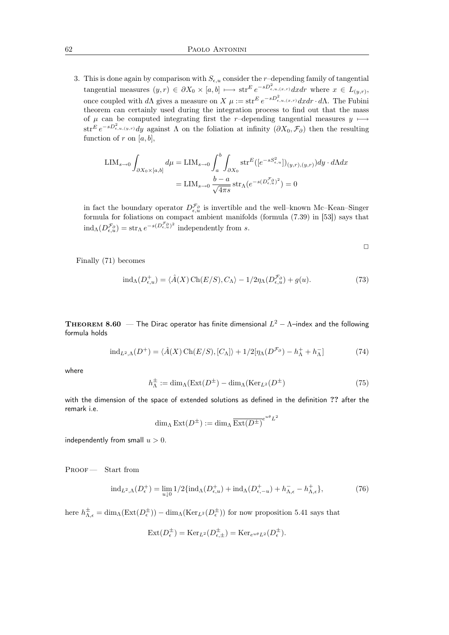3. This is done again by comparison with  $S_{\epsilon,u}$  consider the r-depending family of tangential tangential measures  $(y,r) \in \partial X_0 \times [a,b] \longmapsto \text{str}^E e^{-sD_{\epsilon,u,(x,r)}^2} dx dr$  where  $x \in L_{(y,r)}$ , once coupled with d $\Lambda$  gives a measure on  $X \mu := \text{str}^E e^{-sD_{\epsilon,u,(x,r)}^2} dx dr \cdot d\Lambda$ . The Fubini theorem can certainly used during the integration process to find out that the mass of  $\mu$  can be computed integrating first the r–depending tangential measures  $y \mapsto$  $\text{str}^E e^{-sD_{\epsilon,u,(y,r)}^2}dy$  against  $\Lambda$  on the foliation at infinity  $(\partial X_0, \mathcal{F}_{\partial})$  then the resulting function of r on  $[a, b]$ ,

$$
\text{LIM}_{s \to 0} \int_{\partial X_0 \times [a,b]} d\mu = \text{LIM}_{s \to 0} \int_a^b \int_{\partial X_0} \text{str}^E([e^{-sS_{\epsilon,u}^2}])_{(y,r),(y,r)}) dy \cdot d\Lambda dx
$$

$$
= \text{LIM}_{s \to 0} \frac{b-a}{\sqrt{4\pi s}} \text{str}_{\Lambda}(e^{-s(D_{\epsilon,u}^{\mathcal{F}_0})^2}) = 0
$$

in fact the boundary operator  $D_{\epsilon,u}^{\mathcal{F}_{\partial}}$  is invertible and the well–known Mc–Kean–Singer formula for foliations on compact ambient manifolds (formula (7.39) in [53]) says that  $\text{ind}_{\Lambda}(D^{\mathcal{F}_{\partial}}_{\epsilon,u}) = \text{str}_{\Lambda} e^{-s(D^{\mathcal{F}_{\partial}}_{\epsilon,u})^2}$  independently from s.

$$
\Box
$$

Finally (71) becomes

$$
ind_{\Lambda}(D_{\epsilon,u}^{+}) = \langle \hat{A}(X) \operatorname{Ch}(E/S), C_{\Lambda} \rangle - 1/2 \eta_{\Lambda}(D_{\epsilon,u}^{\mathcal{F}_{\partial}}) + g(u). \tag{73}
$$

**THEOREM 8.60** — The Dirac operator has finite dimensional  $L^2 - \Lambda$ –index and the following formula holds

$$
\text{ind}_{L^2,\Lambda}(D^+) = \langle \hat{A}(X) \operatorname{Ch}(E/S), [C_{\Lambda}] \rangle + 1/2[\eta_{\Lambda}(D^{\mathcal{F}_{\partial}}) - h_{\Lambda}^+ + h_{\Lambda}^-] \tag{74}
$$

where

$$
h_{\Lambda}^{\pm} := \dim_{\Lambda}(\operatorname{Ext}(D^{\pm}) - \dim_{\Lambda}(\operatorname{Ker}_{L^{2}}(D^{\pm})
$$
\n(75)

with the dimension of the space of extended solutions as defined in the definition ?? after the remark i.e.

$$
\dim_{\Lambda} \operatorname{Ext}(D^{\pm}) := \dim_{\Lambda} \overline{\operatorname{Ext}(D^{\pm})}^{e^{u\theta}L^2}
$$

independently from small  $u > 0$ .

PROOF — Start from

$$
\mathrm{ind}_{L^2,\Lambda}(D_{\epsilon}^+) = \lim_{u \downarrow 0} 1/2 \{\mathrm{ind}_{\Lambda}(D_{\epsilon,u}^+) + \mathrm{ind}_{\Lambda}(D_{\epsilon,-u}^+) + h_{\Lambda,\epsilon}^- - h_{\Lambda,\epsilon}^+\},\tag{76}
$$

here  $h_{\Lambda,\epsilon}^{\pm} = \dim_{\Lambda}(\text{Ext}(D_{\epsilon}^{\pm})) - \dim_{\Lambda}(\text{Ker}_{L^{2}}(D_{\epsilon}^{\pm}))$  for now proposition 5.41 says that

$$
Ext(D_{\epsilon}^{\pm}) = Ker_{L^2}(D_{\epsilon,\pm}^{\pm}) = Ker_{e^{u\theta}L^2}(D_{\epsilon}^{\pm}).
$$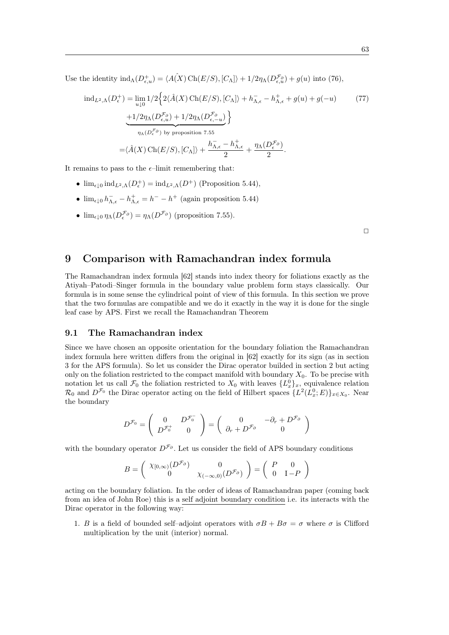Use the identity  $\text{ind}_{\Lambda}(D^+_{\epsilon,u}) = \langle A(X) \text{Ch}(E/S), [C_{\Lambda}] \rangle + 1/2\eta_{\Lambda}(D^{\mathcal{F}_{\partial}}_{\epsilon,u}) + g(u) \text{ into (76)},$ 

$$
\mathrm{ind}_{L^{2},\Lambda}(D_{\epsilon}^{+}) = \lim_{u\downarrow 0} 1/2 \Big\{ 2\langle \hat{A}(X) \mathrm{Ch}(E/S), [C_{\Lambda}] \rangle + h_{\Lambda,\epsilon}^{-} - h_{\Lambda,\epsilon}^{+} + g(u) + g(-u) \qquad (77)
$$

$$
\frac{+1/2\eta_{\Lambda}(D_{\epsilon,u}^{\mathcal{F}_{\partial}}) + 1/2\eta_{\Lambda}(D_{\epsilon,-u}^{\mathcal{F}_{\partial}})}{\eta_{\Lambda}(D_{\epsilon}^{\mathcal{F}_{\partial}}) \text{ by proposition 7.55}}
$$

$$
= \langle \hat{A}(X) \mathrm{Ch}(E/S), [C_{\Lambda}] \rangle + \frac{h_{\Lambda,\epsilon}^{-} - h_{\Lambda,\epsilon}^{+}}{2} + \frac{\eta_{\Lambda}(D_{\epsilon}^{\mathcal{F}_{\partial}})}{2}.
$$

It remains to pass to the  $\epsilon$ -limit remembering that:

- $\lim_{\epsilon \downarrow 0} \text{ind}_{L^2,\Lambda}(D_{\epsilon}^+) = \text{ind}_{L^2,\Lambda}(D^+)$  (Proposition 5.44),
- $\lim_{\epsilon \downarrow 0} h_{\Lambda, \epsilon}^- h_{\Lambda, \epsilon}^+ = h^- h^+$  (again proposition 5.44)
- $\lim_{\epsilon \downarrow 0} \eta_{\Lambda}(D_{\epsilon}^{\mathcal{F}_{\partial}}) = \eta_{\Lambda}(D^{\mathcal{F}_{\partial}})$  (proposition 7.55).

 $\Box$ 

## 9 Comparison with Ramachandran index formula

The Ramachandran index formula [62] stands into index theory for foliations exactly as the Atiyah–Patodi–Singer formula in the boundary value problem form stays classically. Our formula is in some sense the cylindrical point of view of this formula. In this section we prove that the two formulas are compatible and we do it exactly in the way it is done for the single leaf case by APS. First we recall the Ramachandran Theorem

#### 9.1 The Ramachandran index

Since we have chosen an opposite orientation for the boundary foliation the Ramachandran index formula here written differs from the original in [62] exactly for its sign (as in section 3 for the APS formula). So let us consider the Dirac operator builded in section 2 but acting only on the foliation restricted to the compact manifold with boundary  $X_0$ . To be precise with notation let us call  $\mathcal{F}_0$  the foliation restricted to  $X_0$  with leaves  $\{L_x^0\}_x$ , equivalence relation  $\mathcal{R}_0$  and  $D^{\mathcal{F}_0}$  the Dirac operator acting on the field of Hilbert spaces  $\{L^2(L_x^0; E)\}_{x \in X_0}$ . Near the boundary

$$
D^{\mathcal{F}_0} = \begin{pmatrix} 0 & D^{\mathcal{F}_0^-} \\ D^{\mathcal{F}_0^+} & 0 \end{pmatrix} = \begin{pmatrix} 0 & -\partial_r + D^{\mathcal{F}_\partial} \\ \partial_r + D^{\mathcal{F}_\partial} & 0 \end{pmatrix}
$$

with the boundary operator  $D^{\mathcal{F}_{\partial}}$ . Let us consider the field of APS boundary conditions

$$
B = \begin{pmatrix} \chi_{[0,\infty)}(D^{\mathcal{F}_{\partial}}) & 0 \\ 0 & \chi_{(-\infty,0)}(D^{\mathcal{F}_{\partial}}) \end{pmatrix} = \begin{pmatrix} P & 0 \\ 0 & I - P \end{pmatrix}
$$

acting on the boundary foliation. In the order of ideas of Ramachandran paper (coming back from an idea of John Roe) this is a self adjoint boundary condition i.e. its interacts with the Dirac operator in the following way:

1. B is a field of bounded self-adjoint operators with  $\sigma B + B\sigma = \sigma$  where  $\sigma$  is Clifford multiplication by the unit (interior) normal.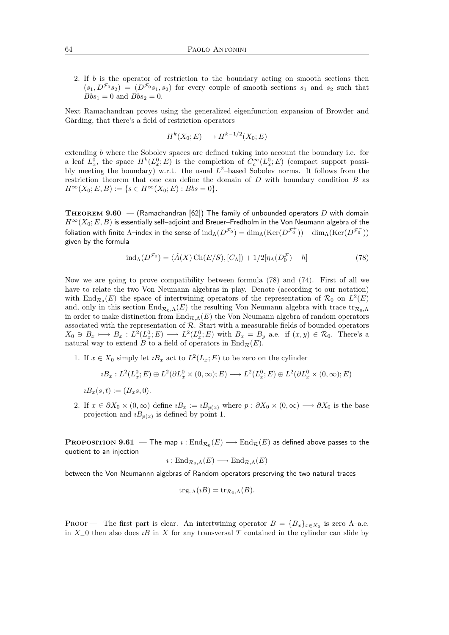2. If b is the operator of restriction to the boundary acting on smooth sections then  $(s_1, D^{\mathcal{F}_0}s_2) = (D^{\mathcal{F}_0}s_1, s_2)$  for every couple of smooth sections  $s_1$  and  $s_2$  such that  $Bbs_1 = 0$  and  $Bbs_2 = 0$ .

Next Ramachandran proves using the generalized eigenfunction expansion of Browder and Gårding, that there's a field of restriction operators

$$
H^k(X_0; E) \longrightarrow H^{k-1/2}(X_0; E)
$$

extending b where the Sobolev spaces are defined taking into account the boundary i.e. for a leaf  $L_x^0$ , the space  $H^k(L_x^0; E)$  is the completion of  $C_c^{\infty}(L_x^0; E)$  (compact support possibly meeting the boundary) w.r.t. the usual  $L^2$ -based Sobolev norms. It follows from the restriction theorem that one can define the domain of D with boundary condition B as  $H^{\infty}(X_0; E, B) := \{ s \in H^{\infty}(X_0; E) : Bbs = 0 \}.$ 

**THEOREM 9.60** — (Ramachandran [62]) The family of unbounded operators D with domain  $H^{\infty}(X_0; E, B)$  is essentially self–adjoint and Breuer–Fredholm in the Von Neumann algebra of the foliation with finite  $\Lambda$ –index in the sense of  ${\rm ind}_\Lambda(D^{{\mathcal F}_0})=\dim_\Lambda ({\rm Ker}(D^{{\mathcal F}_0^+}))-\dim_\Lambda ({\rm Ker}(D^{{\mathcal F}_0^-}))$ given by the formula

$$
\text{ind}_{\Lambda}(D^{\mathcal{F}_0}) = \langle \hat{A}(X) \operatorname{Ch}(E/S), [C_{\Lambda}] \rangle + 1/2[\eta_{\Lambda}(D_0^{\mathcal{F}}) - h] \tag{78}
$$

Now we are going to prove compatibility between formula (78) and (74). First of all we have to relate the two Von Neumann algebras in play. Denote (according to our notation) with End $_{\mathcal{R}_0}(E)$  the space of intertwining operators of the representation of  $\mathcal{R}_0$  on  $L^2(E)$ and, only in this section  $\text{End}_{\mathcal{R}_0,\Lambda}(E)$  the resulting Von Neumann algebra with trace  $\text{tr}_{\mathcal{R}_0,\Lambda}$ in order to make distinction from  $\text{End}_{\mathcal{R},\Lambda}(E)$  the Von Neumann algebra of random operators associated with the representation of  $R$ . Start with a measurable fields of bounded operators  $X_0 \ni B_x \longmapsto B_x : L^2(L_x^0; E) \longrightarrow L^2(L_x^0; E)$  with  $B_x = B_y$  a.e. if  $(x, y) \in \mathcal{R}_0$ . There's a natural way to extend B to a field of operators in  $\text{End}_{\mathcal{R}}(E)$ .

1. If  $x \in X_0$  simply let  $iB_x$  act to  $L^2(L_x; E)$  to be zero on the cylinder

$$
iB_x: L^2(L_x^0; E) \oplus L^2(\partial L_x^0 \times (0, \infty); E) \longrightarrow L^2(L_x^0; E) \oplus L^2(\partial L_x^0 \times (0, \infty); E)
$$

 $iB_x(s,t) := (B_x s, 0).$ 

2. If  $x \in \partial X_0 \times (0,\infty)$  define  $iB_x := iB_{p(x)}$  where  $p : \partial X_0 \times (0,\infty) \longrightarrow \partial X_0$  is the base projection and  $iB_{p(x)}$  is defined by point 1.

 $\mathbf{PROPOSITION} \ \mathbf{9.61}\ \mathrm{\textbf{---} The map}\ i:\mathrm{End}_{\mathcal{R}_0}(E)\ \mathrm{\textbf{---} End}_{\mathcal{R}}(E)$  as defined above passes to the quotient to an injection

$$
\imath: \mathrm{End}_{\mathcal{R}_0,\Lambda}(E) \longrightarrow \mathrm{End}_{\mathcal{R},\Lambda}(E)
$$

between the Von Neumannn algebras of Random operators preserving the two natural traces

$$
\operatorname{tr}_{\mathcal{R},\Lambda}(iB) = \operatorname{tr}_{\mathcal{R}_0,\Lambda}(B).
$$

PROOF — The first part is clear. An intertwining operator  $B = \{B_x\}_{x \in X_0}$  is zero  $\Lambda$ -a.e. in  $X=0$  then also does  $iB$  in X for any transversal T contained in the cylinder can slide by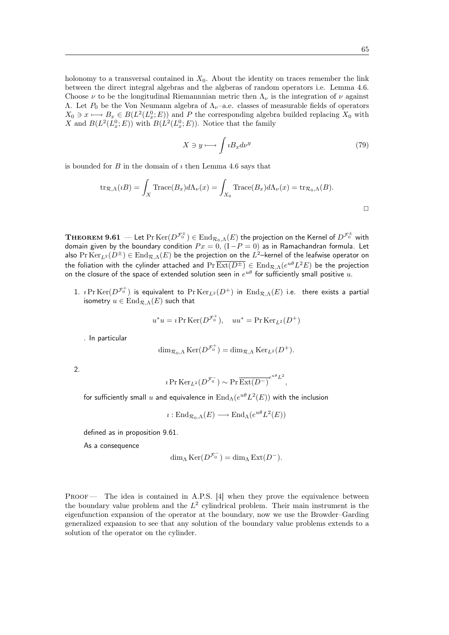holonomy to a transversal contained in  $X_0$ . About the identity on traces remember the link between the direct integral algebras and the algberas of random operators i.e. Lemma 4.6. Choose  $\nu$  to be the longitudinal Riemannnian metric then  $\Lambda_{\nu}$  is the integration of  $\nu$  against Λ. Let  $P_0$  be the Von Neumann algebra of  $Λ<sub>ν</sub>$ -a.e. classes of measurable fields of operators  $X_0 \ni x \longmapsto B_x \in B(L^2(L_x^0; E))$  and P the corresponding algebra builded replacing  $X_0$  with X and  $B(L^2(L_x^0; E))$  with  $B(L^2(L_x^0; E))$ . Notice that the family

$$
X \ni y \longmapsto \int i B_x d\nu^y \tag{79}
$$

is bounded for  $B$  in the domain of  $\imath$  then Lemma 4.6 says that

$$
\text{tr}_{\mathcal{R},\Lambda}(iB) = \int_X \text{Trace}(B_x) d\Lambda_\nu(x) = \int_{X_0} \text{Trace}(B_x) d\Lambda_\nu(x) = \text{tr}_{\mathcal{R}_0,\Lambda}(B).
$$

 $\bf{THEOREM}$   $\bf{9.61}$   $-$  Let  $\rm{Pr}\,Ker(D^{\mathcal{F}_0^{\pm}})$   $\in$   $\rm{End}_{\mathcal{R}_0,\Lambda}(E)$  the projection on the Kernel of  $D^{\mathcal{F}_0^{\pm}}$  with domain given by the boundary condition  $Px = 0,$   $(I - P = 0)$  as in Ramachandran formula. Let also  $\Pr \text{Ker}_{L^2}(D^{\pm}) \in \text{End}_{\mathcal{R},\Lambda}(E)$  be the projection on the  $L^2$ –kernel of the leafwise operator on the foliation with the cylinder attached and  $\Pr[\overline{\text{Ext}(D^{\pm})}\in\text{End}_{\mathcal R,\Lambda}(e^{u\theta}L^2E)$  be the projection on the closure of the space of extended solution seen in  $e^{u\theta}$  for sufficiently small positive  $u.$ 

1.  $\imath$   $\mathrm{Pr}\operatorname{Ker}(D^{\mathcal{F}_0^+})$  is equivalent to  $\mathrm{Pr}\operatorname{Ker}_{L^2}(D^+)$  in  $\operatorname{End}_{\mathcal{R},\Lambda}(E)$  i.e. there exists a partial isometry  $u \in \text{End}_{\mathcal{R}, \Lambda}(E)$  such that

$$
u^*u = i \Pr \text{Ker}(D^{\mathcal{F}_0^+}), \quad uu^* = \Pr \text{Ker}_{L^2}(D^+)
$$

. In particular

$$
\dim_{\mathcal{R}_0,\Lambda}\mathrm{Ker}(D^{\mathcal{F}_0^+})=\dim_{\mathcal{R},\Lambda}\mathrm{Ker}_{L^2}(D^+).
$$

2.

$$
i \Pr \operatorname{Ker}_{L^2}(D^{\mathcal{F}_0^-}) \sim \Pr \overline{\operatorname{Ext}(D^-)}^{e^{u\theta}L^2},
$$

for sufficiently small  $u$  and equivalence in  $\mathrm{End}_{\Lambda}(e^{u\theta}L^2(E))$  with the inclusion

$$
\imath: \mathrm{End}_{\mathcal{R}_0,\Lambda}(E) \longrightarrow \mathrm{End}_{\Lambda}(e^{u\theta}L^2(E))
$$

defined as in proposition 9.61.

As a consequence

$$
\dim_{\Lambda} \text{Ker}(D^{\mathcal{F}_0^-}) = \dim_{\Lambda} \text{Ext}(D^-).
$$

PROOF — The idea is contained in A.P.S. [4] when they prove the equivalence between the boundary value problem and the  $L^2$  cylindrical problem. Their main instrument is the eigenfunction expansion of the operator at the boundary, now we use the Browder–Garding generalized expansion to see that any solution of the boundary value problems extends to a solution of the operator on the cylinder.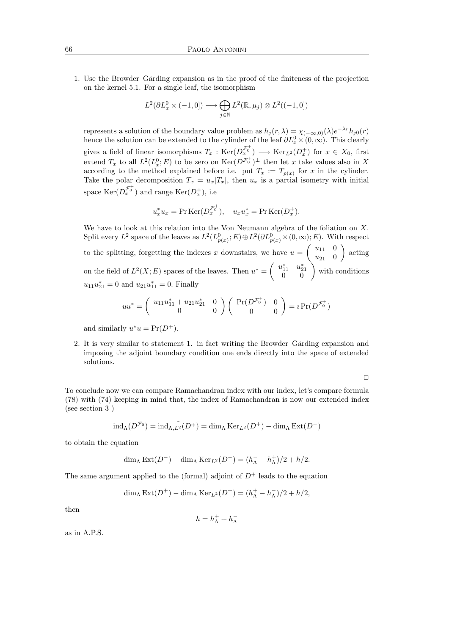1. Use the Browder–Gårding expansion as in the proof of the finiteness of the projection on the kernel 5.1. For a single leaf, the isomorphism

$$
L^2(\partial L^0_x \times (-1,0]) \longrightarrow \bigoplus_{j \in \mathbb{N}} L^2(\mathbb{R},\mu_j) \otimes L^2((-1,0])
$$

represents a solution of the boundary value problem as  $h_j(r, \lambda) = \chi_{(-\infty,0)}(\lambda) e^{-\lambda r} h_{j0}(r)$ hence the solution can be extended to the cylinder of the leaf  $\partial L_x^0 \times (0, \infty)$ . This clearly gives a field of linear isomorphisms  $T_x$ :  $\text{Ker}(D_x^{\mathcal{F}_0^+}) \longrightarrow \text{Ker}_{L^2}(D_x^+)$  for  $x \in X_0$ , first extend  $T_x$  to all  $L^2(L_x^0; E)$  to be zero on  $\text{Ker}(D^{\mathcal{F}_0^+})^{\perp}$  then let x take values also in X according to the method explained before i.e. put  $T_x := T_{p(x)}$  for x in the cylinder. Take the polar decomposition  $T_x = u_x|T_x|$ , then  $u_x$  is a partial isometry with initial space  $\text{Ker}(D_x^{\mathcal{F}_0^+})$  and range  $\text{Ker}(D_x^+)$ , i.e

$$
u_x^* u_x = \Pr \operatorname{Ker}(D_x^{\mathcal{F}_0^+}), \quad u_x u_x^* = \Pr \operatorname{Ker}(D_x^+).
$$

We have to look at this relation into the Von Neumann algebra of the foliation on X. Split every  $L^2$  space of the leaves as  $L^2(L_{p(x)}^0; E) \oplus L^2(\partial L_{p(x)}^0 \times (0, \infty); E)$ . With respect to the splitting, forgetting the indexes x downstairs, we have  $u = \begin{pmatrix} u_{11} & 0 \\ u_{21} & 0 \end{pmatrix}$  $u_{21}$  0 ) acting on the field of  $L^2(X; E)$  spaces of the leaves. Then  $u^* = \begin{pmatrix} u_{11}^* & u_{21}^* \ 0 & 0 \end{pmatrix}$  with conditions  $u_{11}u_{21}^* = 0$  and  $u_{21}u_{11}^* = 0$ . Finally

$$
uu^* = \begin{pmatrix} u_{11}u_{11}^* + u_{21}u_{21}^* & 0 \\ 0 & 0 \end{pmatrix} \begin{pmatrix} Pr(D^{\mathcal{F}_0^+}) & 0 \\ 0 & 0 \end{pmatrix} = i Pr(D^{\mathcal{F}_0^+})
$$

and similarly  $u^*u = Pr(D^+).$ 

2. It is very similar to statement 1. in fact writing the Browder–Gårding expansion and imposing the adjoint boundary condition one ends directly into the space of extended solutions.

 $\Box$ 

To conclude now we can compare Ramachandran index with our index, let's compare formula (78) with (74) keeping in mind that, the index of Ramachandran is now our extended index (see section 3 )

$$
\operatorname{ind}_{\Lambda}(D^{\mathcal{F}_0}) = \operatorname{ind}_{\Lambda, L^2}(D^+) = \operatorname{dim}_{\Lambda} \operatorname{Ker}_{L^2}(D^+) - \operatorname{dim}_{\Lambda} \operatorname{Ext}(D^-)
$$

to obtain the equation

$$
\dim_{\Lambda} \operatorname{Ext}(D^-) - \dim_{\Lambda} \operatorname{Ker}_{L^2}(D^-) = (h_{\Lambda}^- - h_{\Lambda}^+)/2 + h/2.
$$

The same argument applied to the (formal) adjoint of  $D^+$  leads to the equation

$$
\dim_{\Lambda} \operatorname{Ext}(D^+) - \dim_{\Lambda} \operatorname{Ker}_{L^2}(D^+) = (h_{\Lambda}^+ - h_{\Lambda}^-)/2 + h/2,
$$

then

$$
h=h^+_\Lambda+h^-_\Lambda
$$

as in A.P.S.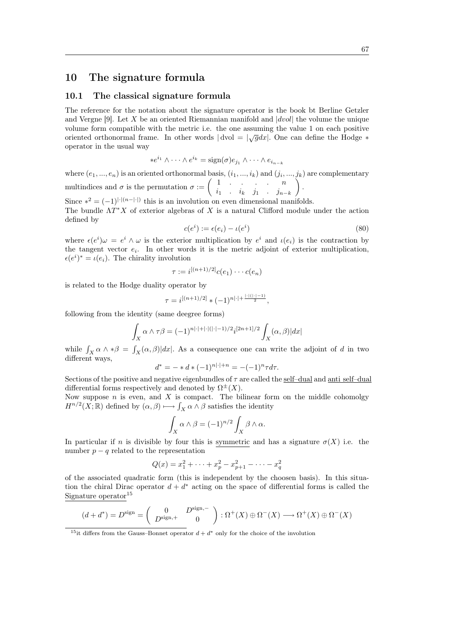## 10 The signature formula

#### 10.1 The classical signature formula

The reference for the notation about the signature operator is the book bt Berline Getzler and Vergne [9]. Let X be an oriented Riemannian manifold and  $|dvol|$  the volume the unique volume form compatible with the metric i.e. the one assuming the value 1 on each positive oriented orthonormal frame. In other words  $|dvol = \sqrt{g}dx|$ . One can define the Hodge  $*$ operator in the usual way

$$
*e^{i_1}\wedge\cdots\wedge e^{i_k}=\text{sign}(\sigma)e_{j_1}\wedge\cdots\wedge e_{i_{n-k}}
$$

where  $(e_1, ..., e_n)$  is an oriented orthonormal basis,  $(i_1, ..., i_k)$  and  $(j_i, ..., j_k)$  are complementary multindices and  $\sigma$  is the permutation  $\sigma := \begin{pmatrix} 1 & \cdots & \cdots & n \\ n & \cdots & \cdots & n \end{pmatrix}$  $i_1$  .  $i_k$   $j_1$  .  $j_{n-k}$  $\big)$  .

Since  $*^2 = (-1)^{|\cdot|(n-|\cdot|)}$  this is an involution on even dimensional manifolds. The bundle  $\Lambda T^*X$  of exterior algebras of X is a natural Clifford module under the action defined by

$$
c(ei) := \epsilon(e_i) - \iota(e^i)
$$
\n(80)

where  $\epsilon(e^i)\omega = e^i \wedge \omega$  is the exterior multiplication by  $e^i$  and  $\iota(e_i)$  is the contraction by the tangent vector  $e_i$ . In other words it is the metric adjoint of exterior multiplication,  $\epsilon(e^i)^* = \iota(e_i)$ . The chirality involution

$$
\tau := i^{[(n+1)/2]}c(e_1)\cdots c(e_n)
$$

is related to the Hodge duality operator by

$$
\tau = i^{[(n+1)/2]} * (-1)^{n|\cdot| + \frac{|\cdot|(|\cdot|-1)}{2}},
$$

following from the identity (same deegree forms)

$$
\int_X \alpha \wedge \tau \beta = (-1)^{n|\cdot|+|\cdot|(|\cdot|-1)/2} i^{[2n+1]/2} \int_X (\alpha, \beta) |dx|
$$

while  $\int_X \alpha \wedge * \beta = \int_X (\alpha, \beta) |dx|$ . As a consequence one can write the adjoint of d in two different ways,

$$
d^* = - * d * (-1)^{n| \cdot | + n} = -(-1)^n \tau d\tau.
$$

Sections of the positive and negative eigenbundles of  $\tau$  are called the self-dual and anti self-dual differential forms respectively and denoted by  $\Omega^{\pm}(X)$ .

Now suppose  $n$  is even, and  $X$  is compact. The bilinear form on the middle cohomolgy  $H^{n/2}(X;\mathbb{R})$  defined by  $(\alpha,\beta)\longmapsto \int_X \alpha\wedge\beta$  satisfies the identity

$$
\int_X \alpha \wedge \beta = (-1)^{n/2} \int_X \beta \wedge \alpha.
$$

In particular if n is divisible by four this is symmetric and has a signature  $\sigma(X)$  i.e. the number  $p - q$  related to the representation

$$
Q(x) = x_1^2 + \dots + x_p^2 - x_{p+1}^2 - \dots - x_q^2
$$

of the associated quadratic form (this is independent by the choosen basis). In this situation the chiral Dirac operator  $d + d^*$  acting on the space of differential forms is called the Signature operator $15$ 

$$
(d+d^*) = D^{\text{sign}} = \begin{pmatrix} 0 & D^{\text{sign},-} \\ D^{\text{sign},+} & 0 \end{pmatrix} : \Omega^+(X) \oplus \Omega^-(X) \longrightarrow \Omega^+(X) \oplus \Omega^-(X)
$$

<sup>15</sup>it differs from the Gauss–Bonnet operator  $d + d^*$  only for the choice of the involution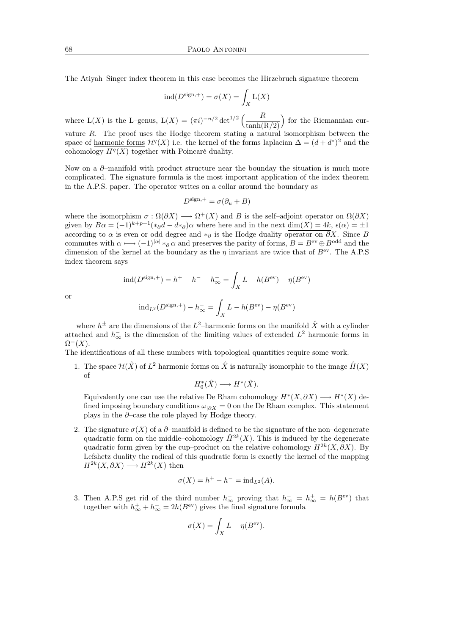The Atiyah–Singer index theorem in this case becomes the Hirzebruch signature theorem

$$
ind(D^{sign,+}) = \sigma(X) = \int_X L(X)
$$

where  $L(X)$  is the L–genus,  $L(X) = (\pi i)^{-n/2} \det^{1/2} \left( \frac{R}{\sigma^2} \right)$  $tanh(R/2)$  for the Riemannian curvature R. The proof uses the Hodge theorem stating a natural isomorphism between the space of <u>harmonic forms</u>  $\mathcal{H}^q(X)$  i.e. the kernel of the forms laplacian  $\Delta = (d + d^*)^2$  and the cohomology  $H^q(X)$  together with Poincaré duality.

Now on a  $\partial$ –manifold with product structure near the bounday the situation is much more complicated. The signature formula is the most important application of the index theorem in the A.P.S. paper. The operator writes on a collar around the boundary as

$$
D^{\text{sign},+} = \sigma(\partial_u + B)
$$

where the isomorphism  $\sigma : \Omega(\partial X) \longrightarrow \Omega^+(X)$  and B is the self-adjoint operator on  $\Omega(\partial X)$ given by  $B\alpha = (-1)^{k+p+1}(*_{\partial}d - d*_\partial)\alpha$  where here and in the next dim(X) = 4k,  $\epsilon(\alpha) = \pm 1$ according to  $\alpha$  is even or odd degree and ∗ $\partial \delta$  is the Hodge duality operator on  $\partial X$ . Since B commutes with  $\alpha \longmapsto (-1)^{|\alpha|} *_{\partial} \alpha$  and preserves the parity of forms,  $B = B^{\text{ev}} \oplus B^{\text{odd}}$  and the dimension of the kernel at the boundary as the  $\eta$  invariant are twice that of  $B^{\text{ev}}$ . The A.P.S index theorem says

$$
ind(D^{sign,+}) = h^{+} - h^{-} - h_{\infty}^{-} = \int_{X} L - h(B^{ev}) - \eta(B^{ev})
$$

or

$$
ind_{L^2}(D^{\text{sign},+}) - h_{\infty}^- = \int_X L - h(B^{\text{ev}}) - \eta(B^{\text{ev}})
$$

where  $h^{\pm}$  are the dimensions of the  $L^2$ -harmonic forms on the manifold  $\hat{X}$  with a cylinder attached and  $h_{\infty}^-$  is the dimension of the limiting values of extended  $L^2$  harmonic forms in  $\Omega^-(X)$ .

The identifications of all these numbers with topological quantities require some work.

1. The space  $\mathcal{H}(\hat{X})$  of  $L^2$  harmonic forms on  $\hat{X}$  is naturally isomorphic to the image  $\hat{H}(X)$ of

$$
H_0^*(\hat{X}) \longrightarrow H^*(\hat{X}).
$$

Equivalently one can use the relative De Rham cohomology  $H^*(X, \partial X) \longrightarrow H^*(X)$  defined imposing boundary conditions  $\omega_{\vert \partial X} = 0$  on the De Rham complex. This statement plays in the  $\partial$ –case the role played by Hodge theory.

2. The signature  $\sigma(X)$  of a  $\partial$ -manifold is defined to be the signature of the non-degenerate quadratic form on the middle–cohomology  $\hat{H}^{2k}(X)$ . This is induced by the degenerate quadratic form given by the cup–product on the relative cohomology  $H^{2k}(X,\partial X)$ . By Lefshetz duality the radical of this quadratic form is exactly the kernel of the mapping  $H^{2k}(X, \partial X) \longrightarrow H^{2k}(X)$  then

$$
\sigma(X) = h^+ - h^- = \text{ind}_{L^2}(A).
$$

3. Then A.P.S get rid of the third number  $h_{\infty}^-$  proving that  $h_{\infty}^- = h_{\infty}^+ = h(B^{\text{ev}})$  that together with  $h_{\infty}^{+} + h_{\infty}^{-} = 2h(B^{\text{ev}})$  gives the final signature formula

$$
\sigma(X) = \int_X L - \eta(B^{\text{ev}}).
$$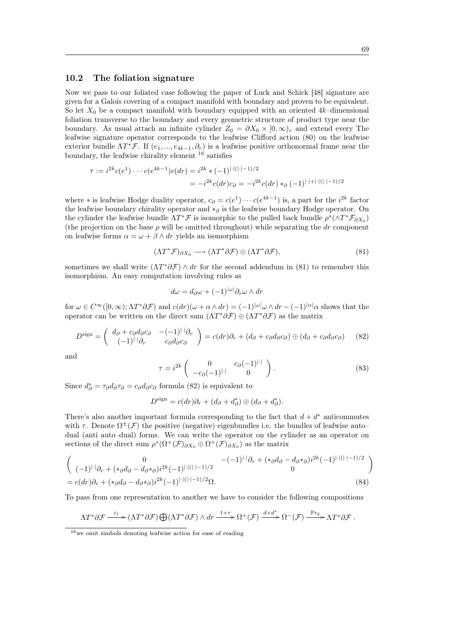### 10.2 The foliation signature

Now we pass to our foliated case following the paper of Luck and Schick [48] signature are given for a Galois covering of a compact manifold with boundary and proven to be equivalent. So let  $X_0$  be a compact manifold with boundary equipped with an oriented 4k–dimensional foliation transverse to the boundary and every geometric structure of product type near the boundary. As usual attach an infinite cylinder  $Z_0 = \partial X_0 \times [0, \infty)_r$  and extend every The leafwise signature operator corresponds to the leafwise Clifford action (80) on the leafwise exterior bundle  $\Lambda T^* \mathcal{F}$ . If  $(e_1, ..., e_{4k-1}, \partial_r)$  is a leafwise positive orthonormal frame near the boundary, the leafwise chirality element  $^{16}$  satisfies

$$
\tau := i^{2k} c(e^1) \cdots c(e^{4k-1}) c(dr) = i^{2k} * (-1)^{|\cdot|(|\cdot|-1)/2}
$$
  
= 
$$
-i^{2k} c(dr) c_{\partial} = -i^{2k} c(dr) *_{\partial} (-1)^{|\cdot|+|\cdot|(|\cdot|-1)/2}
$$

where  $*$  is leafwise Hodge duality operator,  $c_{\partial} = c(e^{1}) \cdots c(e^{4k-1})$  is, a part for the  $i^{2k}$  factor the leafwise boundary chirality operator and  $*_\partial$  is the leafwise boundary Hodge operator. On the cylinder the leafwise bundle  $\Lambda T^* \mathcal{F}$  is isomorphic to the pulled back bundle  $\rho^* (\wedge T^* \mathcal{F}_{\partial X_0})$ (the projection on the base  $\rho$  will be omitted throughout) while separating the dr component on leafwise forms  $\alpha = \omega + \beta \wedge dr$  yields an isomorphism

$$
(\Lambda T^* \mathcal{F})_{\partial X_0} \longrightarrow (\Lambda T^* \partial \mathcal{F}) \oplus (\Lambda T^* \partial \mathcal{F}), \tag{81}
$$

sometimes we shall write  $(\Lambda T^*\partial \mathcal{F}) \wedge dr$  for the second addendum in (81) to remember this isomorphism. An easy computation involving rules as

$$
d\omega = d_{\partial}\omega + (-1)^{|\omega|} \partial_r \omega \wedge dr
$$

for  $\omega \in C^{\infty}([0,\infty); \Lambda T^* \partial \mathcal{F})$  and  $c(dr)(\omega + \alpha \wedge dr) = (-1)^{|\omega|} \omega \wedge dr - (-1)^{|\alpha|} \alpha$  shows that the operator can be written on the direct sum  $(\Lambda T^* \partial \mathcal{F}) \oplus (\Lambda T^* \partial \mathcal{F})$  as the matrix

$$
D^{\text{sign}} = \begin{pmatrix} d_{\partial} + c_{\partial}d_{\partial}c_{\partial} & -(-1)^{|\cdot|}\partial_{r} \\ (-1)^{|\cdot|}\partial_{r} & c_{\partial}d_{\partial}c_{\partial} \end{pmatrix} = c(dr)\partial_{r} + (d_{\partial} + c_{\partial}d_{\partial}c_{\partial}) \oplus (d_{\partial} + c_{\partial}d_{\partial}c_{\partial}) \qquad (82)
$$

and

$$
\tau = i^{2k} \begin{pmatrix} 0 & c_{\partial}(-1)^{|\cdot|} \\ -c_{\partial}(-1)^{|\cdot|} & 0 \end{pmatrix}.
$$
 (83)

Since  $d^*_{\partial} = \tau_{\partial} d_{\partial} \tau_{\partial} = c_{\partial} d_{\partial} c_{\partial}$  formula (82) is equivalent to

$$
D^{\text{sign}} = c(dr)\partial_r + (d_\partial + d_\partial^*) \oplus (d_\partial + d_\partial^*).
$$

There's also another important formula corresponding to the fact that  $d + d^*$  anticommutes with  $\tau$ . Denote  $\Omega^{\pm}(\mathcal{F})$  the positive (negative) eigenbundles i.e. the bundles of leafwise autodual (anti auto–dual) forms. We can write the operator on the cylinder as an operator on sections of the direct sum  $\rho^*(\Omega^+(\mathcal{F})_{\partial X_0} \oplus \Omega^+(\mathcal{F})_{\partial X_0})$  as the matrix

$$
\begin{pmatrix}\n0 & -(-1)^{|\cdot|}\partial_r + (*_\partial d_\partial - d_\partial *_{\partial})i^{2k}(-1)^{|\cdot|(|\cdot|-1)/2} \\
(-1)^{|\cdot|}\partial_r + (*_\partial d_\partial - d_\partial *_{\partial})i^{2k}(-1)^{|\cdot|(|\cdot|-1)/2}\n\end{pmatrix}
$$
\n
$$
= c(dr)\partial_r + (*_\partial d_\partial - d_\partial *_{\partial})i^{2k}(-1)^{|\cdot|(|\cdot|-1)/2}\Omega.
$$
\n(84)

To pass from one representation to another we have to consider the following compositions

$$
\Lambda T^* \partial \mathcal{F} \xrightarrow{i_1} (\Lambda T^* \partial \mathcal{F}) \bigoplus (\Lambda T^* \partial \mathcal{F}) \wedge dr \xrightarrow{1+\tau} \Omega^+(\mathcal{F}) \xrightarrow{d+d^*} \Omega^-(\mathcal{F}) \xrightarrow{\Pr_2} \Lambda T^* \partial \mathcal{F}.
$$

 $16$  we omit simbols denoting leafwise action for ease of reading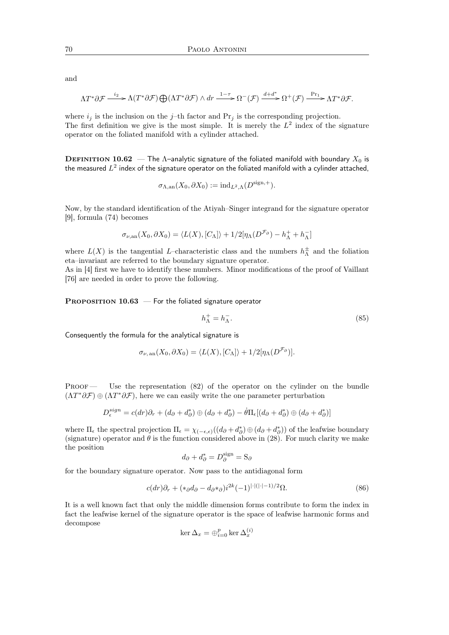and

$$
\Lambda T^* \partial \mathcal{F} \xrightarrow{i_2} \Lambda (T^* \partial \mathcal{F}) \bigoplus (\Lambda T^* \partial \mathcal{F}) \wedge dr \xrightarrow{1-\tau} \Omega^-(\mathcal{F}) \xrightarrow{d+d^*} \Omega^+(\mathcal{F}) \xrightarrow{\text{Pr}_1} \Lambda T^* \partial \mathcal{F}.
$$

where  $i_j$  is the inclusion on the j-th factor and  $Pr_j$  is the corresponding projection. The first definition we give is the most simple. It is merely the  $L^2$  index of the signature operator on the foliated manifold with a cylinder attached.

DEFINITION 10.62 — The Λ-analytic signature of the foliated manifold with boundary  $X_0$  is the measured  $L^2$  index of the signature operator on the foliated manifold with a cylinder attached,

$$
\sigma_{\Lambda, \mathrm{an}}(X_0, \partial X_0) := \mathrm{ind}_{L^2, \Lambda}(D^{\mathrm{sign}, +}).
$$

Now, by the standard identification of the Atiyah–Singer integrand for the signature operator [9], formula (74) becomes

$$
\sigma_{\nu, \mathrm{an}}(X_0, \partial X_0) = \langle L(X), [C_{\Lambda}] \rangle + 1/2[\eta_{\Lambda}(D^{\mathcal{F}_{\partial}}) - h_{\Lambda}^+ + h_{\Lambda}^-]
$$

where  $L(X)$  is the tangential L-characteristic class and the numbers  $h^{\pm}_{\Lambda}$  and the foliation eta–invariant are referred to the boundary signature operator.

As in [4] first we have to identify these numbers. Minor modifications of the proof of Vaillant [76] are needed in order to prove the following.

PROPOSITION  $10.63$  – For the foliated signature operator

$$
h_{\Lambda}^{+} = h_{\Lambda}^{-}.\tag{85}
$$

Consequently the formula for the analytical signature is

$$
\sigma_{\nu, \text{ an}}(X_0, \partial X_0) = \langle L(X), [C_{\Lambda}] \rangle + 1/2[\eta_{\Lambda}(D^{\mathcal{F}_{\partial}})].
$$

PROOF — Use the representation (82) of the operator on the cylinder on the bundle  $(\Lambda T^*\partial \mathcal{F}) \oplus (\Lambda T^*\partial \mathcal{F})$ , here we can easily write the one parameter perturbation

$$
D_{\epsilon}^{sign} = c(dr)\partial_r + (d_{\partial} + d_{\partial}^*) \oplus (d_{\partial} + d_{\partial}^*) - \dot{\theta}\Pi_{\epsilon}[(d_{\partial} + d_{\partial}^*) \oplus (d_{\partial} + d_{\partial}^*)]
$$

where  $\Pi_{\epsilon}$  the spectral projection  $\Pi_{\epsilon} = \chi_{(-\epsilon,\epsilon)}((d_{\partial} + d_{\partial}^{*}) \oplus (d_{\partial} + d_{\partial}^{*}))$  of the leafwise boundary (signature) operator and  $\theta$  is the function considered above in (28). For much clarity we make the position

$$
d_{\partial} + d_{\partial}^* = D_{\partial}^{\text{sign}} = S_{\partial}
$$

for the boundary signature operator. Now pass to the antidiagonal form

$$
c(dr)\partial_r + (*_\partial d_\partial - d_{\partial} *_{\partial})i^{2k}(-1)^{|\cdot|(|\cdot|-1)/2}\Omega.
$$
 (86)

It is a well known fact that only the middle dimension forms contribute to form the index in fact the leafwise kernel of the signature operator is the space of leafwise harmonic forms and decompose

$$
\ker \Delta_x = \oplus_{i=0}^p \ker \Delta_x^{(i)}
$$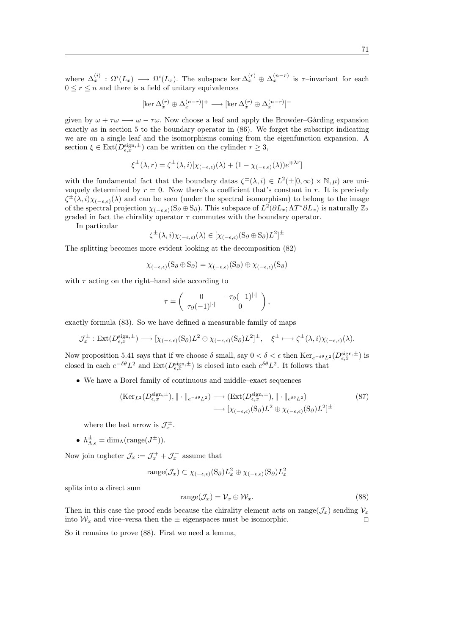where  $\Delta_x^{(i)}$ :  $\Omega^i(L_x) \longrightarrow \Omega^i(L_x)$ . The subspace ker  $\Delta_x^{(r)} \oplus \Delta_x^{(n-r)}$  is  $\tau$ -invariant for each  $0 \leq r \leq n$  and there is a field of unitary equivalences

$$
[\ker \Delta_x^{(r)} \oplus \Delta_x^{(n-r)}]^+ \longrightarrow [\ker \Delta_x^{(r)} \oplus \Delta_x^{(n-r)}]^-
$$

given by  $\omega + \tau \omega \mapsto \omega - \tau \omega$ . Now choose a leaf and apply the Browder–Gårding expansion exactly as in section 5 to the boundary operator in (86). We forget the subscript indicating we are on a single leaf and the isomorphisms coming from the eigenfunction expansion. A section  $\xi \in \text{Ext}(D_{\epsilon,x}^{\text{sign},\pm})$  can be written on the cylinder  $r \geq 3$ ,

$$
\xi^{\pm}(\lambda,r) = \zeta^{\pm}(\lambda,i)[\chi_{(-\epsilon,\epsilon)}(\lambda) + (1 - \chi_{(-\epsilon,\epsilon)}(\lambda))e^{\mp\lambda r}]
$$

with the fundamental fact that the boundary datas  $\zeta^{\pm}(\lambda, i) \in L^2(\pm [0, \infty) \times \mathbb{N}, \mu)$  are univoquely determined by  $r = 0$ . Now there's a coefficient that's constant in r. It is precisely  $\zeta^{\pm}(\lambda,i)\chi_{(-\epsilon,\epsilon)}(\lambda)$  and can be seen (under the spectral isomorphism) to belong to the image of the spectral projection  $\chi_{(-\epsilon,\epsilon)}(S_{\partial} \oplus S_{\partial})$ . This subspace of  $L^2(\partial L_x; \Lambda T^* \partial L_x)$  is naturally  $\mathbb{Z}_2$ graded in fact the chirality operator  $\tau$  commutes with the boundary operator.

In particular

$$
\zeta^{\pm}(\lambda,i)\chi_{(-\epsilon,\epsilon)}(\lambda) \in [\chi_{(-\epsilon,\epsilon)}(S_{\partial} \oplus S_{\partial})L^{2}]^{\pm}
$$

The splitting becomes more evident looking at the decomposition (82)

$$
\chi_{(-\epsilon,\epsilon)}(S_{\partial} \oplus S_{\partial}) = \chi_{(-\epsilon,\epsilon)}(S_{\partial}) \oplus \chi_{(-\epsilon,\epsilon)}(S_{\partial})
$$

with  $\tau$  acting on the right–hand side according to

$$
\tau = \begin{pmatrix} 0 & -\tau_{\partial}(-1)^{|\cdot|} \\ \tau_{\partial}(-1)^{|\cdot|} & 0 \end{pmatrix},
$$

exactly formula (83). So we have defined a measurable family of maps

$$
\mathcal{J}_x^{\pm} : \mathrm{Ext}(D_{\epsilon,x}^{\mathrm{sign},\pm}) \longrightarrow [\chi_{(-\epsilon,\epsilon)}(S_{\partial})L^2 \oplus \chi_{(-\epsilon,\epsilon)}(S_{\partial})L^2]^{\pm}, \quad \xi^{\pm} \longmapsto \zeta^{\pm}(\lambda,i)\chi_{(-\epsilon,\epsilon)}(\lambda).
$$

Now proposition 5.41 says that if we choose  $\delta$  small, say  $0 < \delta < \epsilon$  then  $\text{Ker}_{e^{-\delta\theta}L^2}(D_{\epsilon,x}^{\text{sign},\pm})$  is closed in each  $e^{-\delta\theta}L^2$  and  $\text{Ext}(D_{\epsilon,x}^{\text{sign},\pm})$  is closed into each  $e^{\delta\theta}L^2$ . It follows that

• We have a Borel family of continuous and middle–exact sequences

$$
(\text{Ker}_{L^2}(D_{\epsilon,x}^{\text{sign},\pm}), \|\cdot\|_{e^{-\delta\theta}L^2}) \longrightarrow (\text{Ext}(D_{\epsilon,x}^{\text{sign},\pm}), \|\cdot\|_{e^{\delta\theta}L^2})
$$
  

$$
\longrightarrow [\chi_{(-\epsilon,\epsilon)}(\mathcal{S}_{\partial})L^2 \oplus \chi_{(-\epsilon,\epsilon)}(\mathcal{S}_{\partial})L^2]^{\pm}
$$
(87)

where the last arrow is  $\mathcal{J}_x^{\pm}$ .

•  $h_{\Lambda,\epsilon}^{\pm} = \dim_{\Lambda}(\text{range}(J^{\pm})).$ 

Now join togheter  $\mathcal{J}_x := \mathcal{J}_x^+ + \mathcal{J}_x^-$  assume that

$$
\operatorname{range}(\mathcal{J}_x) \subset \chi_{(-\epsilon,\epsilon)}(S_\partial) L_x^2 \oplus \chi_{(-\epsilon,\epsilon)}(S_\partial) L_x^2
$$

splits into a direct sum

$$
range(\mathcal{J}_x) = \mathcal{V}_x \oplus \mathcal{W}_x.
$$
\n(88)

Then in this case the proof ends because the chirality element acts on range( $\mathcal{J}_x$ ) sending  $\mathcal{V}_x$ into  $\mathcal{W}_x$  and vice–versa then the  $\pm$  eigenspaces must be isomorphic.

So it remains to prove (88). First we need a lemma,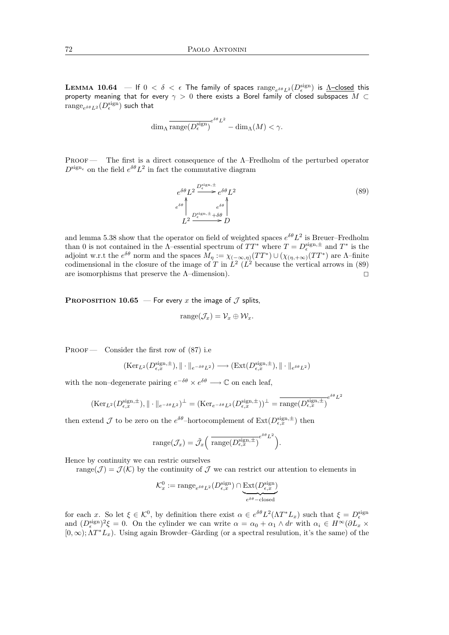**LEMMA 10.64** – If  $0 < \delta < \epsilon$  The family of spaces  $\text{range}_{e^{\delta\theta}L^2}(D_{\epsilon}^{\text{sign}})$  is  $\Delta$ -closed this property meaning that for every  $\gamma > 0$  there exists a Borel family of closed subspaces  $M \subset$  $\mathrm{range}_{e^{\delta \theta} L^2}(D_{\epsilon}^{\mathrm{sign}})$  such that

$$
\dim_{\Lambda} \overline{\text{range}(D_{\epsilon}^{\text{sign}})}^{e^{\delta \theta} L^2} - \dim_{\Lambda}(M) < \gamma.
$$

Proof — The first is a direct consequence of the Λ–Fredholm of the perturbed operator  $D^{\text{sign}_{\epsilon}}$  on the field  $e^{\delta\theta}L^2$  in fact the commutative diagram

$$
e^{\delta\theta}L^2 \xrightarrow{D_{\epsilon}^{\text{sign}, \pm}} e^{\delta\theta}L^2
$$
\n
$$
e^{\delta\theta} \Big|_{L^2 \xrightarrow{D_{\epsilon}^{\text{sign}, \pm} + \delta\theta}} e^{\delta\theta} \Big|
$$
\n
$$
(89)
$$
\n
$$
L^2 \xrightarrow{D_{\epsilon}^{\text{sign}, \pm} + \delta\theta} D
$$

and lemma 5.38 show that the operator on field of weighted spaces  $e^{\delta \theta} L^2$  is Breuer–Fredholm than 0 is not contained in the  $\Lambda$ -essential spectrum of  $TT^*$  where  $T = D_{\epsilon}^{\text{sign},\pm}$  and  $T^*$  is the adjoint w.r.t the  $e^{\delta \theta}$  norm and the spaces  $M_{\eta} := \chi_{(-\infty,\eta)}(TT^*) \cup (\chi_{(\eta,+\infty)}(TT^*)$  are A-finite codimensional in the closure of the image of T in  $\hat{L}^2$  ( $\hat{L}^2$  because the vertical arrows in (89) are isomorphisms that preserve the  $\Lambda$ –dimension).

**PROPOSITION 10.65** — For every x the image of  $\mathcal J$  splits,

$$
range(\mathcal{J}_x) = \mathcal{V}_x \oplus \mathcal{W}_x.
$$

PROOF — Consider the first row of  $(87)$  i.e

$$
(\mathrm{Ker}_{L^2}(D^{\mathrm{sign},\pm}_{\epsilon,x}),\|\cdot\|_{e^{-\delta\theta}L^2})\longrightarrow (\mathrm{Ext}(D^{\mathrm{sign},\pm}_{\epsilon,x}),\|\cdot\|_{e^{\delta\theta}L^2})
$$

with the non–degenerate pairing  $e^{-\delta\theta} \times e^{\delta\theta} \longrightarrow \mathbb{C}$  on each leaf,

$$
(\mathrm{Ker}_{L^{2}}(D_{\epsilon,x}^{\mathrm{sign},\pm}),\|\cdot\|_{e^{-\delta\theta}L^{2}})^{\perp} = (\mathrm{Ker}_{e^{-\delta\theta}L^{2}}(D_{\epsilon,x}^{\mathrm{sign},\pm}))^{\perp} = \overline{\mathrm{range}(D_{\epsilon,x}^{\mathrm{sign},\pm})}^{e^{\delta\theta}L^{2}}
$$

then extend  $\mathcal J$  to be zero on the  $e^{\delta\theta}$ -hortocomplement of  $\text{Ext}(D^{\text{sign},\pm}_{\epsilon,x})$  then

range
$$
(\mathcal{J}_x)
$$
 =  $\tilde{\mathcal{J}}_x \left( \overline{\text{range}(D_{\epsilon,x}^{\text{sign},\pm})} e^{\delta \theta} L^2 \right).$ 

Hence by continuity we can restric ourselves

range( $\mathcal{J}$ ) =  $\mathcal{J}(\mathcal{K})$  by the continuity of  $\mathcal{J}$  we can restrict our attention to elements in

$$
\mathcal{K}_x^0 := \text{range}_{e^{\delta \theta} L^2}(D_{\epsilon,x}^{\text{sign}}) \cap \underbrace{\text{Ext}(D_{\epsilon,x}^{\text{sign}})}_{e^{\delta \theta} - \text{closed}}
$$

for each x. So let  $\xi \in \mathcal{K}^0$ , by definition there exist  $\alpha \in e^{\delta \theta} L^2(\Lambda T^* L_x)$  such that  $\xi = D_{\epsilon}^{\text{sign}}$ and  $(D_{\epsilon}^{\text{sign}})^2 \xi = 0$ . On the cylinder we can write  $\alpha = \alpha_0 + \alpha_1 \wedge dr$  with  $\alpha_i \in H^{\infty}(\partial L_x \times$  $[0, \infty); \Lambda T^* L_x$ ). Using again Browder–Gårding (or a spectral resulution, it's the same) of the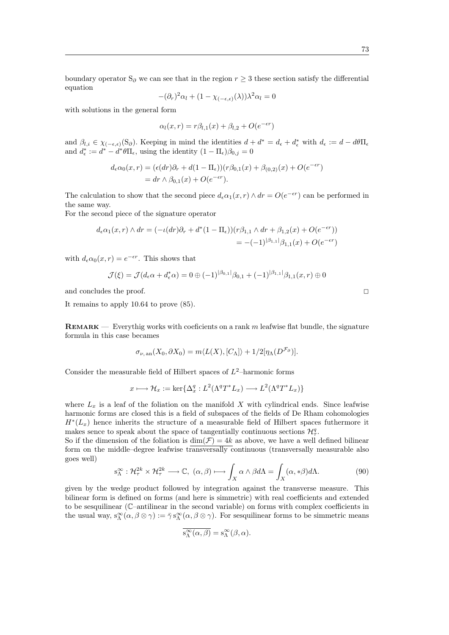boundary operator S<sub>∂</sub> we can see that in the region  $r \geq 3$  these section satisfy the differential equation

$$
-(\partial_r)^2 \alpha_l + (1 - \chi_{(-\epsilon,\epsilon)}(\lambda))\lambda^2 \alpha_l = 0
$$

with solutions in the general form

$$
\alpha_l(x,r) = r\beta_{l,1}(x) + \beta_{l,2} + O(e^{-\epsilon r})
$$

and  $\beta_{l,i} \in \chi_{(-\epsilon,\epsilon)}(S_{\partial})$ . Keeping in mind the identities  $d + d^* = d_{\epsilon} + d_{\epsilon}^*$  with  $d_{\epsilon} := d - d\theta\Pi_{\epsilon}$ and  $d_{\epsilon}^* := d^* - d^* \theta \Pi_{\epsilon}$ , using the identity  $(1 - \Pi_{\epsilon})\beta_{0,j} = 0$ 

$$
d_{\epsilon}\alpha_0(x,r) = (\epsilon(dr)\partial_r + d(1-\Pi_{\epsilon})) (r\beta_{0,1}(x) + \beta_{(0,2)}(x) + O(e^{-\epsilon r})
$$
  
=  $dr \wedge \beta_{0,1}(x) + O(e^{-\epsilon r}).$ 

The calculation to show that the second piece  $d_{\epsilon} \alpha_1(x,r) \wedge dr = O(e^{-\epsilon r})$  can be performed in the same way.

For the second piece of the signature operator

$$
d_{\epsilon}\alpha_{1}(x,r) \wedge dr = (-\iota(dr)\partial_{r} + d^{*}(1 - \Pi_{\epsilon}))\left(r\beta_{1,1} \wedge dr + \beta_{1,2}(x) + O(e^{-\epsilon r})\right)
$$
  
= -(-1)<sup>|\beta\_{1,1}|\beta\_{1,1}(x) + O(e^{-\epsilon r})</sup>

with  $d_{\epsilon}\alpha_0(x,r) = e^{-\epsilon r}$ . This shows that

$$
\mathcal{J}(\xi) = \mathcal{J}(d_{\epsilon}\alpha + d_{\epsilon}^*\alpha) = 0 \oplus (-1)^{|\beta_{0,1}|} \beta_{0,1} + (-1)^{|\beta_{1,1}|} \beta_{1,1}(x,r) \oplus 0
$$

and concludes the proof.  $\Box$ 

It remains to apply 10.64 to prove (85).

**REMARK** — Everythig works with coeficients on a rank  $m$  leafwise flat bundle, the signature formula in this case becames

$$
\sigma_{\nu, \text{ an}}(X_0, \partial X_0) = m \langle L(X), [C_{\Lambda}] \rangle + 1/2 [\eta_{\Lambda}(D^{\mathcal{F}_{\partial}})].
$$

Consider the measurable field of Hilbert spaces of  $L^2$ -harmonic forms

$$
x \longmapsto \mathcal{H}_x := \ker \{ \Delta_x^q : L^2(\Lambda^q T^* L_x) \longrightarrow L^2(\Lambda^q T^* L_x) \}
$$

where  $L_x$  is a leaf of the foliation on the manifold X with cylindrical ends. Since leafwise harmonic forms are closed this is a field of subspaces of the fields of De Rham cohomologies  $H^*(L_x)$  hence inherits the structure of a measurable field of Hilbert spaces futhermore it makes sence to speak about the space of tangentially continuous sections  $\mathcal{H}_{\tau}^q$ .

So if the dimension of the foliation is  $dim(\mathcal{F}) = 4k$  as above, we have a well defined bilinear form on the middle–degree leafwise transversally continuous (transversally measurable also goes well)

$$
s_{\Lambda}^{\infty} : \mathcal{H}_{\tau}^{2k} \times \mathcal{H}_{\tau}^{2k} \longrightarrow \mathbb{C}, \ (\alpha, \beta) \longmapsto \int_{X} \alpha \wedge \beta d\Lambda = \int_{X} (\alpha, * \beta) d\Lambda. \tag{90}
$$

given by the wedge product followed by integration against the transverse measure. This bilinear form is defined on forms (and here is simmetric) with real coefficients and extended to be sesquilinear (C–antilinear in the second variable) on forms with complex coefficients in the usual way,  $s_\Lambda^\infty(\alpha, \beta \otimes \gamma) := \overline{\gamma} s_\Lambda^\infty(\alpha, \beta \otimes \gamma)$ . For sesquilinear forms to be simmetric means

$$
\overline{\mathsf{s}_\Lambda^\infty(\alpha,\beta)} = \mathsf{s}_\Lambda^\infty(\beta,\alpha).
$$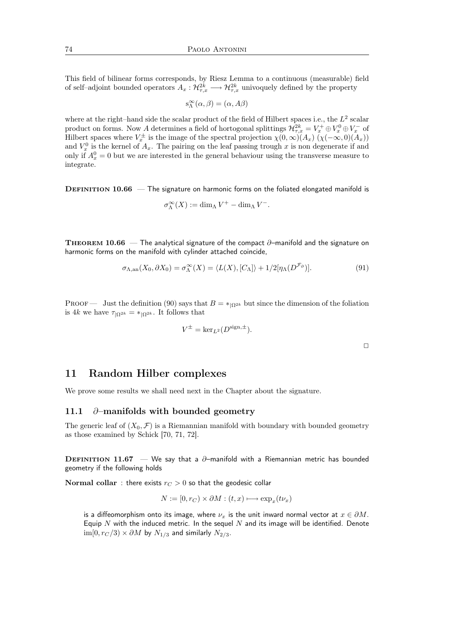This field of bilinear forms corresponds, by Riesz Lemma to a continuous (measurable) field of self-adjoint bounded operators  $A_x: \mathcal{H}_{\tau,x}^{2k} \longrightarrow \mathcal{H}_{\tau,x}^{2k}$  univoquely defined by the property

$$
s^{\infty}_{\Lambda}(\alpha, \beta) = (\alpha, A\beta)
$$

where at the right–hand side the scalar product of the field of Hilbert spaces i.e., the  $L^2$  scalar product on forms. Now A determines a field of hortogonal splittings  $\mathcal{H}^{2k}_{\tau,x} = V^+_x \oplus V^0_x \oplus V^-_x$  of Hilbert spaces where  $V_x^{\pm}$  is the image of the spectral projection  $\chi(0,\infty)(A_x)(\chi(-\infty,0)(A_x))$ and  $V_x^0$  is the kernel of  $A_x$ . The pairing on the leaf passing trough x is non degenerate if and only if  $A_x^0 = 0$  but we are interested in the general behaviour using the transverse measure to integrate.

**DEFINITION 10.66** — The signature on harmonic forms on the foliated elongated manifold is

$$
\sigma_\Lambda^\infty(X):=\dim_\Lambda V^+-\dim_\Lambda V^-.
$$

THEOREM 10.66 — The analytical signature of the compact  $\partial$ -manifold and the signature on harmonic forms on the manifold with cylinder attached coincide,

$$
\sigma_{\Lambda,\mathrm{an}}(X_0, \partial X_0) = \sigma_{\Lambda}^{\infty}(X) = \langle L(X), [C_{\Lambda}] \rangle + 1/2[\eta_{\Lambda}(D^{\mathcal{F}_{\partial}})].
$$
\n(91)

PROOF — Just the definition (90) says that  $B = \binom{k}{k}$  but since the dimension of the foliation is 4k we have  $\tau_{\Omega^{2k}} = *_{\Omega^{2k}}$ . It follows that

$$
V^{\pm} = \ker_{L^2}(D^{\text{sign}, \pm}).
$$

 $\Box$ 

11 Random Hilber complexes

We prove some results we shall need next in the Chapter about the signature.

### 11.1 ∂–manifolds with bounded geometry

The generic leaf of  $(X_0, \mathcal{F})$  is a Riemannian manifold with boundary with bounded geometry as those examined by Schick [70, 71, 72].

DEFINITION 11.67 — We say that a  $\partial$ -manifold with a Riemannian metric has bounded geometry if the following holds

Normal collar : there exists  $r_C > 0$  so that the geodesic collar

$$
N := [0, r_C) \times \partial M : (t, x) \longmapsto \exp_x(t\nu_x)
$$

is a diffeomorphism onto its image, where  $\nu_x$  is the unit inward normal vector at  $x \in \partial M$ . Equip  $N$  with the induced metric. In the sequel  $N$  and its image will be identified. Denote  $\lim[0, r_{C}/3] \times \partial M$  by  $N_{1/3}$  and similarly  $N_{2/3}$ .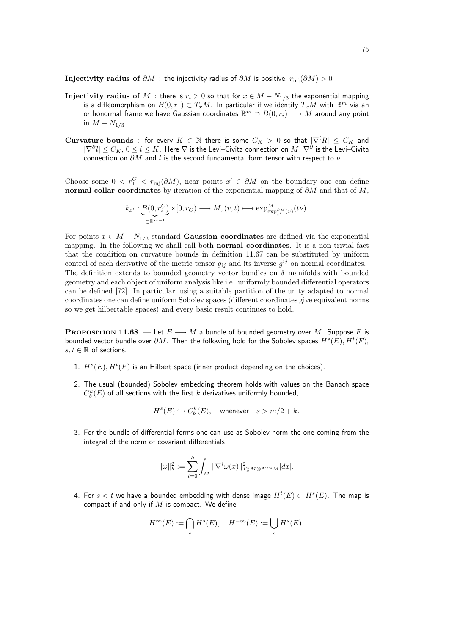Injectivity radius of  $\partial M$  : the injectivity radius of  $\partial M$  is positive,  $r_{\text{ini}}(\partial M) > 0$ 

- Injectivity radius of M : there is  $r_i > 0$  so that for  $x \in M N_{1/3}$  the exponential mapping is a diffeomorphism on  $\overline{B(0,r_1)}\subset T_xM$ . In particular if we identify  $T_xM$  with  $\mathbb{R}^m$  via an orthonormal frame we have Gaussian coordinates  $\mathbb{R}^m \supset B(0,r_i) \longrightarrow M$  around any point in  $M - N_{1/3}$
- Curvature bounds : for every  $K \in \mathbb{N}$  there is some  $C_K > 0$  so that  $|\nabla^i R| \leq C_K$  and  $|\nabla^\partial l|\leq C_K$ ,  $0\leq i\leq K$ . Here  $\nabla$  is the Levi–Civita connection on  $M$ ,  $\nabla^\partial$  is the Levi–Civita connection on  $\partial M$  and l is the second fundamental form tensor with respect to  $\nu$ .

Choose some  $0 < r_1^C < r_{\text{inj}}(\partial M)$ , near points  $x' \in \partial M$  on the boundary one can define normal collar coordinates by iteration of the exponential mapping of  $\partial M$  and that of M,

$$
k_{x'}: \underbrace{B(0, r_i^C)}_{\subset \mathbb{R}^{m-1}} \times [0, r_C) \longrightarrow M, (v, t) \longmapsto \exp_{\exp_{x'}^{\partial M}(v)}^M(t\nu).
$$

For points  $x \in M - N_{1/3}$  standard Gaussian coordinates are defined via the exponential mapping. In the following we shall call both normal coordinates. It is a non trivial fact that the condition on curvature bounds in definition 11.67 can be substituted by uniform control of each derivative of the metric tensor  $g_{ij}$  and its inverse  $g^{ij}$  on normal coordinates. The definition extends to bounded geometry vector bundles on  $\delta$ -manifolds with bounded geometry and each object of uniform analysis like i.e. uniformly bounded differential operators can be defined [72]. In particular, using a suitable partition of the unity adapted to normal coordinates one can define uniform Sobolev spaces (different coordinates give equivalent norms so we get hilbertable spaces) and every basic result continues to hold.

**PROPOSITION 11.68** — Let  $E \longrightarrow M$  a bundle of bounded geometry over M. Suppose F is bounded vector bundle over  $\partial M$ . Then the following hold for the Sobolev spaces  $H^s(E), H^t(F)$ ,  $s, t \in \mathbb{R}$  of sections.

- 1.  $H^s(E), H^t(F)$  is an Hilbert space (inner product depending on the choices).
- 2. The usual (bounded) Sobolev embedding theorem holds with values on the Banach space  $C_b^k(E)$  of all sections with the first  $k$  derivatives uniformly bounded,

$$
H^s(E) \hookrightarrow C_b^k(E), \quad \text{whenever} \quad s > m/2 + k.
$$

3. For the bundle of differential forms one can use as Sobolev norm the one coming from the integral of the norm of covariant differentials

$$
\|\omega\|_k^2:=\sum_{i=0}^k\int_M \|\nabla^i\omega(x)\|_{T_x^*M\otimes\Lambda T^*M}^2|dx|.
$$

4. For  $s < t$  we have a bounded embedding with dense image  $H^t(E) \subset H^s(E)$ . The map is compact if and only if  $M$  is compact. We define

$$
H^{\infty}(E) := \bigcap_{s} H^{s}(E), \quad H^{-\infty}(E) := \bigcup_{s} H^{s}(E).
$$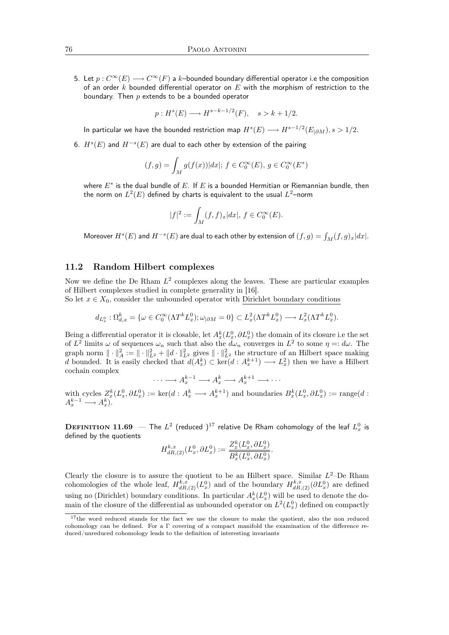5. Let  $p: C^{\infty}(E) \longrightarrow C^{\infty}(F)$  a k–bounded boundary differential operator i.e the composition of an order k bounded differential operator on  $E$  with the morphism of restriction to the boundary. Then  $p$  extends to be a bounded operator

$$
p: Hs(E) \longrightarrow Hs-k-1/2(F), \quad s > k+1/2.
$$

In particular we have the bounded restriction map  $H^s(E) \longrightarrow H^{s-1/2}(E_{|\partial M}), s>1/2.$ 

6.  $H^s(E)$  and  $H^{-s}(E)$  are dual to each other by extension of the pairing

$$
(f,g) = \int_M g(f(x))|dx|; f \in C_0^{\infty}(E), g \in C_0^{\infty}(E^*)
$$

where  $E^\ast$  is the dual bundle of  $E.$  If  $E$  is a bounded Hermitian or Riemannian bundle, then the norm on  $L^2(E)$  defined by charts is equivalent to the usual  $L^2\hspace{-0.05cm}-$ norm

$$
|f|^2 := \int_M (f, f)_x |dx|, \, f \in C_0^{\infty}(E).
$$

Moreover  $H^s(E)$  and  $H^{-s}(E)$  are dual to each other by extension of  $(f,g)=\int_M (f,g)_x|dx|.$ 

#### 11.2 Random Hilbert complexes

Now we define the De Rham  $L^2$  complexes along the leaves. These are particular examples of Hilbert complexes studied in complete generality in [16].

So let  $x \in X_0$ , consider the unbounded operator with Dirichlet boundary conditions

$$
d_{L_x^0}: \Omega_{d,x}^k = \{ \omega \in C_0^\infty(\Lambda T^k L_x^0); \omega_{|\partial M} = 0 \} \subset L_x^2(\Lambda T^k L_x^0) \longrightarrow L_x^2(\Lambda T^k L_x^0).
$$

Being a differential operator it is closable, let  $A_x^k(L_x^0, \partial L_x^0)$  the domain of its closure i.e the set of  $L^2$  limits  $\omega$  of sequences  $\omega_n$  such that also the  $d\omega_n$  converges in  $L^2$  to some  $\eta =: d\omega$ . The graph norm  $\|\cdot\|^2_A := \|\cdot\|^2_{L^2} + \|d\cdot\|^2_{L^2}$  gives  $\|\cdot\|^2_{L^2}$  the structure of an Hilbert space making d bounded. It is easily checked that  $d(A_x^k) \subset \text{ker}(d: A_x^{k+1}) \longrightarrow L_x^2$  then we have a Hilbert cochain complex

$$
\cdots \longrightarrow A_x^{k-1} \longrightarrow A_x^k \longrightarrow A_x^{k+1} \longrightarrow \cdots
$$

with cycles  $Z_x^k(L_x^0, \partial L_x^0) := \text{ker}(d : A_x^k \longrightarrow A_x^{k+1})$  and boundaries  $B_x^k(L_x^0, \partial L_x^0) := \text{range}(d : A_x^k \longrightarrow A_x^{k+1})$  $A_x^{k-1} \longrightarrow A_x^k$ .

 $\textbf{DEFINITION 11.69} \;$   $-$  The  $L^2$  (reduced ) $^{17}$  relative De Rham cohomology of the leaf  $L^0_x$  is defined by the quotients

$$
H_{dR,(2)}^{k,x}(L_x^0, \partial L_x^0) := \frac{Z_x^k(L_x^0, \partial L_x^0)}{B_x^k(L_x^0, \partial L_x^0)}.
$$

Clearly the closure is to assure the quotient to be an Hilbert space. Similar  $L^2$ -De Rham cohomologies of the whole leaf,  $H_{dR,(2)}^{k,x}(L_x^0)$  and of the boundary  $H_{dR,(2)}^{k,x}(\partial L_x^0)$  are defined using no (Dirichlet) boundary conditions. In particular  $A_x^k(L_x^0)$  will be used to denote the domain of the closure of the differential as unbounded operator on  $L^2(L_x^0)$  defined on compactly

<sup>&</sup>lt;sup>17</sup>the word reduced stands for the fact we use the closure to make the quotient, also the non reduced cohomology can be defined. For a Γ covering of a compact manifold the examination of the difference reduced/unreduced cohomology leads to the definition of interesting invariants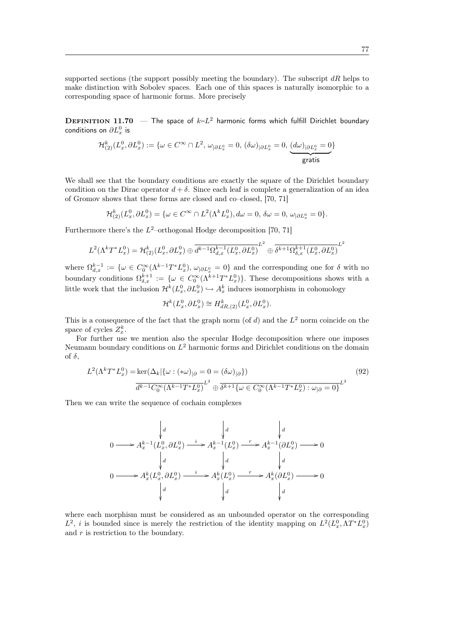supported sections (the support possibly meeting the boundary). The subscript  $dR$  helps to make distinction with Sobolev spaces. Each one of this spaces is naturally isomorphic to a corresponding space of harmonic forms. More precisely

**DEFINITION 11.70** – The space of  $k-L^2$  harmonic forms which fulfill Dirichlet boundary conditions on  $\partial L_x^0$  is

$$
\mathcal{H}^k_{(2)}(L^0_x,\partial L^0_x):=\{\omega\in C^\infty\cap L^2,\, \omega_{|\partial L^0_x}=0,\, (\delta\omega)_{|\partial L^0_x}=0,\, \underbrace{ (d\omega)_{|\partial L^0_x}=0}_{\text{gratis}}\}
$$

We shall see that the boundary conditions are exactly the square of the Dirichlet boundary condition on the Dirac operator  $d + \delta$ . Since each leaf is complete a generalization of an idea of Gromov shows that these forms are closed and co–closed, [70, 71]

$$
\mathcal{H}_{(2)}^k(L_x^0, \partial L_x^0) = \{ \omega \in C^\infty \cap L^2(\Lambda^k L_x^0), d\omega = 0, \, \delta\omega = 0, \, \omega_{|\partial L_x^0} = 0 \}.
$$

Furthermore there's the  $L^2$ -orthogonal Hodge decomposition [70, 71]

$$
L^{2}(\Lambda^{k}T^{*}L_{x}^{0}) = \mathcal{H}_{(2)}^{k}(L_{x}^{0}, \partial L_{x}^{0}) \oplus \overline{d^{k-1}\Omega_{d,x}^{k-1}(L_{x}^{0}, \partial L_{x}^{0})}^{L^{2}} \oplus \overline{\delta^{k+1}\Omega_{\delta,x}^{k+1}(L_{x}^{0}, \partial L_{x}^{0})}^{L^{2}}
$$

where  $\Omega_{d,x}^{k-1} := \{ \omega \in C_0^{\infty}(\Lambda^{k-1}T^*L_x^0), \omega_{|\partial L_x^0} = 0 \}$  and the corresponding one for  $\delta$  with no boundary conditions  $\Omega_{\delta,x}^{k+1} := \{ \omega \in C_0^{\infty}(\Lambda^{k+1}T^*L_x^0) \}.$  These decompositions shows with a little work that the inclusion  $\mathcal{H}^k(L_x^0, \partial L_x^0) \hookrightarrow A_x^k$  induces isomorphism in cohomology

$$
\mathcal{H}^k(L_x^0, \partial L_x^0) \cong H_{dR,(2)}^k(L_x^0, \partial L_x^0).
$$

This is a consequence of the fact that the graph norm (of  $d$ ) and the  $L^2$  norm coincide on the space of cycles  $Z_x^k$ .

For further use we mention also the specular Hodge decomposition where one imposes Neumann boundary conditions on  $L^2$  harmonic forms and Dirichlet conditions on the domain of  $\delta$ ,

$$
L^{2}(\Lambda^{k}T^{*}L_{x}^{0}) = \ker(\Delta_{k}|\{\omega : (*\omega)_{|\partial} = 0 = (\delta\omega)_{|\partial}\})
$$
\n
$$
\frac{d^{k-1}C_{0}^{\infty}(\Lambda^{k-1}T^{*}L_{x}^{0})}{d^{k-1}C_{0}^{\infty}(\Lambda^{k-1}T^{*}L_{x}^{0})}L^{2} \oplus \frac{d^{k+1}\{\omega \in C_{0}^{\infty}(\Lambda^{k-1}T^{*}L_{x}^{0}) : \omega_{|\partial} = 0\}}{L^{2}}
$$
\n
$$
(92)
$$

Then we can write the sequence of cochain complexes

$$
\begin{array}{ccc}\n & d & d & d \\
 & d & d & d \\
0 & \longrightarrow A_x^{k-1}(L_x^0, \partial L_x^0) \longrightarrow A_x^{k-1}(L_x^0) \longrightarrow A_x^{k-1}(\partial L_x^0) \longrightarrow 0 \\
 & d & d & d \\
0 & \longrightarrow A_x^k(L_x^0, \partial L_x^0) \longrightarrow A_x^k(L_x^0) \longrightarrow A_x^k(\partial L_x^0) \longrightarrow 0 \\
 & d & d & d \\
 & d & d & d\n\end{array}
$$

where each morphism must be considered as an unbounded operator on the corresponding  $L^2$ , *i* is bounded since is merely the restriction of the identity mapping on  $L^2(L_x^0, \Lambda T^* L_x^0)$ and  $r$  is restriction to the boundary.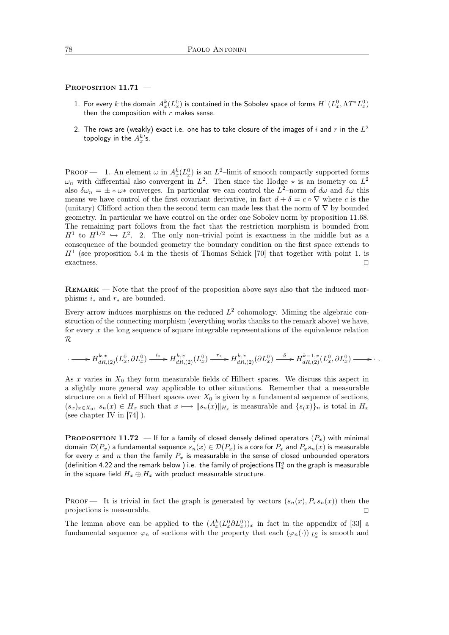#### PROPOSITION 11.71 -

- 1. For every  $k$  the domain  $A_x^k(L_x^0)$  is contained in the Sobolev space of forms  $H^1(L_x^0,\Lambda T^*L_x^0)$ then the composition with  $r$  makes sense.
- 2. The rows are (weakly) exact i.e. one has to take closure of the images of  $i$  and  $r$  in the  $L^2$ topology in the  $A_x^k$ 's.

PROOF — 1. An element  $\omega$  in  $A_x^k(L_x^0)$  is an  $L^2$ -limit of smooth compactly supported forms  $\omega_n$  with differential also convergent in  $L^2$ . Then since the Hodge  $\star$  is an isometry on  $L^2$ also  $\delta\omega_n = \pm * \omega *$  converges. In particular we can control the  $L^2$ -norm of  $d\omega$  and  $\delta\omega$  this means we have control of the first covariant derivative, in fact  $d + \delta = c \circ \nabla$  where c is the (unitary) Clifford action then the second term can made less that the norm of  $\nabla$  by bounded geometry. In particular we have control on the order one Sobolev norm by proposition 11.68. The remaining part follows from the fact that the restriction morphism is bounded from  $H^1$  to  $H^{1/2} \hookrightarrow L^2$ . 2. The only non-trivial point is exactness in the middle but as a consequence of the bounded geometry the boundary condition on the first space extends to  $H<sup>1</sup>$  (see proposition 5.4 in the thesis of Thomas Schick [70] that together with point 1. is exactness.  $\Box$ 

Remark — Note that the proof of the proposition above says also that the induced morphisms  $i_*$  and  $r_*$  are bounded.

Every arrow induces morphisms on the reduced  $L^2$  cohomology. Miming the algebraic construction of the connecting morphism (everything works thanks to the remark above) we have, for every  $x$  the long sequence of square integrable representations of the equivalence relation  $\mathcal R$ 

$$
\cdots \longrightarrow H_{dR,(2)}^{k,x}(L_x^0,\partial L_x^0) \xrightarrow{i_*} H_{dR,(2)}^{k,x}(L_x^0) \xrightarrow{r_*} H_{dR,(2)}^{k,x}(\partial L_x^0) \xrightarrow{\delta} H_{dR,(2)}^{k-1,x}(L_x^0,\partial L_x^0) \longrightarrow \cdots
$$

As x varies in  $X_0$  they form measurable fields of Hilbert spaces. We discuss this aspect in a slightly more general way applicable to other situations. Remember that a measurable structure on a field of Hilbert spaces over  $X_0$  is given by a fundamental sequence of sections,  $(s_x)_{x\in X_0}, s_n(x)\in H_x$  such that  $x\mapsto \|s_n(x)\|_{H_x}$  is measurable and  $\{s(x)\}_n$  is total in  $H_x$ (see chapter IV in [74] ).

**PROPOSITION 11.72** — If for a family of closed densely defined operators  $(P_x)$  with minimal domain  $\mathcal{D}(P_x)$  a fundamental sequence  $s_n(x) \in \mathcal{D}(P_x)$  is a core for  $P_x$  and  $P_x s_n(x)$  is measurable for every x and n then the family  $P_x$  is measurable in the sense of closed unbounded operators (definition 4.22 and the remark below ) i.e. the family of projections  $\Pi_x^g$  on the graph is measurable in the square field  $H_x \oplus H_x$  with product measurable structure.

**PROOF** It is trivial in fact the graph is generated by vectors  $(s_n(x), P_xs_n(x))$  then the projections is measurable.  $\hfill \square$ 

The lemma above can be applied to the  $(A_x^k(L_x^0 \partial L_x^0))_x$  in fact in the appendix of [33] a fundamental sequence  $\varphi_n$  of sections with the property that each  $(\varphi_n(\cdot))_{|L_x^0}$  is smooth and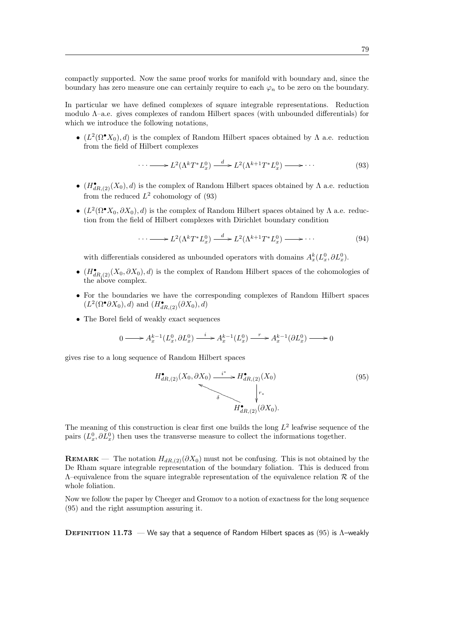compactly supported. Now the same proof works for manifold with boundary and, since the boundary has zero measure one can certainly require to each  $\varphi_n$  to be zero on the boundary.

In particular we have defined complexes of square integrable representations. Reduction modulo Λ–a.e. gives complexes of random Hilbert spaces (with unbounded differentials) for which we introduce the following notations,

•  $(L^2(\Omega^{\bullet}X_0), d)$  is the complex of Random Hilbert spaces obtained by  $\Lambda$  a.e. reduction from the field of Hilbert complexes

$$
\cdots \longrightarrow L^2(\Lambda^k T^* L^0_x) \xrightarrow{d} L^2(\Lambda^{k+1} T^* L^0_x) \longrightarrow \cdots \tag{93}
$$

- $(H^{\bullet}_{dR,(2)}(X_0), d)$  is the complex of Random Hilbert spaces obtained by  $\Lambda$  a.e. reduction from the reduced  $L^2$  cohomology of (93)
- $(L^2(\Omega^{\bullet}X_0, \partial X_0), d)$  is the complex of Random Hilbert spaces obtained by  $\Lambda$  a.e. reduction from the field of Hilbert complexes with Dirichlet boundary condition

$$
\cdots \longrightarrow L^2(\Lambda^k T^* L^0_x) \xrightarrow{d} L^2(\Lambda^{k+1} T^* L^0_x) \longrightarrow \cdots \tag{94}
$$

with differentials considered as unbounded operators with domains  $A_x^k(L_x^0, \partial L_x^0)$ .

- $(H^{\bullet}_{dR,(2)}(X_0, \partial X_0), d)$  is the complex of Random Hilbert spaces of the cohomologies of the above complex.
- For the boundaries we have the corresponding complexes of Random Hilbert spaces  $(L^2(\Omega^{\bullet}\partial X_0),d)$  and  $(H^{\bullet}_{dR,(2)}(\partial X_0),d)$
- The Borel field of weakly exact sequences

$$
0 \longrightarrow A_x^{k-1}(L_x^0, \partial L_x^0) \xrightarrow{i} A_x^{k-1}(L_x^0) \xrightarrow{r} A_x^{k-1}(\partial L_x^0) \longrightarrow 0
$$

gives rise to a long sequence of Random Hilbert spaces

$$
H_{dR,(2)}^{\bullet}(X_0, \partial X_0) \xrightarrow{i^*} H_{dR,(2)}^{\bullet}(X_0)
$$
\n
$$
\downarrow^{r_*}
$$
\n
$$
H_{dR,(2)}^{\bullet}(\partial X_0).
$$
\n
$$
(95)
$$

The meaning of this construction is clear first one builds the long  $L^2$  leafwise sequence of the pairs  $(L_x^0, \partial L_x^0)$  then uses the transverse measure to collect the informations together.

**REMARK** — The notation  $H_{dR,(2)}(\partial X_0)$  must not be confusing. This is not obtained by the De Rham square integrable representation of the boundary foliation. This is deduced from  $\Lambda$ –equivalence from the square integrable representation of the equivalence relation  $\mathcal R$  of the whole foliation.

Now we follow the paper by Cheeger and Gromov to a notion of exactness for the long sequence (95) and the right assumption assuring it.

DEFINITION 11.73 — We say that a sequence of Random Hilbert spaces as (95) is  $Λ$ -weakly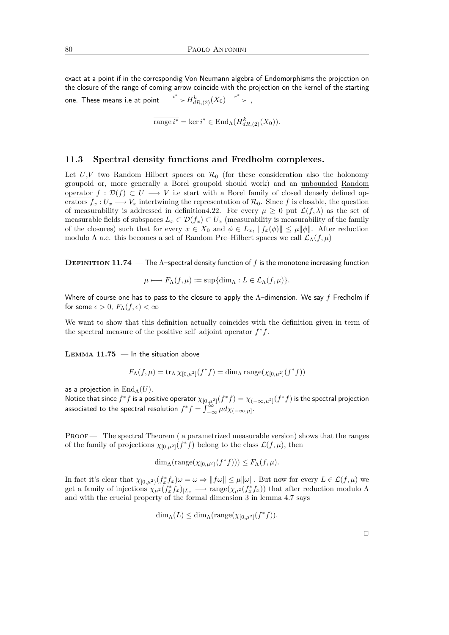exact at a point if in the correspondig Von Neumann algebra of Endomorphisms the projection on the closure of the range of coming arrow coincide with the projection on the kernel of the starting one. These means i.e at point  $\stackrel{i^\ast}{\longrightarrow} H^k_{dR,(2)}(X_0) \stackrel{r^\ast}{\longrightarrow}$  ,

$$
\overline{\text{range }i^*} = \ker i^* \in \text{End}_{\Lambda}(H^k_{dR,(2)}(X_0)).
$$

### 11.3 Spectral density functions and Fredholm complexes.

Let  $U, V$  two Random Hilbert spaces on  $\mathcal{R}_0$  (for these consideration also the holonomy groupoid or, more generally a Borel groupoid should work) and an unbounded Random operator  $f : \mathcal{D}(f) \subset U \longrightarrow V$  i.e start with a Borel family of closed densely defined operators  $f_x : U_x \longrightarrow V_x$  intertwining the representation of  $\mathcal{R}_0$ . Since f is closable, the question of measurability is addressed in definition4.22. For every  $\mu \geq 0$  put  $\mathcal{L}(f,\lambda)$  as the set of measurable fields of subspaces  $L_x \subset \mathcal{D}(f_x) \subset U_x$  (measurability is measurability of the family of the closures) such that for every  $x \in X_0$  and  $\phi \in L_x$ ,  $||f_x(\phi)|| \leq \mu ||\phi||$ . After reduction modulo  $\Lambda$  a.e. this becomes a set of Random Pre–Hilbert spaces we call  $\mathcal{L}_{\Lambda}(f,\mu)$ 

**DEFINITION 11.74** — The  $\Lambda$ -spectral density function of f is the monotone increasing function

$$
\mu \longmapsto F_{\Lambda}(f,\mu) := \sup \{ \dim_{\Lambda} : L \in \mathcal{L}_{\Lambda}(f,\mu) \}.
$$

Where of course one has to pass to the closure to apply the  $\Lambda$ -dimension. We say f Fredholm if for some  $\epsilon > 0$ ,  $F_{\Lambda}(f, \epsilon) < \infty$ 

We want to show that this definition actually coincides with the definition given in term of the spectral measure of the positive self-adjoint operator  $f^*f$ .

LEMMA  $11.75$  – In the situation above

$$
F_{\Lambda}(f,\mu) = \text{tr}_{\Lambda} \chi_{[0,\mu^2]}(f^*f) = \dim_{\Lambda} \text{range}(\chi_{[0,\mu^2]}(f^*f))
$$

as a projection in  $\text{End}_{\Lambda}(U)$ .

Notice that since  $f^*f$  is a positive operator  $\chi_{[0,\mu^2]}(f^*f)=\chi_{(-\infty,\mu^2]}(f^*f)$  is the spectral projection associated to the spectral resolution  $f^* f = \int_{-\infty}^{\infty} \mu d\chi_{(-\infty,\mu]}$ .

PROOF — The spectral Theorem (a parametrized measurable version) shows that the ranges of the family of projections  $\chi_{[0,\mu^2]}(f^*f)$  belong to the class  $\mathcal{L}(f,\mu)$ , then

$$
\dim_{\Lambda}(\mathrm{range}(\chi_{[0,\mu^2)}(f^*f))) \le F_{\Lambda}(f,\mu).
$$

In fact it's clear that  $\chi_{[0,\mu^2)}(f_x^*f_x)\omega=\omega\Rightarrow ||f\omega||\leq \mu||\omega||$ . But now for every  $L\in\mathcal{L}(f,\mu)$  we get a family of injections  $\chi_{\mu^2}(f_x^*f_x)_{|L_x} \longrightarrow \text{range}(\chi_{\mu^2}(f_x^*f_x))$  that after reduction modulo  $\Lambda$ and with the crucial property of the formal dimension 3 in lemma 4.7 says

$$
\dim_{\Lambda}(L) \le \dim_{\Lambda}(\mathrm{range}(\chi_{[0,\mu^2]}(f^*f)).
$$

 $\Box$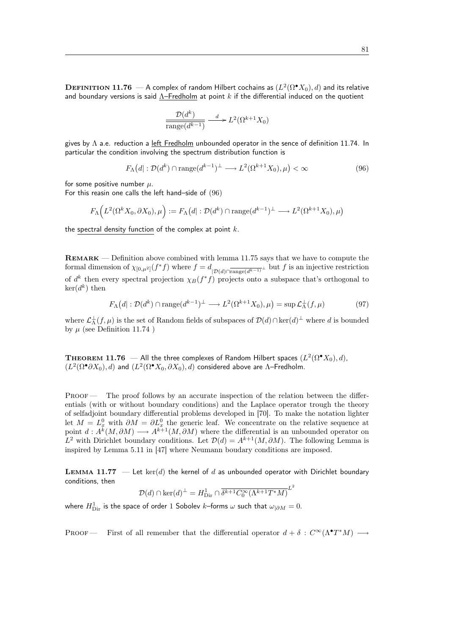${\bf D}$ EFINITION  ${\bf 11.76}\longrightarrow$  A complex of random Hilbert cochains as  $(L^2(\Omega^\bullet X_0),d)$  and its relative and boundary versions is said  $\Lambda$ –Fredholm at point k if the differential induced on the quotient

$$
\frac{\mathcal{D}(d^k)}{\text{range}(d^{k-1})} \xrightarrow{d} L^2(\Omega^{k+1} X_0)
$$

gives by  $\Lambda$  a.e. reduction a left Fredholm unbounded operator in the sence of definition 11.74. In particular the condition involving the spectrum distribution function is

$$
F_{\Lambda}(d): \mathcal{D}(d^k) \cap \text{range}(d^{k-1})^{\perp} \longrightarrow L^2(\Omega^{k+1}X_0), \mu) < \infty \tag{96}
$$

for some positive number  $\mu$ .

For this reasin one calls the left hand–side of (96)

$$
F_{\Lambda}\Big(L^2(\Omega^k X_0, \partial X_0), \mu\Big) := F_{\Lambda}\big(d \vert : \mathcal{D}(d^k) \cap \text{range}(d^{k-1})^{\perp} \longrightarrow L^2(\Omega^{k+1} X_0), \mu\big)
$$

the spectral density function of the complex at point  $k$ .

Remark — Definition above combined with lemma 11.75 says that we have to compute the formal dimension of  $\chi_{[0,\mu^2]}(f^*f)$  where  $f = d_{\mathcal{D}(d)\cap \text{range}(d^{k-1})^{\perp}}$  but f is an injective restriction of  $d^k$  then every spectral projection  $\chi_B(f^*f)$  projects onto a subspace that's orthogonal to  $\ker(d^k)$  then

$$
F_{\Lambda}(d): \mathcal{D}(d^k) \cap \text{range}(d^{k-1})^{\perp} \longrightarrow L^2(\Omega^{k+1}X_0), \mu) = \sup \mathcal{L}_{\Lambda}^{\perp}(f, \mu)
$$
 (97)

where  $\mathcal{L}_\Lambda^{\perp}(f,\mu)$  is the set of Random fields of subspaces of  $\mathcal{D}(d) \cap \ker(d)^{\perp}$  where d is bounded by  $\mu$  (see Definition 11.74)

**THEOREM 11.76** — All the three complexes of Random Hilbert spaces  $(L^2(\Omega^\bullet X_0), d)$ ,  $(L^2(\Omega^{\bullet}\partial X_0),d)$  and  $(L^2(\Omega^{\bullet}X_0,\partial X_0),d)$  considered above are  $\Lambda$ -Fredholm.

PROOF — The proof follows by an accurate inspection of the relation between the differentials (with or without boundary conditions) and the Laplace operator trough the theory of selfadjoint boundary differential problems developed in [70]. To make the notation lighter let  $M = L_x^0$  with  $\partial M = \partial L_x^0$  the generic leaf. We concentrate on the relative sequence at point  $d: A^k(M, \partial M) \longrightarrow A^{k+1}(M, \partial M)$  where the differential is an unbounded operator on L<sup>2</sup> with Dirichlet boundary conditions. Let  $\mathcal{D}(d) = A^{k+1}(M, \partial M)$ . The following Lemma is inspired by Lemma 5.11 in [47] where Neumann boudary conditions are imposed.

**LEMMA 11.77** — Let ker(d) the kernel of d as unbounded operator with Dirichlet boundary conditions, then

$$
\mathcal{D}(d) \cap \ker(d)^{\perp} = H_{\text{Dir}}^{1} \cap \overline{\delta^{k+1} C_{0}^{\infty}(\Lambda^{k+1} T^{*} M)}^{L^{2}}
$$

where  $H^{1}_{\mathrm{Dir}}$  is the space of order  $1$  Sobolev  $k$ –forms  $\omega$  such that  $\omega_{|\partial M}=0.$ 

PROOF — First of all remember that the differential operator  $d + \delta : C^{\infty}(\Lambda^{\bullet}T^{*}M) \longrightarrow$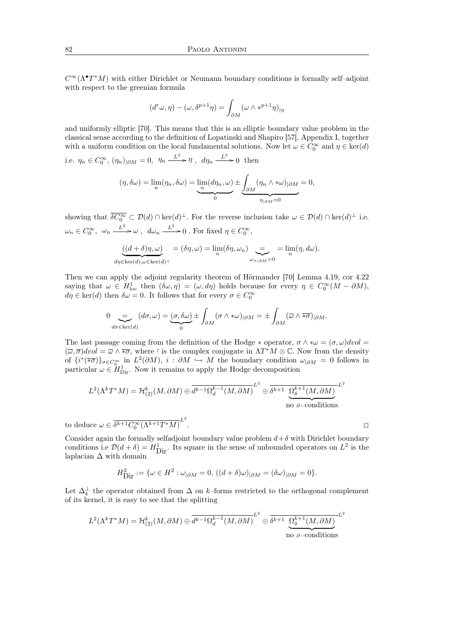$C^{\infty}(\Lambda^{\bullet}T^{*}M)$  with either Dirichlet or Neumann boundary conditions is formally self-adjoint with respect to the greenian formula

$$
(d^r\omega, \eta) - (\omega, \delta^{p+1}\eta) = \int_{\partial M} (\omega \wedge *^{p+1}\eta)_{|\eta}
$$

and uniformly elliptic [70]. This means that this is an elliptic boundary value problem in the classical sense according to the definition of Lopatinski and Shapiro [57], Appendix I, together with a uniform condition on the local fundamental solutions. Now let  $\omega \in C_0^{\infty}$  and  $\eta \in \text{ker}(d)$ 

i.e.  $\eta_n \in C_0^{\infty}$ ,  $(\eta_n)_{|\partial M} = 0$ ,  $\eta_n \xrightarrow{L^2} \eta$ ,  $d\eta_n \xrightarrow{L^2} 0$  then

$$
(\eta, \delta \omega) = \lim_{n} (\eta_n, \delta \omega) = \underbrace{\lim_{n} (d\eta_n, \omega)}_{0} \pm \underbrace{\int_{\partial M} (\eta_n \wedge \ast \omega)_{|\partial M}}_{\eta_{|\partial M} = 0} = 0,
$$

showing that  $\overline{\delta C_0^{\infty}} \subset \mathcal{D}(d) \cap \ker(d)^{\perp}$ . For the reverse inclusion take  $\omega \in \mathcal{D}(d) \cap \ker(d)^{\perp}$  i.e.  $\omega_n \in C_0^{\infty}$ ,  $\omega_n \xrightarrow{L^2} \omega$ ,  $d\omega_n \xrightarrow{L^2} 0$ . For fixed  $\eta \in C_0^{\infty}$ ,

$$
\underbrace{((d+\delta)\eta,\omega)}_{d\eta \in \ker(d), \omega \in \ker(d)^{\perp}} = (\delta\eta,\omega) = \lim_n (\delta\eta,\omega_n) \underbrace{=}_{\omega_{n \mid \partial M} = 0} = \lim_n (\eta, d\omega).
$$

Then we can apply the adjoint regularity theorem of Hörmander [70] Lemma 4.19, cor 4.22 saying that  $\omega \in H^1_{loc}$  then  $(\delta \omega, \eta) = (\omega, d\eta)$  holds because for every  $\eta \in C_0^{\infty}(M - \partial M)$ ,  $d\eta \in \text{ker}(d)$  then  $\delta\omega = 0$ . It follows that for every  $\sigma \in C_0^{\infty}$ 

$$
0 \underbrace{=}_{d\sigma \in \ker(d)} (d\sigma,\omega) = \underbrace{(\sigma,\delta\omega)}_{0} \pm \int_{\partial M} (\sigma \wedge \ast \omega)_{|\partial M} = \pm \int_{\partial M} (\overline{\omega} \wedge \overline{\ast \sigma})_{|\partial M}.
$$

The last passage coming from the definition of the Hodge  $*$  operator,  $\sigma \wedge *\omega = (\sigma, \omega) dvol =$  $(\overline{\omega}, \overline{\sigma})dvol = \overline{\omega} \wedge \overline{\ast \sigma}$ , where  $\overline{\cdot}$  is the complex conjugate in  $\Lambda T^*M \otimes \mathbb{C}$ . Now from the density of  ${i^*(\overline{\ast \sigma})}_{{\sigma \in C_0^{\infty}}}$  in  $L^2(\partial M)$ ,  $i : \partial M \hookrightarrow M$  the boundary condition  $\omega_{|\partial M} = 0$  follows in particular  $\omega \in H_{\text{Dir}}^1$ . Now it remains to apply the Hodge decomposition

$$
L^{2}(\Lambda^{k}T^{*}M) = \mathcal{H}^{k}_{(2)}(M, \partial M) \oplus \overline{d^{k-1}\Omega_{d}^{k-1}(M, \partial M)}^{L^{2}} \oplus \overline{\delta^{k+1} \underbrace{\Omega_{\delta}^{k+1}(M, \partial M)}_{\text{no }\partial-\text{conditions}}^{L^{2}}
$$

to deduce  $\omega \in \overline{\delta^{k+1} C_0^{\infty}(\Lambda^{k+1} T^* M)}^{L^2}$ . <sup>2</sup>

Consider again the formally selfadjoint boundary value problem  $d+\delta$  with Dirichlet boundary conditions i.e  $\mathcal{D}(d+\delta) = H_{\text{Dir}}^1$ . Its square in the sense of unbounded operators on  $L^2$  is the laplacian  $\Delta$  with domain

$$
H_{\text{Dir}}^2 := \{ \omega \in H^2 : \omega_{|\partial M} = 0, \, ((d + \delta)\omega)_{|\partial M} = (\delta \omega)_{|\partial M} = 0 \}.
$$

Let  $\Delta_k^{\perp}$  the operator obtained from  $\Delta$  on k–forms restricted to the orthogonal complement of its kernel, it is easy to see that the splitting

$$
L^{2}(\Lambda^{k}T^{*}M) = \mathcal{H}^{k}_{(2)}(M, \partial M) \oplus \overline{d^{k-1}\Omega_{d}^{k-1}(M, \partial M)}^{L^{2}} \oplus \overline{\delta^{k+1} \underbrace{\Omega_{\delta}^{k+1}(M, \partial M)}_{\text{no }\partial-\text{conditions}}^{L^{2}}
$$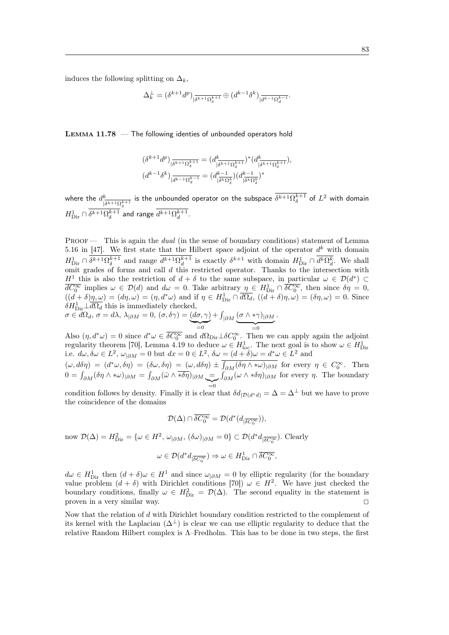induces the following splitting on  $\Delta_k$ ,

$$
\Delta_k^\perp = (\delta^{k+1} d^p)_{|\overline{\delta^{k+1}\Omega_{\delta}^{k+1}}} \oplus (d^{k-1} \delta^k)_{|\overline{d^{k-1}\Omega_{d}^{k-1}}}.
$$

Lemma 11.78 — The following identies of unbounded operators hold

$$
\begin{split} &(\delta^{k+1}d^p)_{|\overline{\delta^{k+1}\Omega_{\delta}^{k+1}}}=(d^k_{|\overline{\delta^{k+1}\Omega_{\delta}^{k+1}}})^*(d^k_{|\overline{\delta^{k+1}\Omega_{\delta}^{k+1}}}),\\ & (d^{k-1}\delta^k)_{|\overline{d^{k-1}\Omega_{d}^{k-1}}}=(d^{k-1}_{|\overline{\delta^{k}\Omega_{\delta}^{k}}})(d^{k-1}_{|\overline{\delta^{k}\Omega_{\delta}^{k}}})^* \end{split}
$$

where the  $d^k$  $\frac{k}{|\delta^{k+1}\Omega_\delta^{k+1}}$  is the unbounded operator on the subspace  $\delta^{k+1}\Omega_\delta^{k+1}$  of  $L^2$  with domain  $H_{\mathrm{Dir}}^1 \cap \overline{\delta^{k+1} \Omega_{\delta}^{k+1}}^{\frac{|\sigma|}{\delta} \cdot s_{\delta}}$  and range  $\overline{d^{k+1} \Omega_{d}^{k+1}}$ .

PROOF — This is again the *dual* (in the sense of boundary conditions) statement of Lemma 5.16 in [47]. We first state that the Hilbert space adjoint of the operator  $d^k$  with domain  $H_{\text{Dir}}^1 \cap \delta^{k+1}\Omega_{\delta}^{k+1}$  and range  $d^{k+1}\Omega_{d}^{k+1}$  is exactly  $\delta^{k+1}$  with domain  $H_{\text{Dir}}^1 \cap \overline{d^k\Omega_{d}^k}$ . We shall omit grades of forms and call d this restricted operator. Thanks to the intersection with H<sup>1</sup> this is also the restriction of  $d + \delta$  to the same subspace, in particular  $\omega \in \mathcal{D}(d^*) \subset$  $\overline{dC_0^{\infty}}$  implies  $\omega \in \mathcal{D}(d)$  and  $d\omega = 0$ . Take arbitrary  $\eta \in H_{\text{Dir}}^1 \cap \overline{\delta C_0^{\infty}}$ , then since  $\delta \eta = 0$ ,  $((d+\delta)\eta,\omega)=(d\eta,\omega)=(\eta,d^*\omega)$  and if  $\eta\in H_{\text{Dir}}^1\cap\overline{d\Omega_d}$ ,  $((d+\delta)\eta,\omega)=(\delta\eta,\omega)=0$ . Since  $\delta H_{\text{Dir}}^1 \perp \overline{d\Omega_d}$  this is immediately checked, .

$$
\sigma \in d\Omega_d, \sigma = d\lambda, \lambda_{|\partial M} = 0, (\sigma, \delta \gamma) = \underbrace{(d\sigma, \gamma)}_{=0} + \int_{|\partial M} \underbrace{(\sigma \wedge *\gamma)_{|\partial M}}_{=0}
$$

Also  $(\eta, d^*\omega) = 0$  since  $d^*\omega \in \overline{\delta C_0^\infty}$  and  $d\Omega_{\text{Dir}} \perp \delta C_0^\infty$ . Then we can apply again the adjoint regularity theorem [70], Lemma 4.19 to deduce  $\omega \in H_{\text{loc}}^1$ . The next goal is to show  $\omega \in H_{\text{Dir}}^1$ <br>i.e.  $d\omega, \delta\omega \in L^2$ ,  $\omega_{|\partial M} = 0$  but  $dx = 0 \in L^2$ ,  $\delta\omega = (d + \delta)\omega = d^*\omega \in L^2$  and

 $(\omega, d\delta\eta) = (d^*\omega, \delta\eta) = (\delta\omega, \delta\eta) = (\omega, d\delta\eta) \pm \int_{\partial M} (\delta\eta \wedge \ast\omega)_{|\partial M}$  for every  $\eta \in C_0^{\infty}$ . Then  $0 = \int_{\partial M} (\delta \eta \wedge \ast \omega)_{|\partial M} = \int_{\partial M} (\bar{\omega} \wedge \overline{\ast \delta \eta})_{|\partial M} \underbrace{=}_{=0}$  $\int_{\partial M} (\omega \wedge * \delta \eta)_{|\partial M}$  for every  $\eta$ . The boundary

condition follows by density. Finally it is clear that  $\delta d_{|\mathcal{D}(d^*d)|} = \Delta = \Delta^{\perp}$  but we have to prove the coincidence of the domains

$$
\mathcal{D}(\Delta) \cap \overline{\delta C_0^{\infty}} = \mathcal{D}(d^*(d_{|\overline{\delta C_0^{\infty}}})),
$$

now  $\mathcal{D}(\Delta) = H_{\text{Dir}}^2 = \{ \omega \in H^2, \, \omega_{|\partial M}, \, (\delta \omega)_{|\partial M} = 0 \} \subset \mathcal{D}(d^* d_{|\overline{\delta C_0^{\infty}}})$ . Clearly

$$
\omega \in \mathcal{D}(d^*d_{|\overline{\delta C^{\infty}_0}}) \Rightarrow \omega \in H^1_{\text{Dir}} \cap \overline{\delta C^{\infty}_0},
$$

 $d\omega \in H_{\text{Dir}}^1$  then  $(d + \delta)\omega \in H^1$  and since  $\omega_{\vert \partial M} = 0$  by elliptic regularity (for the boundary value problem  $(d + \delta)$  with Dirichlet conditions [70])  $\omega \in H^2$ . We have just checked the boundary conditions, finally  $\omega \in H_{\text{Dir}}^2 = \mathcal{D}(\Delta)$ . The second equality in the statement is proven in a very similar way.

Now that the relation of d with Dirichlet boundary condition restricted to the complement of its kernel with the Laplacian  $(\Delta^{\perp})$  is clear we can use elliptic regularity to deduce that the relative Random Hilbert complex is Λ–Fredholm. This has to be done in two steps, the first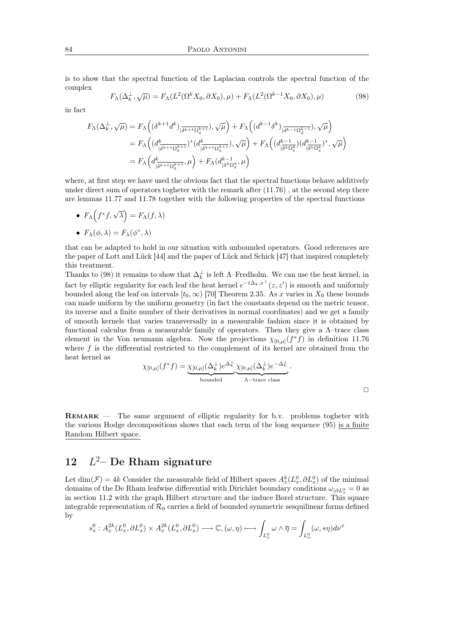is to show that the spectral function of the Laplacian controls the spectral function of the complex √

$$
F_{\Lambda}(\Delta_k^{\perp}, \sqrt{\mu}) = F_{\Lambda}(L^2(\Omega^k X_0, \partial X_0), \mu) + F_{\Lambda}(L^2(\Omega^{k-1} X_0, \partial X_0), \mu)
$$
(98)

in fact

$$
\begin{aligned} F_{\Lambda}(\Delta^{\perp}_k,\sqrt{\mu}) &= F_{\Lambda}\Big((\delta^{k+1}d^k)_{|\overline{\delta^{k+1}\Omega_{\delta}^{k+1}}}), \sqrt{\mu}\Big) + F_{\Lambda}\Big((d^{k-1}\delta^k)_{|\overline{d^{k-1}\Omega_{d}^{k-1}}}), \sqrt{\mu}\Big) \\ &= F_{\Lambda}\Big((d^{k}_{|\overline{\delta^{k+1}\Omega_{\delta}^{k+1}}})^*(d^{k}_{|\overline{\delta^{k+1}\Omega_{\delta}^{k+1}}}), \sqrt{\mu}\Big) + F_{\Lambda}\Big((d^{k-1}_{|\overline{\delta^{k}\Omega_{\delta}^{k}}})(d^{k-1}_{|\overline{\delta^{k}\Omega_{\delta}^{k}}})^*, \sqrt{\mu}\Big) \\ &= F_{\Lambda}\Big(d^{k}_{|\overline{\delta^{k+1}\Omega_{\delta}^{k+1}}}, \mu\Big) + F_{\Lambda}(d^{k-1}_{|\delta^{k}\Omega_{\delta}^{k}}, \mu\Big) \end{aligned}
$$

where, at first step we have used the obvious fact that the spectral functions behave additively under direct sum of operators togheter with the remark after (11.76) , at the second step there are lemmas 11.77 and 11.78 together with the following properties of the spectral functions

•  $F_{\Lambda}(f^*f, \sqrt{\lambda}) = F_{\Lambda}(f, \lambda)$ •  $F_{\Lambda}(\phi,\lambda) = F_{\lambda}(\phi^*,\lambda)$ 

that can be adapted to hold in our situation with unbounded operators. Good references are the paper of Lott and Lück [44] and the paper of Lück and Schick [47] that inspired completely this treatment.

Thanks to (98) it remains to show that  $\Delta_k^{\perp}$  is left  $\Lambda$ –Fredholm. We can use the heat kernel, in fact by elliptic regularity for each leaf the heat kernel  $e^{-t\Delta_k, x^{\perp}}(z, z')$  is smooth and uniformly bounded along the leaf on intervals  $[t_0, \infty)$  [70] Theorem 2.35. As x varies in  $X_0$  these bounds can made uniform by the uniform geometry (in fact the constants depend on the metric tensor, its inverse and a finite number of their derivatives in normal coordinates) and we get a family of smooth kernels that varies transversally in a measurable fashion since it is obtained by functional calculus from a measurable family of operators. Then they give a  $\Lambda$ -trace class element in the Von neumann algebra. Now the projections  $\chi_{[0,\mu]}(f^*f)$  in definition 11.76 where  $f$  is the differential restricted to the complement of its kernel are obtained from the heat kernel as

$$
\chi_{[0,\mu]}(f^*f) = \underbrace{\chi_{[0,\mu]}(\Delta_k^{\perp})e^{\Delta_k^{\perp}}}_{\text{bounded}} \underbrace{\chi_{[0,\mu]}(\Delta_k^{\perp})e^{-\Delta_k^{\perp}}}_{\Lambda-\text{trace class}}.
$$

با

Remark — The same argument of elliptic regularity for b.v. problems togheter with the various Hodge decompositions shows that each term of the long sequence (95) is a finite Random Hilbert space.

#### **12**  $L^2$ – De Rham signature

Let  $\dim(\mathcal{F}) = 4k$  Consider the measurable field of Hilbert spaces  $A_x^k(L_x^0, \partial L_x^0)$  of the minimal domains of the De Rham leafwise differential with Dirichlet boundary conditions  $\omega_{|\partial L_x^0} = 0$  as in section 11.2 with the graph Hilbert structure and the induce Borel structure. This square integrable representation of  $\mathcal{R}_0$  carries a field of bounded symmetric sesquilinear forms defined by

$$
s_x^0: A_x^{2k}(L_x^0, \partial L_x^0) \times A_x^{2k}(L_x^0, \partial L_x^0) \longrightarrow \mathbb{C}, (\omega, \eta) \longmapsto \int_{L_x^0} \omega \wedge \overline{\eta} = \int_{L_x^0} (\omega, \ast \eta) d\nu^x
$$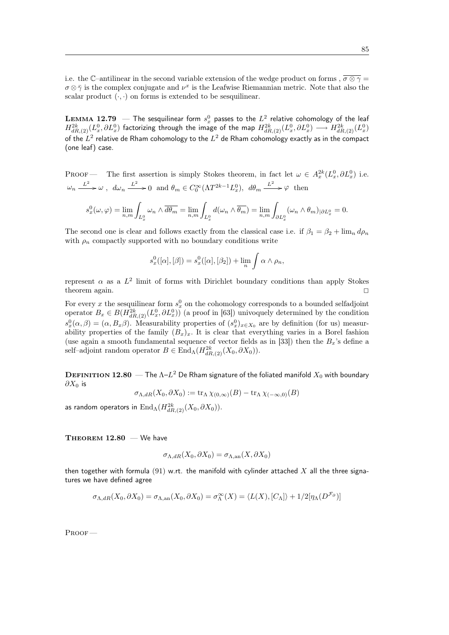i.e. the C–antilinear in the second variable extension of the wedge product on forms ,  $\overline{\sigma \otimes \gamma}$  =  $\sigma \otimes \bar{\gamma}$  is the complex conjugate and  $\nu^x$  is the Leafwise Riemannian metric. Note that also the scalar product  $(\cdot, \cdot)$  on forms is extended to be sesquilinear.

 ${\bf LEMMA}$   ${\bf 12.79}$   $\,$   $\,$   $\,$  The sesquilinear form  $s_x^0$  passes to the  $L^2$  relative cohomology of the leaf  $H^{2k}_{dR,(2)}(L^0_x,\partial L^0_x)$  factorizing through the image of the map  $H^{2k}_{dR,(2)}(L^0_x,\partial L^0_x)\longrightarrow H^{2k}_{dR,(2)}(L^0_x)$ of the  $L^2$  relative de Rham cohomology to the  $L^2$  de Rham cohomology exactly as in the compact (one leaf) case.

PROOF — The first assertion is simply Stokes theorem, in fact let  $\omega \in A_x^{2k}(L_x^0, \partial L_x^0)$  i.e.  $\omega_n \xrightarrow{L^2} \omega$ ,  $d\omega_n \xrightarrow{L^2} 0$  and  $\theta_m \in C_0^{\infty}(\Lambda T^{2k-1} L_x^0)$ ,  $d\theta_m \xrightarrow{L^2} \varphi$  then  $s_x^0(\omega, \varphi) = \lim_{n,m} \int_{L_x^0} \omega_n \wedge \overline{d\theta_m} = \lim_{n,m} \int_{L_x^0} d(\omega_n \wedge \overline{\theta_m}) = \lim_{n,m} \int_{\partial L_x^0}$  $(\omega_n \wedge \theta_m)_{|\partial L_x^0} = 0.$ 

The second one is clear and follows exactly from the classical case i.e. if  $\beta_1 = \beta_2 + \lim_n d\rho_n$ with  $\rho_n$  compactly supported with no boundary conditions write

$$
s_x^0([\alpha],[\beta]) = s_x^0([\alpha],[\beta_2]) + \lim_n \int \alpha \wedge \rho_n,
$$

represent  $\alpha$  as a  $L^2$  limit of forms with Dirichlet boundary conditions than apply Stokes theorem again.  $\square$ 

For every x the sesquilinear form  $s_x^0$  on the cohomology corresponds to a bounded selfadjoint operator  $B_x \in B(H_{dR,(2)}^{2k}(L_x^0, \partial L_x^0))$  (a proof in [63]) univoquely determined by the condition  $s_x^0(\alpha, \beta) = (\alpha, B_x \beta)$ . Measurability properties of  $(s_x^0)_{x \in X_0}$  are by definition (for us) measurability properties of the family  $(B_x)_x$ . It is clear that everything varies in a Borel fashion (use again a smooth fundamental sequence of vector fields as in [33]) then the  $B_x$ 's define a self–adjoint random operator  $B \in \text{End}_{\Lambda}(H_{dR,(2)}^{2k}(X_0, \partial X_0)).$ 

 ${\bf D}$ е ${\bf F}$ титто ${\bf N}$  12.80  $-$  The  $\Lambda$ – $L^2$  De Rham signature of the foliated manifold  $X_0$  with boundary  $\partial X_0$  is

$$
\sigma_{\Lambda,dR}(X_0,\partial X_0):=\mathop{\rm tr}\nolimits_{\Lambda}\chi_{(0,\infty)}(B)-\mathop{\rm tr}\nolimits_{\Lambda}\chi_{(-\infty,0)}(B)
$$

as random operators in  $\operatorname{End}_\Lambda(H^{2k}_{dR,(2)}(X_0,\partial X_0)).$ 

THEOREM  $12.80 -$  We have

$$
\sigma_{\Lambda, dR}(X_0, \partial X_0) = \sigma_{\Lambda, \text{an}}(X, \partial X_0)
$$

then together with formula (91) w.rt. the manifold with cylinder attached X all the three signatures we have defined agree

$$
\sigma_{\Lambda,dR}(X_0,\partial X_0)=\sigma_{\Lambda,\mathrm{an}}(X_0,\partial X_0)=\sigma_{\Lambda}^{\infty}(X)=\langle L(X),[C_{\Lambda}]\rangle+1/2[\eta_{\Lambda}(D^{\mathcal{F}_{\partial}})]
$$

Proof —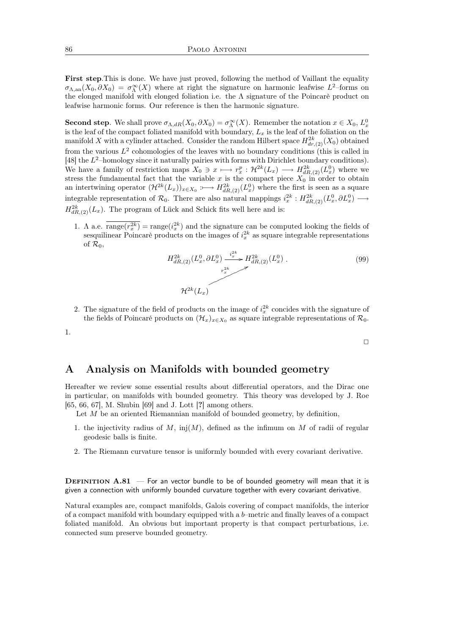First step. This is done. We have just proved, following the method of Vaillant the equality  $\sigma_{\Lambda,\mathrm{an}}(X_0,\partial X_0) = \sigma_{\Lambda}^{\infty}(X)$  where at right the signature on harmonic leafwise  $L^2$ -forms on the elonged manifold with elonged foliation i.e. the  $\Lambda$  signature of the Poincarè product on leafwise harmonic forms. Our reference is then the harmonic signature.

**Second step.** We shall prove  $\sigma_{\Lambda, dR}(X_0, \partial X_0) = \sigma_{\Lambda}^{\infty}(X)$ . Remember the notation  $x \in X_0$ ,  $L_x^0$ is the leaf of the compact foliated manifold with boundary,  $L_x$  is the leaf of the foliation on the manifold X with a cylinder attached. Consider the random Hilbert space  $H_{dr,(2)}^{2k}(X_0)$  obtained from the various  $L^2$  cohomologies of the leaves with no boundary conditions (this is called in [48] the  $L^2$ -homology since it naturally pairies with forms with Dirichlet boundary conditions). We have a family of restriction maps  $X_0 \ni x \longmapsto r_x^p : \mathcal{H}^{2k}(L_x) \longrightarrow H^{2k}_{dR,(2)}(L_x^0)$  where we stress the fundamental fact that the variable x is the compact piece  $X_0$  in order to obtain an intertwining operator  $(\mathcal{H}^{2k}(L_x))_{x \in X_0} : \longrightarrow H^{2k}_{dR,(2)}(L_x^0)$  where the first is seen as a square integrable representation of  $\mathcal{R}_0$ . There are also natural mappings  $i_x^{2k}: H^{2k}_{dR,(2)}(L_x^0, \partial L_x^0) \longrightarrow$  $H_{dR,(2)}^{2k}(L_x)$ . The program of Lück and Schick fits well here and is:

1. A a.e.  $\overline{\text{range}(r_x^{2k})} = \text{range}(i_x^{2k})$  and the signature can be computed looking the fields of sesquilinear Poincarè products on the images of  $i_x^{2k}$  as square integrable representations of  $\mathcal{R}_0$ 

$$
H_{dR,(2)}^{2k}(L_x^0, \partial L_x^0) \xrightarrow{i_x^{2k}} H_{dR,(2)}^{2k}(L_x^0) .
$$
\n
$$
H_{dR,(2)}^{2k}(L_x)
$$
\n(99)

 $\Box$ 

2. The signature of the field of products on the image of  $i_x^{2k}$  concides with the signature of the fields of Poincaré products on  $(\mathcal{H}_x)_{x \in X_0}$  as square integrable representations of  $\mathcal{R}_0$ .

1.

# A Analysis on Manifolds with bounded geometry

Hereafter we review some essential results about differential operators, and the Dirac one in particular, on manifolds with bounded geometry. This theory was developed by J. Roe [65, 66, 67], M. Shubin [69] and J. Lott [?] among others.

Let  $M$  be an oriented Riemannian manifold of bounded geometry, by definition,

- 1. the injectivity radius of  $M$ , inj $(M)$ , defined as the infimum on  $M$  of radii of regular geodesic balls is finite.
- 2. The Riemann curvature tensor is uniformly bounded with every covariant derivative.

**DEFINITION A.81** — For an vector bundle to be of bounded geometry will mean that it is given a connection with uniformly bounded curvature together with every covariant derivative.

Natural examples are, compact manifolds, Galois covering of compact manifolds, the interior of a compact manifold with boundary equipped with a b–metric and finally leaves of a compact foliated manifold. An obvious but important property is that compact perturbations, i.e. connected sum preserve bounded geometry.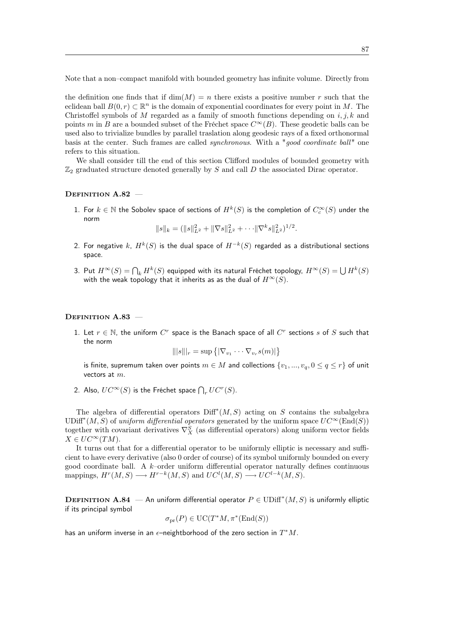Note that a non–compact manifold with bounded geometry has infinite volume. Directly from

the definition one finds that if  $\dim(M) = n$  there exists a positive number r such that the eclidean ball  $B(0, r) \subset \mathbb{R}^n$  is the domain of exponential coordinates for every point in M. The Christoffel symbols of M regarded as a family of smooth functions depending on  $i, j, k$  and points m in B are a bounded subset of the Fréchet space  $C^{\infty}(B)$ . These geodetic balls can be used also to trivialize bundles by parallel traslation along geodesic rays of a fixed orthonormal basis at the center. Such frames are called *synchronous*. With a "good coordinate ball" one refers to this situation.

We shall consider till the end of this section Clifford modules of bounded geometry with  $\mathbb{Z}_2$  graduated structure denoted generally by S and call D the associated Dirac operator.

#### DEFINITION A.82 -

1. For  $k \in \mathbb{N}$  the Sobolev space of sections of  $H^k(S)$  is the completion of  $C_c^\infty(S)$  under the norm

 $||s||_k = (||s||_{L^2}^2 + ||\nabla s||_{L^2}^2 + \cdots ||\nabla^k s||_{L^2}^2)^{1/2}.$ 

- 2. For negative  $k$ ,  $H^k(S)$  is the dual space of  $H^{-k}(S)$  regarded as a distributional sections space.
- 3. Put  $H^\infty(S) = \bigcap_k H^k(S)$  equipped with its natural Fréchet topology,  $H^\infty(S) = \bigcup H^k(S)$ with the weak topology that it inherits as as the dual of  $H^{\infty}(S)$ .

#### DEFINITION A.83 -

1. Let  $r \in \mathbb{N}$ , the uniform  $C^r$  space is the Banach space of all  $C^r$  sections s of S such that the norm

$$
\||s\||_r = \sup \big\{ |\nabla_{v_1} \cdots \nabla_{v_r} s(m)| \big\}
$$

is finite, supremum taken over points  $m \in M$  and collections  $\{v_1, ..., v_q, 0 \le q \le r\}$  of unit vectors at  $m$ .

2. Also,  $UC^{\infty}(S)$  is the Fréchet space  $\bigcap_{r}UC^{r}(S).$ 

The algebra of differential operators  $\text{Diff}^*(M, S)$  acting on S contains the subalgebra UDiff<sup>\*</sup>(M, S) of uniform differential operators generated by the uniform space  $UC^{\infty}(\text{End}(S))$ together with covariant derivatives  $\nabla_X^S$  (as differential operators) along uniform vector fields  $X \in UC^{\infty}(TM).$ 

It turns out that for a differential operator to be uniformly elliptic is necessary and sufficient to have every derivative (also 0 order of course) of its symbol uniformly bounded on every good coordinate ball. A  $k$ -order uniform differential operator naturally defines continuous mappings,  $H^r(M, S) \longrightarrow H^{r-k}(M, S)$  and  $UC^l(M, S) \longrightarrow UC^{l-k}(M, S)$ .

**DEFINITION A.84** — An uniform differential operator  $P \in \text{UDiff}^*(M, S)$  is uniformly elliptic if its principal symbol

$$
\sigma_{\rm pr}(P) \in \mathrm{UC}(T^*M, \pi^*(\mathrm{End}(S))
$$

has an uniform inverse in an  $\epsilon$ -neightborhood of the zero section in  $T^*M$ .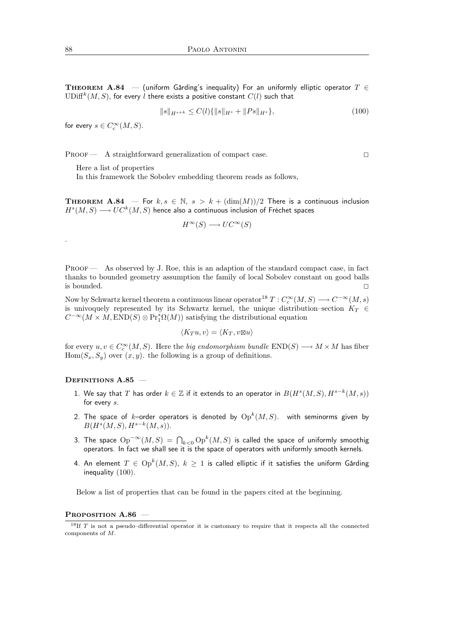THEOREM A.84 — (uniform Gårding's inequality) For an uniformly elliptic operator  $T \in$  $\mathrm{UDiff}^k(M,S)$ , for every  $l$  there exists a positive constant  $C(l)$  such that

$$
||s||_{H^{s+k}} \le C(l)\{||s||_{H^s} + ||Ps||_{H^s}\},\tag{100}
$$

for every  $s \in C_c^{\infty}(M, S)$ .

PROOF — A straightforward generalization of compact case.

Here a list of properties

In this framework the Sobolev embedding theorem reads as follows,

**THEOREM A.84** — For  $k, s \in \mathbb{N}$ ,  $s > k + (\dim(M))/2$  There is a continuous inclusion  $H^s(M,S) \longrightarrow UC^k(M,S)$  hence also a continuous inclusion of Fréchet spaces

$$
H^{\infty}(S) \longrightarrow UC^{\infty}(S)
$$

PROOF — As observed by J. Roe, this is an adaption of the standard compact case, in fact thanks to bounded geometry assumption the family of local Sobolev constant on good balls is bounded.  $\square$ 

Now by Schwartz kernel theorem a continuous linear operator<sup>18</sup>  $T: C_c^{\infty}(M, S) \longrightarrow C^{-\infty}(M, s)$ is univoquely represented by its Schwartz kernel, the unique distribution–section  $K_T \in$  $C^{-\infty}(M \times M, \text{END}(S) \otimes \text{Pr}_1^*\Omega(M))$  satisfying the distributional equation

$$
\langle K_T u, v \rangle = \langle K_T, v \boxtimes u \rangle
$$

for every  $u, v \in C_c^{\infty}(M, S)$ . Here the *big endomorphism bundle*  $END(S) \longrightarrow M \times M$  has fiber  $Hom(S_x, S_y)$  over  $(x, y)$ . the following is a group of definitions.

#### DEFINITIONS A.85 -

- 1. We say that  $T$  has order  $k \in \mathbb{Z}$  if it extends to an operator in  $B(H^s(M,S),H^{s-k}(M,s))$ for every s.
- 2. The space of  $k$ –order operators is denoted by  $\mathrm{Op}^k(M,S)$ . with seminorms given by  $B(H^s(M, S), H^{s-k}(M, s)).$
- 3. The space  ${\rm Op}^{-\infty}(M,S)\,=\, {\bigcap}_{k<0}{\rm Op}^k(M,S)$  is called the space of uniformly smoothig operators. In fact we shall see it is the space of operators with uniformly smooth kernels.
- 4. An element  $T\,\in\, \mathrm{Op}^k(M,S),\; k\,\geq\, 1$  is called elliptic if it satisfies the uniform Gårding inequality (100).

Below a list of properties that can be found in the papers cited at the beginning.

#### PROPOSITION A.86 –

.

<sup>&</sup>lt;sup>18</sup>If  $T$  is not a pseudo-differential operator it is customary to require that it respects all the connected components of M.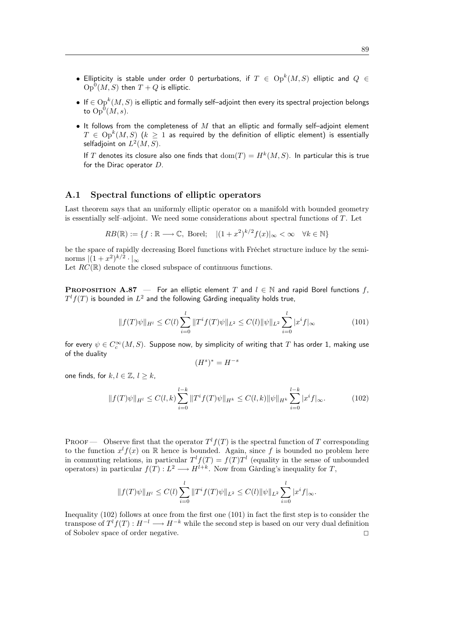- $\bullet$  Ellipticity is stable under order 0 perturbations, if  $T\,\in\, \operatorname{Op}^k(M,S)$  elliptic and  $Q\,\in\,$  $\operatorname{Op}^0(M,S)$  then  $T+Q$  is elliptic.
- $\bullet \ \text{ If } \in \operatorname{Op}^k(M,S)$  is elliptic and formally self–adjoint then every its spectral projection belongs to  $\mathop{\rm Op}\nolimits^0(M,s).$
- It follows from the completeness of  $M$  that an elliptic and formally self-adjoint element  $T\,\in\, \operatorname{Op}^k(M,S)\,$   $(k\,\geq\, 1$  as required by the definition of elliptic element) is essentially selfadjoint on  $L^2(M,S)$ .

If T denotes its closure also one finds that  $dom(T) = H^k(M, S)$ . In particular this is true for the Dirac operator D.

### A.1 Spectral functions of elliptic operators

Last theorem says that an uniformly elliptic operator on a manifold with bounded geometry is essentially self–adjoint. We need some considerations about spectral functions of T. Let

$$
RB(\mathbb{R}) := \{ f : \mathbb{R} \longrightarrow \mathbb{C}, \text{ Borel}; \quad |(1+x^2)^{k/2} f(x)|_{\infty} < \infty \quad \forall k \in \mathbb{N} \}
$$

be the space of rapidly decreasing Borel functions with Fréchet structure induce by the seminorms  $|(1+x^2)^{k/2} \cdot |_{\infty}$ 

Let  $RC(\mathbb{R})$  denote the closed subspace of continuous functions.

**PROPOSITION A.87** — For an elliptic element T and  $l \in \mathbb{N}$  and rapid Borel functions f,  $T^{l}f(T)$  is bounded in  $L^{2}$  and the following Gårding inequality holds true,

$$
||f(T)\psi||_{H^{l}} \leq C(l) \sum_{i=0}^{l} ||T^{i}f(T)\psi||_{L^{2}} \leq C(l) ||\psi||_{L^{2}} \sum_{i=0}^{l} |x^{i}f|_{\infty}
$$
\n(101)

for every  $\psi\in C_c^\infty(M,S).$  Suppose now, by simplicity of writing that  $T$  has order 1, making use of the duality

$$
(H^s)^* = H^{-s}
$$

one finds, for  $k, l \in \mathbb{Z}, l \geq k$ ,

$$
||f(T)\psi||_{H^l} \le C(l,k) \sum_{i=0}^{l-k} ||T^i f(T)\psi||_{H^k} \le C(l,k) ||\psi||_{H^k} \sum_{i=0}^{l-k} |x^i f|_{\infty}.
$$
 (102)

**PROOF** — Observe first that the operator  $T^l f(T)$  is the spectral function of T corresponding to the function  $x^l f(x)$  on R hence is bounded. Again, since f is bounded no problem here in commuting relations, in particular  $T^l f(T) = f(T) T^l$  (equality in the sense of unbounded operators) in particular  $f(T): L^2 \longrightarrow H^{l+k}$ . Now from Gårding's inequality for T,

$$
||f(T)\psi||_{H^l} \leq C(l) \sum_{i=0}^l ||T^i f(T)\psi||_{L^2} \leq C(l) ||\psi||_{L^2} \sum_{i=0}^l |x^i f|_{\infty}.
$$

Inequality (102) follows at once from the first one (101) in fact the first step is to consider the transpose of  $T^l f(T) : H^{-l} \longrightarrow H^{-k}$  while the second step is based on our very dual definition of Sobolev space of order negative. <sup>2</sup>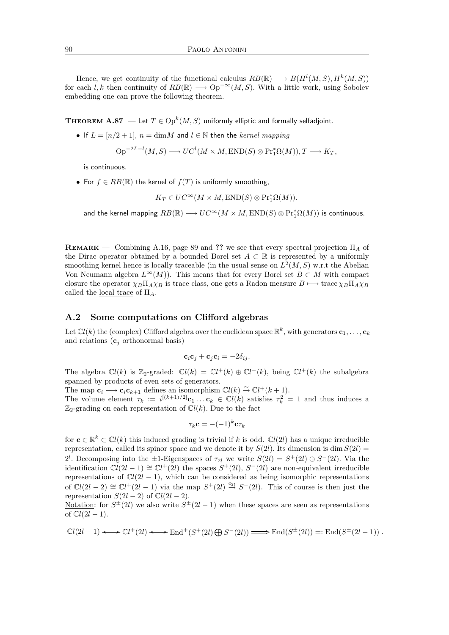Hence, we get continuity of the functional calculus  $RB(\mathbb{R}) \longrightarrow B(H^{l}(M, S), H^{k}(M, S))$ for each l, k then continuity of  $RB(\mathbb{R}) \longrightarrow \mathrm{Op}^{-\infty}(M, S)$ . With a little work, using Sobolev embedding one can prove the following theorem.

THEOREM  $\mathbf{A.87}\ \mathrm{-let}\ T\in \mathrm{Op}^k(M,S)$  uniformly elliptic and formally selfadjoint.

• If  $L = [n/2 + 1]$ ,  $n = \text{dim}M$  and  $l \in \mathbb{N}$  then the kernel mapping

$$
\operatorname{Op}^{-2L-l}(M, S) \longrightarrow UC^{l}(M \times M, \operatorname{END}(S) \otimes \operatorname{Pr}_{1}^{*}\Omega(M)), T \longmapsto K_{T},
$$

is continuous.

• For  $f \in RB(\mathbb{R})$  the kernel of  $f(T)$  is uniformly smoothing,

 $K_T \in UC^{\infty}(M \times M, \text{END}(S) \otimes \text{Pr}_1^*\Omega(M)).$ 

and the kernel mapping  $RB(\mathbb{R})\longrightarrow UC^{\infty}(M\times M,\mathrm{END}(S)\otimes\mathrm{Pr}_1^*\Omega(M))$  is continuous.

REMARK — Combining A.16, page 89 and ?? we see that every spectral projection  $\Pi_A$  of the Dirac operator obtained by a bounded Borel set  $A \subset \mathbb{R}$  is represented by a uniformly smoothing kernel hence is locally traceable (in the usual sense on  $L^2(M, S)$  w.r.t the Abelian Von Neumann algebra  $L^{\infty}(M)$ ). This means that for every Borel set  $B \subset M$  with compact closure the operator  $\chi_B \Pi_A \chi_B$  is trace class, one gets a Radon measure  $B \mapsto \text{trace } \chi_B \Pi_A \chi_B$ called the <u>local trace</u> of  $\Pi_A$ .

### A.2 Some computations on Clifford algebras

Let  $\mathbb{C}l(k)$  the (complex) Clifford algebra over the euclidean space  $\mathbb{R}^k,$  with generators  $\mathbf{c}_1,\ldots,\mathbf{c}_k$ and relations  $(c_i \text{ orthonormal basis})$ 

$$
\mathbf{c}_i \mathbf{c}_j + \mathbf{c}_j \mathbf{c}_i = -2\delta_{ij}.
$$

The algebra  $\mathbb{C}l(k)$  is Z<sub>2</sub>-graded:  $\mathbb{C}l(k) = \mathbb{C}l^{+}(k) \oplus \mathbb{C}l^{-}(k)$ , being  $\mathbb{C}l^{+}(k)$  the subalgebra spanned by products of even sets of generators.

The map  $\mathbf{c}_i \longrightarrow \mathbf{c}_i \mathbf{c}_{k+1}$  defines an isomorphism  $\mathbb{C}l(k) \overset{\sim}{\rightarrow} \mathbb{C}l^+(k+1)$ .

The volume element  $\tau_k := i^{[(k+1)/2]} c_1 \dots c_k \in \mathbb{C}l(k)$  satisfies  $\tau_k^2 = 1$  and thus induces a  $\mathbb{Z}_2$ -grading on each representation of  $\mathbb{C}l(k)$ . Due to the fact

$$
\tau_k\mathbf{c} = -(-1)^k\mathbf{c}\tau_k
$$

for  $\mathbf{c} \in \mathbb{R}^k \subset \mathbb{C}l(k)$  this induced grading is trivial if k is odd.  $\mathbb{C}l(2l)$  has a unique irreducible representation, called its spinor space and we denote it by  $S(2l)$ . Its dimension is dim  $S(2l)$  = 2<sup>l</sup>. Decomposing into the  $\pm 1$ -Eigenspaces of  $\tau_{2l}$  we write  $S(2l) = S^+(2l) \oplus S^-(2l)$ . Via the identification  $Cl(2l-1) \cong Cl^+(2l)$  the spaces  $S^+(2l)$ ,  $S^-(2l)$  are non-equivalent irreducible representations of  $Cl(2l - 1)$ , which can be considered as being isomorphic representations of  $Cl(2l-2) \cong Cl^+(2l-1)$  via the map  $S^+(2l) \stackrel{c_{2l}}{\rightarrow} S^-(2l)$ . This of course is then just the representation  $S(2l-2)$  of  $\mathbb{C}l(2l-2)$ .

Notation: for  $S^{\pm}(2l)$  we also write  $S^{\pm}(2l-1)$  when these spaces are seen as representations of  $\mathbb{C}l(2l-1)$ .

$$
\mathbb{C}l(2l-1) \longleftrightarrow \mathbb{C}l^+(2l) \longleftrightarrow \text{End}^+(S^+(2l) \bigoplus S^-(2l)) \Longrightarrow \text{End}(S^{\pm}(2l)) =: \text{End}(S^{\pm}(2l-1)) \ .
$$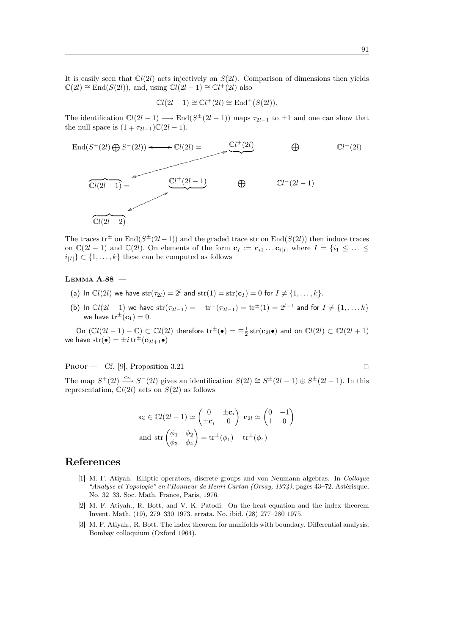It is easily seen that  $Cl(2l)$  acts injectively on  $S(2l)$ . Comparison of dimensions then yields  $\mathbb{C}(2l) \cong \text{End}(S(2l)),$  and, using  $\mathbb{C}l(2l-1) \cong \mathbb{C}l^{+}(2l)$  also

$$
\mathbb{C}l(2l-1) \cong \mathbb{C}l^+(2l) \cong \text{End}^+(S(2l)).
$$

The identification  $Cl(2l - 1) \longrightarrow End(S^{\pm}(2l - 1))$  maps  $\tau_{2l-1}$  to  $\pm 1$  and one can show that the null space is  $(1 \mp \tau_{2l-1})\mathbb{C}(2l-1)$ .



The traces tr<sup> $\pm$ </sup> on End( $S^{\pm}(2l-1)$ ) and the graded trace str on End( $S(2l)$ ) then induce traces on  $\mathbb{C}(2l-1)$  and  $\mathbb{C}(2l)$ . On elements of the form  $\mathbf{c}_I := \mathbf{c}_{i1} \dots \mathbf{c}_{i|I|}$  where  $I = \{i_1 \leq \dots \leq i_l\}$  $i_{|I|} \subset \{1, \ldots, k\}$  these can be computed as follows

### Lemma A.88 —

- (a) In  $\mathbb{C}l(2l)$  we have  $str(\tau_{2l}) = 2^l$  and  $str(1) = str(\mathbf{c}_I) = 0$  for  $I \neq \{1, ..., k\}$ .
- (b) In  $\mathbb{C}l(2l-1)$  we have  $str(\tau_{2l-1}) = -tr^-(\tau_{2l-1}) = tr^{\pm}(1) = 2^{l-1}$  and for  $I \neq \{1, ..., k\}$ we have  $tr^{\pm}(c_1) = 0$ .

On  $(\mathbb{C}l(2l-1)-\mathbb{C})\subset \mathbb{C}l(2l)$  therefore  $\mathrm{tr}^{\pm}(\bullet)=\mp \frac{1}{2}\, \mathrm{str}(\mathbf{c}_{2l}\bullet)$  and on  $\mathbb{C}l(2l)\subset \mathbb{C}l(2l+1)$ we have  $str(\bullet) = \pm i \, tr^{\pm}(\mathbf{c}_{2l+1}\bullet)$ 

PROOF — Cf. [9], Proposition 3.21

The map  $S^+(2l) \xrightarrow{c_{2l}} S^-(2l)$  gives an identification  $S(2l) \cong S^{\pm}(2l-1) \oplus S^{\pm}(2l-1)$ . In this representation,  $Cl(2l)$  acts on  $S(2l)$  as follows

$$
\mathbf{c}_{i} \in \mathbb{C}l(2l-1) \simeq \begin{pmatrix} 0 & \pm \mathbf{c}_{i} \\ \pm \mathbf{c}_{i} & 0 \end{pmatrix} \mathbf{c}_{2l} \simeq \begin{pmatrix} 0 & -1 \\ 1 & 0 \end{pmatrix}
$$
  
and 
$$
\operatorname{str}\begin{pmatrix} \phi_{1} & \phi_{2} \\ \phi_{3} & \phi_{4} \end{pmatrix} = \operatorname{tr}^{\pm}(\phi_{1}) - \operatorname{tr}^{\pm}(\phi_{4})
$$

## References

- [1] M. F. Atiyah. Elliptic operators, discrete groups and von Neumann algebras. In Colloque "Analyse et Topologie" en l'Honneur de Henri Cartan (Orsay, 1974), pages 43–72. Astérisque, No. 32–33. Soc. Math. France, Paris, 1976.
- [2] M. F. Atiyah., R. Bott, and V. K. Patodi. On the heat equation and the index theorem Invent. Math. (19), 279–330 1973. errata, No. ibid. (28) 277–280 1975.
- [3] M. F. Atiyah., R. Bott. The index theorem for manifolds with boundary. Differential analysis, Bombay colloquium (Oxford 1964).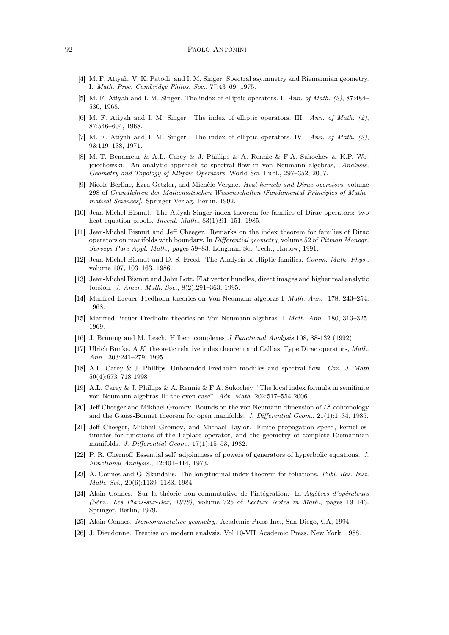- [4] M. F. Atiyah, V. K. Patodi, and I. M. Singer. Spectral asymmetry and Riemannian geometry. I. Math. Proc. Cambridge Philos. Soc., 77:43–69, 1975.
- [5] M. F. Atiyah and I. M. Singer. The index of elliptic operators. I. Ann. of Math. (2), 87:484– 530, 1968.
- [6] M. F. Atiyah and I. M. Singer. The index of elliptic operators. III. Ann. of Math. (2), 87:546–604, 1968.
- [7] M. F. Atiyah and I. M. Singer. The index of elliptic operators. IV. Ann. of Math. (2), 93:119–138, 1971.
- [8] M.-T. Benameur & A.L. Carey & J. Phillips & A. Rennie & F.A. Sukochev & K.P. Wojciechowski. An analytic approach to spectral flow in von Neumann algebras, Analysis, Geometry and Topology of Elliptic Operators, World Sci. Publ., 297–352, 2007.
- [9] Nicole Berline, Ezra Getzler, and Michèle Vergne. Heat kernels and Dirac operators, volume 298 of Grundlehren der Mathematischen Wissenschaften [Fundamental Principles of Mathematical Sciences]. Springer-Verlag, Berlin, 1992.
- [10] Jean-Michel Bismut. The Atiyah-Singer index theorem for families of Dirac operators: two heat equation proofs. *Invent. Math.*, 83(1):91-151, 1985.
- [11] Jean-Michel Bismut and Jeff Cheeger. Remarks on the index theorem for families of Dirac operators on manifolds with boundary. In Differential geometry, volume 52 of Pitman Monogr. Surveys Pure Appl. Math., pages 59–83. Longman Sci. Tech., Harlow, 1991.
- [12] Jean-Michel Bismut and D. S. Freed. The Analysis of elliptic families. Comm. Math. Phys., volume 107, 103–163. 1986.
- [13] Jean-Michel Bismut and John Lott. Flat vector bundles, direct images and higher real analytic torsion. J. Amer. Math. Soc., 8(2):291–363, 1995.
- [14] Manfred Breuer Fredholm theories on Von Neumann algebras I Math. Ann. 178, 243–254, 1968.
- [15] Manfred Breuer Fredholm theories on Von Neumann algebras II Math. Ann. 180, 313–325. 1969.
- [16] J. Brüning and M. Lesch. Hilbert complexes J Functional Analysis 108, 88-132 (1992)
- [17] Ulrich Bunke. A K–theoretic relative index theorem and Callias–Type Dirac operators, Math. Ann., 303:241–279, 1995.
- [18] A.L. Carey & J. Phillips Unbounded Fredholm modules and spectral flow. Can. J. Math 50(4):673–718 1998
- [19] A.L. Carey & J. Phillips & A. Rennie & F.A. Sukochev "The local index formula in semifinite von Neumann algebras II: the even case". Adv. Math. 202:517–554 2006
- [20] Jeff Cheeger and Mikhael Gromov. Bounds on the von Neumann dimension of  $L^2$ -cohomology and the Gauss-Bonnet theorem for open manifolds. J. Differential Geom., 21(1):1–34, 1985.
- [21] Jeff Cheeger, Mikhail Gromov, and Michael Taylor. Finite propagation speed, kernel estimates for functions of the Laplace operator, and the geometry of complete Riemannian manifolds. J. Differential Geom., 17(1):15–53, 1982.
- [22] P. R. Chernoff Essential self–adjointness of powers of generators of hyperbolic equations. J. Functional Analysis., 12:401–414, 1973.
- [23] A. Connes and G. Skandalis. The longitudinal index theorem for foliations. Publ. Res. Inst. Math. Sci., 20(6):1139–1183, 1984.
- [24] Alain Connes. Sur la théorie non commutative de l'intégration. In Algèbres d'opérateurs (Sém., Les Plans-sur-Bex, 1978), volume 725 of Lecture Notes in Math., pages 19–143. Springer, Berlin, 1979.
- [25] Alain Connes. Noncommutative geometry. Academic Press Inc., San Diego, CA, 1994.
- [26] J. Dieudonne. Treatise on modern analysis. Vol 10-VII Academic Press, New York, 1988.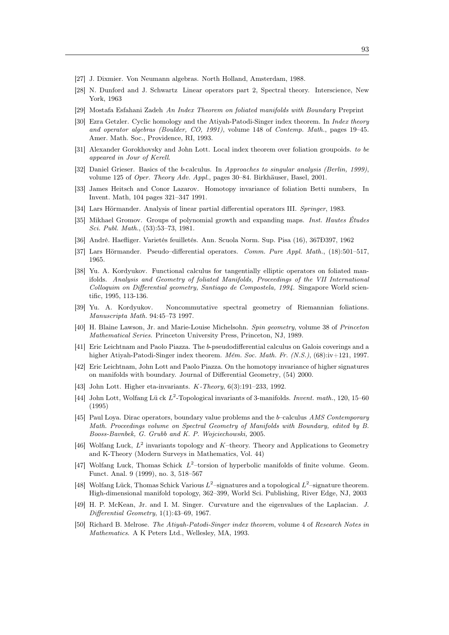- [27] J. Dixmier. Von Neumann algebras. North Holland, Amsterdam, 1988.
- [28] N. Dunford and J. Schwartz Linear operators part 2, Spectral theory. Interscience, New York, 1963
- [29] Mostafa Esfahani Zadeh An Index Theorem on foliated manifolds with Boundary Preprint
- [30] Ezra Getzler. Cyclic homology and the Atiyah-Patodi-Singer index theorem. In *Index theory* and operator algebras (Boulder, CO, 1991), volume 148 of Contemp. Math., pages 19–45. Amer. Math. Soc., Providence, RI, 1993.
- [31] Alexander Gorokhovsky and John Lott. Local index theorem over foliation groupoids. to be appeared in Jour of Kerell.
- [32] Daniel Grieser. Basics of the b-calculus. In Approaches to singular analysis (Berlin, 1999), volume 125 of Oper. Theory Adv. Appl., pages 30–84. Birkhäuser, Basel, 2001.
- [33] James Heitsch and Conor Lazarov. Homotopy invariance of foliation Betti numbers, In Invent. Math, 104 pages 321–347 1991.
- [34] Lars Hörmander. Analysis of linear partial differential operators III. Springer, 1983.
- [35] Mikhael Gromov. Groups of polynomial growth and expanding maps. *Inst. Hautes Études* Sci. Publ. Math., (53):53–73, 1981.
- [36] André. Haefliger. Varietés feuilletés. Ann. Scuola Norm. Sup. Pisa (16), 367Ð397, 1962
- [37] Lars Hörmander. Pseudo–differential operators. Comm. Pure Appl. Math., (18):501–517, 1965.
- [38] Yu. A. Kordyukov. Functional calculus for tangentially elliptic operators on foliated manifolds. Analysis and Geometry of foliated Manifolds, Proceedings of the VII International Colloquim on Differential geometry, Santiago de Compostela, 1994. Singapore World scientific, 1995, 113-136.
- [39] Yu. A. Kordyukov. Noncommutative spectral geometry of Riemannian foliations. Manuscripta Math. 94:45–73 1997.
- [40] H. Blaine Lawson, Jr. and Marie-Louise Michelsohn. Spin geometry, volume 38 of Princeton Mathematical Series. Princeton University Press, Princeton, NJ, 1989.
- [41] Eric Leichtnam and Paolo Piazza. The b-pseudodifferential calculus on Galois coverings and a higher Atiyah-Patodi-Singer index theorem. Mém. Soc. Math. Fr. (N.S.), (68):iv+121, 1997.
- [42] Eric Leichtnam, John Lott and Paolo Piazza. On the homotopy invariance of higher signatures on manifolds with boundary. Journal of Differential Geometry, (54) 2000.
- [43] John Lott. Higher eta-invariants. *K*-Theory, 6(3):191–233, 1992.
- [44] John Lott, Wolfang Lück  $L^2$ -Topological invariants of 3-manifolds. Invent. math., 120, 15–60 (1995)
- [45] Paul Loya. Dirac operators, boundary value problems and the b–calculus AMS Contemporary Math. Proceedings volume on Spectral Geometry of Manifolds with Boundary, edited by B. Booss-Bavnbek, G. Grubb and K. P. Wojciechowski, 2005.
- [46] Wolfang Luck,  $L^2$  invariants topology and K-theory. Theory and Applications to Geometry and K-Theory (Modern Surveys in Mathematics, Vol. 44)
- [47] Wolfang Luck, Thomas Schick  $L^2$ -torsion of hyperbolic manifolds of finite volume. Geom. Funct. Anal. 9 (1999), no. 3, 518–567
- [48] Wolfang Lück, Thomas Schick Various  $L^2$ -signatures and a topological  $L^2$ -signature theorem. High-dimensional manifold topology, 362–399, World Sci. Publishing, River Edge, NJ, 2003
- [49] H. P. McKean, Jr. and I. M. Singer. Curvature and the eigenvalues of the Laplacian. J. Differential Geometry, 1(1):43–69, 1967.
- [50] Richard B. Melrose. The Atiyah-Patodi-Singer index theorem, volume 4 of Research Notes in Mathematics. A K Peters Ltd., Wellesley, MA, 1993.